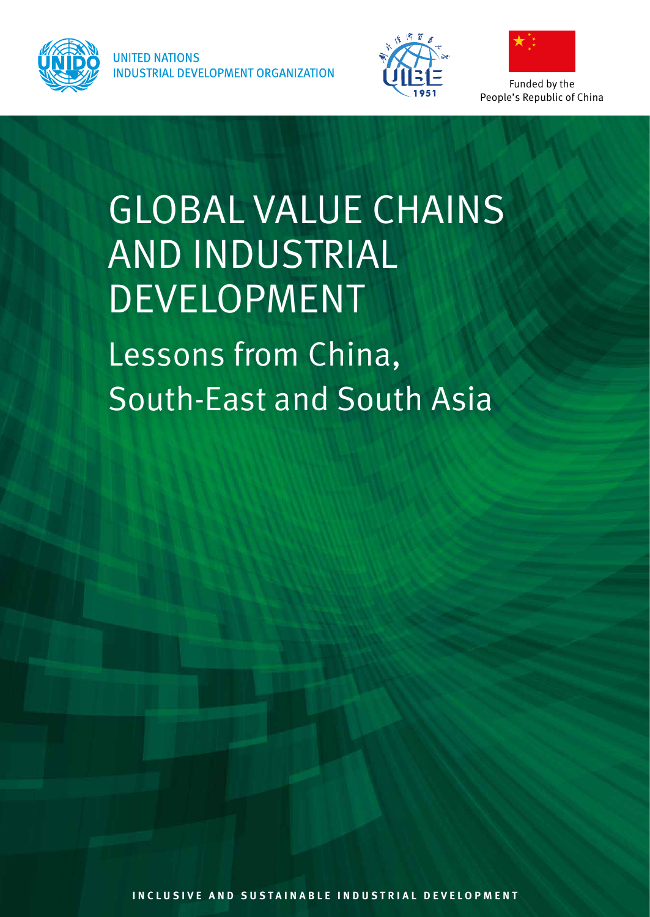

**UNITED NATIONS INDUSTRIAL DEVELOPMENT ORGANIZATION** 





Funded by the People's Republic of China

# GLOBAL VALUE CHAINS AND INDUSTRIAL DEVELOPMENT

Lessons from China, South-East and South Asia

**Inclus i ve and susta i nable i ndustr i al development**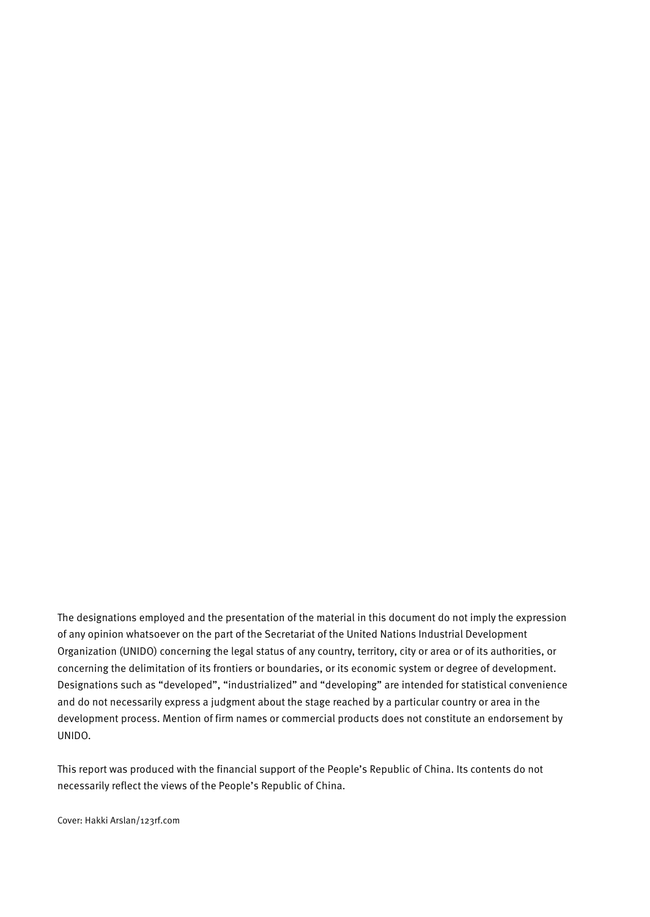The designations employed and the presentation of the material in this document do not imply the expression of any opinion whatsoever on the part of the Secretariat of the United Nations Industrial Development Organization (UNIDO) concerning the legal status of any country, territory, city or area or of its authorities, or concerning the delimitation of its frontiers or boundaries, or its economic system or degree of development. Designations such as "developed", "industrialized" and "developing" are intended for statistical convenience and do not necessarily express a judgment about the stage reached by a particular country or area in the development process. Mention of firm names or commercial products does not constitute an endorsement by UNIDO.

This report was produced with the financial support of the People's Republic of China. Its contents do not necessarily reflect the views of the People's Republic of China.

Cover: Hakki Arslan/123rf.com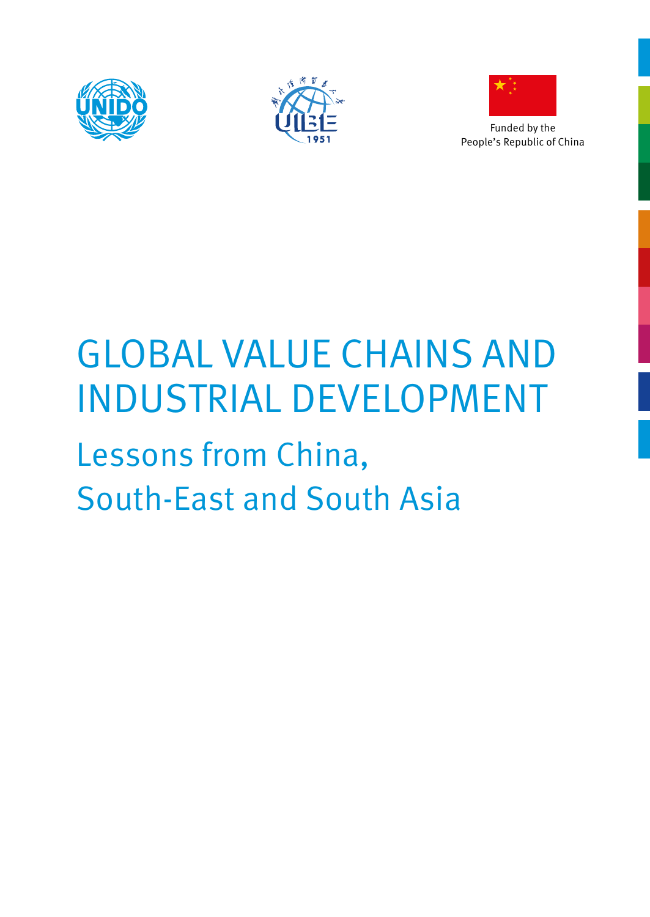





Funded by the People's Republic of China

# GLOBAL VALUE CHAINS AND INDUSTRIAL DEVELOPMENT

# Lessons from China, South-East and South Asia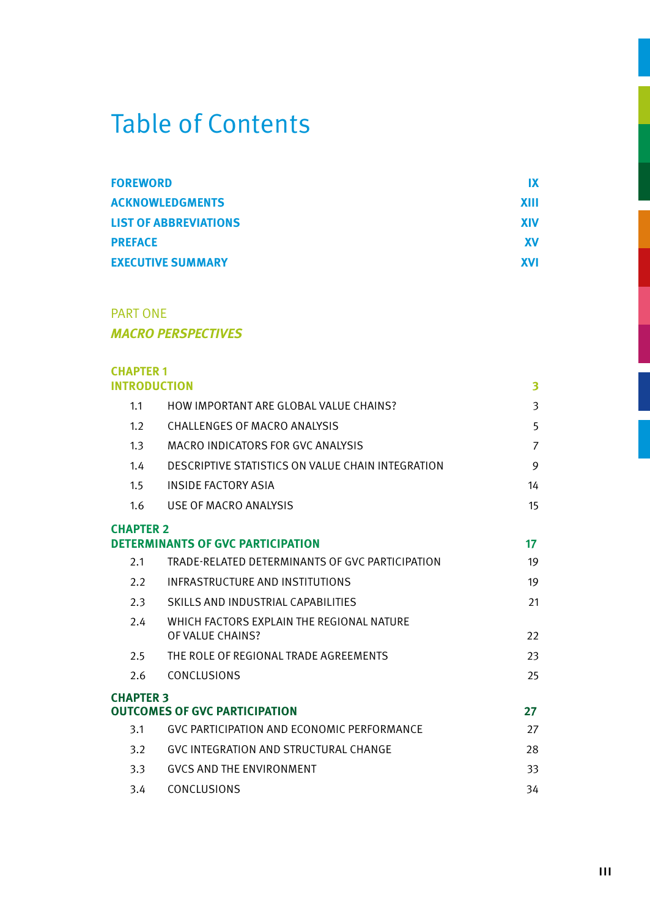## Table of Contents

| <b>FOREWORD</b>              | IX          |
|------------------------------|-------------|
| <b>ACKNOWLEDGMENTS</b>       | <b>XIII</b> |
| <b>LIST OF ABBREVIATIONS</b> | <b>XIV</b>  |
| <b>PREFACE</b>               | <b>XV</b>   |
| <b>EXECUTIVE SUMMARY</b>     | <b>XVI</b>  |

#### PART ONE *MACRO PERSPECTIVES*

| <b>CHAPTER 1</b>    |                                                               |                |
|---------------------|---------------------------------------------------------------|----------------|
| <b>INTRODUCTION</b> |                                                               | 3              |
| 1.1                 | HOW IMPORTANT ARF GLOBAL VALUE CHAINS?                        | 3              |
| 1.2                 | CHALLENGES OF MACRO ANALYSIS                                  | 5              |
| 1.3                 | MACRO INDICATORS FOR GVC ANALYSIS                             | $\overline{7}$ |
| 1.4                 | DESCRIPTIVE STATISTICS ON VALUE CHAIN INTEGRATION             | 9              |
| 1.5                 | <b>INSIDE FACTORY ASIA</b>                                    | 14             |
| 1.6                 | USE OF MACRO ANALYSIS                                         | 15             |
| <b>CHAPTER 2</b>    |                                                               |                |
|                     | <b>DETERMINANTS OF GVC PARTICIPATION</b>                      | 17             |
| 2.1                 | TRADE-RELATED DETERMINANTS OF GVC PARTICIPATION               | 19             |
| 2.2                 | INFRASTRUCTURE AND INSTITUTIONS                               | 19             |
| 2.3                 | SKILLS AND INDUSTRIAL CAPABILITIES                            | 21             |
| 2.4                 | WHICH FACTORS EXPLAIN THE REGIONAL NATURE<br>OF VALUE CHAINS? | 22             |
| 2.5                 | THE ROLE OF REGIONAL TRADE AGREEMENTS                         | 23             |
| 2.6                 | CONCLUSIONS                                                   | 25             |
| <b>CHAPTER 3</b>    |                                                               |                |
|                     | <b>OUTCOMES OF GVC PARTICIPATION</b>                          | 27             |
| 3.1                 | GVC PARTICIPATION AND ECONOMIC PERFORMANCE                    | 27             |
| 3.2                 | GVC INTEGRATION AND STRUCTURAL CHANGE                         | 28             |
| 3.3                 | <b>GVCS AND THE ENVIRONMENT</b>                               | 33             |
| 3.4                 | CONCLUSIONS                                                   | 34             |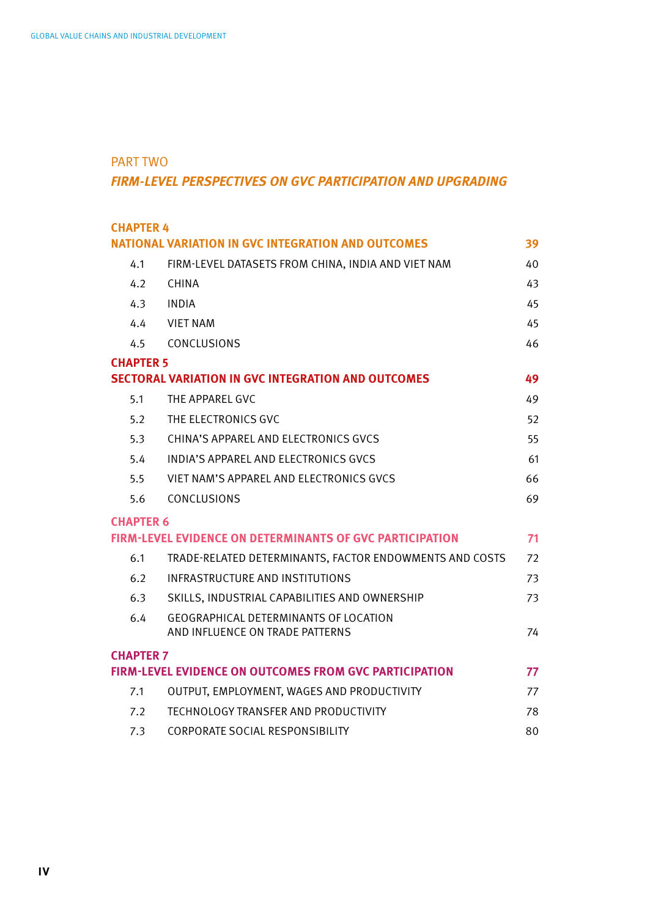#### PART TWO

#### *FIRM-LEVEL PERSPECTIVES ON GVC PARTICIPATION AND UPGRADING*

|                                                                       | <b>CHAPTER 4</b> |                                                                                 |    |
|-----------------------------------------------------------------------|------------------|---------------------------------------------------------------------------------|----|
| <b>NATIONAL VARIATION IN GVC INTEGRATION AND OUTCOMES</b><br>39       |                  |                                                                                 |    |
|                                                                       | 4.1              | FIRM-LEVEL DATASETS FROM CHINA, INDIA AND VIET NAM                              | 40 |
|                                                                       | 4.2              | CHINA                                                                           | 43 |
|                                                                       | 4.3              | INDIA                                                                           | 45 |
|                                                                       | 4.4              | <b>VIET NAM</b>                                                                 | 45 |
|                                                                       | 4.5              | CONCLUSIONS                                                                     | 46 |
|                                                                       | <b>CHAPTER 5</b> |                                                                                 |    |
|                                                                       |                  | <b>SECTORAL VARIATION IN GVC INTEGRATION AND OUTCOMES</b>                       | 49 |
|                                                                       | 5.1              | THE APPAREL GVC                                                                 | 49 |
|                                                                       | 5.2              | THE ELECTRONICS GVC                                                             | 52 |
|                                                                       | 5.3              | CHINA'S APPAREL AND ELECTRONICS GVCS                                            | 55 |
|                                                                       | 5.4              | INDIA'S APPAREL AND FLECTRONICS GVCS                                            | 61 |
|                                                                       | 5.5              | VIET NAM'S APPAREL AND ELECTRONICS GVCS                                         | 66 |
|                                                                       | 5.6              | CONCLUSIONS                                                                     | 69 |
|                                                                       | <b>CHAPTER 6</b> |                                                                                 |    |
| <b>FIRM-LEVEL EVIDENCE ON DETERMINANTS OF GVC PARTICIPATION</b><br>71 |                  |                                                                                 |    |
|                                                                       | 6.1              | TRADE-RELATED DETERMINANTS. FACTOR ENDOWMENTS AND COSTS                         | 72 |
|                                                                       | 6.2              | <b>INFRASTRUCTURE AND INSTITUTIONS</b>                                          | 73 |
|                                                                       | 6.3              | SKILLS, INDUSTRIAL CAPABILITIES AND OWNERSHIP                                   | 73 |
|                                                                       | 6.4              | <b>GEOGRAPHICAL DETERMINANTS OF LOCATION</b><br>AND INFLUENCE ON TRADE PATTERNS | 74 |
|                                                                       |                  |                                                                                 |    |
|                                                                       | <b>CHAPTER 7</b> | <b>FIRM-LEVEL EVIDENCE ON OUTCOMES FROM GVC PARTICIPATION</b>                   | 77 |
|                                                                       | 7.1              | OUTPUT, EMPLOYMENT, WAGES AND PRODUCTIVITY                                      | 77 |
|                                                                       | 7.2              |                                                                                 |    |
|                                                                       |                  | TECHNOLOGY TRANSFER AND PRODUCTIVITY                                            | 78 |
|                                                                       | 7.3              | CORPORATE SOCIAL RESPONSIBILITY                                                 | 80 |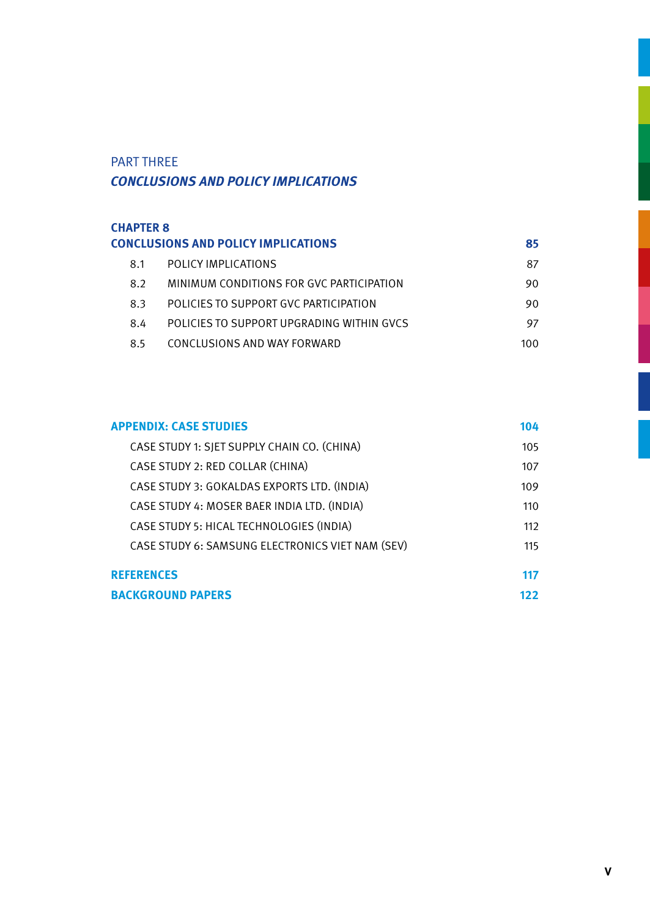#### PART THREE *CONCLUSIONS AND POLICY IMPLICATIONS*

| <b>CHAPTER 8</b> |                                            |      |
|------------------|--------------------------------------------|------|
|                  | <b>CONCLUSIONS AND POLICY IMPLICATIONS</b> | 85   |
| 8.1              | POLICY IMPLICATIONS                        | 87   |
| 8.2              | MINIMUM CONDITIONS FOR GVC PARTICIPATION   | 90.  |
| 8.3              | POLICIES TO SUPPORT GVC PARTICIPATION      | 90   |
| 8.4              | POLICIES TO SUPPORT UPGRADING WITHIN GVCS  | 97   |
| 8.5              | CONCLUSIONS AND WAY FORWARD                | 100. |

| <b>APPENDIX: CASE STUDIES</b>                    | 104 |
|--------------------------------------------------|-----|
| CASE STUDY 1: SJET SUPPLY CHAIN CO. (CHINA)      | 105 |
| CASE STUDY 2: RED COLLAR (CHINA)                 | 107 |
| CASE STUDY 3: GOKALDAS EXPORTS LTD. (INDIA)      | 109 |
| CASE STUDY 4: MOSER BAER INDIA LTD. (INDIA)      | 110 |
| CASE STUDY 5: HICAL TECHNOLOGIES (INDIA)         | 112 |
| CASE STUDY 6: SAMSUNG ELECTRONICS VIET NAM (SEV) | 115 |
| <b>REFERENCES</b>                                | 117 |
| <b>BACKGROUND PAPERS</b>                         | 122 |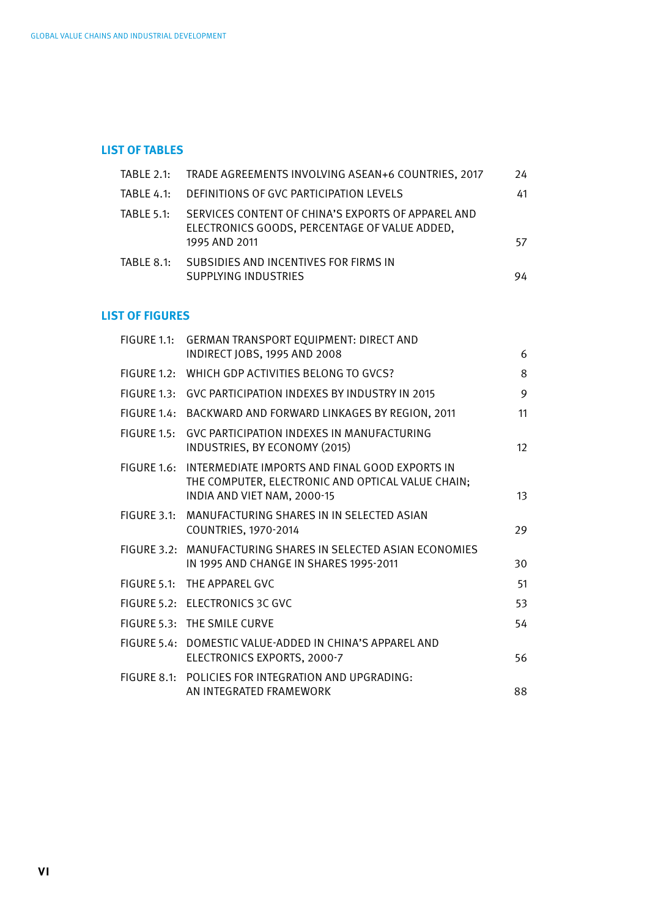#### **LIST OF TABLES**

|            | TABLE 2.1:       TRADE AGREEMENTS INVOLVING ASEAN+6 COUNTRIES. 2017                                                  | 24 |
|------------|----------------------------------------------------------------------------------------------------------------------|----|
|            | TABLE 4.1: DEFINITIONS OF GVC PARTICIPATION LEVELS                                                                   | 41 |
| TABLE 5.1: | SERVICES CONTENT OF CHINA'S EXPORTS OF APPAREL AND<br>ELECTRONICS GOODS. PERCENTAGE OF VALUE ADDED.<br>1995 AND 2011 | 57 |
| TABLE 8.1: | SUBSIDIES AND INCENTIVES FOR FIRMS IN<br>SUPPLYING INDUSTRIES                                                        | 94 |

#### **LIST OF FIGURES**

| FIGURE 1.1: | <b>GERMAN TRANSPORT EQUIPMENT: DIRECT AND</b>                                                                                                  |    |
|-------------|------------------------------------------------------------------------------------------------------------------------------------------------|----|
|             | INDIRECT JOBS, 1995 AND 2008                                                                                                                   | 6  |
|             | FIGURE 1.2: WHICH GDP ACTIVITIES BELONG TO GVCS?                                                                                               | 8  |
|             | FIGURE 1.3: GVC PARTICIPATION INDEXES BY INDUSTRY IN 2015                                                                                      | 9  |
|             | FIGURE 1.4: BACKWARD AND FORWARD LINKAGES BY REGION, 2011                                                                                      | 11 |
| FIGURE 1.5: | GVC PARTICIPATION INDEXES IN MANUFACTURING<br>INDUSTRIES, BY ECONOMY (2015)                                                                    | 12 |
|             | FIGURE 1.6: INTERMEDIATE IMPORTS AND FINAL GOOD EXPORTS IN<br>THE COMPUTER, ELECTRONIC AND OPTICAL VALUE CHAIN;<br>INDIA AND VIET NAM, 2000-15 | 13 |
| FIGURE 3.1: | MANUFACTURING SHARES IN IN SELECTED ASIAN<br>COUNTRIES, 1970-2014                                                                              | 29 |
|             | FIGURE 3.2: MANUFACTURING SHARES IN SELECTED ASIAN ECONOMIES<br>IN 1995 AND CHANGE IN SHARES 1995-2011                                         | 30 |
|             | FIGURE 5.1: THE APPAREL GVC                                                                                                                    | 51 |
|             | FIGURE 5.2: ELECTRONICS 3C GVC                                                                                                                 | 53 |
|             | FIGURE 5.3: THE SMILE CURVE                                                                                                                    | 54 |
|             | FIGURE 5.4: DOMESTIC VALUE-ADDED IN CHINA'S APPAREL AND<br>ELECTRONICS EXPORTS, 2000-7                                                         | 56 |
|             | FIGURE 8.1: POLICIES FOR INTEGRATION AND UPGRADING:<br>AN INTEGRATED FRAMEWORK                                                                 | 88 |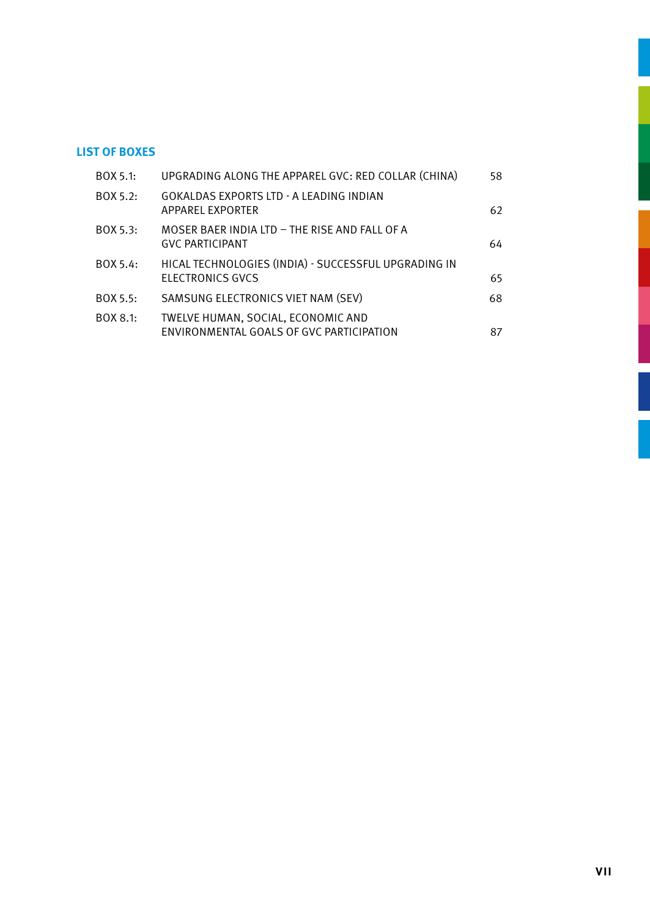#### **LIST OF BOXES**

| BOX 5.1: | UPGRADING ALONG THE APPAREL GVC: RED COLLAR (CHINA)                            | 58 |
|----------|--------------------------------------------------------------------------------|----|
| BOX 5.2: | GOKALDAS EXPORTS LTD - A LEADING INDIAN<br>APPAREL EXPORTER                    | 62 |
| BOX 5.3: | MOSER BAER INDIA LTD - THE RISE AND FALL OF A<br><b>GVC PARTICIPANT</b>        | 64 |
| BOX 5.4: | HICAL TECHNOLOGIES (INDIA) - SUCCESSFUL UPGRADING IN<br>ELECTRONICS GVCS       | 65 |
| BOX 5.5: | SAMSUNG ELECTRONICS VIET NAM (SEV)                                             | 68 |
| BOX 8.1: | TWELVE HUMAN, SOCIAL, ECONOMIC AND<br>ENVIRONMENTAL GOALS OF GVC PARTICIPATION | 87 |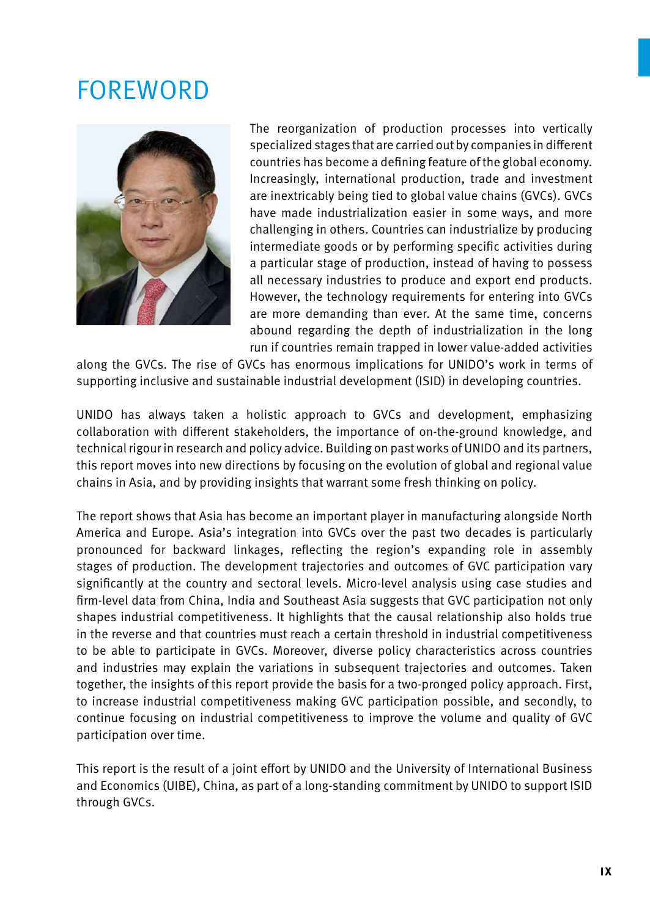## **FOREWORD**



The reorganization of production processes into vertically specialized stages that are carried out by companies in different countries has become a defining feature of the global economy. Increasingly, international production, trade and investment are inextricably being tied to global value chains (GVCs). GVCs have made industrialization easier in some ways, and more challenging in others. Countries can industrialize by producing intermediate goods or by performing specific activities during a particular stage of production, instead of having to possess all necessary industries to produce and export end products. However, the technology requirements for entering into GVCs are more demanding than ever. At the same time, concerns abound regarding the depth of industrialization in the long run if countries remain trapped in lower value-added activities

along the GVCs. The rise of GVCs has enormous implications for UNIDO's work in terms of supporting inclusive and sustainable industrial development (ISID) in developing countries.

UNIDO has always taken a holistic approach to GVCs and development, emphasizing collaboration with different stakeholders, the importance of on-the-ground knowledge, and technical rigour in research and policy advice. Building on past works of UNIDO and its partners, this report moves into new directions by focusing on the evolution of global and regional value chains in Asia, and by providing insights that warrant some fresh thinking on policy.

The report shows that Asia has become an important player in manufacturing alongside North America and Europe. Asia's integration into GVCs over the past two decades is particularly pronounced for backward linkages, reflecting the region's expanding role in assembly stages of production. The development trajectories and outcomes of GVC participation vary significantly at the country and sectoral levels. Micro-level analysis using case studies and firm-level data from China, India and Southeast Asia suggests that GVC participation not only shapes industrial competitiveness. It highlights that the causal relationship also holds true in the reverse and that countries must reach a certain threshold in industrial competitiveness to be able to participate in GVCs. Moreover, diverse policy characteristics across countries and industries may explain the variations in subsequent trajectories and outcomes. Taken together, the insights of this report provide the basis for a two-pronged policy approach. First, to increase industrial competitiveness making GVC participation possible, and secondly, to continue focusing on industrial competitiveness to improve the volume and quality of GVC participation over time.

This report is the result of a joint effort by UNIDO and the University of International Business and Economics (UIBE), China, as part of a long-standing commitment by UNIDO to support ISID through GVCs.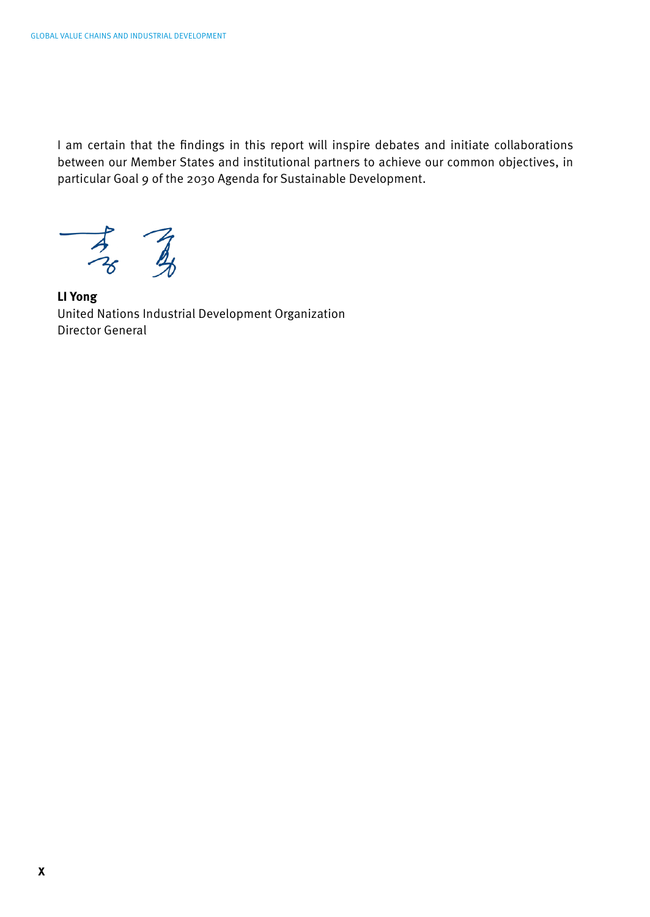I am certain that the findings in this report will inspire debates and initiate collaborations between our Member States and institutional partners to achieve our common objectives, in particular Goal 9 of the 2030 Agenda for Sustainable Development.

 $\begin{array}{c}\n7 \\
7 \\
8\n\end{array}$ 

**LI Yong** United Nations Industrial Development Organization Director General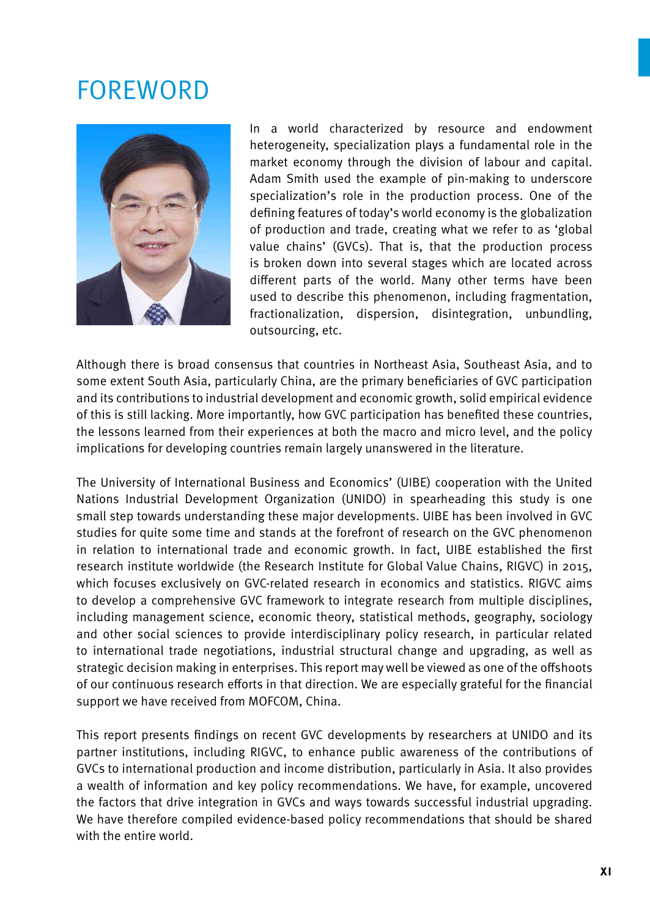## **FOREWORD**



In a world characterized by resource and endowment heterogeneity, specialization plays a fundamental role in the market economy through the division of labour and capital. Adam Smith used the example of pin-making to underscore specialization's role in the production process. One of the defining features of today's world economy is the globalization of production and trade, creating what we refer to as 'global value chains' (GVCs). That is, that the production process is broken down into several stages which are located across different parts of the world. Many other terms have been used to describe this phenomenon, including fragmentation, fractionalization, dispersion, disintegration, unbundling, outsourcing, etc.

Although there is broad consensus that countries in Northeast Asia, Southeast Asia, and to some extent South Asia, particularly China, are the primary beneficiaries of GVC participation and its contributions to industrial development and economic growth, solid empirical evidence of this is still lacking. More importantly, how GVC participation has benefited these countries, the lessons learned from their experiences at both the macro and micro level, and the policy implications for developing countries remain largely unanswered in the literature.

The University of International Business and Economics' (UIBE) cooperation with the United Nations Industrial Development Organization (UNIDO) in spearheading this study is one small step towards understanding these major developments. UIBE has been involved in GVC studies for quite some time and stands at the forefront of research on the GVC phenomenon in relation to international trade and economic growth. In fact, UIBE established the first research institute worldwide (the Research Institute for Global Value Chains, RIGVC) in 2015, which focuses exclusively on GVC-related research in economics and statistics. RIGVC aims to develop a comprehensive GVC framework to integrate research from multiple disciplines, including management science, economic theory, statistical methods, geography, sociology and other social sciences to provide interdisciplinary policy research, in particular related to international trade negotiations, industrial structural change and upgrading, as well as strategic decision making in enterprises. This report may well be viewed as one of the offshoots of our continuous research efforts in that direction. We are especially grateful for the financial support we have received from MOFCOM, China.

This report presents findings on recent GVC developments by researchers at UNIDO and its partner institutions, including RIGVC, to enhance public awareness of the contributions of GVCs to international production and income distribution, particularly in Asia. It also provides a wealth of information and key policy recommendations. We have, for example, uncovered the factors that drive integration in GVCs and ways towards successful industrial upgrading. We have therefore compiled evidence-based policy recommendations that should be shared with the entire world.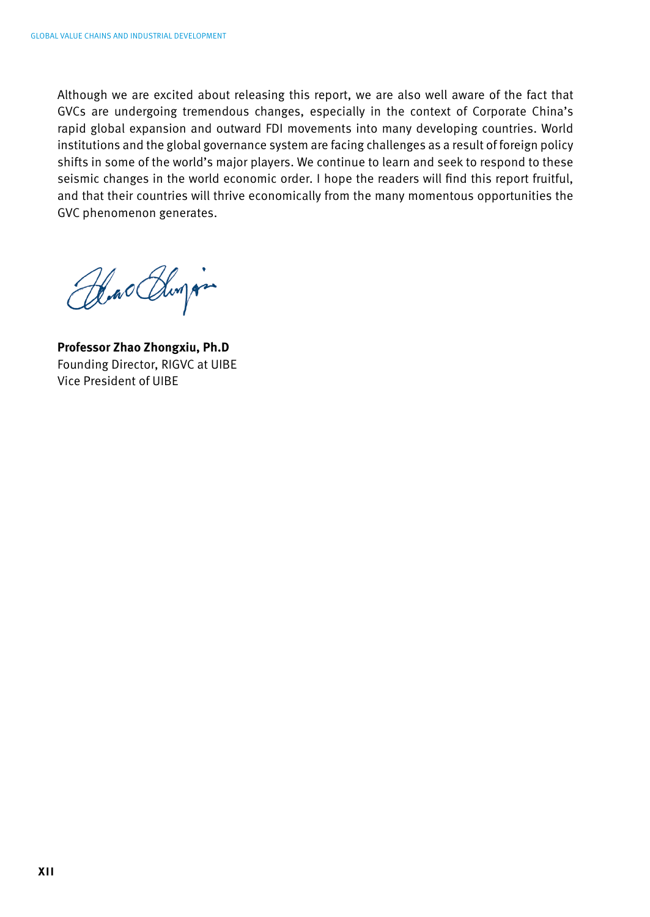Although we are excited about releasing this report, we are also well aware of the fact that GVCs are undergoing tremendous changes, especially in the context of Corporate China's rapid global expansion and outward FDI movements into many developing countries. World institutions and the global governance system are facing challenges as a result of foreign policy shifts in some of the world's major players. We continue to learn and seek to respond to these seismic changes in the world economic order. I hope the readers will find this report fruitful, and that their countries will thrive economically from the many momentous opportunities the GVC phenomenon generates.

Hackburg

**Professor Zhao Zhongxiu, Ph.D** Founding Director, RIGVC at UIBE Vice President of UIBE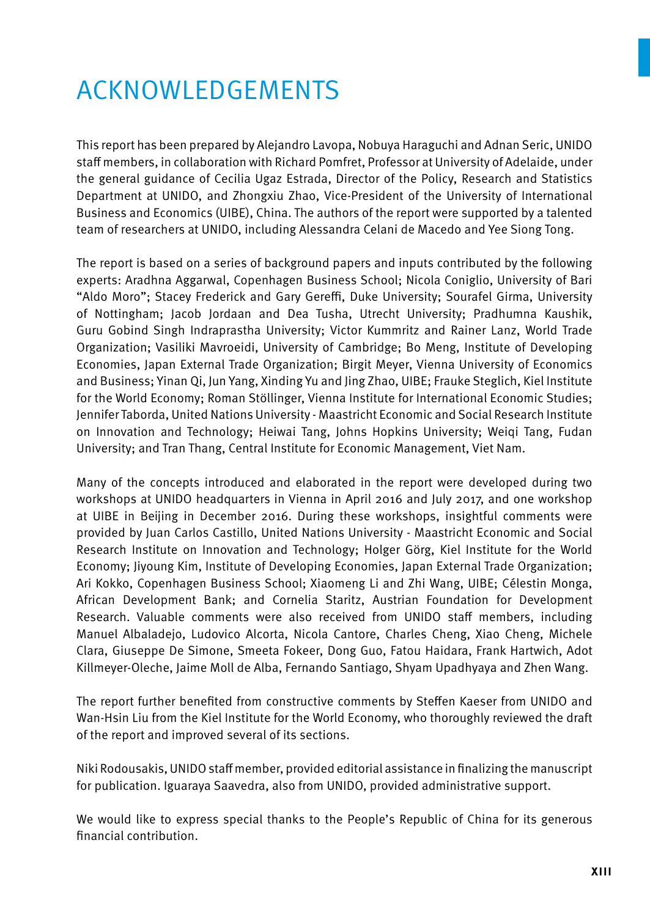# Acknowledgements

This report has been prepared by Alejandro Lavopa, Nobuya Haraguchi and Adnan Seric, UNIDO staff members, in collaboration with Richard Pomfret, Professor at University of Adelaide, under the general guidance of Cecilia Ugaz Estrada, Director of the Policy, Research and Statistics Department at UNIDO, and Zhongxiu Zhao, Vice-President of the University of International Business and Economics (UIBE), China. The authors of the report were supported by a talented team of researchers at UNIDO, including Alessandra Celani de Macedo and Yee Siong Tong.

The report is based on a series of background papers and inputs contributed by the following experts: Aradhna Aggarwal, Copenhagen Business School; Nicola Coniglio, University of Bari "Aldo Moro"; Stacey Frederick and Gary Gereffi, Duke University; Sourafel Girma, University of Nottingham; Jacob Jordaan and Dea Tusha, Utrecht University; Pradhumna Kaushik, Guru Gobind Singh Indraprastha University; Victor Kummritz and Rainer Lanz, World Trade Organization; Vasiliki Mavroeidi, University of Cambridge; Bo Meng, Institute of Developing Economies, Japan External Trade Organization; Birgit Meyer, Vienna University of Economics and Business; Yinan Qi, Jun Yang, Xinding Yu and Jing Zhao, UIBE; Frauke Steglich, Kiel Institute for the World Economy; Roman Stöllinger, Vienna Institute for International Economic Studies; Jennifer Taborda, United Nations University - Maastricht Economic and Social Research Institute on Innovation and Technology; Heiwai Tang, Johns Hopkins University; Weiqi Tang, Fudan University; and Tran Thang, Central Institute for Economic Management, Viet Nam.

Many of the concepts introduced and elaborated in the report were developed during two workshops at UNIDO headquarters in Vienna in April 2016 and July 2017, and one workshop at UIBE in Beijing in December 2016. During these workshops, insightful comments were provided by Juan Carlos Castillo, United Nations University - Maastricht Economic and Social Research Institute on Innovation and Technology; Holger Görg, Kiel Institute for the World Economy; Jiyoung Kim, Institute of Developing Economies, Japan External Trade Organization; Ari Kokko, Copenhagen Business School; Xiaomeng Li and Zhi Wang, UIBE; Célestin Monga, African Development Bank; and Cornelia Staritz, Austrian Foundation for Development Research. Valuable comments were also received from UNIDO staff members, including Manuel Albaladejo, Ludovico Alcorta, Nicola Cantore, Charles Cheng, Xiao Cheng, Michele Clara, Giuseppe De Simone, Smeeta Fokeer, Dong Guo, Fatou Haidara, Frank Hartwich, Adot Killmeyer-Oleche, Jaime Moll de Alba, Fernando Santiago, Shyam Upadhyaya and Zhen Wang.

The report further benefited from constructive comments by Steffen Kaeser from UNIDO and Wan-Hsin Liu from the Kiel Institute for the World Economy, who thoroughly reviewed the draft of the report and improved several of its sections.

Niki Rodousakis, UNIDO staff member, provided editorial assistance in finalizing the manuscript for publication. Iguaraya Saavedra, also from UNIDO, provided administrative support.

We would like to express special thanks to the People's Republic of China for its generous financial contribution.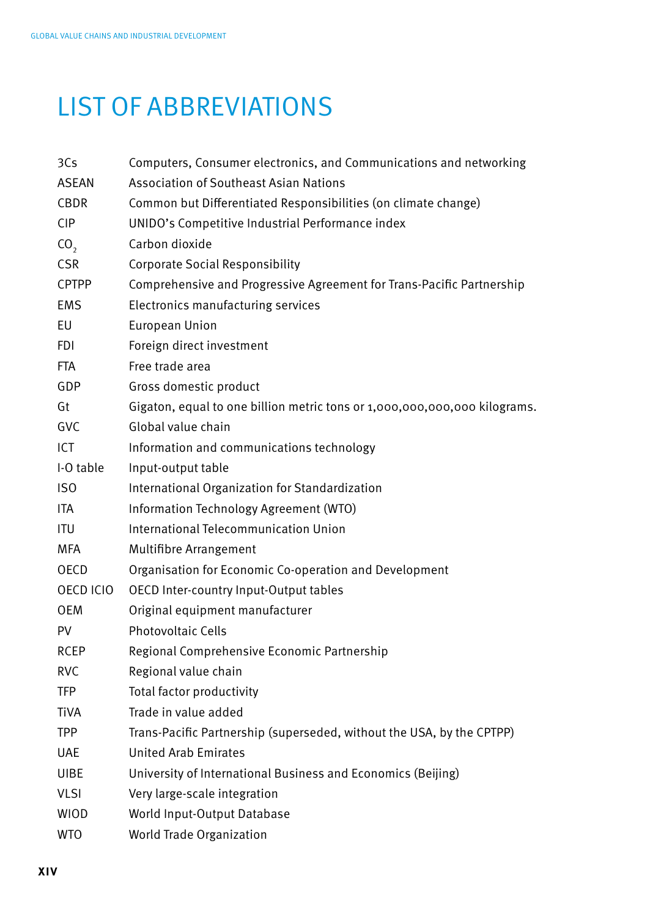# LIST OF ABBREVIATIONS

| 3Cs             | Computers, Consumer electronics, and Communications and networking        |
|-----------------|---------------------------------------------------------------------------|
| <b>ASEAN</b>    | <b>Association of Southeast Asian Nations</b>                             |
| CBDR            | Common but Differentiated Responsibilities (on climate change)            |
| <b>CIP</b>      | UNIDO's Competitive Industrial Performance index                          |
| CO <sub>2</sub> | Carbon dioxide                                                            |
| <b>CSR</b>      | <b>Corporate Social Responsibility</b>                                    |
| <b>CPTPP</b>    | Comprehensive and Progressive Agreement for Trans-Pacific Partnership     |
| <b>EMS</b>      | Electronics manufacturing services                                        |
| EU              | <b>European Union</b>                                                     |
| <b>FDI</b>      | Foreign direct investment                                                 |
| <b>FTA</b>      | Free trade area                                                           |
| GDP             | Gross domestic product                                                    |
| Gt              | Gigaton, equal to one billion metric tons or 1,000,000,000,000 kilograms. |
| GVC             | Global value chain                                                        |
| ICT             | Information and communications technology                                 |
| I-O table       | Input-output table                                                        |
| ISO             | International Organization for Standardization                            |
| ITA             | Information Technology Agreement (WTO)                                    |
| <b>ITU</b>      | International Telecommunication Union                                     |
| MFA             | Multifibre Arrangement                                                    |
| <b>OECD</b>     | Organisation for Economic Co-operation and Development                    |
| OECD ICIO       | OECD Inter-country Input-Output tables                                    |
| OEM             | Original equipment manufacturer                                           |
| PV              | <b>Photovoltaic Cells</b>                                                 |
| <b>RCEP</b>     | Regional Comprehensive Economic Partnership                               |
| <b>RVC</b>      | Regional value chain                                                      |
| TFP             | Total factor productivity                                                 |
| Tiva            | Trade in value added                                                      |
| <b>TPP</b>      | Trans-Pacific Partnership (superseded, without the USA, by the CPTPP)     |
| UAE             | <b>United Arab Emirates</b>                                               |
| <b>UIBE</b>     | University of International Business and Economics (Beijing)              |
| <b>VLSI</b>     | Very large-scale integration                                              |
| WIOD            | World Input-Output Database                                               |
| WTO             | World Trade Organization                                                  |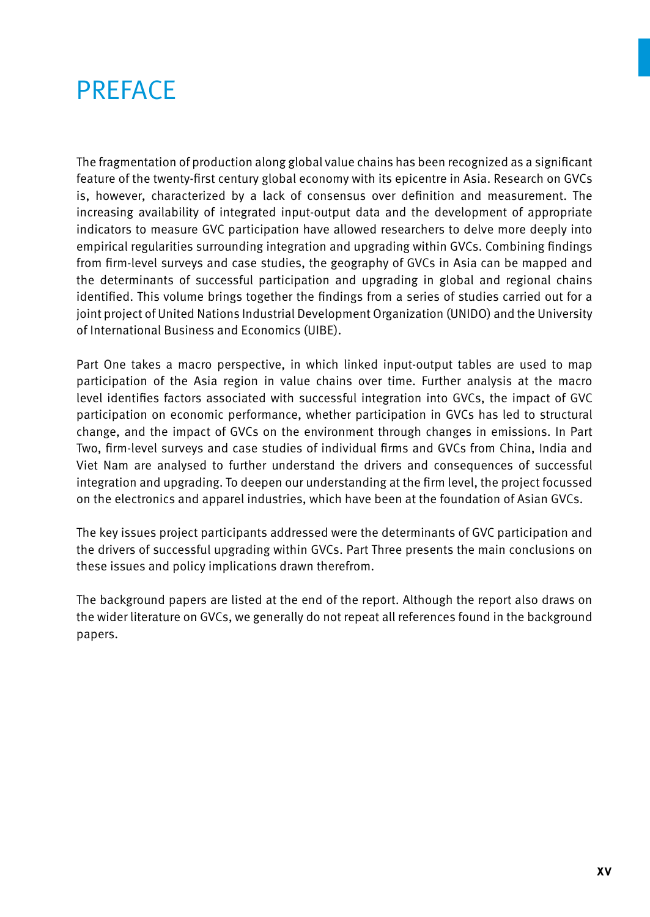## **PREFACE**

The fragmentation of production along global value chains has been recognized as a significant feature of the twenty-first century global economy with its epicentre in Asia. Research on GVCs is, however, characterized by a lack of consensus over definition and measurement. The increasing availability of integrated input-output data and the development of appropriate indicators to measure GVC participation have allowed researchers to delve more deeply into empirical regularities surrounding integration and upgrading within GVCs. Combining findings from firm-level surveys and case studies, the geography of GVCs in Asia can be mapped and the determinants of successful participation and upgrading in global and regional chains identified. This volume brings together the findings from a series of studies carried out for a joint project of United Nations Industrial Development Organization (UNIDO) and the University of International Business and Economics (UIBE).

Part One takes a macro perspective, in which linked input-output tables are used to map participation of the Asia region in value chains over time. Further analysis at the macro level identifies factors associated with successful integration into GVCs, the impact of GVC participation on economic performance, whether participation in GVCs has led to structural change, and the impact of GVCs on the environment through changes in emissions. In Part Two, firm-level surveys and case studies of individual firms and GVCs from China, India and Viet Nam are analysed to further understand the drivers and consequences of successful integration and upgrading. To deepen our understanding at the firm level, the project focussed on the electronics and apparel industries, which have been at the foundation of Asian GVCs.

The key issues project participants addressed were the determinants of GVC participation and the drivers of successful upgrading within GVCs. Part Three presents the main conclusions on these issues and policy implications drawn therefrom.

The background papers are listed at the end of the report. Although the report also draws on the wider literature on GVCs, we generally do not repeat all references found in the background papers.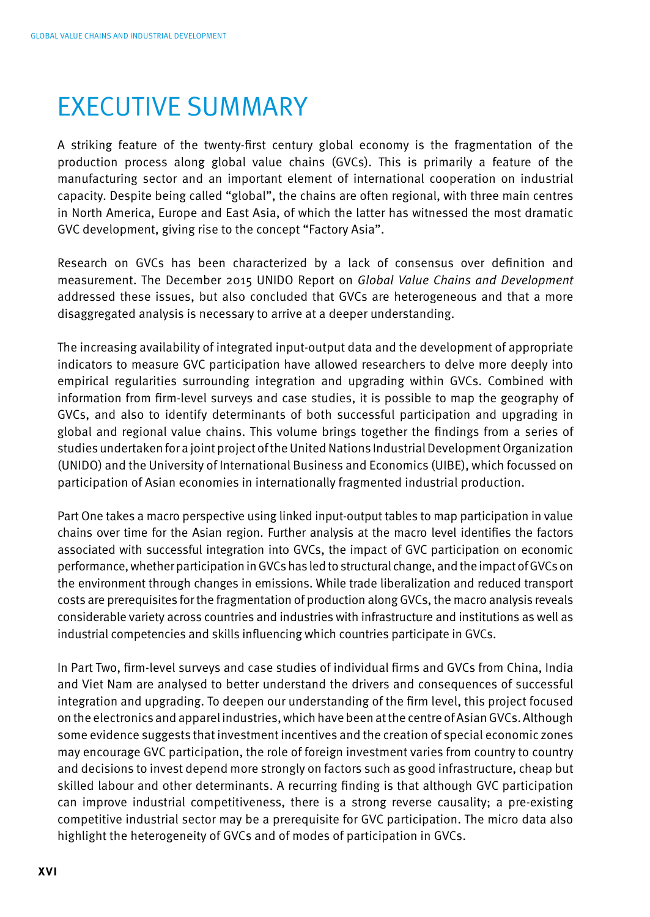## EXECUTIVE SUMMARY

A striking feature of the twenty-first century global economy is the fragmentation of the production process along global value chains (GVCs). This is primarily a feature of the manufacturing sector and an important element of international cooperation on industrial capacity. Despite being called "global", the chains are often regional, with three main centres in North America, Europe and East Asia, of which the latter has witnessed the most dramatic GVC development, giving rise to the concept "Factory Asia".

Research on GVCs has been characterized by a lack of consensus over definition and measurement. The December 2015 UNIDO Report on *Global Value Chains and Development* addressed these issues, but also concluded that GVCs are heterogeneous and that a more disaggregated analysis is necessary to arrive at a deeper understanding.

The increasing availability of integrated input-output data and the development of appropriate indicators to measure GVC participation have allowed researchers to delve more deeply into empirical regularities surrounding integration and upgrading within GVCs. Combined with information from firm-level surveys and case studies, it is possible to map the geography of GVCs, and also to identify determinants of both successful participation and upgrading in global and regional value chains. This volume brings together the findings from a series of studies undertaken for a joint project of the United Nations Industrial Development Organization (UNIDO) and the University of International Business and Economics (UIBE), which focussed on participation of Asian economies in internationally fragmented industrial production.

Part One takes a macro perspective using linked input-output tables to map participation in value chains over time for the Asian region. Further analysis at the macro level identifies the factors associated with successful integration into GVCs, the impact of GVC participation on economic performance, whether participation in GVCs has led to structural change, and the impact of GVCs on the environment through changes in emissions. While trade liberalization and reduced transport costs are prerequisites for the fragmentation of production along GVCs, the macro analysis reveals considerable variety across countries and industries with infrastructure and institutions as well as industrial competencies and skills influencing which countries participate in GVCs.

In Part Two, firm-level surveys and case studies of individual firms and GVCs from China, India and Viet Nam are analysed to better understand the drivers and consequences of successful integration and upgrading. To deepen our understanding of the firm level, this project focused on the electronics and apparel industries, which have been at the centre of Asian GVCs. Although some evidence suggests that investment incentives and the creation of special economic zones may encourage GVC participation, the role of foreign investment varies from country to country and decisions to invest depend more strongly on factors such as good infrastructure, cheap but skilled labour and other determinants. A recurring finding is that although GVC participation can improve industrial competitiveness, there is a strong reverse causality; a pre-existing competitive industrial sector may be a prerequisite for GVC participation. The micro data also highlight the heterogeneity of GVCs and of modes of participation in GVCs.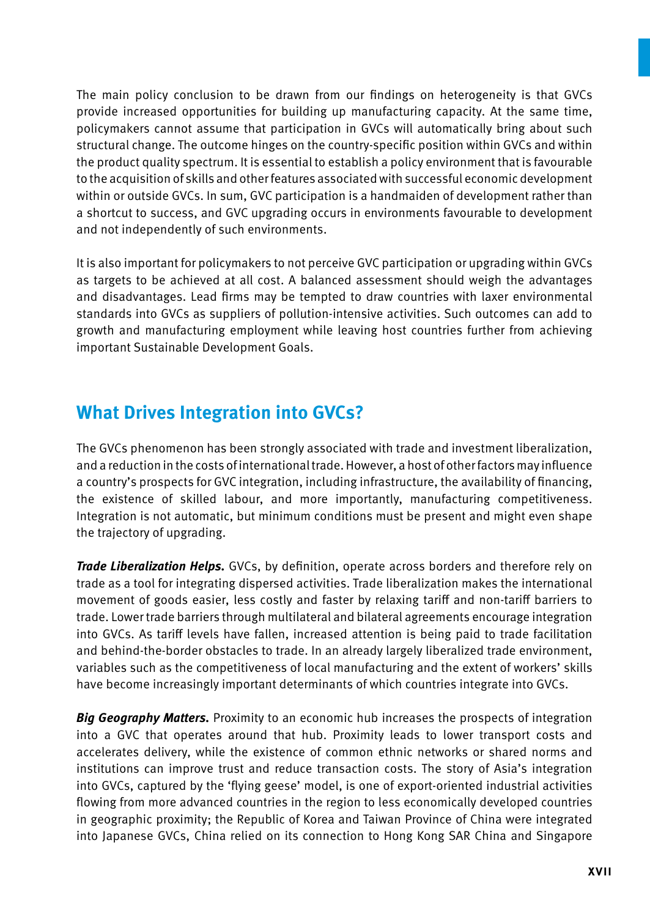The main policy conclusion to be drawn from our findings on heterogeneity is that GVCs provide increased opportunities for building up manufacturing capacity. At the same time, policymakers cannot assume that participation in GVCs will automatically bring about such structural change. The outcome hinges on the country-specific position within GVCs and within the product quality spectrum. It is essential to establish a policy environment that is favourable to the acquisition of skills and other features associated with successful economic development within or outside GVCs. In sum, GVC participation is a handmaiden of development rather than a shortcut to success, and GVC upgrading occurs in environments favourable to development and not independently of such environments.

It is also important for policymakers to not perceive GVC participation or upgrading within GVCs as targets to be achieved at all cost. A balanced assessment should weigh the advantages and disadvantages. Lead firms may be tempted to draw countries with laxer environmental standards into GVCs as suppliers of pollution-intensive activities. Such outcomes can add to growth and manufacturing employment while leaving host countries further from achieving important Sustainable Development Goals.

### **What Drives Integration into GVCs?**

The GVCs phenomenon has been strongly associated with trade and investment liberalization, and a reduction in the costs of international trade. However, a host of other factors may influence a country's prospects for GVC integration, including infrastructure, the availability of financing, the existence of skilled labour, and more importantly, manufacturing competitiveness. Integration is not automatic, but minimum conditions must be present and might even shape the trajectory of upgrading.

*Trade Liberalization Helps.* GVCs, by definition, operate across borders and therefore rely on trade as a tool for integrating dispersed activities. Trade liberalization makes the international movement of goods easier, less costly and faster by relaxing tariff and non-tariff barriers to trade. Lower trade barriers through multilateral and bilateral agreements encourage integration into GVCs. As tariff levels have fallen, increased attention is being paid to trade facilitation and behind-the-border obstacles to trade. In an already largely liberalized trade environment, variables such as the competitiveness of local manufacturing and the extent of workers' skills have become increasingly important determinants of which countries integrate into GVCs.

*Big Geography Matters.* Proximity to an economic hub increases the prospects of integration into a GVC that operates around that hub. Proximity leads to lower transport costs and accelerates delivery, while the existence of common ethnic networks or shared norms and institutions can improve trust and reduce transaction costs. The story of Asia's integration into GVCs, captured by the 'flying geese' model, is one of export-oriented industrial activities flowing from more advanced countries in the region to less economically developed countries in geographic proximity; the Republic of Korea and Taiwan Province of China were integrated into Japanese GVCs, China relied on its connection to Hong Kong SAR China and Singapore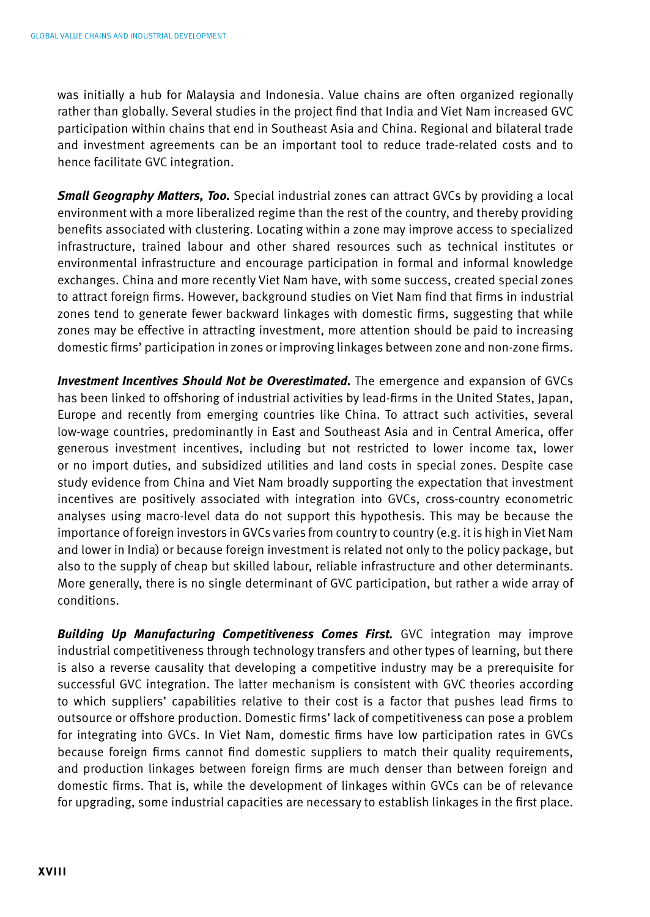was initially a hub for Malaysia and Indonesia. Value chains are often organized regionally rather than globally. Several studies in the project find that India and Viet Nam increased GVC participation within chains that end in Southeast Asia and China. Regional and bilateral trade and investment agreements can be an important tool to reduce trade-related costs and to hence facilitate GVC integration.

*Small Geography Matters, Too.* Special industrial zones can attract GVCs by providing a local environment with a more liberalized regime than the rest of the country, and thereby providing benefits associated with clustering. Locating within a zone may improve access to specialized infrastructure, trained labour and other shared resources such as technical institutes or environmental infrastructure and encourage participation in formal and informal knowledge exchanges. China and more recently Viet Nam have, with some success, created special zones to attract foreign firms. However, background studies on Viet Nam find that firms in industrial zones tend to generate fewer backward linkages with domestic firms, suggesting that while zones may be effective in attracting investment, more attention should be paid to increasing domestic firms' participation in zones or improving linkages between zone and non-zone firms.

*Investment Incentives Should Not be Overestimated.* The emergence and expansion of GVCs has been linked to offshoring of industrial activities by lead-firms in the United States, Japan, Europe and recently from emerging countries like China. To attract such activities, several low-wage countries, predominantly in East and Southeast Asia and in Central America, offer generous investment incentives, including but not restricted to lower income tax, lower or no import duties, and subsidized utilities and land costs in special zones. Despite case study evidence from China and Viet Nam broadly supporting the expectation that investment incentives are positively associated with integration into GVCs, cross-country econometric analyses using macro-level data do not support this hypothesis. This may be because the importance of foreign investors in GVCs varies from country to country (e.g. it is high in Viet Nam and lower in India) or because foreign investment is related not only to the policy package, but also to the supply of cheap but skilled labour, reliable infrastructure and other determinants. More generally, there is no single determinant of GVC participation, but rather a wide array of conditions.

*Building Up Manufacturing Competitiveness Comes First.* GVC integration may improve industrial competitiveness through technology transfers and other types of learning, but there is also a reverse causality that developing a competitive industry may be a prerequisite for successful GVC integration. The latter mechanism is consistent with GVC theories according to which suppliers' capabilities relative to their cost is a factor that pushes lead firms to outsource or offshore production. Domestic firms' lack of competitiveness can pose a problem for integrating into GVCs. In Viet Nam, domestic firms have low participation rates in GVCs because foreign firms cannot find domestic suppliers to match their quality requirements, and production linkages between foreign firms are much denser than between foreign and domestic firms. That is, while the development of linkages within GVCs can be of relevance for upgrading, some industrial capacities are necessary to establish linkages in the first place.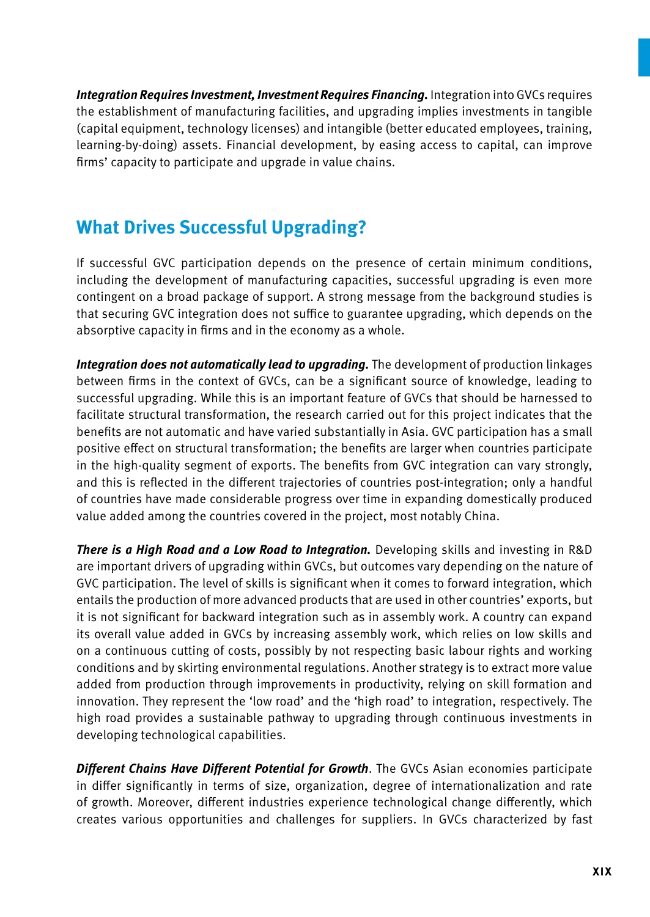*Integration Requires Investment, Investment Requires Financing.* Integration into GVCs requires the establishment of manufacturing facilities, and upgrading implies investments in tangible (capital equipment, technology licenses) and intangible (better educated employees, training, learning-by-doing) assets. Financial development, by easing access to capital, can improve firms' capacity to participate and upgrade in value chains.

### **What Drives Successful Upgrading?**

If successful GVC participation depends on the presence of certain minimum conditions, including the development of manufacturing capacities, successful upgrading is even more contingent on a broad package of support. A strong message from the background studies is that securing GVC integration does not suffice to guarantee upgrading, which depends on the absorptive capacity in firms and in the economy as a whole.

*Integration does not automatically lead to upgrading.* The development of production linkages between firms in the context of GVCs, can be a significant source of knowledge, leading to successful upgrading. While this is an important feature of GVCs that should be harnessed to facilitate structural transformation, the research carried out for this project indicates that the benefits are not automatic and have varied substantially in Asia. GVC participation has a small positive effect on structural transformation; the benefits are larger when countries participate in the high-quality segment of exports. The benefits from GVC integration can vary strongly, and this is reflected in the different trajectories of countries post-integration; only a handful of countries have made considerable progress over time in expanding domestically produced value added among the countries covered in the project, most notably China.

*There is a High Road and a Low Road to Integration.* Developing skills and investing in R&D are important drivers of upgrading within GVCs, but outcomes vary depending on the nature of GVC participation. The level of skills is significant when it comes to forward integration, which entails the production of more advanced products that are used in other countries' exports, but it is not significant for backward integration such as in assembly work. A country can expand its overall value added in GVCs by increasing assembly work, which relies on low skills and on a continuous cutting of costs, possibly by not respecting basic labour rights and working conditions and by skirting environmental regulations. Another strategy is to extract more value added from production through improvements in productivity, relying on skill formation and innovation. They represent the 'low road' and the 'high road' to integration, respectively. The high road provides a sustainable pathway to upgrading through continuous investments in developing technological capabilities.

*Different Chains Have Different Potential for Growth*. The GVCs Asian economies participate in differ significantly in terms of size, organization, degree of internationalization and rate of growth. Moreover, different industries experience technological change differently, which creates various opportunities and challenges for suppliers. In GVCs characterized by fast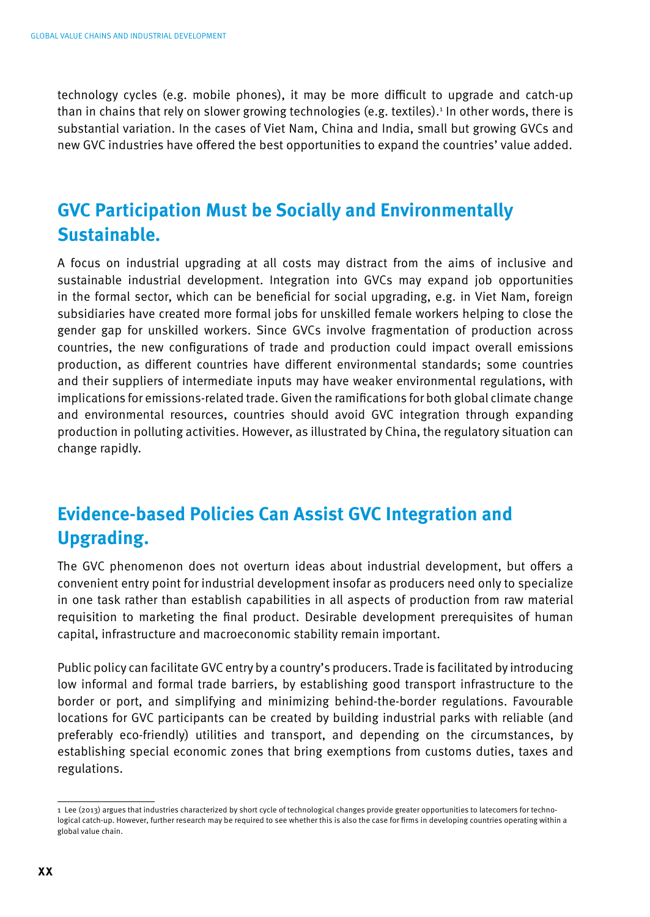technology cycles (e.g. mobile phones), it may be more difficult to upgrade and catch-up than in chains that rely on slower growing technologies (e.g. textiles).1 In other words, there is substantial variation. In the cases of Viet Nam, China and India, small but growing GVCs and new GVC industries have offered the best opportunities to expand the countries' value added.

### **GVC Participation Must be Socially and Environmentally Sustainable.**

A focus on industrial upgrading at all costs may distract from the aims of inclusive and sustainable industrial development. Integration into GVCs may expand job opportunities in the formal sector, which can be beneficial for social upgrading, e.g. in Viet Nam, foreign subsidiaries have created more formal jobs for unskilled female workers helping to close the gender gap for unskilled workers. Since GVCs involve fragmentation of production across countries, the new configurations of trade and production could impact overall emissions production, as different countries have different environmental standards; some countries and their suppliers of intermediate inputs may have weaker environmental regulations, with implications for emissions-related trade. Given the ramifications for both global climate change and environmental resources, countries should avoid GVC integration through expanding production in polluting activities. However, as illustrated by China, the regulatory situation can change rapidly.

### **Evidence-based Policies Can Assist GVC Integration and Upgrading.**

The GVC phenomenon does not overturn ideas about industrial development, but offers a convenient entry point for industrial development insofar as producers need only to specialize in one task rather than establish capabilities in all aspects of production from raw material requisition to marketing the final product. Desirable development prerequisites of human capital, infrastructure and macroeconomic stability remain important.

Public policy can facilitate GVC entry by a country's producers. Trade is facilitated by introducing low informal and formal trade barriers, by establishing good transport infrastructure to the border or port, and simplifying and minimizing behind-the-border regulations. Favourable locations for GVC participants can be created by building industrial parks with reliable (and preferably eco-friendly) utilities and transport, and depending on the circumstances, by establishing special economic zones that bring exemptions from customs duties, taxes and regulations.

<sup>1</sup> Lee (2013) argues that industries characterized by short cycle of technological changes provide greater opportunities to latecomers for technological catch-up. However, further research may be required to see whether this is also the case for firms in developing countries operating within a global value chain.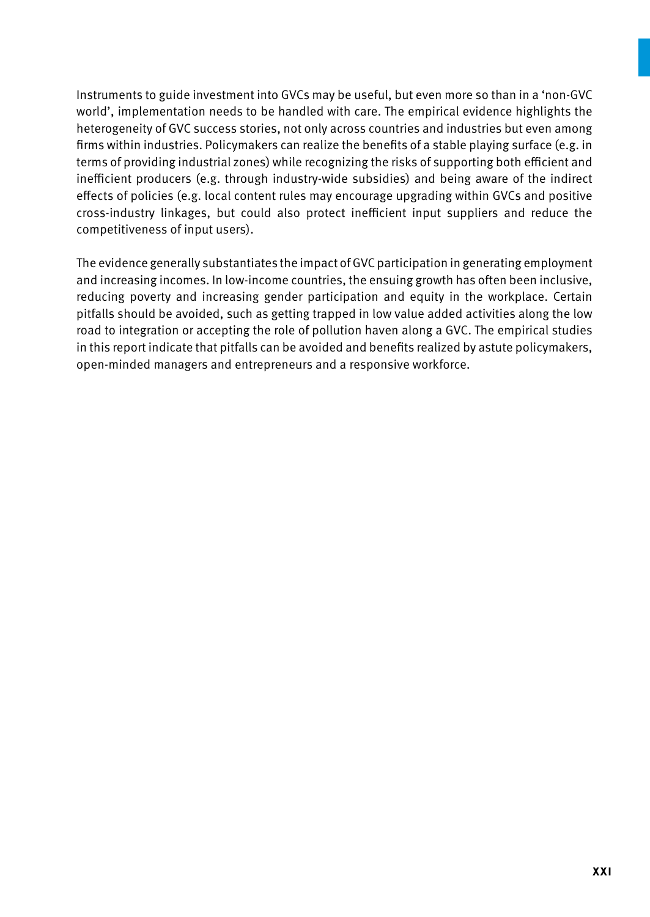Instruments to guide investment into GVCs may be useful, but even more so than in a 'non-GVC world', implementation needs to be handled with care. The empirical evidence highlights the heterogeneity of GVC success stories, not only across countries and industries but even among firms within industries. Policymakers can realize the benefits of a stable playing surface (e.g. in terms of providing industrial zones) while recognizing the risks of supporting both efficient and inefficient producers (e.g. through industry-wide subsidies) and being aware of the indirect effects of policies (e.g. local content rules may encourage upgrading within GVCs and positive cross-industry linkages, but could also protect inefficient input suppliers and reduce the competitiveness of input users).

The evidence generally substantiates the impact of GVC participation in generating employment and increasing incomes. In low-income countries, the ensuing growth has often been inclusive, reducing poverty and increasing gender participation and equity in the workplace. Certain pitfalls should be avoided, such as getting trapped in low value added activities along the low road to integration or accepting the role of pollution haven along a GVC. The empirical studies in this report indicate that pitfalls can be avoided and benefits realized by astute policymakers, open-minded managers and entrepreneurs and a responsive workforce.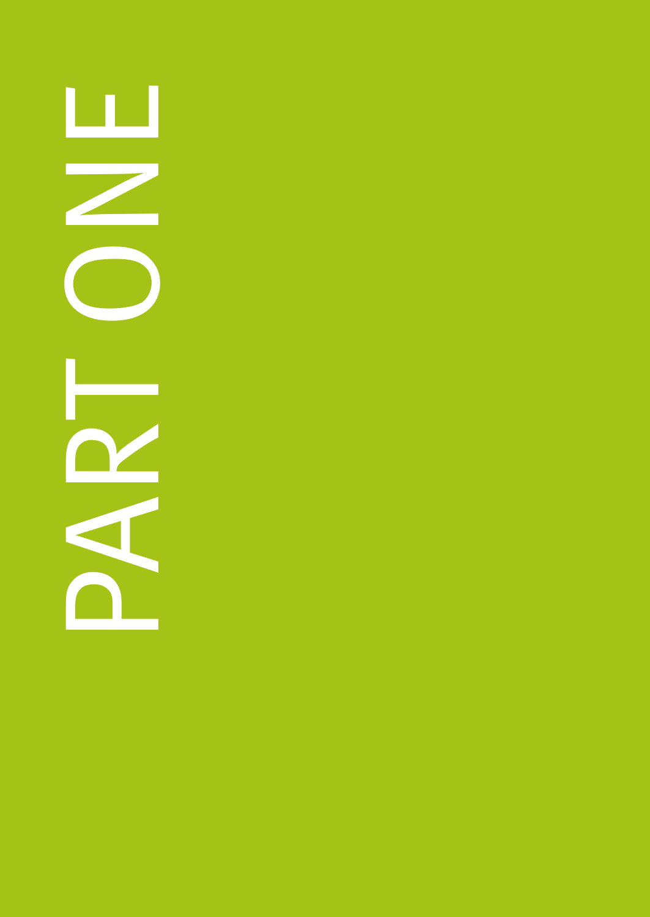ш NO DONA  $\mathbb Z$ **Contract**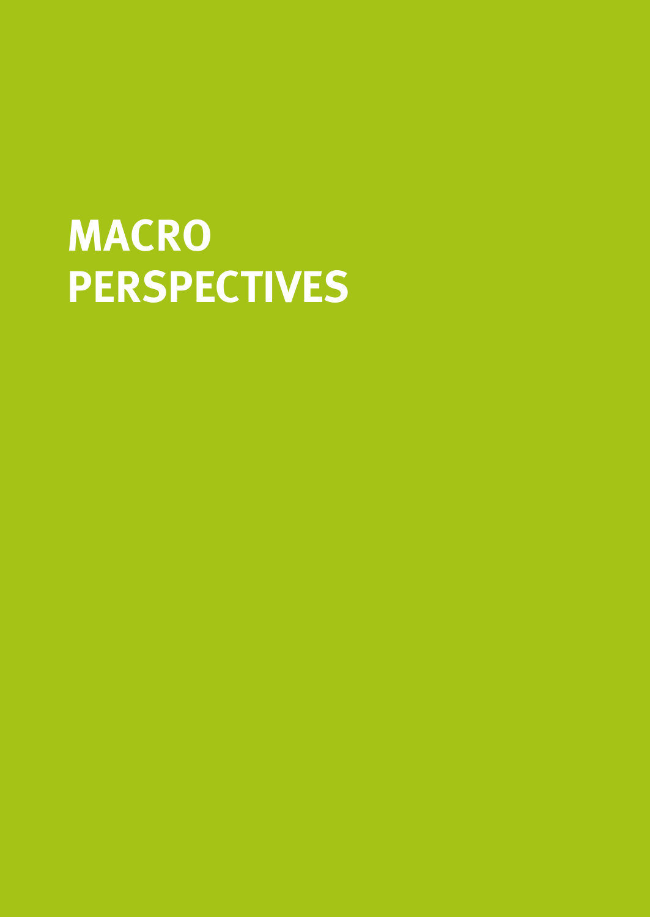# **MACRO PERSPECTIVES**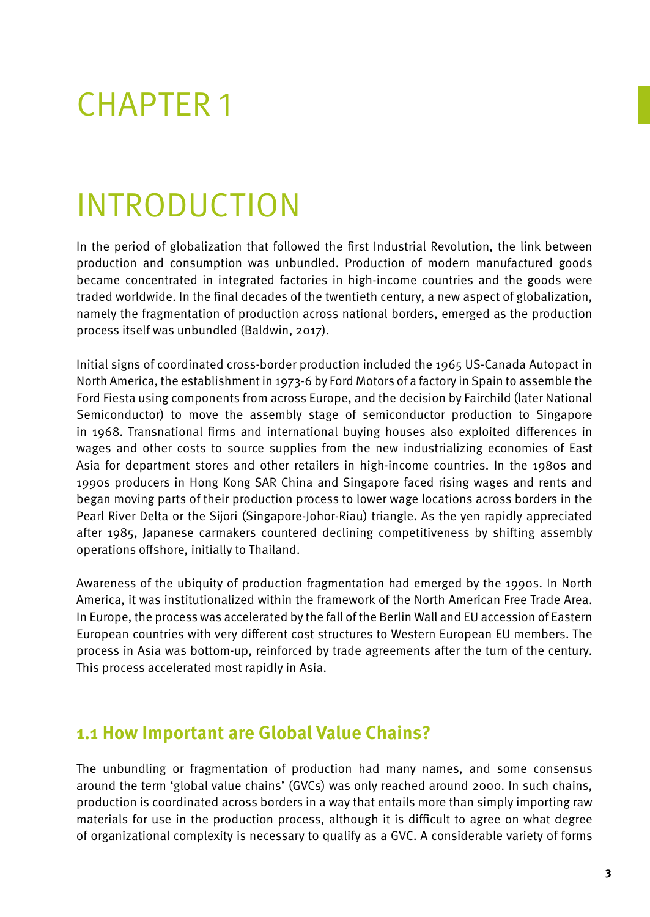# CHAPTER 1

# Introduction

In the period of globalization that followed the first Industrial Revolution, the link between production and consumption was unbundled. Production of modern manufactured goods became concentrated in integrated factories in high-income countries and the goods were traded worldwide. In the final decades of the twentieth century, a new aspect of globalization, namely the fragmentation of production across national borders, emerged as the production process itself was unbundled (Baldwin, 2017).

Initial signs of coordinated cross-border production included the 1965 US-Canada Autopact in North America, the establishment in 1973-6 by Ford Motors of a factory in Spain to assemble the Ford Fiesta using components from across Europe, and the decision by Fairchild (later National Semiconductor) to move the assembly stage of semiconductor production to Singapore in 1968. Transnational firms and international buying houses also exploited differences in wages and other costs to source supplies from the new industrializing economies of East Asia for department stores and other retailers in high-income countries. In the 1980s and 1990s producers in Hong Kong SAR China and Singapore faced rising wages and rents and began moving parts of their production process to lower wage locations across borders in the Pearl River Delta or the Sijori (Singapore-Johor-Riau) triangle. As the yen rapidly appreciated after 1985, Japanese carmakers countered declining competitiveness by shifting assembly operations offshore, initially to Thailand.

Awareness of the ubiquity of production fragmentation had emerged by the 1990s. In North America, it was institutionalized within the framework of the North American Free Trade Area. In Europe, the process was accelerated by the fall of the Berlin Wall and EU accession of Eastern European countries with very different cost structures to Western European EU members. The process in Asia was bottom-up, reinforced by trade agreements after the turn of the century. This process accelerated most rapidly in Asia.

### **1.1 How Important are Global Value Chains?**

The unbundling or fragmentation of production had many names, and some consensus around the term 'global value chains' (GVCs) was only reached around 2000. In such chains, production is coordinated across borders in a way that entails more than simply importing raw materials for use in the production process, although it is difficult to agree on what degree of organizational complexity is necessary to qualify as a GVC. A considerable variety of forms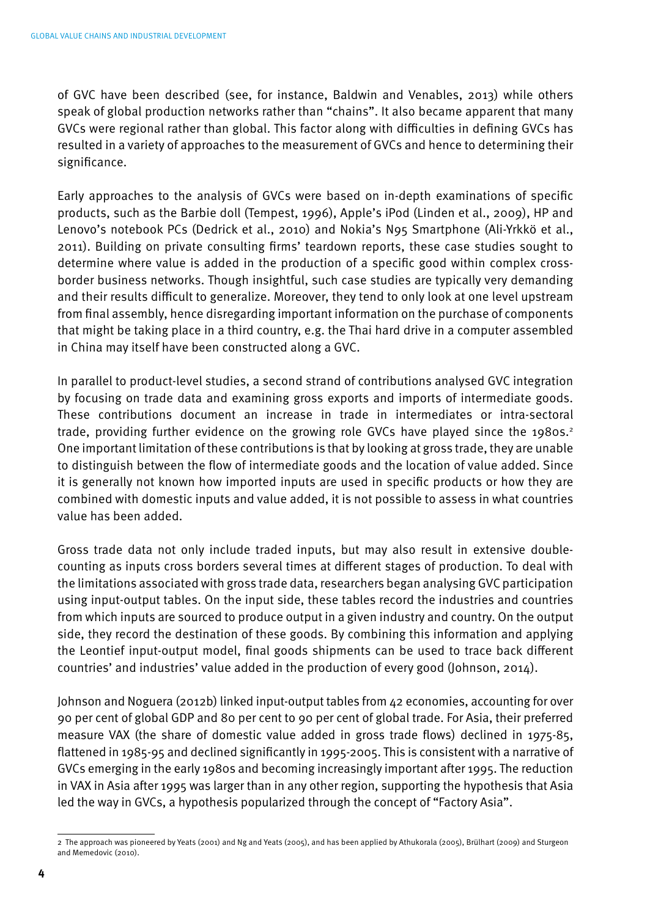of GVC have been described (see, for instance, Baldwin and Venables, 2013) while others speak of global production networks rather than "chains". It also became apparent that many GVCs were regional rather than global. This factor along with difficulties in defining GVCs has resulted in a variety of approaches to the measurement of GVCs and hence to determining their significance.

Early approaches to the analysis of GVCs were based on in-depth examinations of specific products, such as the Barbie doll (Tempest, 1996), Apple's iPod (Linden et al., 2009), HP and Lenovo's notebook PCs (Dedrick et al., 2010) and Nokia's N95 Smartphone (Ali-Yrkkö et al., 2011). Building on private consulting firms' teardown reports, these case studies sought to determine where value is added in the production of a specific good within complex crossborder business networks. Though insightful, such case studies are typically very demanding and their results difficult to generalize. Moreover, they tend to only look at one level upstream from final assembly, hence disregarding important information on the purchase of components that might be taking place in a third country, e.g. the Thai hard drive in a computer assembled in China may itself have been constructed along a GVC.

In parallel to product-level studies, a second strand of contributions analysed GVC integration by focusing on trade data and examining gross exports and imports of intermediate goods. These contributions document an increase in trade in intermediates or intra-sectoral trade, providing further evidence on the growing role GVCs have played since the 1980s.<sup>2</sup> One important limitation of these contributions is that by looking at gross trade, they are unable to distinguish between the flow of intermediate goods and the location of value added. Since it is generally not known how imported inputs are used in specific products or how they are combined with domestic inputs and value added, it is not possible to assess in what countries value has been added.

Gross trade data not only include traded inputs, but may also result in extensive doublecounting as inputs cross borders several times at different stages of production. To deal with the limitations associated with gross trade data, researchers began analysing GVC participation using input-output tables. On the input side, these tables record the industries and countries from which inputs are sourced to produce output in a given industry and country. On the output side, they record the destination of these goods. By combining this information and applying the Leontief input-output model, final goods shipments can be used to trace back different countries' and industries' value added in the production of every good (Johnson, 2014).

Johnson and Noguera (2012b) linked input-output tables from 42 economies, accounting for over 90 per cent of global GDP and 80 per cent to 90 per cent of global trade. For Asia, their preferred measure VAX (the share of domestic value added in gross trade flows) declined in 1975-85, flattened in 1985-95 and declined significantly in 1995-2005. This is consistent with a narrative of GVCs emerging in the early 1980s and becoming increasingly important after 1995. The reduction in VAX in Asia after 1995 was larger than in any other region, supporting the hypothesis that Asia led the way in GVCs, a hypothesis popularized through the concept of "Factory Asia".

<sup>2</sup> The approach was pioneered by Yeats (2001) and Ng and Yeats (2005), and has been applied by Athukorala (2005), Brülhart (2009) and Sturgeon and Memedovic (2010).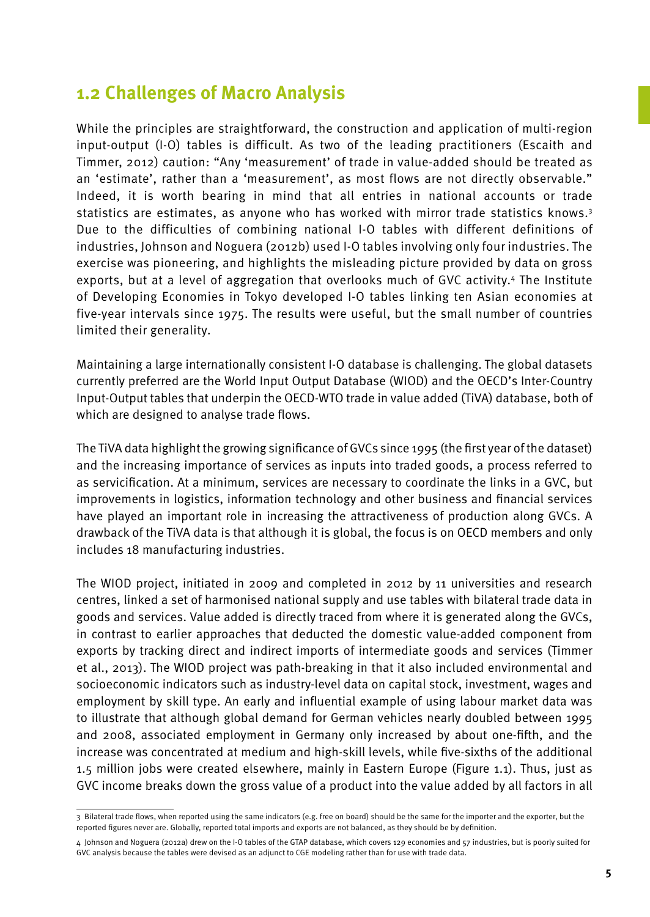#### **1.2 Challenges of Macro Analysis**

While the principles are straightforward, the construction and application of multi-region input-output (I-O) tables is difficult. As two of the leading practitioners (Escaith and Timmer, 2012) caution: "Any 'measurement' of trade in value-added should be treated as an 'estimate', rather than a 'measurement', as most flows are not directly observable." Indeed, it is worth bearing in mind that all entries in national accounts or trade statistics are estimates, as anyone who has worked with mirror trade statistics knows.<sup>3</sup> Due to the difficulties of combining national I-O tables with different definitions of industries, Johnson and Noguera (2012b) used I-O tables involving only four industries. The exercise was pioneering, and highlights the misleading picture provided by data on gross exports, but at a level of aggregation that overlooks much of GVC activity.4 The Institute of Developing Economies in Tokyo developed I-O tables linking ten Asian economies at five-year intervals since 1975. The results were useful, but the small number of countries limited their generality.

Maintaining a large internationally consistent I-O database is challenging. The global datasets currently preferred are the World Input Output Database (WIOD) and the OECD's Inter-Country Input-Output tables that underpin the OECD-WTO trade in value added (TiVA) database, both of which are designed to analyse trade flows.

The TiVA data highlight the growing significance of GVCs since 1995 (the first year of the dataset) and the increasing importance of services as inputs into traded goods, a process referred to as servicification. At a minimum, services are necessary to coordinate the links in a GVC, but improvements in logistics, information technology and other business and financial services have played an important role in increasing the attractiveness of production along GVCs. A drawback of the TiVA data is that although it is global, the focus is on OECD members and only includes 18 manufacturing industries.

The WIOD project, initiated in 2009 and completed in 2012 by 11 universities and research centres, linked a set of harmonised national supply and use tables with bilateral trade data in goods and services. Value added is directly traced from where it is generated along the GVCs, in contrast to earlier approaches that deducted the domestic value-added component from exports by tracking direct and indirect imports of intermediate goods and services (Timmer et al., 2013). The WIOD project was path-breaking in that it also included environmental and socioeconomic indicators such as industry-level data on capital stock, investment, wages and employment by skill type. An early and influential example of using labour market data was to illustrate that although global demand for German vehicles nearly doubled between 1995 and 2008, associated employment in Germany only increased by about one-fifth, and the increase was concentrated at medium and high-skill levels, while five-sixths of the additional 1.5 million jobs were created elsewhere, mainly in Eastern Europe (Figure 1.1). Thus, just as GVC income breaks down the gross value of a product into the value added by all factors in all

<sup>3</sup> Bilateral trade flows, when reported using the same indicators (e.g. free on board) should be the same for the importer and the exporter, but the reported figures never are. Globally, reported total imports and exports are not balanced, as they should be by definition.

<sup>4</sup> Johnson and Noguera (2012a) drew on the I-O tables of the GTAP database, which covers 129 economies and 57 industries, but is poorly suited for GVC analysis because the tables were devised as an adjunct to CGE modeling rather than for use with trade data.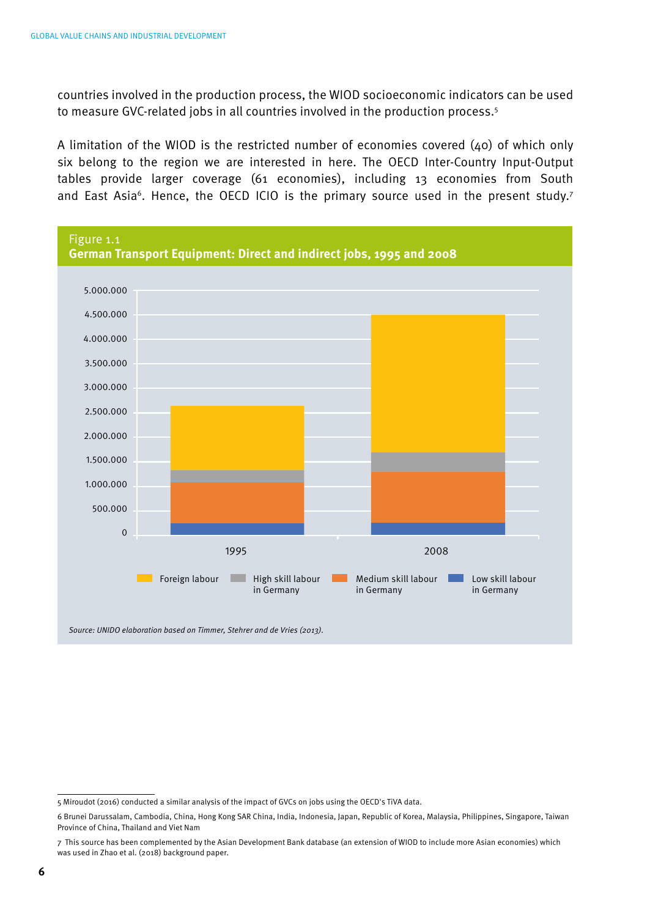countries involved in the production process, the WIOD socioeconomic indicators can be used to measure GVC-related jobs in all countries involved in the production process.5

A limitation of the WIOD is the restricted number of economies covered (40) of which only six belong to the region we are interested in here. The OECD Inter-Country Input-Output tables provide larger coverage (61 economies), including 13 economies from South and East Asia<sup>6</sup>. Hence, the OECD ICIO is the primary source used in the present study.<sup>7</sup>



*Source: UNIDO elaboration based on Timmer, Stehrer and de Vries (2013).*

<sup>5</sup> Miroudot (2016) conducted a similar analysis of the impact of GVCs on jobs using the OECD's TiVA data.

<sup>6</sup> Brunei Darussalam, Cambodia, China, Hong Kong SAR China, India, Indonesia, Japan, Republic of Korea, Malaysia, Philippines, Singapore, Taiwan Province of China, Thailand and Viet Nam

<sup>7</sup> This source has been complemented by the Asian Development Bank database (an extension of WIOD to include more Asian economies) which was used in Zhao et al. (2018) background paper.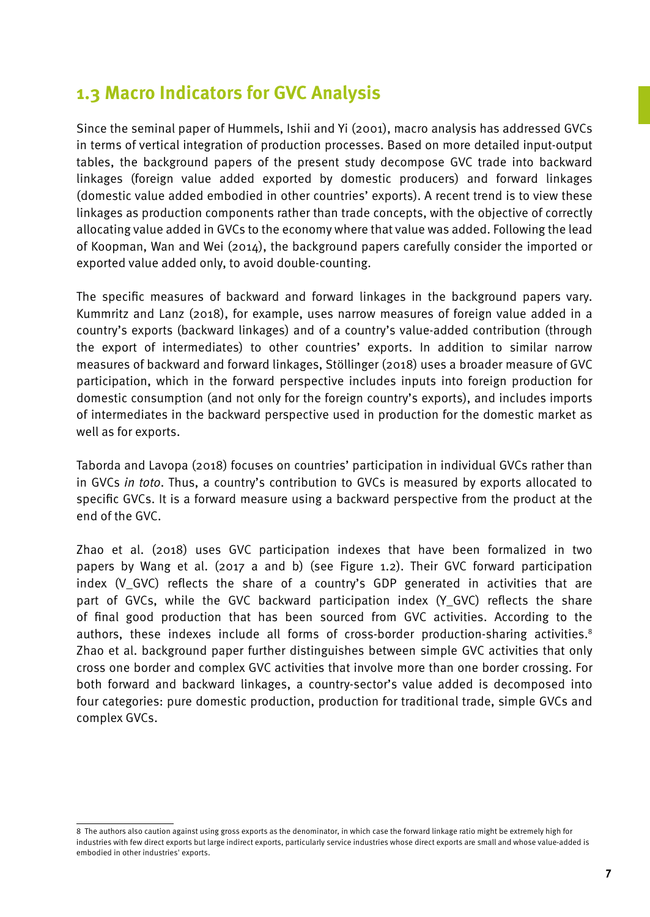### **1.3 Macro Indicators for GVC Analysis**

Since the seminal paper of Hummels, Ishii and Yi (2001), macro analysis has addressed GVCs in terms of vertical integration of production processes. Based on more detailed input-output tables, the background papers of the present study decompose GVC trade into backward linkages (foreign value added exported by domestic producers) and forward linkages (domestic value added embodied in other countries' exports). A recent trend is to view these linkages as production components rather than trade concepts, with the objective of correctly allocating value added in GVCs to the economy where that value was added. Following the lead of Koopman, Wan and Wei (2014), the background papers carefully consider the imported or exported value added only, to avoid double-counting.

The specific measures of backward and forward linkages in the background papers vary. Kummritz and Lanz (2018), for example, uses narrow measures of foreign value added in a country's exports (backward linkages) and of a country's value-added contribution (through the export of intermediates) to other countries' exports. In addition to similar narrow measures of backward and forward linkages, Stöllinger (2018) uses a broader measure of GVC participation, which in the forward perspective includes inputs into foreign production for domestic consumption (and not only for the foreign country's exports), and includes imports of intermediates in the backward perspective used in production for the domestic market as well as for exports.

Taborda and Lavopa (2018) focuses on countries' participation in individual GVCs rather than in GVCs *in toto*. Thus, a country's contribution to GVCs is measured by exports allocated to specific GVCs. It is a forward measure using a backward perspective from the product at the end of the GVC.

Zhao et al. (2018) uses GVC participation indexes that have been formalized in two papers by Wang et al. (2017 a and b) (see Figure 1.2). Their GVC forward participation index (V\_GVC) reflects the share of a country's GDP generated in activities that are part of GVCs, while the GVC backward participation index (Y\_GVC) reflects the share of final good production that has been sourced from GVC activities. According to the authors, these indexes include all forms of cross-border production-sharing activities.<sup>8</sup> Zhao et al. background paper further distinguishes between simple GVC activities that only cross one border and complex GVC activities that involve more than one border crossing. For both forward and backward linkages, a country-sector's value added is decomposed into four categories: pure domestic production, production for traditional trade, simple GVCs and complex GVCs.

<sup>8</sup> The authors also caution against using gross exports as the denominator, in which case the forward linkage ratio might be extremely high for industries with few direct exports but large indirect exports, particularly service industries whose direct exports are small and whose value-added is embodied in other industries' exports.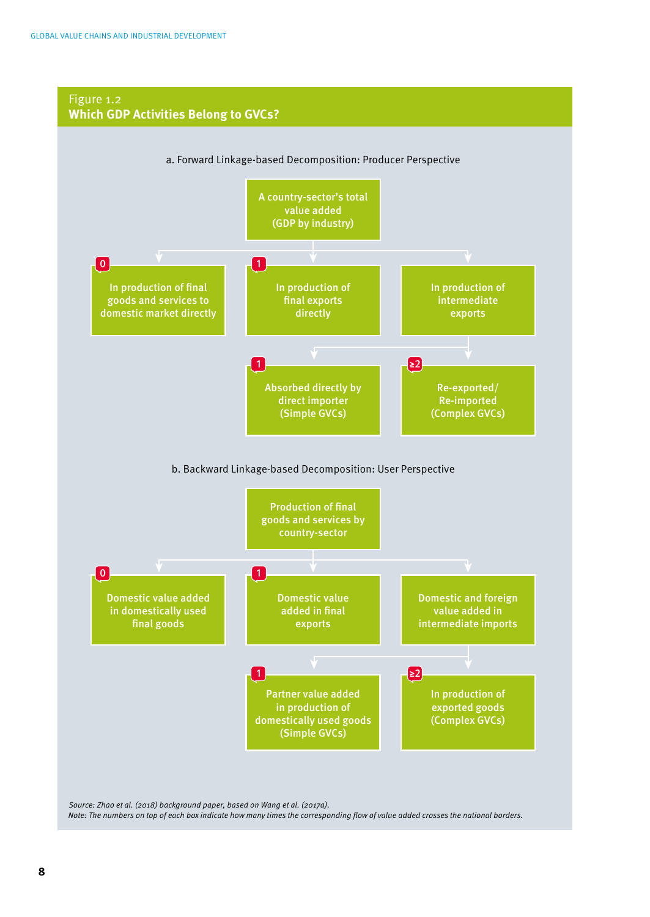#### Figure 1.2 **Which GDP Activities Belong to GVCs?** a. Forward Linkage-based Decomposition: Producer Perspective A country-sector's total value added (GDP by industry) In production of final goods and services to domestic market directly In production of final exports directly In production of intermediate exports Absorbed directly by direct importer (Simple GVCs) Re-exported/ Re-imported (Complex GVCs)  $\boxed{0}$ 1 <mark>≥2</mark> 1 b. Backward Linkage-based Decomposition: User Perspective Production of final goods and services by country-sector Domestic value added in domestically used final goods Domestic value added in final exports Domestic and foreign value added in intermediate imports Partner value added in production of domestically used goods (Simple GVCs) In production of exported goods (Complex GVCs)  $\boxed{0}$ 1 <mark>≥2</mark> 1

*Source: Zhao et al. (2018) background paper, based on Wang et al. (2017a). Note: The numbers on top of each box indicate how many times the corresponding flow of value added crosses the national borders.*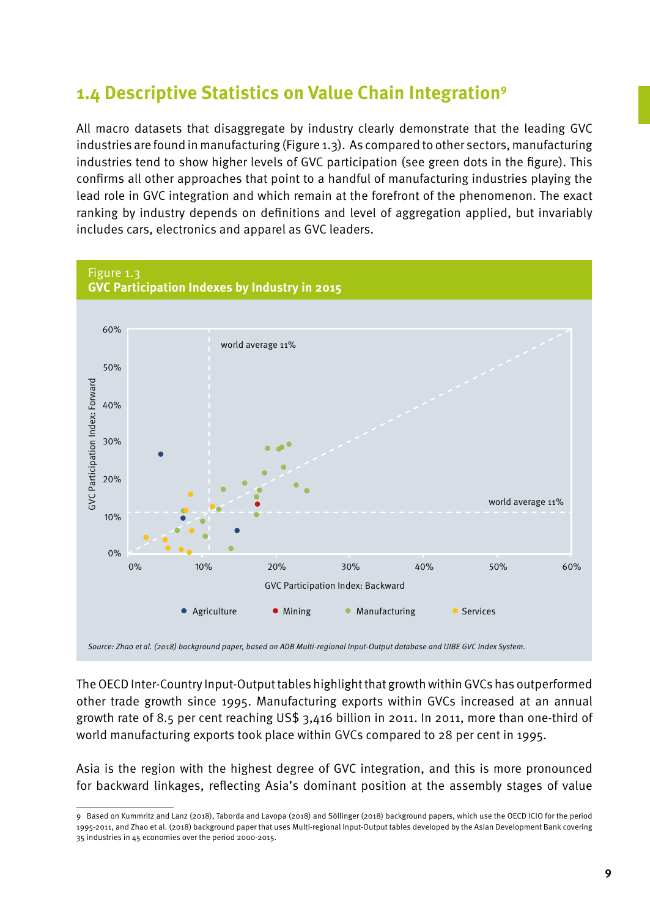### **1.4 Descriptive Statistics on Value Chain Integration9**

All macro datasets that disaggregate by industry clearly demonstrate that the leading GVC industries are found in manufacturing (Figure 1.3). As compared to other sectors, manufacturing industries tend to show higher levels of GVC participation (see green dots in the figure). This confirms all other approaches that point to a handful of manufacturing industries playing the lead role in GVC integration and which remain at the forefront of the phenomenon. The exact ranking by industry depends on definitions and level of aggregation applied, but invariably includes cars, electronics and apparel as GVC leaders.



The OECD Inter-Country Input-Output tables highlight that growth within GVCs has outperformed other trade growth since 1995. Manufacturing exports within GVCs increased at an annual growth rate of 8.5 per cent reaching US\$ 3,416 billion in 2011. In 2011, more than one-third of world manufacturing exports took place within GVCs compared to 28 per cent in 1995.

Asia is the region with the highest degree of GVC integration, and this is more pronounced for backward linkages, reflecting Asia's dominant position at the assembly stages of value

<sup>9</sup> Based on Kummritz and Lanz (2018), Taborda and Lavopa (2018) and Söllinger (2018) background papers, which use the OECD ICIO for the period 1995-2011, and Zhao et al. (2018) background paper that uses Multi-regional Input-Output tables developed by the Asian Development Bank covering 35 industries in 45 economies over the period 2000-2015.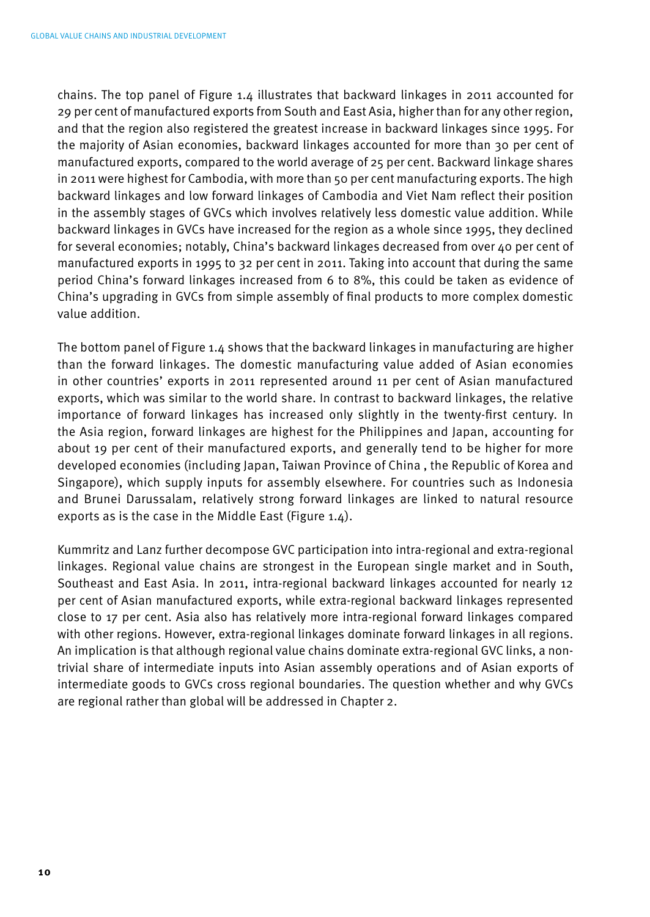chains. The top panel of Figure 1.4 illustrates that backward linkages in 2011 accounted for 29 per cent of manufactured exports from South and East Asia, higher than for any other region, and that the region also registered the greatest increase in backward linkages since 1995. For the majority of Asian economies, backward linkages accounted for more than 30 per cent of manufactured exports, compared to the world average of 25 per cent. Backward linkage shares in 2011 were highest for Cambodia, with more than 50 per cent manufacturing exports. The high backward linkages and low forward linkages of Cambodia and Viet Nam reflect their position in the assembly stages of GVCs which involves relatively less domestic value addition. While backward linkages in GVCs have increased for the region as a whole since 1995, they declined for several economies; notably, China's backward linkages decreased from over 40 per cent of manufactured exports in 1995 to 32 per cent in 2011. Taking into account that during the same period China's forward linkages increased from 6 to 8%, this could be taken as evidence of China's upgrading in GVCs from simple assembly of final products to more complex domestic value addition.

The bottom panel of Figure 1.4 shows that the backward linkages in manufacturing are higher than the forward linkages. The domestic manufacturing value added of Asian economies in other countries' exports in 2011 represented around 11 per cent of Asian manufactured exports, which was similar to the world share. In contrast to backward linkages, the relative importance of forward linkages has increased only slightly in the twenty-first century. In the Asia region, forward linkages are highest for the Philippines and Japan, accounting for about 19 per cent of their manufactured exports, and generally tend to be higher for more developed economies (including Japan, Taiwan Province of China , the Republic of Korea and Singapore), which supply inputs for assembly elsewhere. For countries such as Indonesia and Brunei Darussalam, relatively strong forward linkages are linked to natural resource exports as is the case in the Middle East (Figure 1.4).

Kummritz and Lanz further decompose GVC participation into intra-regional and extra-regional linkages. Regional value chains are strongest in the European single market and in South, Southeast and East Asia. In 2011, intra-regional backward linkages accounted for nearly 12 per cent of Asian manufactured exports, while extra-regional backward linkages represented close to 17 per cent. Asia also has relatively more intra-regional forward linkages compared with other regions. However, extra-regional linkages dominate forward linkages in all regions. An implication is that although regional value chains dominate extra-regional GVC links, a nontrivial share of intermediate inputs into Asian assembly operations and of Asian exports of intermediate goods to GVCs cross regional boundaries. The question whether and why GVCs are regional rather than global will be addressed in Chapter 2.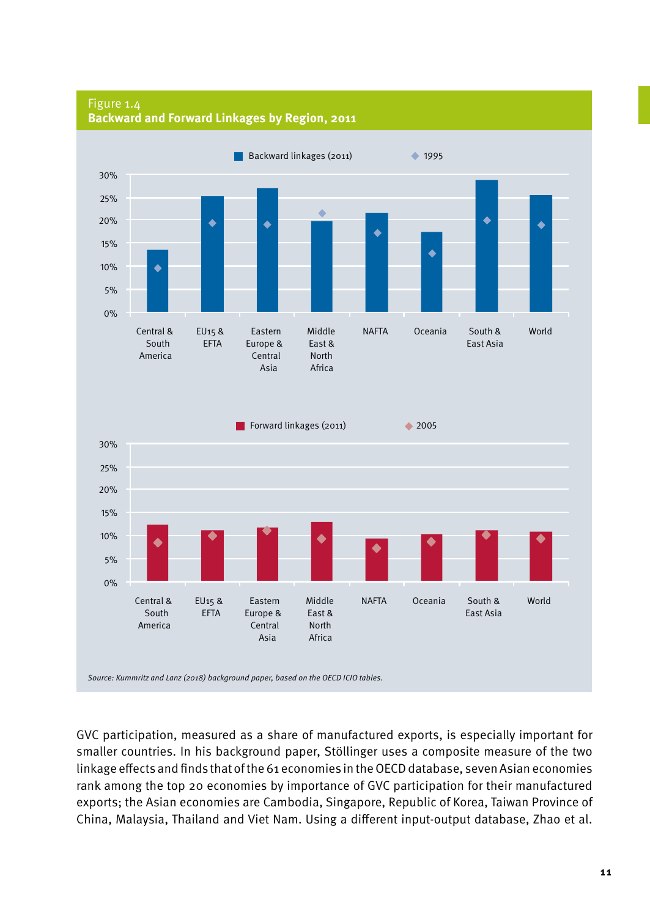

Figure 1.4 **Backward and Forward Linkages by Region, 2011**

GVC participation, measured as a share of manufactured exports, is especially important for smaller countries. In his background paper, Stöllinger uses a composite measure of the two linkage effects and finds that of the 61 economies in the OECD database, seven Asian economies rank among the top 20 economies by importance of GVC participation for their manufactured exports; the Asian economies are Cambodia, Singapore, Republic of Korea, Taiwan Province of China, Malaysia, Thailand and Viet Nam. Using a different input-output database, Zhao et al.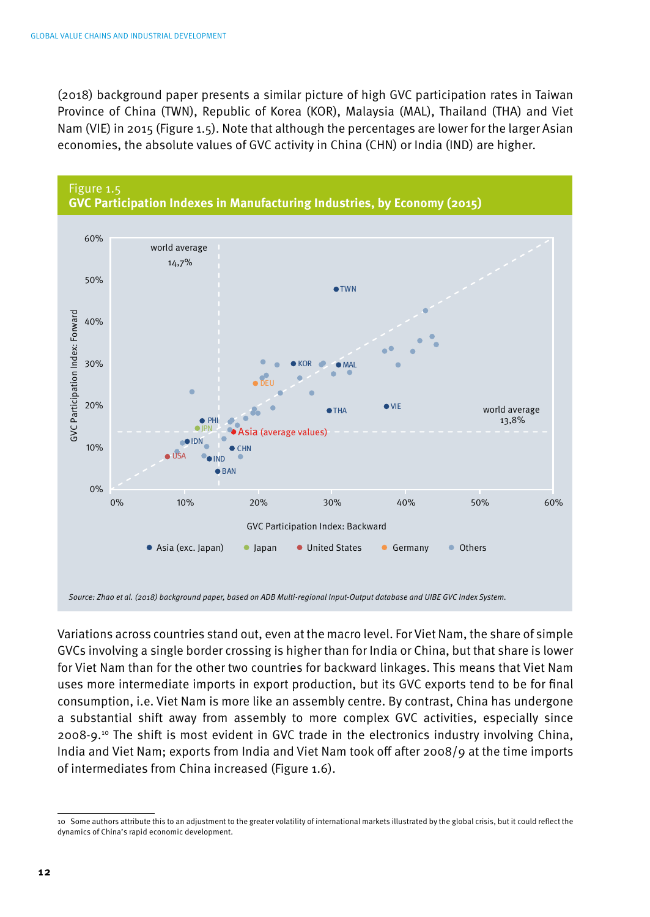(2018) background paper presents a similar picture of high GVC participation rates in Taiwan Province of China (TWN), Republic of Korea (KOR), Malaysia (MAL), Thailand (THA) and Viet Nam (VIE) in 2015 (Figure 1.5). Note that although the percentages are lower for the larger Asian economies, the absolute values of GVC activity in China (CHN) or India (IND) are higher.



Variations across countries stand out, even at the macro level. For Viet Nam, the share of simple GVCs involving a single border crossing is higher than for India or China, but that share is lower for Viet Nam than for the other two countries for backward linkages. This means that Viet Nam uses more intermediate imports in export production, but its GVC exports tend to be for final consumption, i.e. Viet Nam is more like an assembly centre. By contrast, China has undergone a substantial shift away from assembly to more complex GVC activities, especially since 2008-9.10 The shift is most evident in GVC trade in the electronics industry involving China, India and Viet Nam; exports from India and Viet Nam took off after 2008/9 at the time imports of intermediates from China increased (Figure 1.6).

<sup>10</sup> Some authors attribute this to an adjustment to the greater volatility of international markets illustrated by the global crisis, but it could reflect the dynamics of China's rapid economic development.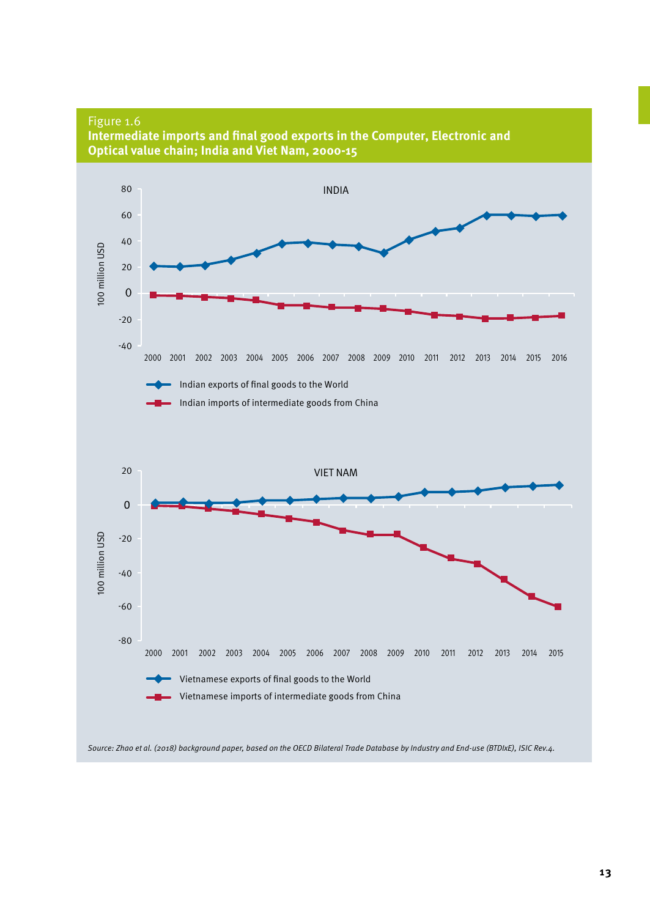Figure 1.6



**Intermediate imports and final good exports in the Computer, Electronic and** 

*Source: Zhao et al. (2018) background paper, based on the OECD Bilateral Trade Database by Industry and End-use (BTDIxE), ISIC Rev.4.*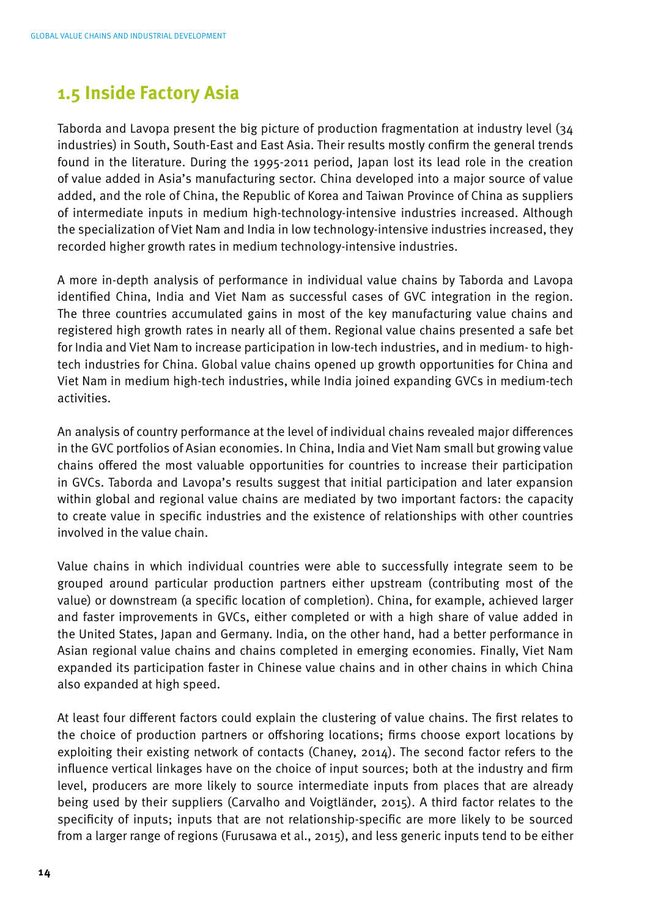## **1.5 Inside Factory Asia**

Taborda and Lavopa present the big picture of production fragmentation at industry level (34 industries) in South, South-East and East Asia. Their results mostly confirm the general trends found in the literature. During the 1995-2011 period, Japan lost its lead role in the creation of value added in Asia's manufacturing sector. China developed into a major source of value added, and the role of China, the Republic of Korea and Taiwan Province of China as suppliers of intermediate inputs in medium high-technology-intensive industries increased. Although the specialization of Viet Nam and India in low technology-intensive industries increased, they recorded higher growth rates in medium technology-intensive industries.

A more in-depth analysis of performance in individual value chains by Taborda and Lavopa identified China, India and Viet Nam as successful cases of GVC integration in the region. The three countries accumulated gains in most of the key manufacturing value chains and registered high growth rates in nearly all of them. Regional value chains presented a safe bet for India and Viet Nam to increase participation in low-tech industries, and in medium- to hightech industries for China. Global value chains opened up growth opportunities for China and Viet Nam in medium high-tech industries, while India joined expanding GVCs in medium-tech activities.

An analysis of country performance at the level of individual chains revealed major differences in the GVC portfolios of Asian economies. In China, India and Viet Nam small but growing value chains offered the most valuable opportunities for countries to increase their participation in GVCs. Taborda and Lavopa's results suggest that initial participation and later expansion within global and regional value chains are mediated by two important factors: the capacity to create value in specific industries and the existence of relationships with other countries involved in the value chain.

Value chains in which individual countries were able to successfully integrate seem to be grouped around particular production partners either upstream (contributing most of the value) or downstream (a specific location of completion). China, for example, achieved larger and faster improvements in GVCs, either completed or with a high share of value added in the United States, Japan and Germany. India, on the other hand, had a better performance in Asian regional value chains and chains completed in emerging economies. Finally, Viet Nam expanded its participation faster in Chinese value chains and in other chains in which China also expanded at high speed.

At least four different factors could explain the clustering of value chains. The first relates to the choice of production partners or offshoring locations; firms choose export locations by exploiting their existing network of contacts (Chaney, 2014). The second factor refers to the influence vertical linkages have on the choice of input sources; both at the industry and firm level, producers are more likely to source intermediate inputs from places that are already being used by their suppliers (Carvalho and Voigtländer, 2015). A third factor relates to the specificity of inputs; inputs that are not relationship-specific are more likely to be sourced from a larger range of regions (Furusawa et al., 2015), and less generic inputs tend to be either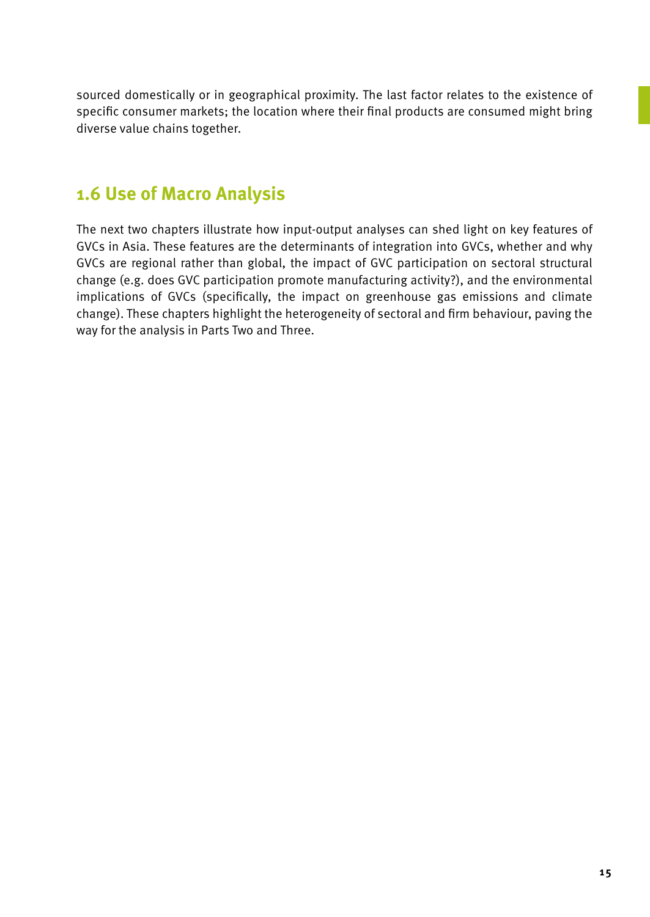sourced domestically or in geographical proximity. The last factor relates to the existence of specific consumer markets; the location where their final products are consumed might bring diverse value chains together.

## **1.6 Use of Macro Analysis**

The next two chapters illustrate how input-output analyses can shed light on key features of GVCs in Asia. These features are the determinants of integration into GVCs, whether and why GVCs are regional rather than global, the impact of GVC participation on sectoral structural change (e.g. does GVC participation promote manufacturing activity?), and the environmental implications of GVCs (specifically, the impact on greenhouse gas emissions and climate change). These chapters highlight the heterogeneity of sectoral and firm behaviour, paving the way for the analysis in Parts Two and Three.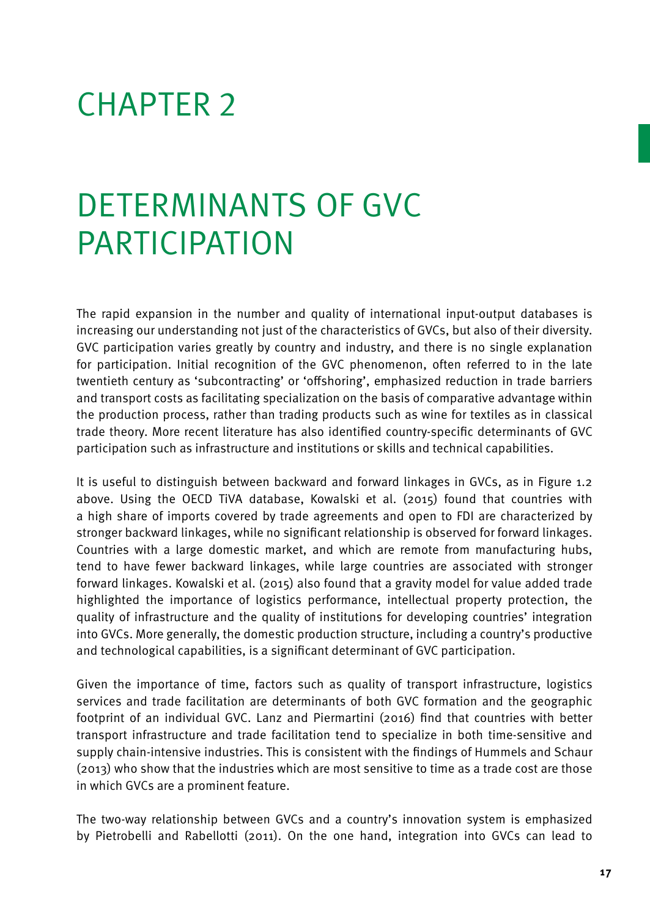# CHAPTER 2

# Determinants of GVC **PARTICIPATION**

The rapid expansion in the number and quality of international input-output databases is increasing our understanding not just of the characteristics of GVCs, but also of their diversity. GVC participation varies greatly by country and industry, and there is no single explanation for participation. Initial recognition of the GVC phenomenon, often referred to in the late twentieth century as 'subcontracting' or 'offshoring', emphasized reduction in trade barriers and transport costs as facilitating specialization on the basis of comparative advantage within the production process, rather than trading products such as wine for textiles as in classical trade theory. More recent literature has also identified country-specific determinants of GVC participation such as infrastructure and institutions or skills and technical capabilities.

It is useful to distinguish between backward and forward linkages in GVCs, as in Figure 1.2 above. Using the OECD TiVA database, Kowalski et al. (2015) found that countries with a high share of imports covered by trade agreements and open to FDI are characterized by stronger backward linkages, while no significant relationship is observed for forward linkages. Countries with a large domestic market, and which are remote from manufacturing hubs, tend to have fewer backward linkages, while large countries are associated with stronger forward linkages. Kowalski et al. (2015) also found that a gravity model for value added trade highlighted the importance of logistics performance, intellectual property protection, the quality of infrastructure and the quality of institutions for developing countries' integration into GVCs. More generally, the domestic production structure, including a country's productive and technological capabilities, is a significant determinant of GVC participation.

Given the importance of time, factors such as quality of transport infrastructure, logistics services and trade facilitation are determinants of both GVC formation and the geographic footprint of an individual GVC. Lanz and Piermartini (2016) find that countries with better transport infrastructure and trade facilitation tend to specialize in both time-sensitive and supply chain-intensive industries. This is consistent with the findings of Hummels and Schaur (2013) who show that the industries which are most sensitive to time as a trade cost are those in which GVCs are a prominent feature.

The two-way relationship between GVCs and a country's innovation system is emphasized by Pietrobelli and Rabellotti (2011). On the one hand, integration into GVCs can lead to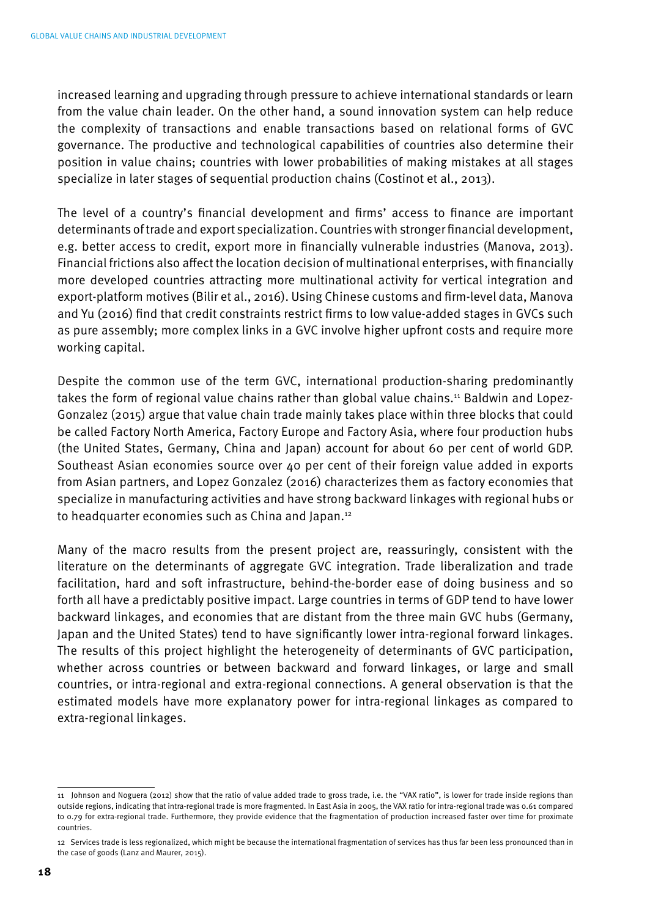increased learning and upgrading through pressure to achieve international standards or learn from the value chain leader. On the other hand, a sound innovation system can help reduce the complexity of transactions and enable transactions based on relational forms of GVC governance. The productive and technological capabilities of countries also determine their position in value chains; countries with lower probabilities of making mistakes at all stages specialize in later stages of sequential production chains (Costinot et al., 2013).

The level of a country's financial development and firms' access to finance are important determinants of trade and export specialization. Countries with stronger financial development, e.g. better access to credit, export more in financially vulnerable industries (Manova, 2013). Financial frictions also affect the location decision of multinational enterprises, with financially more developed countries attracting more multinational activity for vertical integration and export-platform motives (Bilir et al., 2016). Using Chinese customs and firm-level data, Manova and Yu (2016) find that credit constraints restrict firms to low value-added stages in GVCs such as pure assembly; more complex links in a GVC involve higher upfront costs and require more working capital.

Despite the common use of the term GVC, international production-sharing predominantly takes the form of regional value chains rather than global value chains.<sup>11</sup> Baldwin and Lopez-Gonzalez (2015) argue that value chain trade mainly takes place within three blocks that could be called Factory North America, Factory Europe and Factory Asia, where four production hubs (the United States, Germany, China and Japan) account for about 60 per cent of world GDP. Southeast Asian economies source over 40 per cent of their foreign value added in exports from Asian partners, and Lopez Gonzalez (2016) characterizes them as factory economies that specialize in manufacturing activities and have strong backward linkages with regional hubs or to headquarter economies such as China and Japan.12

Many of the macro results from the present project are, reassuringly, consistent with the literature on the determinants of aggregate GVC integration. Trade liberalization and trade facilitation, hard and soft infrastructure, behind-the-border ease of doing business and so forth all have a predictably positive impact. Large countries in terms of GDP tend to have lower backward linkages, and economies that are distant from the three main GVC hubs (Germany, Japan and the United States) tend to have significantly lower intra-regional forward linkages. The results of this project highlight the heterogeneity of determinants of GVC participation, whether across countries or between backward and forward linkages, or large and small countries, or intra-regional and extra-regional connections. A general observation is that the estimated models have more explanatory power for intra-regional linkages as compared to extra-regional linkages.

<sup>11</sup> Johnson and Noguera (2012) show that the ratio of value added trade to gross trade, i.e. the "VAX ratio", is lower for trade inside regions than outside regions, indicating that intra-regional trade is more fragmented. In East Asia in 2005, the VAX ratio for intra-regional trade was 0.61 compared to 0.79 for extra-regional trade. Furthermore, they provide evidence that the fragmentation of production increased faster over time for proximate countries.

<sup>12</sup> Services trade is less regionalized, which might be because the international fragmentation of services has thus far been less pronounced than in the case of goods (Lanz and Maurer, 2015).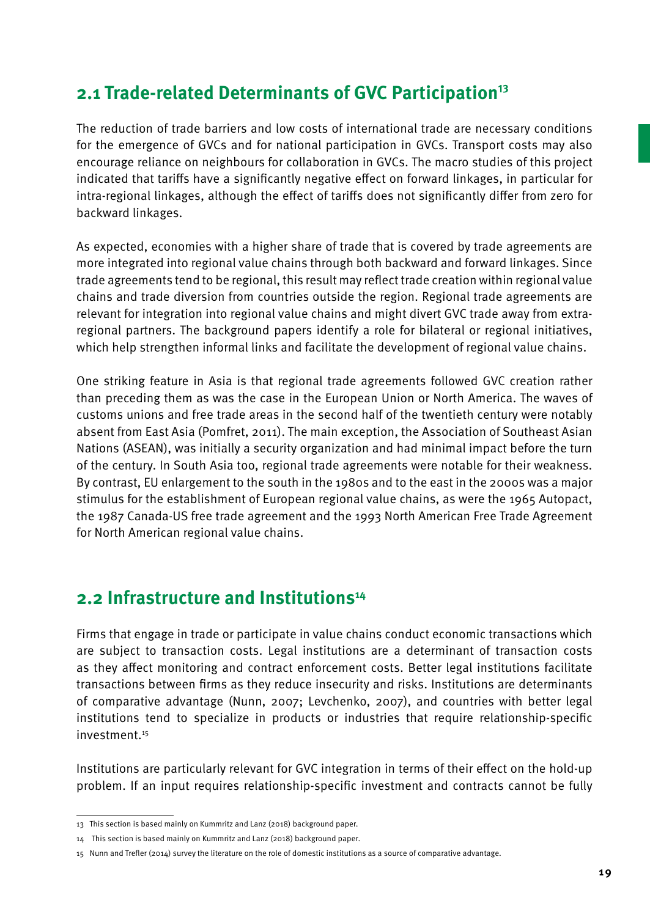# **2.1 Trade-related Determinants of GVC Participation<sup>13</sup>**

The reduction of trade barriers and low costs of international trade are necessary conditions for the emergence of GVCs and for national participation in GVCs. Transport costs may also encourage reliance on neighbours for collaboration in GVCs. The macro studies of this project indicated that tariffs have a significantly negative effect on forward linkages, in particular for intra-regional linkages, although the effect of tariffs does not significantly differ from zero for backward linkages.

As expected, economies with a higher share of trade that is covered by trade agreements are more integrated into regional value chains through both backward and forward linkages. Since trade agreements tend to be regional, this result may reflect trade creation within regional value chains and trade diversion from countries outside the region. Regional trade agreements are relevant for integration into regional value chains and might divert GVC trade away from extraregional partners. The background papers identify a role for bilateral or regional initiatives, which help strengthen informal links and facilitate the development of regional value chains.

One striking feature in Asia is that regional trade agreements followed GVC creation rather than preceding them as was the case in the European Union or North America. The waves of customs unions and free trade areas in the second half of the twentieth century were notably absent from East Asia (Pomfret, 2011). The main exception, the Association of Southeast Asian Nations (ASEAN), was initially a security organization and had minimal impact before the turn of the century. In South Asia too, regional trade agreements were notable for their weakness. By contrast, EU enlargement to the south in the 1980s and to the east in the 2000s was a major stimulus for the establishment of European regional value chains, as were the 1965 Autopact, the 1987 Canada-US free trade agreement and the 1993 North American Free Trade Agreement for North American regional value chains.

# **2.2 Infrastructure and Institutions<sup>14</sup>**

Firms that engage in trade or participate in value chains conduct economic transactions which are subject to transaction costs. Legal institutions are a determinant of transaction costs as they affect monitoring and contract enforcement costs. Better legal institutions facilitate transactions between firms as they reduce insecurity and risks. Institutions are determinants of comparative advantage (Nunn, 2007; Levchenko, 2007), and countries with better legal institutions tend to specialize in products or industries that require relationship-specific investment.15

Institutions are particularly relevant for GVC integration in terms of their effect on the hold-up problem. If an input requires relationship-specific investment and contracts cannot be fully

<sup>13</sup> This section is based mainly on Kummritz and Lanz (2018) background paper.

<sup>14</sup> This section is based mainly on Kummritz and Lanz (2018) background paper.

<sup>15</sup> Nunn and Trefler (2014) survey the literature on the role of domestic institutions as a source of comparative advantage.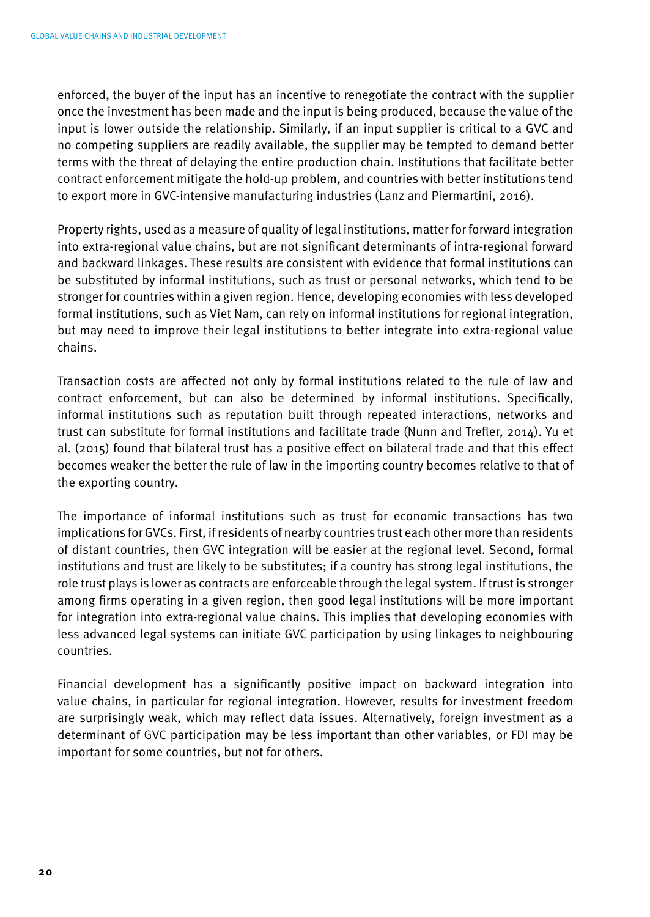enforced, the buyer of the input has an incentive to renegotiate the contract with the supplier once the investment has been made and the input is being produced, because the value of the input is lower outside the relationship. Similarly, if an input supplier is critical to a GVC and no competing suppliers are readily available, the supplier may be tempted to demand better terms with the threat of delaying the entire production chain. Institutions that facilitate better contract enforcement mitigate the hold-up problem, and countries with better institutions tend to export more in GVC-intensive manufacturing industries (Lanz and Piermartini, 2016).

Property rights, used as a measure of quality of legal institutions, matter for forward integration into extra-regional value chains, but are not significant determinants of intra-regional forward and backward linkages. These results are consistent with evidence that formal institutions can be substituted by informal institutions, such as trust or personal networks, which tend to be stronger for countries within a given region. Hence, developing economies with less developed formal institutions, such as Viet Nam, can rely on informal institutions for regional integration, but may need to improve their legal institutions to better integrate into extra-regional value chains.

Transaction costs are affected not only by formal institutions related to the rule of law and contract enforcement, but can also be determined by informal institutions. Specifically, informal institutions such as reputation built through repeated interactions, networks and trust can substitute for formal institutions and facilitate trade (Nunn and Trefler, 2014). Yu et al. (2015) found that bilateral trust has a positive effect on bilateral trade and that this effect becomes weaker the better the rule of law in the importing country becomes relative to that of the exporting country.

The importance of informal institutions such as trust for economic transactions has two implications for GVCs. First, if residents of nearby countries trust each other more than residents of distant countries, then GVC integration will be easier at the regional level. Second, formal institutions and trust are likely to be substitutes; if a country has strong legal institutions, the role trust plays is lower as contracts are enforceable through the legal system. If trust is stronger among firms operating in a given region, then good legal institutions will be more important for integration into extra-regional value chains. This implies that developing economies with less advanced legal systems can initiate GVC participation by using linkages to neighbouring countries.

Financial development has a significantly positive impact on backward integration into value chains, in particular for regional integration. However, results for investment freedom are surprisingly weak, which may reflect data issues. Alternatively, foreign investment as a determinant of GVC participation may be less important than other variables, or FDI may be important for some countries, but not for others.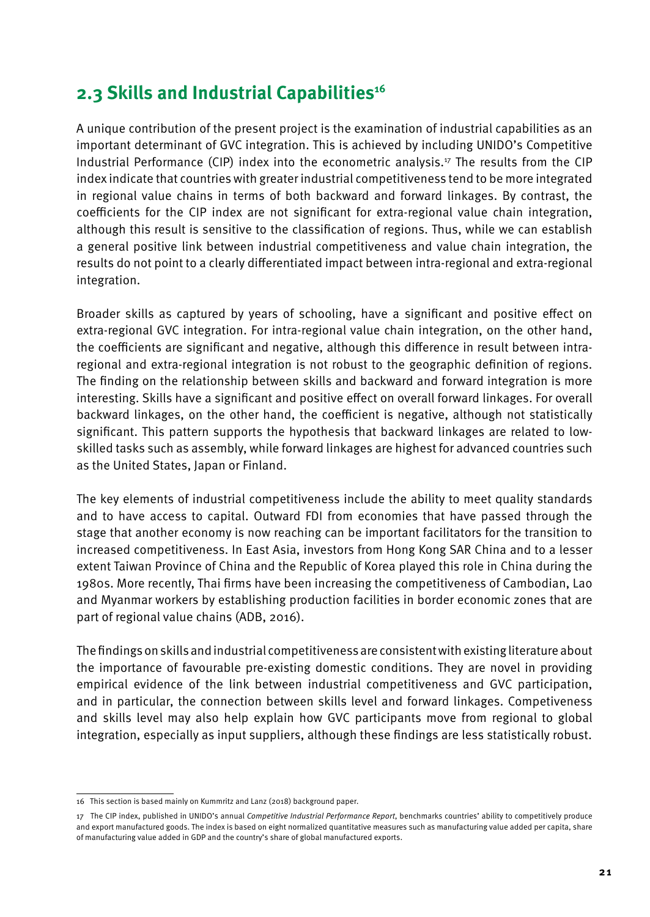# **2.3 Skills and Industrial Capabilities<sup>16</sup>**

A unique contribution of the present project is the examination of industrial capabilities as an important determinant of GVC integration. This is achieved by including UNIDO's Competitive Industrial Performance (CIP) index into the econometric analysis.17 The results from the CIP index indicate that countries with greater industrial competitiveness tend to be more integrated in regional value chains in terms of both backward and forward linkages. By contrast, the coefficients for the CIP index are not significant for extra-regional value chain integration, although this result is sensitive to the classification of regions. Thus, while we can establish a general positive link between industrial competitiveness and value chain integration, the results do not point to a clearly differentiated impact between intra-regional and extra-regional integration.

Broader skills as captured by years of schooling, have a significant and positive effect on extra-regional GVC integration. For intra-regional value chain integration, on the other hand, the coefficients are significant and negative, although this difference in result between intraregional and extra-regional integration is not robust to the geographic definition of regions. The finding on the relationship between skills and backward and forward integration is more interesting. Skills have a significant and positive effect on overall forward linkages. For overall backward linkages, on the other hand, the coefficient is negative, although not statistically significant. This pattern supports the hypothesis that backward linkages are related to lowskilled tasks such as assembly, while forward linkages are highest for advanced countries such as the United States, Japan or Finland.

The key elements of industrial competitiveness include the ability to meet quality standards and to have access to capital. Outward FDI from economies that have passed through the stage that another economy is now reaching can be important facilitators for the transition to increased competitiveness. In East Asia, investors from Hong Kong SAR China and to a lesser extent Taiwan Province of China and the Republic of Korea played this role in China during the 1980s. More recently, Thai firms have been increasing the competitiveness of Cambodian, Lao and Myanmar workers by establishing production facilities in border economic zones that are part of regional value chains (ADB, 2016).

The findings on skills and industrial competitiveness are consistent with existing literature about the importance of favourable pre-existing domestic conditions. They are novel in providing empirical evidence of the link between industrial competitiveness and GVC participation, and in particular, the connection between skills level and forward linkages. Competiveness and skills level may also help explain how GVC participants move from regional to global integration, especially as input suppliers, although these findings are less statistically robust.

<sup>16</sup> This section is based mainly on Kummritz and Lanz (2018) background paper.

<sup>17</sup> The CIP index, published in UNIDO's annual *Competitive Industrial Performance Report*, benchmarks countries' ability to competitively produce and export manufactured goods. The index is based on eight normalized quantitative measures such as manufacturing value added per capita, share of manufacturing value added in GDP and the country's share of global manufactured exports.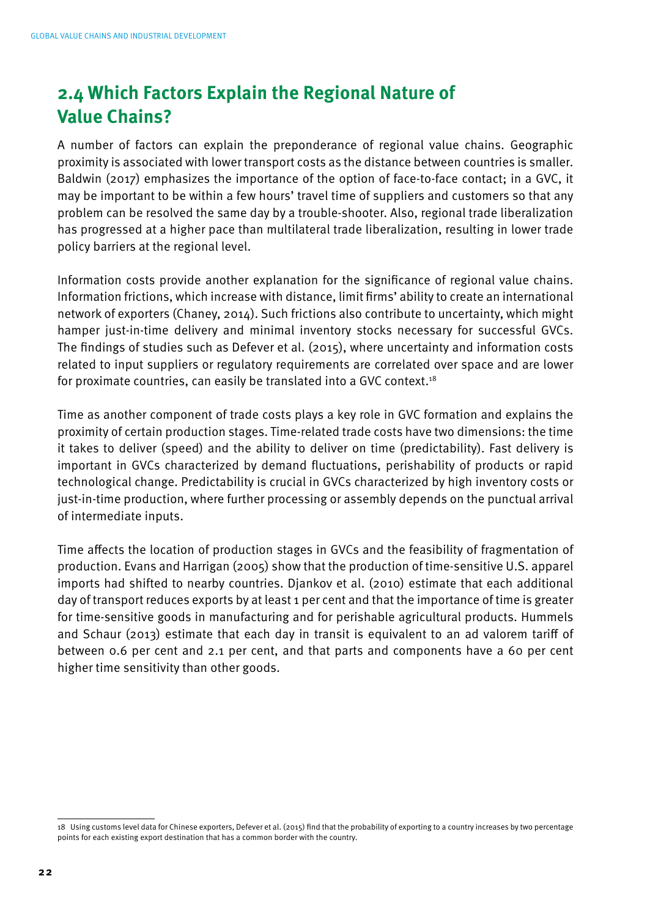# **2.4 Which Factors Explain the Regional Nature of Value Chains?**

A number of factors can explain the preponderance of regional value chains. Geographic proximity is associated with lower transport costs as the distance between countries is smaller. Baldwin (2017) emphasizes the importance of the option of face-to-face contact; in a GVC, it may be important to be within a few hours' travel time of suppliers and customers so that any problem can be resolved the same day by a trouble-shooter. Also, regional trade liberalization has progressed at a higher pace than multilateral trade liberalization, resulting in lower trade policy barriers at the regional level.

Information costs provide another explanation for the significance of regional value chains. Information frictions, which increase with distance, limit firms' ability to create an international network of exporters (Chaney, 2014). Such frictions also contribute to uncertainty, which might hamper just-in-time delivery and minimal inventory stocks necessary for successful GVCs. The findings of studies such as Defever et al. (2015), where uncertainty and information costs related to input suppliers or regulatory requirements are correlated over space and are lower for proximate countries, can easily be translated into a GVC context.18

Time as another component of trade costs plays a key role in GVC formation and explains the proximity of certain production stages. Time-related trade costs have two dimensions: the time it takes to deliver (speed) and the ability to deliver on time (predictability). Fast delivery is important in GVCs characterized by demand fluctuations, perishability of products or rapid technological change. Predictability is crucial in GVCs characterized by high inventory costs or just-in-time production, where further processing or assembly depends on the punctual arrival of intermediate inputs.

Time affects the location of production stages in GVCs and the feasibility of fragmentation of production. Evans and Harrigan (2005) show that the production of time-sensitive U.S. apparel imports had shifted to nearby countries. Djankov et al. (2010) estimate that each additional day of transport reduces exports by at least 1 per cent and that the importance of time is greater for time-sensitive goods in manufacturing and for perishable agricultural products. Hummels and Schaur (2013) estimate that each day in transit is equivalent to an ad valorem tariff of between 0.6 per cent and 2.1 per cent, and that parts and components have a 60 per cent higher time sensitivity than other goods.

<sup>18</sup> Using customs level data for Chinese exporters, Defever et al. (2015) find that the probability of exporting to a country increases by two percentage points for each existing export destination that has a common border with the country.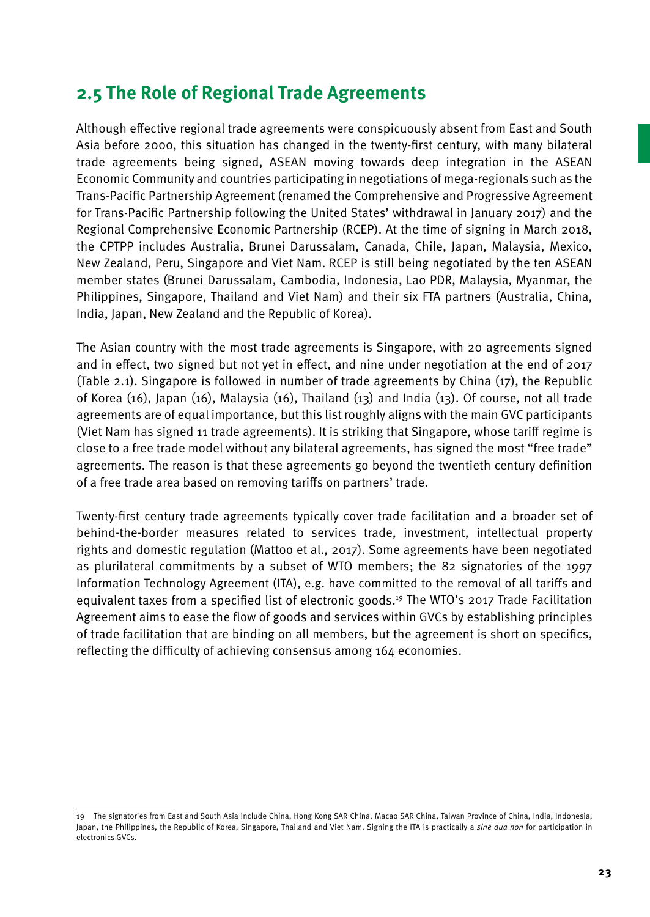# **2.5 The Role of Regional Trade Agreements**

Although effective regional trade agreements were conspicuously absent from East and South Asia before 2000, this situation has changed in the twenty-first century, with many bilateral trade agreements being signed, ASEAN moving towards deep integration in the ASEAN Economic Community and countries participating in negotiations of mega-regionals such as the Trans-Pacific Partnership Agreement (renamed the Comprehensive and Progressive Agreement for Trans-Pacific Partnership following the United States' withdrawal in January 2017) and the Regional Comprehensive Economic Partnership (RCEP). At the time of signing in March 2018, the CPTPP includes Australia, Brunei Darussalam, Canada, Chile, Japan, Malaysia, Mexico, New Zealand, Peru, Singapore and Viet Nam. RCEP is still being negotiated by the ten ASEAN member states (Brunei Darussalam, Cambodia, Indonesia, Lao PDR, Malaysia, Myanmar, the Philippines, Singapore, Thailand and Viet Nam) and their six FTA partners (Australia, China, India, Japan, New Zealand and the Republic of Korea).

The Asian country with the most trade agreements is Singapore, with 20 agreements signed and in effect, two signed but not yet in effect, and nine under negotiation at the end of 2017 (Table 2.1). Singapore is followed in number of trade agreements by China (17), the Republic of Korea (16), Japan (16), Malaysia (16), Thailand (13) and India (13). Of course, not all trade agreements are of equal importance, but this list roughly aligns with the main GVC participants (Viet Nam has signed 11 trade agreements). It is striking that Singapore, whose tariff regime is close to a free trade model without any bilateral agreements, has signed the most "free trade" agreements. The reason is that these agreements go beyond the twentieth century definition of a free trade area based on removing tariffs on partners' trade.

Twenty-first century trade agreements typically cover trade facilitation and a broader set of behind-the-border measures related to services trade, investment, intellectual property rights and domestic regulation (Mattoo et al., 2017). Some agreements have been negotiated as plurilateral commitments by a subset of WTO members; the 82 signatories of the 1997 Information Technology Agreement (ITA), e.g. have committed to the removal of all tariffs and equivalent taxes from a specified list of electronic goods.19 The WTO's 2017 Trade Facilitation Agreement aims to ease the flow of goods and services within GVCs by establishing principles of trade facilitation that are binding on all members, but the agreement is short on specifics, reflecting the difficulty of achieving consensus among 164 economies.

<sup>19</sup> The signatories from East and South Asia include China, Hong Kong SAR China, Macao SAR China, Taiwan Province of China, India, Indonesia, Japan, the Philippines, the Republic of Korea, Singapore, Thailand and Viet Nam. Signing the ITA is practically a *sine qua non* for participation in electronics GVCs.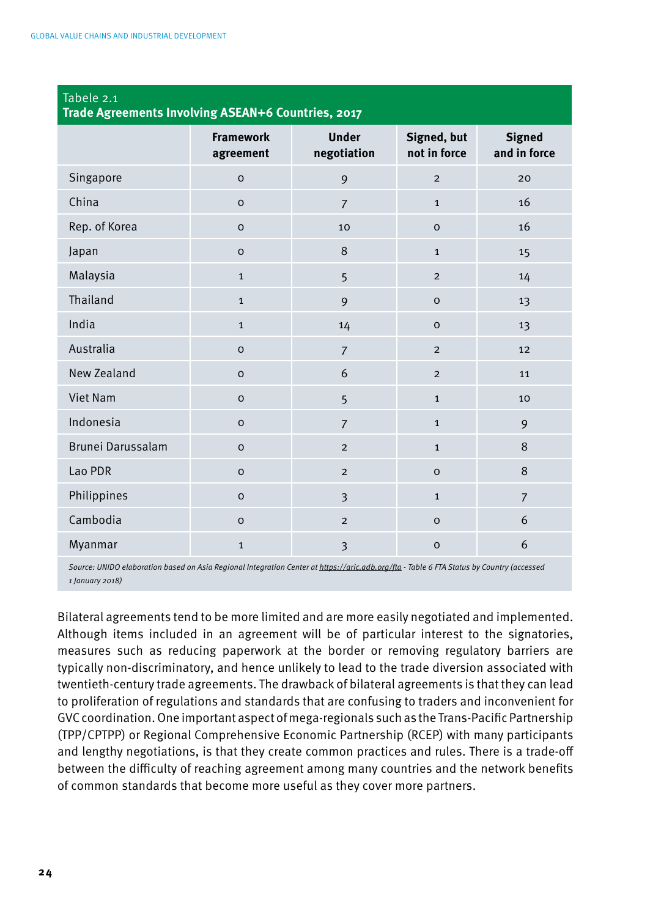| Tabele 2.1<br>Trade Agreements Involving ASEAN+6 Countries, 2017 |                               |                             |                             |                               |  |
|------------------------------------------------------------------|-------------------------------|-----------------------------|-----------------------------|-------------------------------|--|
|                                                                  | <b>Framework</b><br>agreement | <b>Under</b><br>negotiation | Signed, but<br>not in force | <b>Signed</b><br>and in force |  |
| Singapore                                                        | $\mathsf{o}$                  | 9                           | $\overline{2}$              | 20                            |  |
| China                                                            | $\circ$                       | $\overline{7}$              | $\mathbf{1}$                | 16                            |  |
| Rep. of Korea                                                    | $\circ$                       | 10                          | $\mathsf{o}$                | 16                            |  |
| Japan                                                            | $\circ$                       | 8                           | $\mathbf{1}$                | 15                            |  |
| Malaysia                                                         | $\mathbf 1$                   | 5                           | $\overline{2}$              | 14                            |  |
| Thailand                                                         | $\mathbf 1$                   | 9                           | $\circ$                     | 13                            |  |
| India                                                            | $\mathbf{1}$                  | 14                          | $\mathsf{o}$                | 13                            |  |
| Australia                                                        | $\circ$                       | $\overline{7}$              | $\overline{2}$              | 12                            |  |
| New Zealand                                                      | $\circ$                       | 6                           | $\overline{2}$              | 11                            |  |
| Viet Nam                                                         | $\circ$                       | 5                           | $\mathbf{1}$                | 10                            |  |
| Indonesia                                                        | $\circ$                       | $\overline{7}$              | $\mathbf{1}$                | 9                             |  |
| Brunei Darussalam                                                | $\circ$                       | $\overline{2}$              | $\mathbf{1}$                | 8                             |  |
| Lao PDR                                                          | $\mathbf 0$                   | $\overline{2}$              | $\mathsf{o}$                | 8                             |  |
| Philippines                                                      | $\circ$                       | $\overline{3}$              | $\mathbf{1}$                | $\overline{7}$                |  |
| Cambodia                                                         | $\mathsf{o}$                  | $\overline{2}$              | $\mathsf{o}$                | 6                             |  |
| Myanmar                                                          | $\mathbf{1}$                  | $\overline{3}$              | $\circ$                     | 6                             |  |

*Source: UNIDO elaboration based on Asia Regional Integration Center at https://aric.adb.org/fta - Table 6 FTA Status by Country (accessed 1 January 2018)*

Bilateral agreements tend to be more limited and are more easily negotiated and implemented. Although items included in an agreement will be of particular interest to the signatories, measures such as reducing paperwork at the border or removing regulatory barriers are typically non-discriminatory, and hence unlikely to lead to the trade diversion associated with twentieth-century trade agreements. The drawback of bilateral agreements is that they can lead to proliferation of regulations and standards that are confusing to traders and inconvenient for GVC coordination. One important aspect of mega-regionals such as the Trans-Pacific Partnership (TPP/CPTPP) or Regional Comprehensive Economic Partnership (RCEP) with many participants and lengthy negotiations, is that they create common practices and rules. There is a trade-off between the difficulty of reaching agreement among many countries and the network benefits of common standards that become more useful as they cover more partners.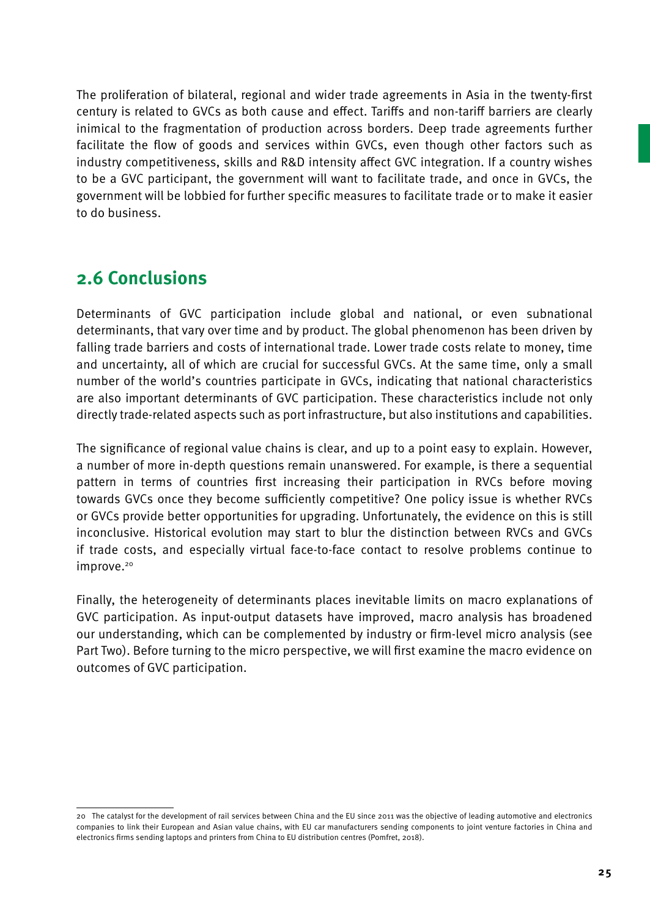The proliferation of bilateral, regional and wider trade agreements in Asia in the twenty-first century is related to GVCs as both cause and effect. Tariffs and non-tariff barriers are clearly inimical to the fragmentation of production across borders. Deep trade agreements further facilitate the flow of goods and services within GVCs, even though other factors such as industry competitiveness, skills and R&D intensity affect GVC integration. If a country wishes to be a GVC participant, the government will want to facilitate trade, and once in GVCs, the government will be lobbied for further specific measures to facilitate trade or to make it easier to do business.

## **2.6 Conclusions**

Determinants of GVC participation include global and national, or even subnational determinants, that vary over time and by product. The global phenomenon has been driven by falling trade barriers and costs of international trade. Lower trade costs relate to money, time and uncertainty, all of which are crucial for successful GVCs. At the same time, only a small number of the world's countries participate in GVCs, indicating that national characteristics are also important determinants of GVC participation. These characteristics include not only directly trade-related aspects such as port infrastructure, but also institutions and capabilities.

The significance of regional value chains is clear, and up to a point easy to explain. However, a number of more in-depth questions remain unanswered. For example, is there a sequential pattern in terms of countries first increasing their participation in RVCs before moving towards GVCs once they become sufficiently competitive? One policy issue is whether RVCs or GVCs provide better opportunities for upgrading. Unfortunately, the evidence on this is still inconclusive. Historical evolution may start to blur the distinction between RVCs and GVCs if trade costs, and especially virtual face-to-face contact to resolve problems continue to improve.<sup>20</sup>

Finally, the heterogeneity of determinants places inevitable limits on macro explanations of GVC participation. As input-output datasets have improved, macro analysis has broadened our understanding, which can be complemented by industry or firm-level micro analysis (see Part Two). Before turning to the micro perspective, we will first examine the macro evidence on outcomes of GVC participation.

<sup>20</sup> The catalyst for the development of rail services between China and the EU since 2011 was the objective of leading automotive and electronics companies to link their European and Asian value chains, with EU car manufacturers sending components to joint venture factories in China and electronics firms sending laptops and printers from China to EU distribution centres (Pomfret, 2018).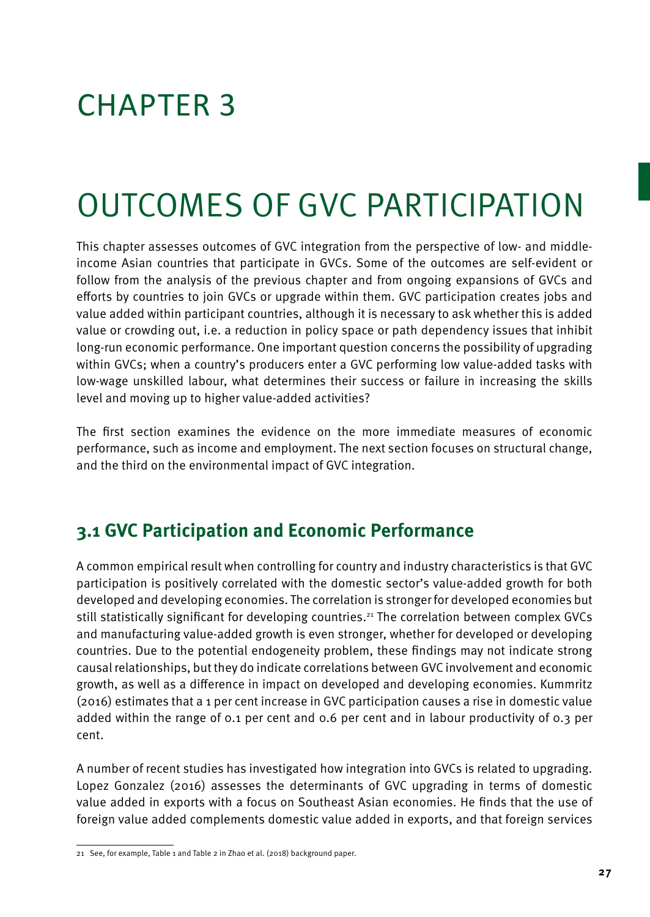# CHAPTER 3

# Outcomes of GVC Participation

This chapter assesses outcomes of GVC integration from the perspective of low- and middleincome Asian countries that participate in GVCs. Some of the outcomes are self-evident or follow from the analysis of the previous chapter and from ongoing expansions of GVCs and efforts by countries to join GVCs or upgrade within them. GVC participation creates jobs and value added within participant countries, although it is necessary to ask whether this is added value or crowding out, i.e. a reduction in policy space or path dependency issues that inhibit long-run economic performance. One important question concerns the possibility of upgrading within GVCs; when a country's producers enter a GVC performing low value-added tasks with low-wage unskilled labour, what determines their success or failure in increasing the skills level and moving up to higher value-added activities?

The first section examines the evidence on the more immediate measures of economic performance, such as income and employment. The next section focuses on structural change, and the third on the environmental impact of GVC integration.

# **3.1 GVC Participation and Economic Performance**

A common empirical result when controlling for country and industry characteristics is that GVC participation is positively correlated with the domestic sector's value-added growth for both developed and developing economies. The correlation is stronger for developed economies but still statistically significant for developing countries.21 The correlation between complex GVCs and manufacturing value-added growth is even stronger, whether for developed or developing countries. Due to the potential endogeneity problem, these findings may not indicate strong causal relationships, but they do indicate correlations between GVC involvement and economic growth, as well as a difference in impact on developed and developing economies. Kummritz (2016) estimates that a 1 per cent increase in GVC participation causes a rise in domestic value added within the range of 0.1 per cent and 0.6 per cent and in labour productivity of 0.3 per cent.

A number of recent studies has investigated how integration into GVCs is related to upgrading. Lopez Gonzalez (2016) assesses the determinants of GVC upgrading in terms of domestic value added in exports with a focus on Southeast Asian economies. He finds that the use of foreign value added complements domestic value added in exports, and that foreign services

<sup>21</sup> See, for example, Table 1 and Table 2 in Zhao et al. (2018) background paper.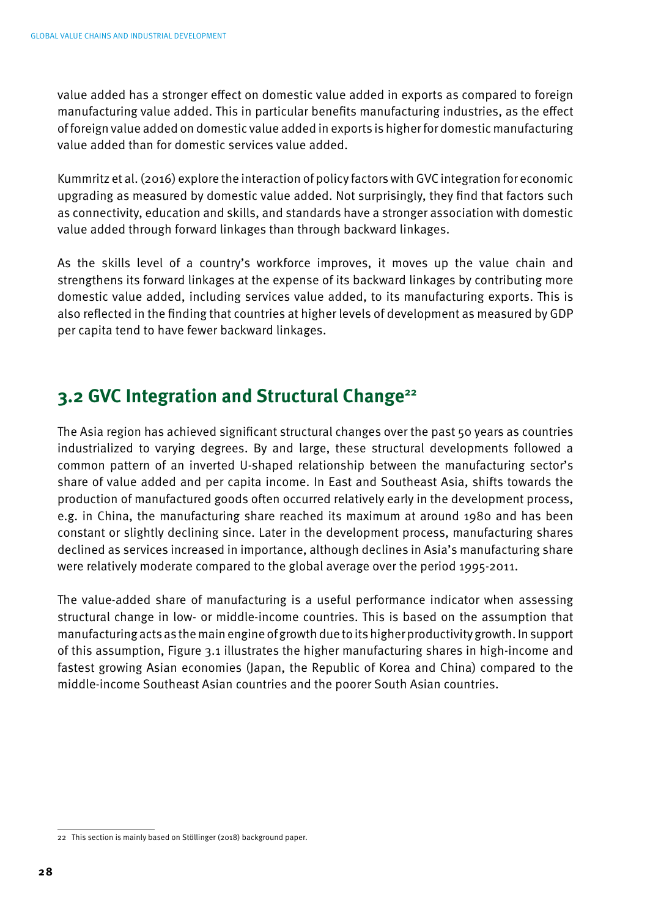value added has a stronger effect on domestic value added in exports as compared to foreign manufacturing value added. This in particular benefits manufacturing industries, as the effect of foreign value added on domestic value added in exports is higher for domestic manufacturing value added than for domestic services value added.

Kummritz et al. (2016) explore the interaction of policy factors with GVC integration for economic upgrading as measured by domestic value added. Not surprisingly, they find that factors such as connectivity, education and skills, and standards have a stronger association with domestic value added through forward linkages than through backward linkages.

As the skills level of a country's workforce improves, it moves up the value chain and strengthens its forward linkages at the expense of its backward linkages by contributing more domestic value added, including services value added, to its manufacturing exports. This is also reflected in the finding that countries at higher levels of development as measured by GDP per capita tend to have fewer backward linkages.

## **3.2 GVC Integration and Structural Change22**

The Asia region has achieved significant structural changes over the past 50 years as countries industrialized to varying degrees. By and large, these structural developments followed a common pattern of an inverted U-shaped relationship between the manufacturing sector's share of value added and per capita income. In East and Southeast Asia, shifts towards the production of manufactured goods often occurred relatively early in the development process, e.g. in China, the manufacturing share reached its maximum at around 1980 and has been constant or slightly declining since. Later in the development process, manufacturing shares declined as services increased in importance, although declines in Asia's manufacturing share were relatively moderate compared to the global average over the period 1995-2011.

The value-added share of manufacturing is a useful performance indicator when assessing structural change in low- or middle-income countries. This is based on the assumption that manufacturing acts as the main engine of growth due to its higher productivity growth. In support of this assumption, Figure 3.1 illustrates the higher manufacturing shares in high-income and fastest growing Asian economies (Japan, the Republic of Korea and China) compared to the middle-income Southeast Asian countries and the poorer South Asian countries.

<sup>22</sup> This section is mainly based on Stöllinger (2018) background paper.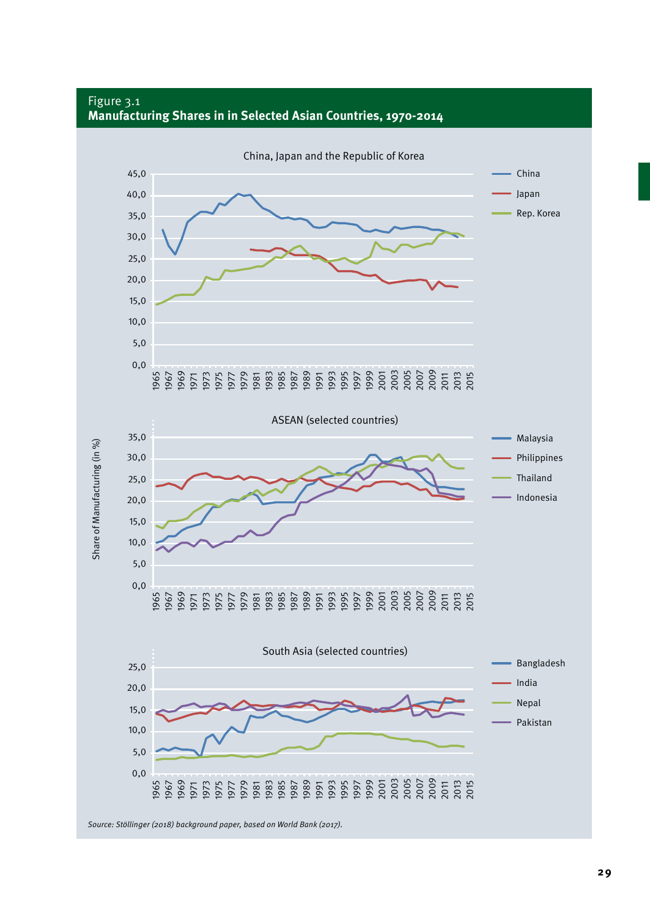#### Figure 3.1 **Manufacturing Shares in in Selected Asian Countries, 1970-2014**

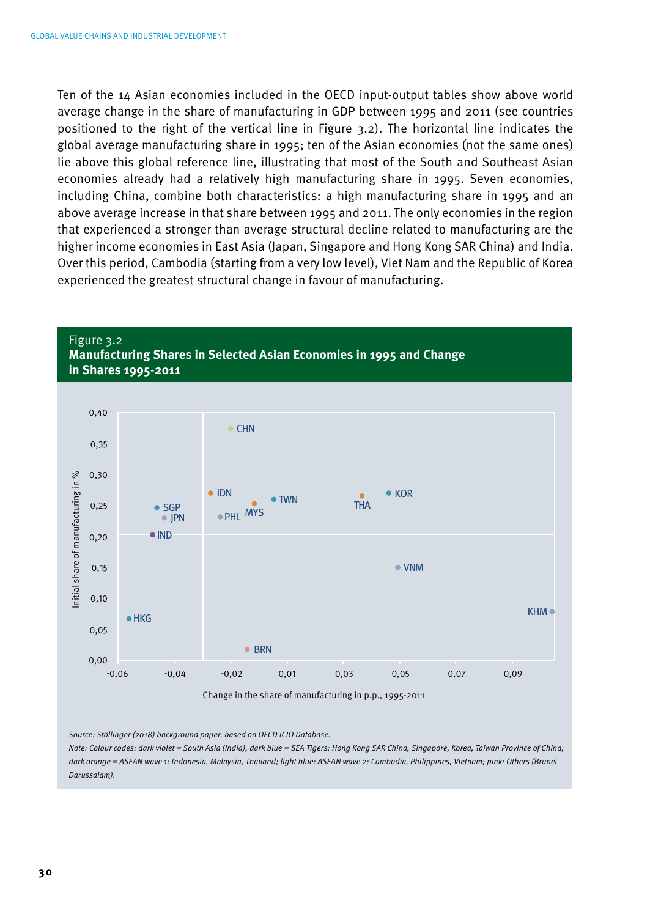Ten of the 14 Asian economies included in the OECD input-output tables show above world average change in the share of manufacturing in GDP between 1995 and 2011 (see countries positioned to the right of the vertical line in Figure 3.2). The horizontal line indicates the global average manufacturing share in 1995; ten of the Asian economies (not the same ones) lie above this global reference line, illustrating that most of the South and Southeast Asian economies already had a relatively high manufacturing share in 1995. Seven economies, including China, combine both characteristics: a high manufacturing share in 1995 and an above average increase in that share between 1995 and 2011. The only economies in the region that experienced a stronger than average structural decline related to manufacturing are the higher income economies in East Asia (Japan, Singapore and Hong Kong SAR China) and India. Over this period, Cambodia (starting from a very low level), Viet Nam and the Republic of Korea experienced the greatest structural change in favour of manufacturing.





*Source: Stöllinger (2018) background paper, based on OECD ICIO Database.*

*Note: Colour codes: dark violet = South Asia (India), dark blue = SEA Tigers: Hong Kong SAR China, Singapore, Korea, Taiwan Province of China; dark orange = ASEAN wave 1: Indonesia, Malaysia, Thailand; light blue: ASEAN wave 2: Cambodia, Philippines, Vietnam; pink: Others (Brunei Darussalam).*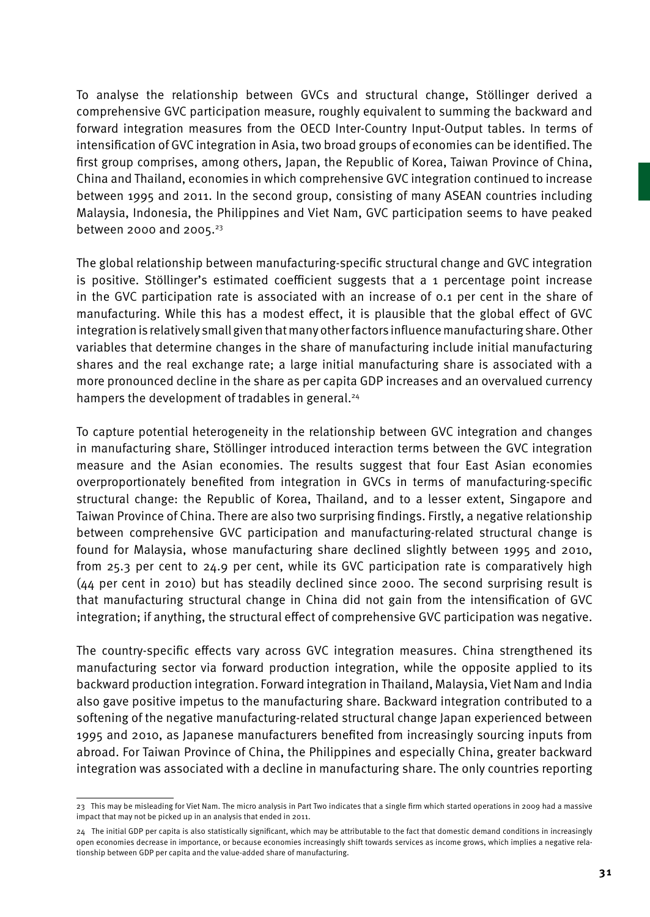To analyse the relationship between GVCs and structural change, Stöllinger derived a comprehensive GVC participation measure, roughly equivalent to summing the backward and forward integration measures from the OECD Inter-Country Input-Output tables. In terms of intensification of GVC integration in Asia, two broad groups of economies can be identified. The first group comprises, among others, Japan, the Republic of Korea, Taiwan Province of China, China and Thailand, economies in which comprehensive GVC integration continued to increase between 1995 and 2011. In the second group, consisting of many ASEAN countries including Malaysia, Indonesia, the Philippines and Viet Nam, GVC participation seems to have peaked between 2000 and 2005.<sup>23</sup>

The global relationship between manufacturing-specific structural change and GVC integration is positive. Stöllinger's estimated coefficient suggests that a 1 percentage point increase in the GVC participation rate is associated with an increase of 0.1 per cent in the share of manufacturing. While this has a modest effect, it is plausible that the global effect of GVC integration is relatively small given that many other factors influence manufacturing share. Other variables that determine changes in the share of manufacturing include initial manufacturing shares and the real exchange rate; a large initial manufacturing share is associated with a more pronounced decline in the share as per capita GDP increases and an overvalued currency hampers the development of tradables in general.<sup>24</sup>

To capture potential heterogeneity in the relationship between GVC integration and changes in manufacturing share, Stöllinger introduced interaction terms between the GVC integration measure and the Asian economies. The results suggest that four East Asian economies overproportionately benefited from integration in GVCs in terms of manufacturing-specific structural change: the Republic of Korea, Thailand, and to a lesser extent, Singapore and Taiwan Province of China. There are also two surprising findings. Firstly, a negative relationship between comprehensive GVC participation and manufacturing-related structural change is found for Malaysia, whose manufacturing share declined slightly between 1995 and 2010, from 25.3 per cent to 24.9 per cent, while its GVC participation rate is comparatively high (44 per cent in 2010) but has steadily declined since 2000. The second surprising result is that manufacturing structural change in China did not gain from the intensification of GVC integration; if anything, the structural effect of comprehensive GVC participation was negative.

The country-specific effects vary across GVC integration measures. China strengthened its manufacturing sector via forward production integration, while the opposite applied to its backward production integration. Forward integration in Thailand, Malaysia, Viet Nam and India also gave positive impetus to the manufacturing share. Backward integration contributed to a softening of the negative manufacturing-related structural change Japan experienced between 1995 and 2010, as Japanese manufacturers benefited from increasingly sourcing inputs from abroad. For Taiwan Province of China, the Philippines and especially China, greater backward integration was associated with a decline in manufacturing share. The only countries reporting

<sup>23</sup> This may be misleading for Viet Nam. The micro analysis in Part Two indicates that a single firm which started operations in 2009 had a massive impact that may not be picked up in an analysis that ended in 2011.

<sup>24</sup> The initial GDP per capita is also statistically significant, which may be attributable to the fact that domestic demand conditions in increasingly open economies decrease in importance, or because economies increasingly shift towards services as income grows, which implies a negative relationship between GDP per capita and the value-added share of manufacturing.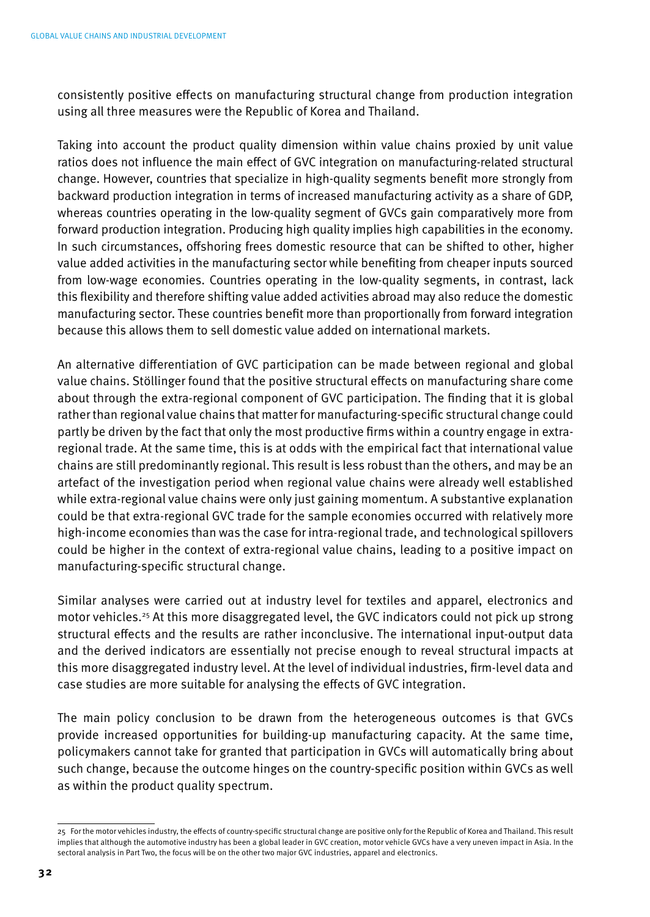consistently positive effects on manufacturing structural change from production integration using all three measures were the Republic of Korea and Thailand.

Taking into account the product quality dimension within value chains proxied by unit value ratios does not influence the main effect of GVC integration on manufacturing-related structural change. However, countries that specialize in high-quality segments benefit more strongly from backward production integration in terms of increased manufacturing activity as a share of GDP, whereas countries operating in the low-quality segment of GVCs gain comparatively more from forward production integration. Producing high quality implies high capabilities in the economy. In such circumstances, offshoring frees domestic resource that can be shifted to other, higher value added activities in the manufacturing sector while benefiting from cheaper inputs sourced from low-wage economies. Countries operating in the low-quality segments, in contrast, lack this flexibility and therefore shifting value added activities abroad may also reduce the domestic manufacturing sector. These countries benefit more than proportionally from forward integration because this allows them to sell domestic value added on international markets.

An alternative differentiation of GVC participation can be made between regional and global value chains. Stöllinger found that the positive structural effects on manufacturing share come about through the extra-regional component of GVC participation. The finding that it is global rather than regional value chains that matter for manufacturing-specific structural change could partly be driven by the fact that only the most productive firms within a country engage in extraregional trade. At the same time, this is at odds with the empirical fact that international value chains are still predominantly regional. This result is less robust than the others, and may be an artefact of the investigation period when regional value chains were already well established while extra-regional value chains were only just gaining momentum. A substantive explanation could be that extra-regional GVC trade for the sample economies occurred with relatively more high-income economies than was the case for intra-regional trade, and technological spillovers could be higher in the context of extra-regional value chains, leading to a positive impact on manufacturing-specific structural change.

Similar analyses were carried out at industry level for textiles and apparel, electronics and motor vehicles.25 At this more disaggregated level, the GVC indicators could not pick up strong structural effects and the results are rather inconclusive. The international input-output data and the derived indicators are essentially not precise enough to reveal structural impacts at this more disaggregated industry level. At the level of individual industries, firm-level data and case studies are more suitable for analysing the effects of GVC integration.

The main policy conclusion to be drawn from the heterogeneous outcomes is that GVCs provide increased opportunities for building-up manufacturing capacity. At the same time, policymakers cannot take for granted that participation in GVCs will automatically bring about such change, because the outcome hinges on the country-specific position within GVCs as well as within the product quality spectrum.

<sup>25</sup> For the motor vehicles industry, the effects of country-specific structural change are positive only for the Republic of Korea and Thailand. This result implies that although the automotive industry has been a global leader in GVC creation, motor vehicle GVCs have a very uneven impact in Asia. In the sectoral analysis in Part Two, the focus will be on the other two major GVC industries, apparel and electronics.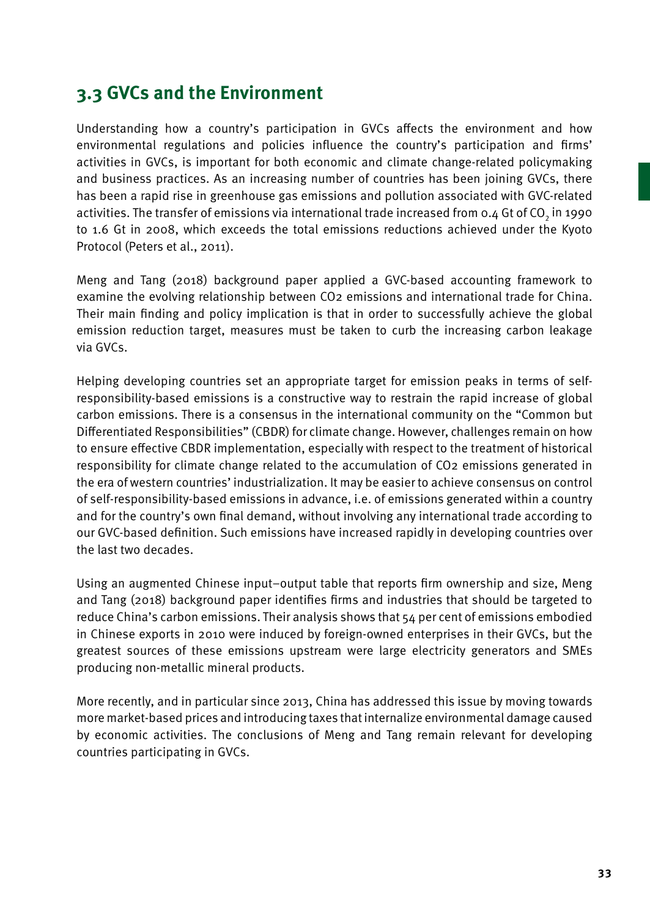# **3.3 GVCs and the Environment**

Understanding how a country's participation in GVCs affects the environment and how environmental regulations and policies influence the country's participation and firms' activities in GVCs, is important for both economic and climate change-related policymaking and business practices. As an increasing number of countries has been joining GVCs, there has been a rapid rise in greenhouse gas emissions and pollution associated with GVC-related activities. The transfer of emissions via international trade increased from 0.4 Gt of CO<sub>2</sub> in 1990 to 1.6 Gt in 2008, which exceeds the total emissions reductions achieved under the Kyoto Protocol (Peters et al., 2011).

Meng and Tang (2018) background paper applied a GVC-based accounting framework to examine the evolving relationship between CO2 emissions and international trade for China. Their main finding and policy implication is that in order to successfully achieve the global emission reduction target, measures must be taken to curb the increasing carbon leakage via GVCs.

Helping developing countries set an appropriate target for emission peaks in terms of selfresponsibility-based emissions is a constructive way to restrain the rapid increase of global carbon emissions. There is a consensus in the international community on the "Common but Differentiated Responsibilities" (CBDR) for climate change. However, challenges remain on how to ensure effective CBDR implementation, especially with respect to the treatment of historical responsibility for climate change related to the accumulation of CO2 emissions generated in the era of western countries' industrialization. It may be easier to achieve consensus on control of self-responsibility-based emissions in advance, i.e. of emissions generated within a country and for the country's own final demand, without involving any international trade according to our GVC-based definition. Such emissions have increased rapidly in developing countries over the last two decades.

Using an augmented Chinese input–output table that reports firm ownership and size, Meng and Tang (2018) background paper identifies firms and industries that should be targeted to reduce China's carbon emissions. Their analysis shows that 54 per cent of emissions embodied in Chinese exports in 2010 were induced by foreign-owned enterprises in their GVCs, but the greatest sources of these emissions upstream were large electricity generators and SMEs producing non-metallic mineral products.

More recently, and in particular since 2013, China has addressed this issue by moving towards more market-based prices and introducing taxes that internalize environmental damage caused by economic activities. The conclusions of Meng and Tang remain relevant for developing countries participating in GVCs.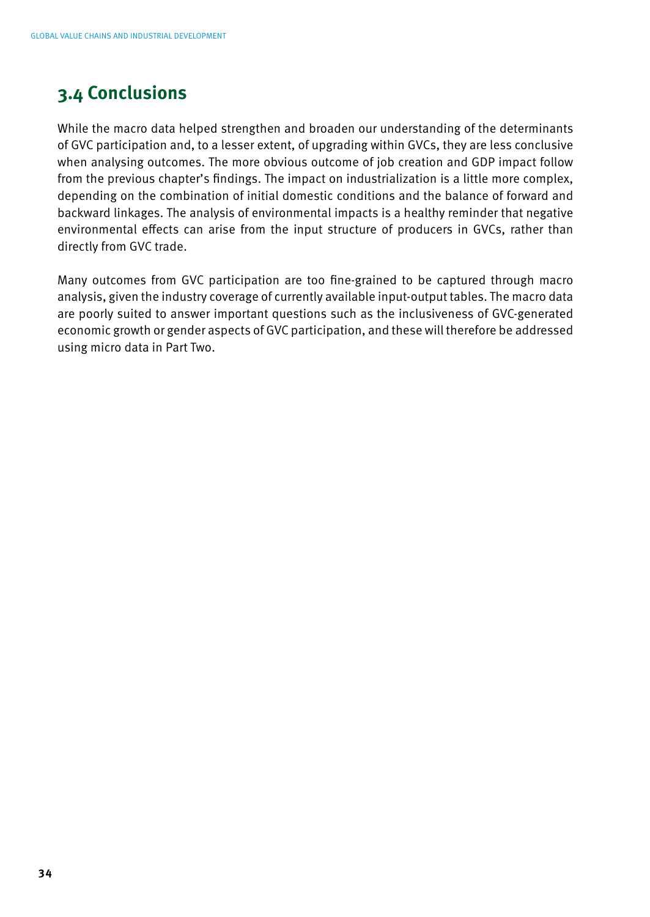## **3.4 Conclusions**

While the macro data helped strengthen and broaden our understanding of the determinants of GVC participation and, to a lesser extent, of upgrading within GVCs, they are less conclusive when analysing outcomes. The more obvious outcome of job creation and GDP impact follow from the previous chapter's findings. The impact on industrialization is a little more complex, depending on the combination of initial domestic conditions and the balance of forward and backward linkages. The analysis of environmental impacts is a healthy reminder that negative environmental effects can arise from the input structure of producers in GVCs, rather than directly from GVC trade.

Many outcomes from GVC participation are too fine-grained to be captured through macro analysis, given the industry coverage of currently available input-output tables. The macro data are poorly suited to answer important questions such as the inclusiveness of GVC-generated economic growth or gender aspects of GVC participation, and these will therefore be addressed using micro data in Part Two.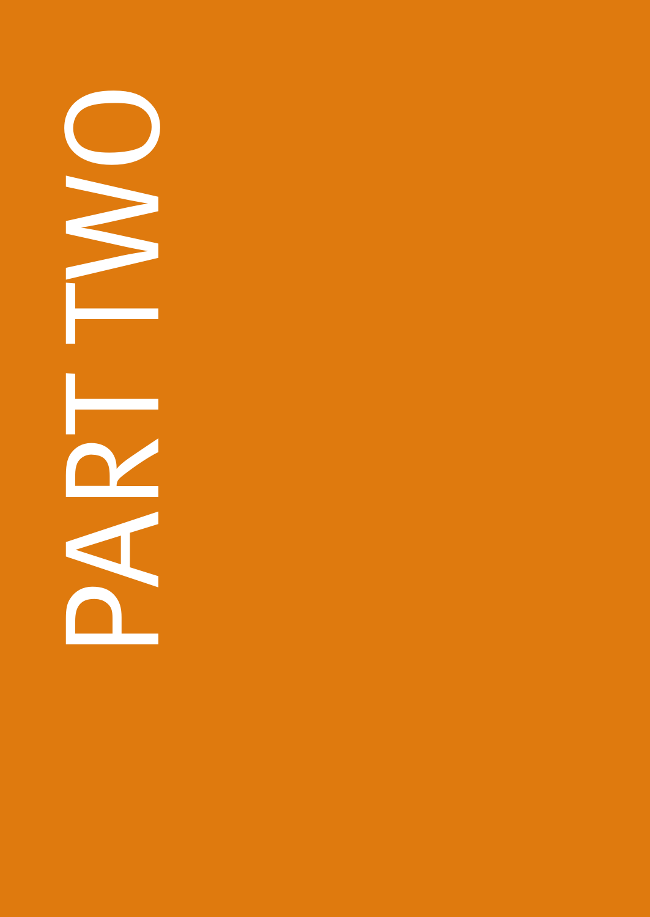PART THE  $\bigcirc$ NH ۳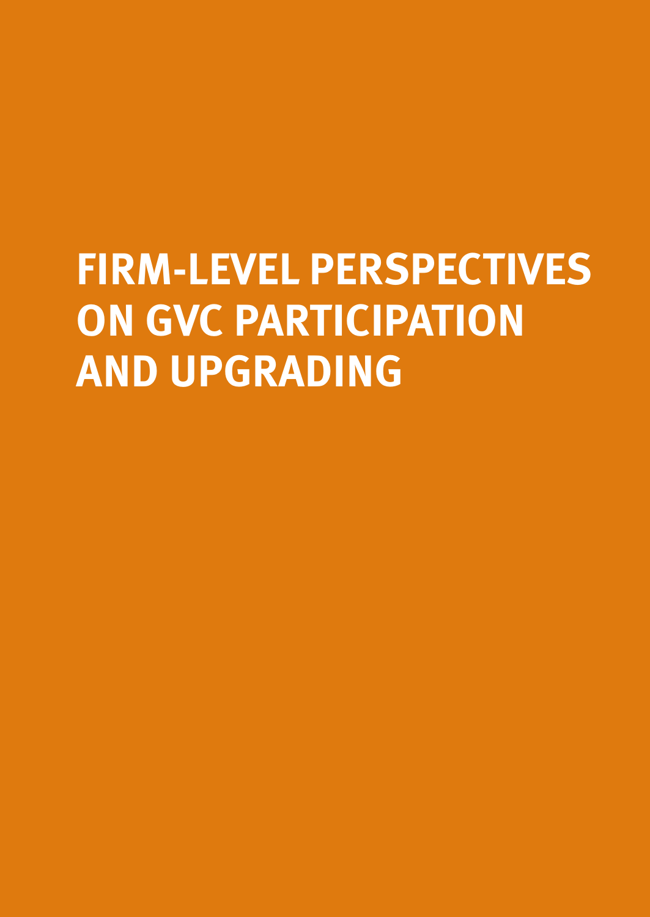# **FIRM-LEVEL PERSPECTIVES ON GVC PARTICIPATION AND UPGRADING**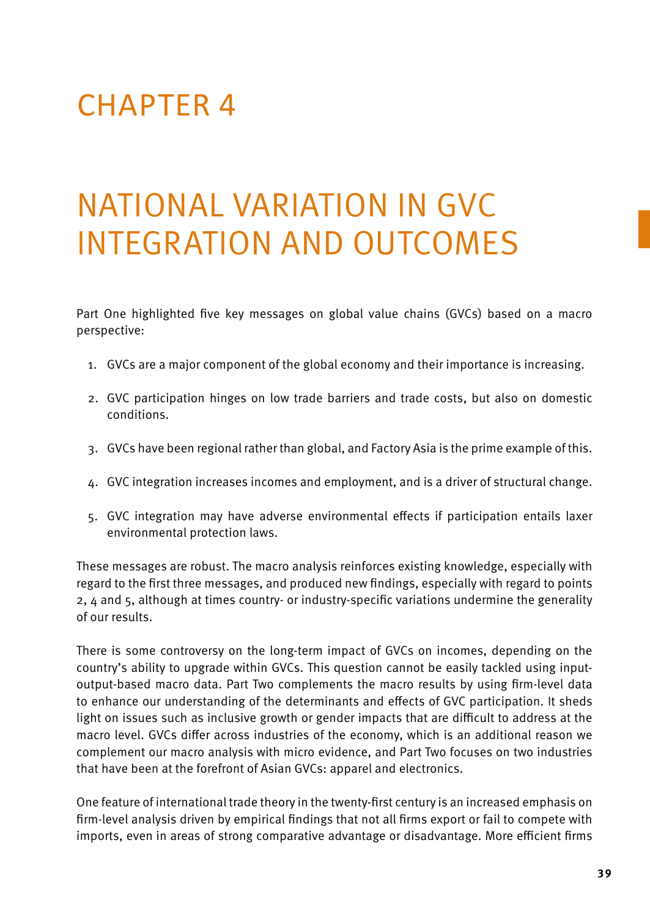# CHAPTER 4

# National Variation in GVC Integration and Outcomes

Part One highlighted five key messages on global value chains (GVCs) based on a macro perspective:

- 1. GVCs are a major component of the global economy and their importance is increasing.
- 2. GVC participation hinges on low trade barriers and trade costs, but also on domestic conditions.
- 3. GVCs have been regional rather than global, and Factory Asia is the prime example of this.
- 4. GVC integration increases incomes and employment, and is a driver of structural change.
- 5. GVC integration may have adverse environmental effects if participation entails laxer environmental protection laws.

These messages are robust. The macro analysis reinforces existing knowledge, especially with regard to the first three messages, and produced new findings, especially with regard to points 2, 4 and 5, although at times country- or industry-specific variations undermine the generality of our results.

There is some controversy on the long-term impact of GVCs on incomes, depending on the country's ability to upgrade within GVCs. This question cannot be easily tackled using inputoutput-based macro data. Part Two complements the macro results by using firm-level data to enhance our understanding of the determinants and effects of GVC participation. It sheds light on issues such as inclusive growth or gender impacts that are difficult to address at the macro level. GVCs differ across industries of the economy, which is an additional reason we complement our macro analysis with micro evidence, and Part Two focuses on two industries that have been at the forefront of Asian GVCs: apparel and electronics.

One feature of international trade theory in the twenty-first century is an increased emphasis on firm-level analysis driven by empirical findings that not all firms export or fail to compete with imports, even in areas of strong comparative advantage or disadvantage. More efficient firms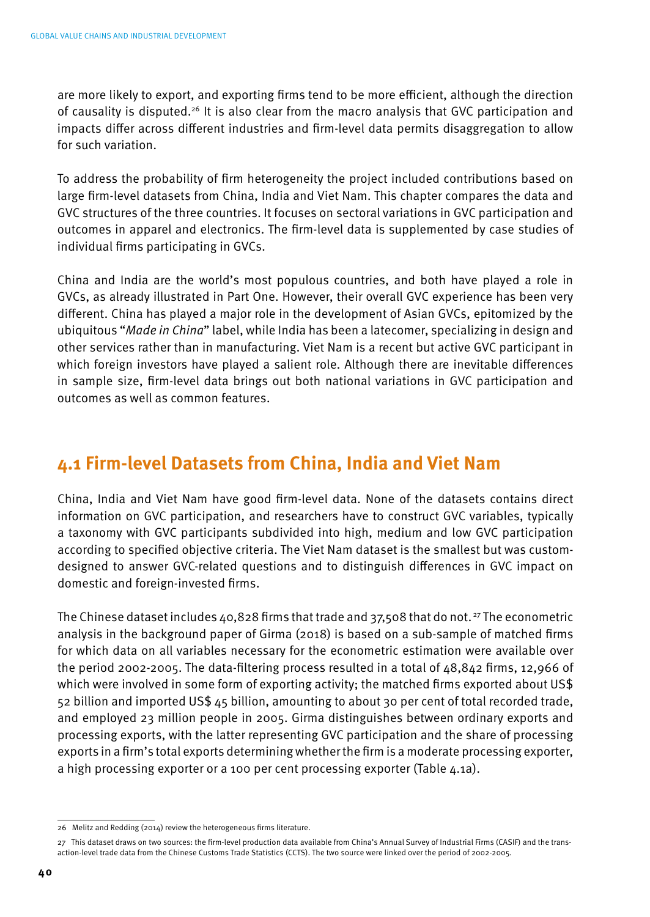are more likely to export, and exporting firms tend to be more efficient, although the direction of causality is disputed.<sup>26</sup> It is also clear from the macro analysis that GVC participation and impacts differ across different industries and firm-level data permits disaggregation to allow for such variation.

To address the probability of firm heterogeneity the project included contributions based on large firm-level datasets from China, India and Viet Nam. This chapter compares the data and GVC structures of the three countries. It focuses on sectoral variations in GVC participation and outcomes in apparel and electronics. The firm-level data is supplemented by case studies of individual firms participating in GVCs.

China and India are the world's most populous countries, and both have played a role in GVCs, as already illustrated in Part One. However, their overall GVC experience has been very different. China has played a major role in the development of Asian GVCs, epitomized by the ubiquitous "*Made in China*" label, while India has been a latecomer, specializing in design and other services rather than in manufacturing. Viet Nam is a recent but active GVC participant in which foreign investors have played a salient role. Although there are inevitable differences in sample size, firm-level data brings out both national variations in GVC participation and outcomes as well as common features.

## **4.1 Firm-level Datasets from China, India and Viet Nam**

China, India and Viet Nam have good firm-level data. None of the datasets contains direct information on GVC participation, and researchers have to construct GVC variables, typically a taxonomy with GVC participants subdivided into high, medium and low GVC participation according to specified objective criteria. The Viet Nam dataset is the smallest but was customdesigned to answer GVC-related questions and to distinguish differences in GVC impact on domestic and foreign-invested firms.

The Chinese dataset includes 40,828 firms that trade and 37,508 that do not. 27 The econometric analysis in the background paper of Girma (2018) is based on a sub-sample of matched firms for which data on all variables necessary for the econometric estimation were available over the period 2002-2005. The data-filtering process resulted in a total of 48,842 firms, 12,966 of which were involved in some form of exporting activity; the matched firms exported about US\$ 52 billion and imported US\$ 45 billion, amounting to about 30 per cent of total recorded trade, and employed 23 million people in 2005. Girma distinguishes between ordinary exports and processing exports, with the latter representing GVC participation and the share of processing exports in a firm's total exports determining whether the firm is a moderate processing exporter, a high processing exporter or a 100 per cent processing exporter (Table 4.1a).

<sup>26</sup> Melitz and Redding (2014) review the heterogeneous firms literature.

<sup>27</sup> This dataset draws on two sources: the firm-level production data available from China's Annual Survey of Industrial Firms (CASIF) and the transaction-level trade data from the Chinese Customs Trade Statistics (CCTS). The two source were linked over the period of 2002-2005.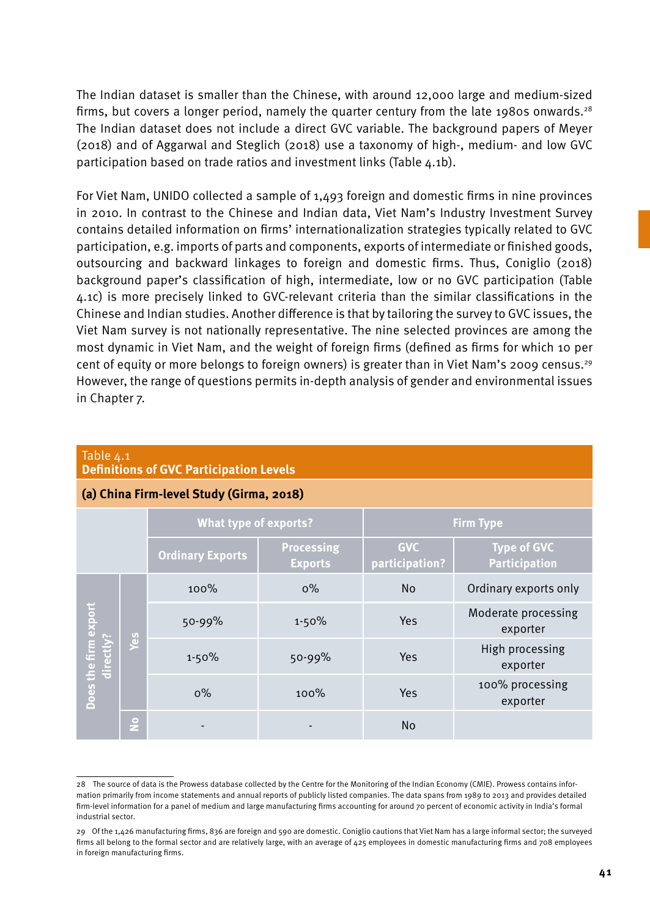The Indian dataset is smaller than the Chinese, with around 12,000 large and medium-sized firms, but covers a longer period, namely the quarter century from the late 1980s onwards.<sup>28</sup> The Indian dataset does not include a direct GVC variable. The background papers of Meyer (2018) and of Aggarwal and Steglich (2018) use a taxonomy of high-, medium- and low GVC participation based on trade ratios and investment links (Table 4.1b).

For Viet Nam, UNIDO collected a sample of 1,493 foreign and domestic firms in nine provinces in 2010. In contrast to the Chinese and Indian data, Viet Nam's Industry Investment Survey contains detailed information on firms' internationalization strategies typically related to GVC participation, e.g. imports of parts and components, exports of intermediate or finished goods, outsourcing and backward linkages to foreign and domestic firms. Thus, Coniglio (2018) background paper's classification of high, intermediate, low or no GVC participation (Table 4.1c) is more precisely linked to GVC-relevant criteria than the similar classifications in the Chinese and Indian studies. Another difference is that by tailoring the survey to GVC issues, the Viet Nam survey is not nationally representative. The nine selected provinces are among the most dynamic in Viet Nam, and the weight of foreign firms (defined as firms for which 10 per cent of equity or more belongs to foreign owners) is greater than in Viet Nam's 2009 census.<sup>29</sup> However, the range of questions permits in-depth analysis of gender and environmental issues in Chapter 7.

| (a) China Firm-level Study (Girma, 2018) |     |                              |                                     |                              |                                            |  |  |
|------------------------------------------|-----|------------------------------|-------------------------------------|------------------------------|--------------------------------------------|--|--|
|                                          |     | <b>What type of exports?</b> |                                     | <b>Firm Type</b>             |                                            |  |  |
|                                          |     | <b>Ordinary Exports</b>      | <b>Processing</b><br><b>Exports</b> | <b>GVC</b><br>participation? | <b>Type of GVC</b><br><b>Participation</b> |  |  |
| Does the firm export<br>directly?        | Say | 100%                         | $0\%$                               | <b>No</b>                    | Ordinary exports only                      |  |  |
|                                          |     | 50-99%                       | $1 - 50%$                           | Yes                          | Moderate processing<br>exporter            |  |  |
|                                          |     | $1 - 50%$                    | $50 - 99%$                          | Yes                          | High processing<br>exporter                |  |  |
|                                          |     | $0\%$                        | 100%                                | Yes                          | 100% processing<br>exporter                |  |  |
|                                          | Le  |                              |                                     | <b>No</b>                    |                                            |  |  |

# **Definitions of GVC Participation Levels**

Table 4.1

<sup>28</sup> The source of data is the Prowess database collected by the Centre for the Monitoring of the Indian Economy (CMIE). Prowess contains information primarily from income statements and annual reports of publicly listed companies. The data spans from 1989 to 2013 and provides detailed firm-level information for a panel of medium and large manufacturing firms accounting for around 70 percent of economic activity in India's formal industrial sector.

<sup>29</sup> Of the 1,426 manufacturing firms, 836 are foreign and 590 are domestic. Coniglio cautions that Viet Nam has a large informal sector; the surveyed firms all belong to the formal sector and are relatively large, with an average of 425 employees in domestic manufacturing firms and 708 employees in foreign manufacturing firms.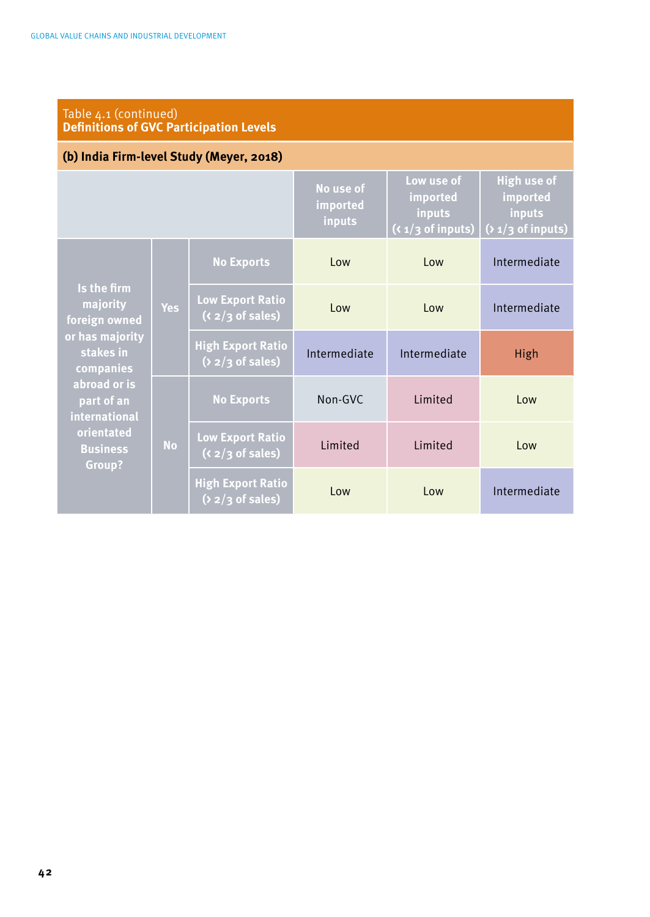| Table 4.1 (continued)<br><b>Definitions of GVC Participation Levels</b>               |            |                                                 |                                 |                                                          |                                                                 |  |
|---------------------------------------------------------------------------------------|------------|-------------------------------------------------|---------------------------------|----------------------------------------------------------|-----------------------------------------------------------------|--|
| (b) India Firm-level Study (Meyer, 2018)                                              |            |                                                 |                                 |                                                          |                                                                 |  |
|                                                                                       |            |                                                 | No use of<br>imported<br>inputs | Low use of<br>imported<br>inputs<br>$(x_1/3)$ of inputs) | <b>High use of</b><br>imported<br>inputs<br>$(21/3)$ of inputs) |  |
| Is the firm<br>majority<br>foreign owned<br>or has majority<br>stakes in<br>companies | <b>Yes</b> | <b>No Exports</b>                               | Low                             | Low                                                      | Intermediate                                                    |  |
|                                                                                       |            | <b>Low Export Ratio</b><br>$(x_2/3$ of sales)   | Low                             | Low                                                      | Intermediate                                                    |  |
|                                                                                       |            | <b>High Export Ratio</b><br>$(2)$ 2/3 of sales) | Intermediate                    | Intermediate                                             | High                                                            |  |
| abroad or is<br>part of an<br>international                                           | <b>No</b>  | <b>No Exports</b>                               | Non-GVC                         | Limited                                                  | Low                                                             |  |
| orientated<br><b>Business</b><br>Group?                                               |            | <b>Low Export Ratio</b><br>$(x_2/3)$ of sales)  | Limited                         | Limited                                                  | Low                                                             |  |
|                                                                                       |            | <b>High Export Ratio</b><br>$(2)$ 2/3 of sales) | Low                             | Low                                                      | Intermediate                                                    |  |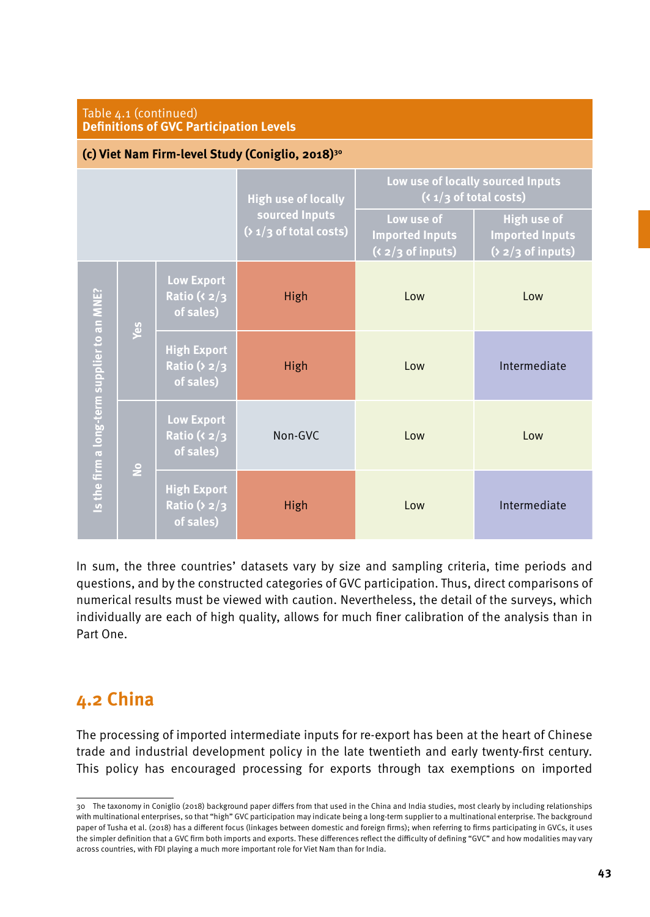| Table 4.1 (continued)<br><b>Definitions of GVC Participation Levels</b> |        |                                                         |                                                                          |                                                                |                                                               |  |
|-------------------------------------------------------------------------|--------|---------------------------------------------------------|--------------------------------------------------------------------------|----------------------------------------------------------------|---------------------------------------------------------------|--|
| (c) Viet Nam Firm-level Study (Coniglio, 2018) <sup>30</sup>            |        |                                                         |                                                                          |                                                                |                                                               |  |
|                                                                         |        |                                                         | <b>High use of locally</b><br>sourced Inputs<br>$(21/3)$ of total costs) | Low use of locally sourced Inputs<br>$(x_1/3)$ of total costs) |                                                               |  |
|                                                                         |        |                                                         |                                                                          | Low use of<br><b>Imported Inputs</b><br>$(x_2/3)$ of inputs)   | High use of<br><b>Imported Inputs</b><br>$(2)$ 2/3 of inputs) |  |
| Is the firm a long-term supplier to an MNE?                             | Yes    | <b>Low Export</b><br>Ratio ( $\langle 2/3$<br>of sales) | High                                                                     | Low                                                            | Low                                                           |  |
|                                                                         |        | <b>High Export</b><br>Ratio ( $2/3$<br>of sales)        | High                                                                     | Low                                                            | Intermediate                                                  |  |
|                                                                         | $\geq$ | <b>Low Export</b><br>Ratio ( $\langle 2/3$<br>of sales) | Non-GVC                                                                  | I ow                                                           | Low                                                           |  |
|                                                                         |        | <b>High Export</b><br>Ratio ( $2/3$<br>of sales)        | High                                                                     | Low                                                            | Intermediate                                                  |  |

In sum, the three countries' datasets vary by size and sampling criteria, time periods and questions, and by the constructed categories of GVC participation. Thus, direct comparisons of numerical results must be viewed with caution. Nevertheless, the detail of the surveys, which individually are each of high quality, allows for much finer calibration of the analysis than in Part One.

# **4.2 China**

The processing of imported intermediate inputs for re-export has been at the heart of Chinese trade and industrial development policy in the late twentieth and early twenty-first century. This policy has encouraged processing for exports through tax exemptions on imported

<sup>30</sup> The taxonomy in Coniglio (2018) background paper differs from that used in the China and India studies, most clearly by including relationships with multinational enterprises, so that "high" GVC participation may indicate being a long-term supplier to a multinational enterprise. The background paper of Tusha et al. (2018) has a different focus (linkages between domestic and foreign firms); when referring to firms participating in GVCs, it uses the simpler definition that a GVC firm both imports and exports. These differences reflect the difficulty of defining "GVC" and how modalities may vary across countries, with FDI playing a much more important role for Viet Nam than for India.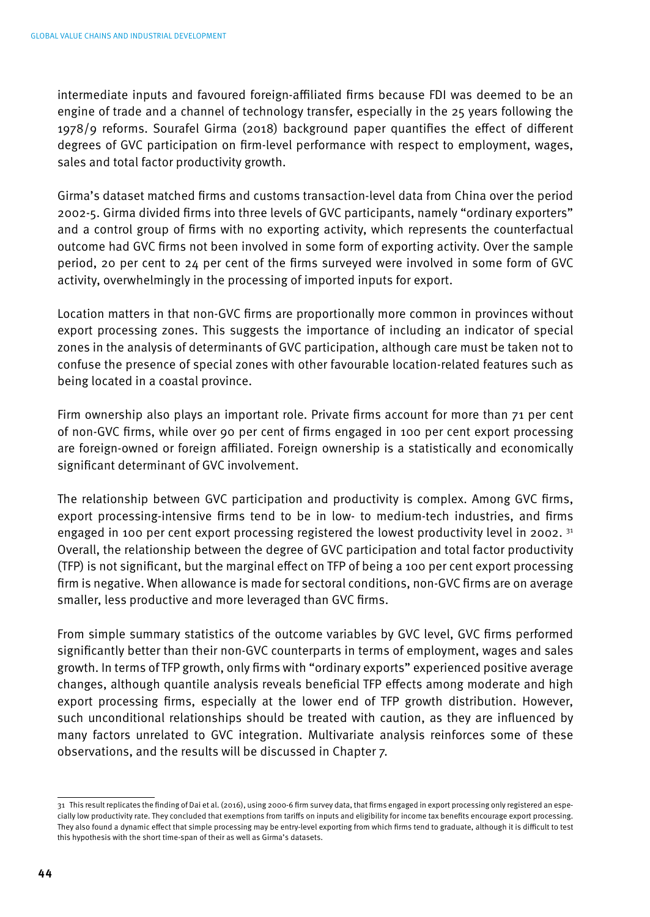intermediate inputs and favoured foreign-affiliated firms because FDI was deemed to be an engine of trade and a channel of technology transfer, especially in the 25 years following the 1978/9 reforms. Sourafel Girma (2018) background paper quantifies the effect of different degrees of GVC participation on firm-level performance with respect to employment, wages, sales and total factor productivity growth.

Girma's dataset matched firms and customs transaction-level data from China over the period 2002-5. Girma divided firms into three levels of GVC participants, namely "ordinary exporters" and a control group of firms with no exporting activity, which represents the counterfactual outcome had GVC firms not been involved in some form of exporting activity. Over the sample period, 20 per cent to 24 per cent of the firms surveyed were involved in some form of GVC activity, overwhelmingly in the processing of imported inputs for export.

Location matters in that non-GVC firms are proportionally more common in provinces without export processing zones. This suggests the importance of including an indicator of special zones in the analysis of determinants of GVC participation, although care must be taken not to confuse the presence of special zones with other favourable location-related features such as being located in a coastal province.

Firm ownership also plays an important role. Private firms account for more than 71 per cent of non-GVC firms, while over 90 per cent of firms engaged in 100 per cent export processing are foreign-owned or foreign affiliated. Foreign ownership is a statistically and economically significant determinant of GVC involvement.

The relationship between GVC participation and productivity is complex. Among GVC firms, export processing-intensive firms tend to be in low- to medium-tech industries, and firms engaged in 100 per cent export processing registered the lowest productivity level in 2002.  $31$ Overall, the relationship between the degree of GVC participation and total factor productivity (TFP) is not significant, but the marginal effect on TFP of being a 100 per cent export processing firm is negative. When allowance is made for sectoral conditions, non-GVC firms are on average smaller, less productive and more leveraged than GVC firms.

From simple summary statistics of the outcome variables by GVC level, GVC firms performed significantly better than their non-GVC counterparts in terms of employment, wages and sales growth. In terms of TFP growth, only firms with "ordinary exports" experienced positive average changes, although quantile analysis reveals beneficial TFP effects among moderate and high export processing firms, especially at the lower end of TFP growth distribution. However, such unconditional relationships should be treated with caution, as they are influenced by many factors unrelated to GVC integration. Multivariate analysis reinforces some of these observations, and the results will be discussed in Chapter 7.

<sup>31</sup> This result replicates the finding of Dai et al. (2016), using 2000-6 firm survey data, that firms engaged in export processing only registered an especially low productivity rate. They concluded that exemptions from tariffs on inputs and eligibility for income tax benefits encourage export processing. They also found a dynamic effect that simple processing may be entry-level exporting from which firms tend to graduate, although it is difficult to test this hypothesis with the short time-span of their as well as Girma's datasets.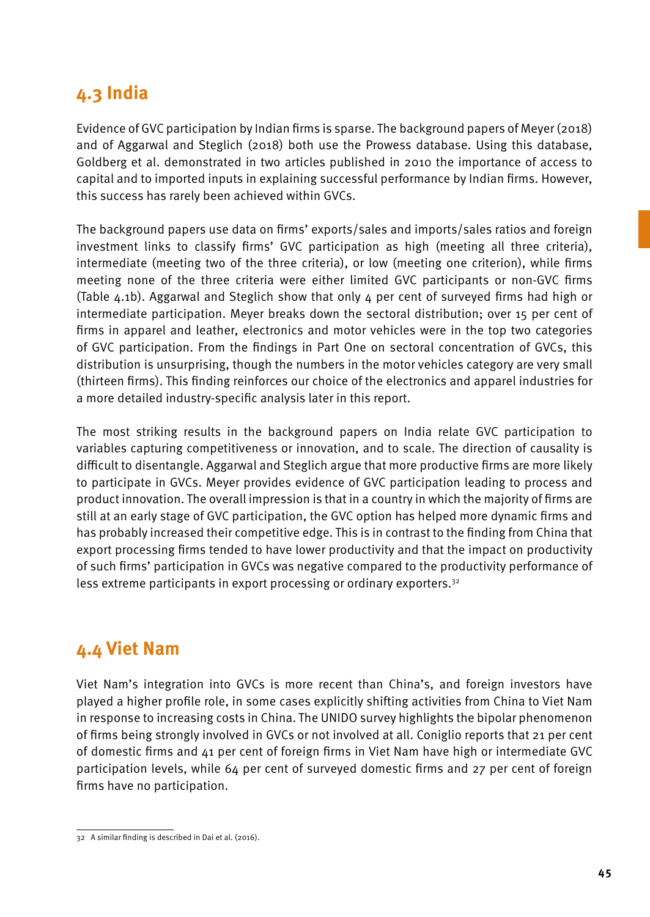# **4.3 India**

Evidence of GVC participation by Indian firms is sparse. The background papers of Meyer (2018) and of Aggarwal and Steglich (2018) both use the Prowess database. Using this database, Goldberg et al. demonstrated in two articles published in 2010 the importance of access to capital and to imported inputs in explaining successful performance by Indian firms. However, this success has rarely been achieved within GVCs.

The background papers use data on firms' exports/sales and imports/sales ratios and foreign investment links to classify firms' GVC participation as high (meeting all three criteria), intermediate (meeting two of the three criteria), or low (meeting one criterion), while firms meeting none of the three criteria were either limited GVC participants or non-GVC firms (Table 4.1b). Aggarwal and Steglich show that only 4 per cent of surveyed firms had high or intermediate participation. Meyer breaks down the sectoral distribution; over 15 per cent of firms in apparel and leather, electronics and motor vehicles were in the top two categories of GVC participation. From the findings in Part One on sectoral concentration of GVCs, this distribution is unsurprising, though the numbers in the motor vehicles category are very small (thirteen firms). This finding reinforces our choice of the electronics and apparel industries for a more detailed industry-specific analysis later in this report.

The most striking results in the background papers on India relate GVC participation to variables capturing competitiveness or innovation, and to scale. The direction of causality is difficult to disentangle. Aggarwal and Steglich argue that more productive firms are more likely to participate in GVCs. Meyer provides evidence of GVC participation leading to process and product innovation. The overall impression is that in a country in which the majority of firms are still at an early stage of GVC participation, the GVC option has helped more dynamic firms and has probably increased their competitive edge. This is in contrast to the finding from China that export processing firms tended to have lower productivity and that the impact on productivity of such firms' participation in GVCs was negative compared to the productivity performance of less extreme participants in export processing or ordinary exporters.<sup>32</sup>

# **4.4 Viet Nam**

Viet Nam's integration into GVCs is more recent than China's, and foreign investors have played a higher profile role, in some cases explicitly shifting activities from China to Viet Nam in response to increasing costs in China. The UNIDO survey highlights the bipolar phenomenon of firms being strongly involved in GVCs or not involved at all. Coniglio reports that 21 per cent of domestic firms and 41 per cent of foreign firms in Viet Nam have high or intermediate GVC participation levels, while 64 per cent of surveyed domestic firms and 27 per cent of foreign firms have no participation.

<sup>32</sup> A similar finding is described in Dai et al. (2016).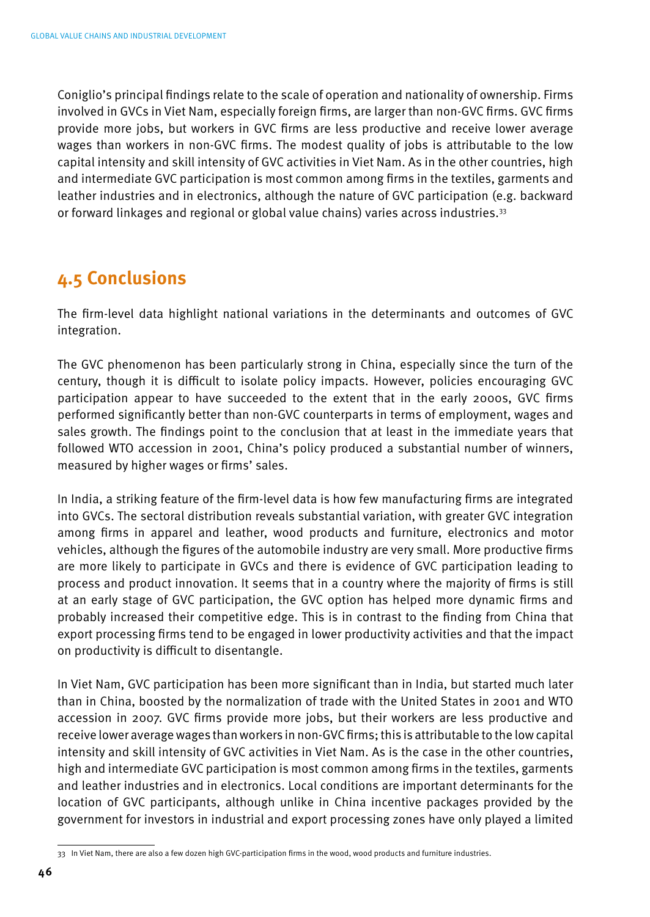Coniglio's principal findings relate to the scale of operation and nationality of ownership. Firms involved in GVCs in Viet Nam, especially foreign firms, are larger than non-GVC firms. GVC firms provide more jobs, but workers in GVC firms are less productive and receive lower average wages than workers in non-GVC firms. The modest quality of jobs is attributable to the low capital intensity and skill intensity of GVC activities in Viet Nam. As in the other countries, high and intermediate GVC participation is most common among firms in the textiles, garments and leather industries and in electronics, although the nature of GVC participation (e.g. backward or forward linkages and regional or global value chains) varies across industries.33

## **4.5 Conclusions**

The firm-level data highlight national variations in the determinants and outcomes of GVC integration.

The GVC phenomenon has been particularly strong in China, especially since the turn of the century, though it is difficult to isolate policy impacts. However, policies encouraging GVC participation appear to have succeeded to the extent that in the early 2000s, GVC firms performed significantly better than non-GVC counterparts in terms of employment, wages and sales growth. The findings point to the conclusion that at least in the immediate years that followed WTO accession in 2001, China's policy produced a substantial number of winners, measured by higher wages or firms' sales.

In India, a striking feature of the firm-level data is how few manufacturing firms are integrated into GVCs. The sectoral distribution reveals substantial variation, with greater GVC integration among firms in apparel and leather, wood products and furniture, electronics and motor vehicles, although the figures of the automobile industry are very small. More productive firms are more likely to participate in GVCs and there is evidence of GVC participation leading to process and product innovation. It seems that in a country where the majority of firms is still at an early stage of GVC participation, the GVC option has helped more dynamic firms and probably increased their competitive edge. This is in contrast to the finding from China that export processing firms tend to be engaged in lower productivity activities and that the impact on productivity is difficult to disentangle.

In Viet Nam, GVC participation has been more significant than in India, but started much later than in China, boosted by the normalization of trade with the United States in 2001 and WTO accession in 2007. GVC firms provide more jobs, but their workers are less productive and receive lower average wages than workers in non-GVC firms; this is attributable to the low capital intensity and skill intensity of GVC activities in Viet Nam. As is the case in the other countries, high and intermediate GVC participation is most common among firms in the textiles, garments and leather industries and in electronics. Local conditions are important determinants for the location of GVC participants, although unlike in China incentive packages provided by the government for investors in industrial and export processing zones have only played a limited

<sup>33</sup> In Viet Nam, there are also a few dozen high GVC-participation firms in the wood, wood products and furniture industries.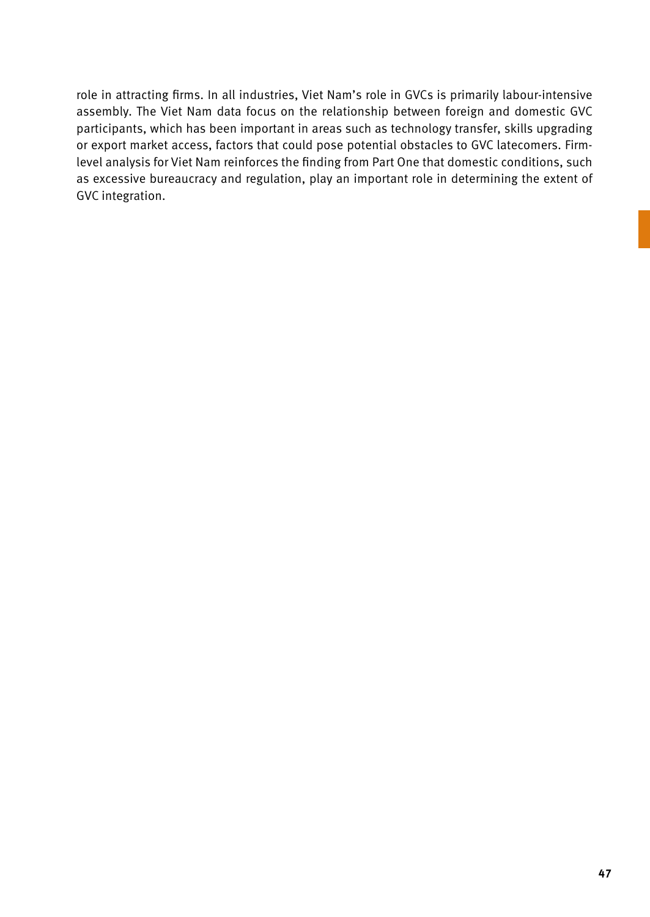role in attracting firms. In all industries, Viet Nam's role in GVCs is primarily labour-intensive assembly. The Viet Nam data focus on the relationship between foreign and domestic GVC participants, which has been important in areas such as technology transfer, skills upgrading or export market access, factors that could pose potential obstacles to GVC latecomers. Firmlevel analysis for Viet Nam reinforces the finding from Part One that domestic conditions, such as excessive bureaucracy and regulation, play an important role in determining the extent of GVC integration.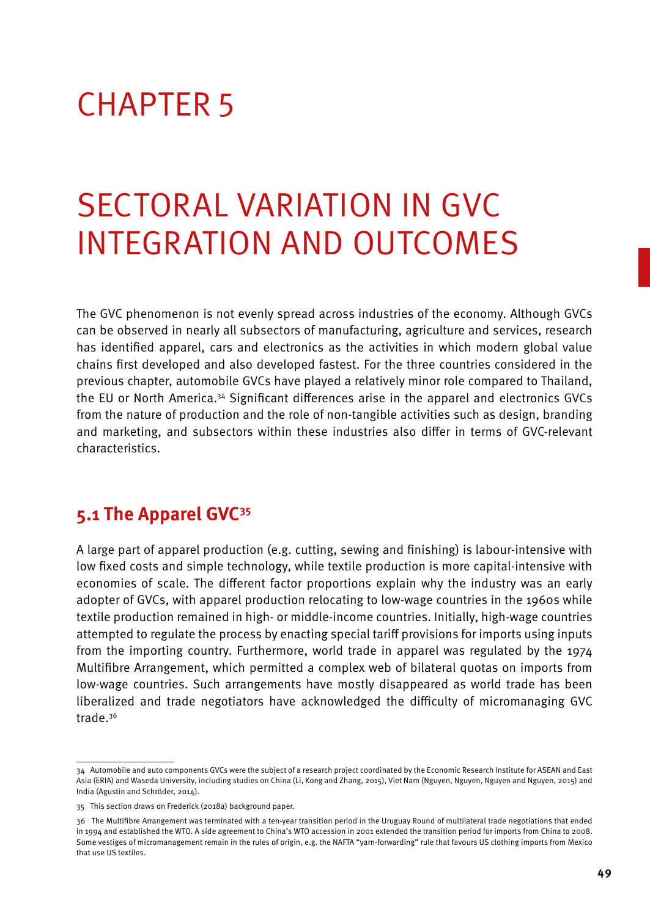# CHAPTER 5

# Sectoral Variation in GVC Integration and Outcomes

The GVC phenomenon is not evenly spread across industries of the economy. Although GVCs can be observed in nearly all subsectors of manufacturing, agriculture and services, research has identified apparel, cars and electronics as the activities in which modern global value chains first developed and also developed fastest. For the three countries considered in the previous chapter, automobile GVCs have played a relatively minor role compared to Thailand, the EU or North America.34 Significant differences arise in the apparel and electronics GVCs from the nature of production and the role of non-tangible activities such as design, branding and marketing, and subsectors within these industries also differ in terms of GVC-relevant characteristics.

## **5.1 The Apparel GVC35**

A large part of apparel production (e.g. cutting, sewing and finishing) is labour-intensive with low fixed costs and simple technology, while textile production is more capital-intensive with economies of scale. The different factor proportions explain why the industry was an early adopter of GVCs, with apparel production relocating to low-wage countries in the 1960s while textile production remained in high- or middle-income countries. Initially, high-wage countries attempted to regulate the process by enacting special tariff provisions for imports using inputs from the importing country. Furthermore, world trade in apparel was regulated by the 1974 Multifibre Arrangement, which permitted a complex web of bilateral quotas on imports from low-wage countries. Such arrangements have mostly disappeared as world trade has been liberalized and trade negotiators have acknowledged the difficulty of micromanaging GVC trade.36

<sup>34</sup> Automobile and auto components GVCs were the subject of a research project coordinated by the Economic Research Institute for ASEAN and East Asia (ERIA) and Waseda University, including studies on China (Li, Kong and Zhang, 2015), Viet Nam (Nguyen, Nguyen, Nguyen and Nguyen, 2015) and India (Agustin and Schröder, 2014).

<sup>35</sup> This section draws on Frederick (2018a) background paper.

<sup>36</sup> The Multifibre Arrangement was terminated with a ten-year transition period in the Uruguay Round of multilateral trade negotiations that ended in 1994 and established the WTO. A side agreement to China's WTO accession in 2001 extended the transition period for imports from China to 2008. Some vestiges of micromanagement remain in the rules of origin, e.g. the NAFTA "yarn-forwarding" rule that favours US clothing imports from Mexico that use US textiles.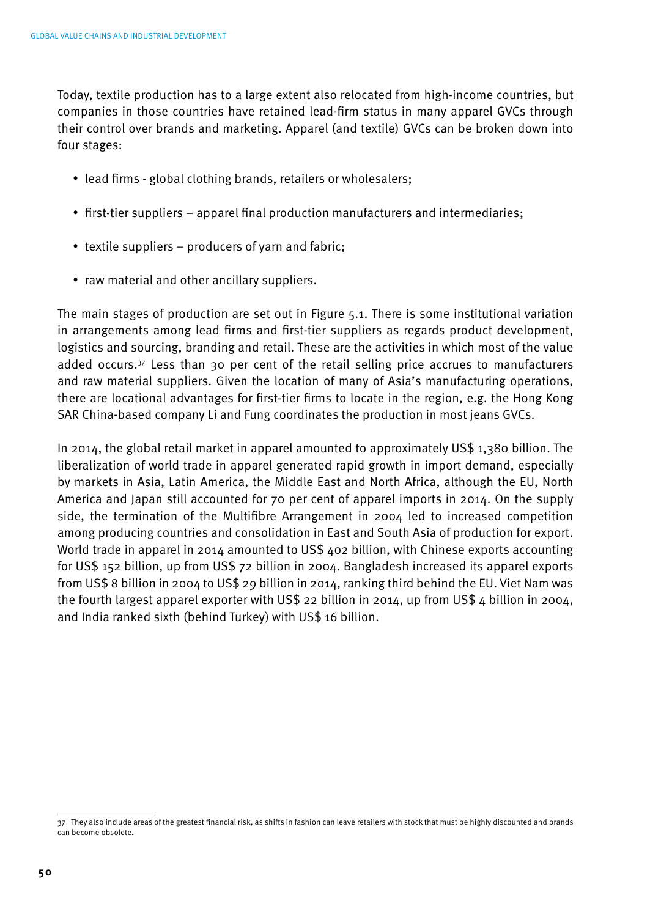Today, textile production has to a large extent also relocated from high-income countries, but companies in those countries have retained lead-firm status in many apparel GVCs through their control over brands and marketing. Apparel (and textile) GVCs can be broken down into four stages:

- lead firms global clothing brands, retailers or wholesalers;
- first-tier suppliers apparel final production manufacturers and intermediaries;
- textile suppliers producers of yarn and fabric;
- raw material and other ancillary suppliers.

The main stages of production are set out in Figure 5.1. There is some institutional variation in arrangements among lead firms and first-tier suppliers as regards product development, logistics and sourcing, branding and retail. These are the activities in which most of the value added occurs.37 Less than 30 per cent of the retail selling price accrues to manufacturers and raw material suppliers. Given the location of many of Asia's manufacturing operations, there are locational advantages for first-tier firms to locate in the region, e.g. the Hong Kong SAR China-based company Li and Fung coordinates the production in most jeans GVCs.

In 2014, the global retail market in apparel amounted to approximately US\$ 1,380 billion. The liberalization of world trade in apparel generated rapid growth in import demand, especially by markets in Asia, Latin America, the Middle East and North Africa, although the EU, North America and Japan still accounted for 70 per cent of apparel imports in 2014. On the supply side, the termination of the Multifibre Arrangement in 2004 led to increased competition among producing countries and consolidation in East and South Asia of production for export. World trade in apparel in 2014 amounted to US\$ 402 billion, with Chinese exports accounting for US\$ 152 billion, up from US\$ 72 billion in 2004. Bangladesh increased its apparel exports from US\$ 8 billion in 2004 to US\$ 29 billion in 2014, ranking third behind the EU. Viet Nam was the fourth largest apparel exporter with US\$ 22 billion in 2014, up from US\$ 4 billion in 2004, and India ranked sixth (behind Turkey) with US\$ 16 billion.

<sup>37</sup> They also include areas of the greatest financial risk, as shifts in fashion can leave retailers with stock that must be highly discounted and brands can become obsolete.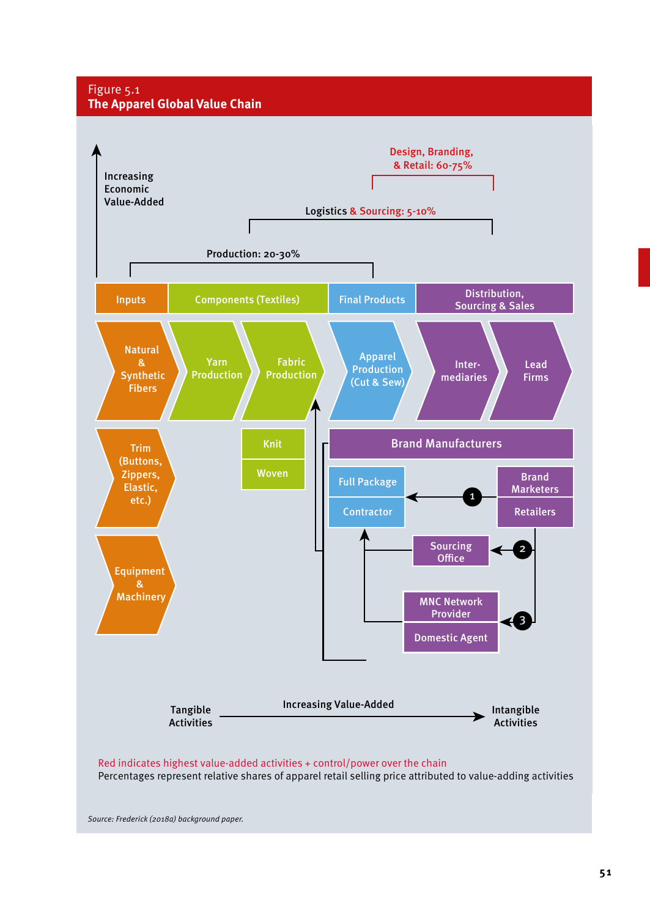#### Figure 5.1 **The Apparel Global Value Chain**



*Source: Frederick (2018a) background paper.*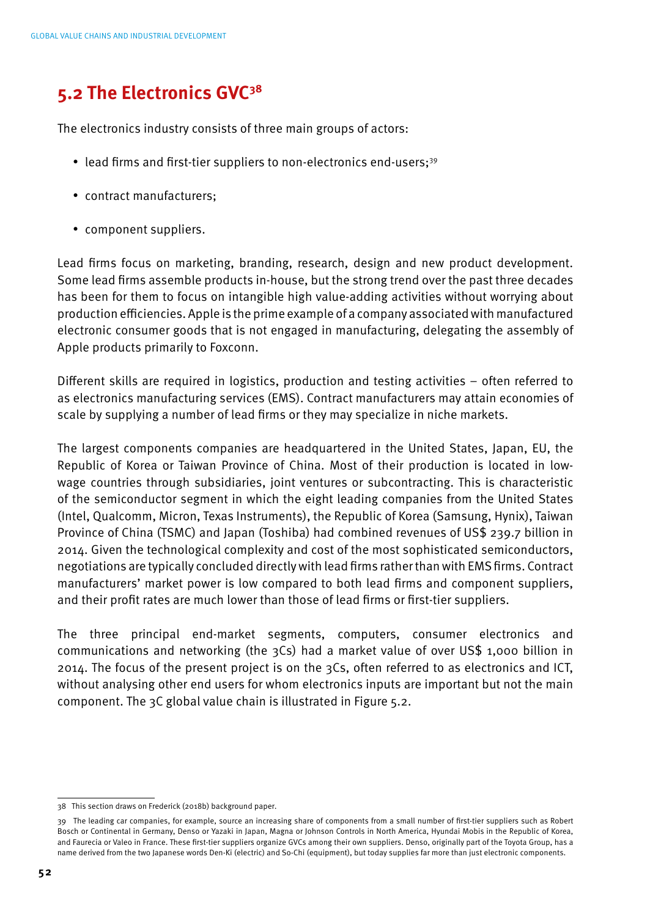## **5.2 The Electronics GVC38**

The electronics industry consists of three main groups of actors:

- lead firms and first-tier suppliers to non-electronics end-users;<sup>39</sup>
- contract manufacturers;
- component suppliers.

Lead firms focus on marketing, branding, research, design and new product development. Some lead firms assemble products in-house, but the strong trend over the past three decades has been for them to focus on intangible high value-adding activities without worrying about production efficiencies. Apple is the prime example of a company associated with manufactured electronic consumer goods that is not engaged in manufacturing, delegating the assembly of Apple products primarily to Foxconn.

Different skills are required in logistics, production and testing activities – often referred to as electronics manufacturing services (EMS). Contract manufacturers may attain economies of scale by supplying a number of lead firms or they may specialize in niche markets.

The largest components companies are headquartered in the United States, Japan, EU, the Republic of Korea or Taiwan Province of China. Most of their production is located in lowwage countries through subsidiaries, joint ventures or subcontracting. This is characteristic of the semiconductor segment in which the eight leading companies from the United States (Intel, Qualcomm, Micron, Texas Instruments), the Republic of Korea (Samsung, Hynix), Taiwan Province of China (TSMC) and Japan (Toshiba) had combined revenues of US\$ 239.7 billion in 2014. Given the technological complexity and cost of the most sophisticated semiconductors, negotiations are typically concluded directly with lead firms rather than with EMS firms. Contract manufacturers' market power is low compared to both lead firms and component suppliers, and their profit rates are much lower than those of lead firms or first-tier suppliers.

The three principal end-market segments, computers, consumer electronics and communications and networking (the 3Cs) had a market value of over US\$ 1,000 billion in 2014. The focus of the present project is on the 3Cs, often referred to as electronics and ICT, without analysing other end users for whom electronics inputs are important but not the main component. The 3C global value chain is illustrated in Figure 5.2.

<sup>38</sup> This section draws on Frederick (2018b) background paper.

<sup>39</sup> The leading car companies, for example, source an increasing share of components from a small number of first-tier suppliers such as Robert Bosch or Continental in Germany, Denso or Yazaki in Japan, Magna or Johnson Controls in North America, Hyundai Mobis in the Republic of Korea, and Faurecia or Valeo in France. These first-tier suppliers organize GVCs among their own suppliers. Denso, originally part of the Toyota Group, has a name derived from the two Japanese words Den-Ki (electric) and So-Chi (equipment), but today supplies far more than just electronic components.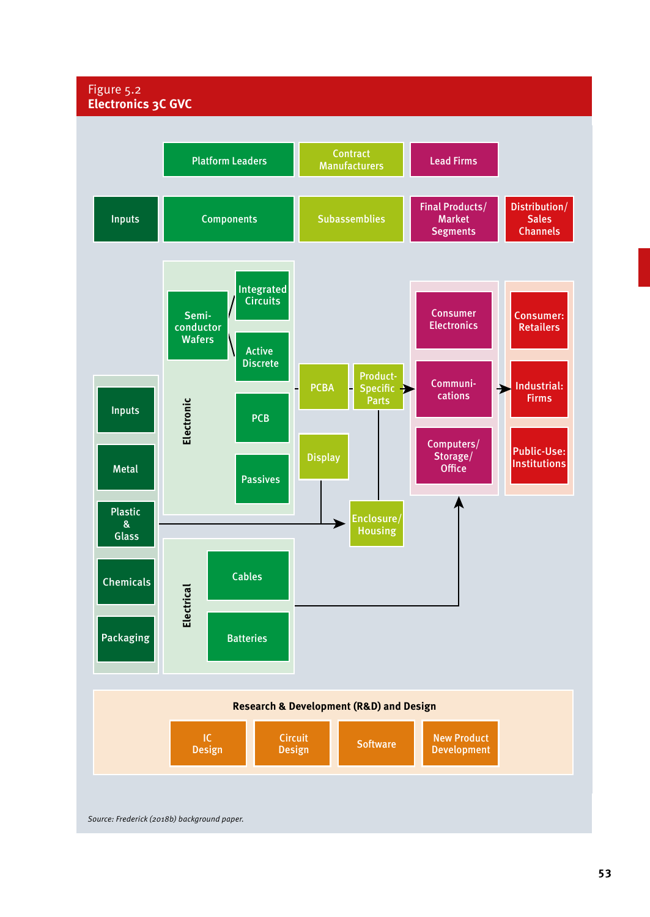#### Figure 5.2 **Electronics 3C GVC**

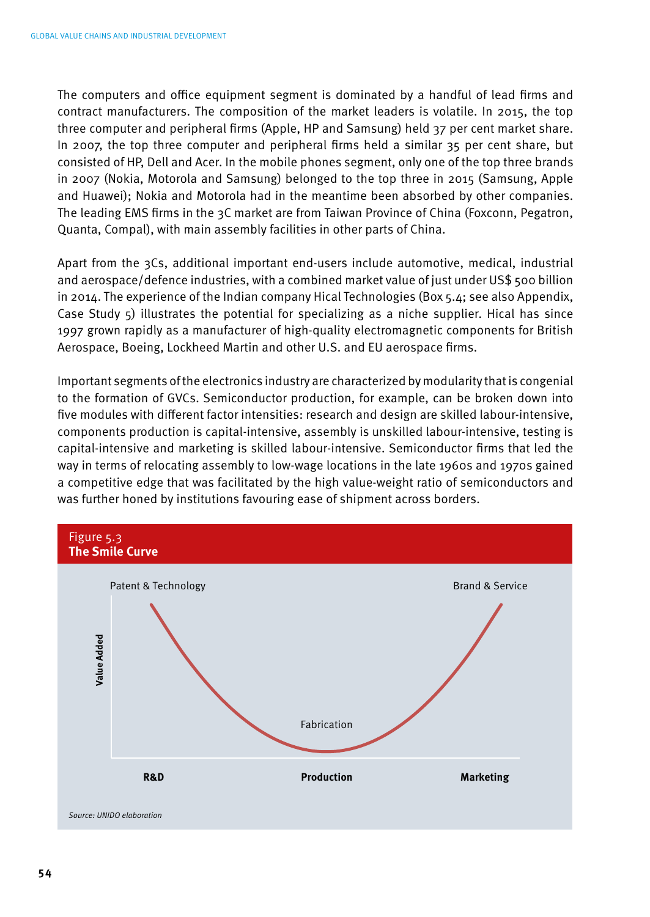The computers and office equipment segment is dominated by a handful of lead firms and contract manufacturers. The composition of the market leaders is volatile. In 2015, the top three computer and peripheral firms (Apple, HP and Samsung) held 37 per cent market share. In 2007, the top three computer and peripheral firms held a similar 35 per cent share, but consisted of HP, Dell and Acer. In the mobile phones segment, only one of the top three brands in 2007 (Nokia, Motorola and Samsung) belonged to the top three in 2015 (Samsung, Apple and Huawei); Nokia and Motorola had in the meantime been absorbed by other companies. The leading EMS firms in the 3C market are from Taiwan Province of China (Foxconn, Pegatron, Quanta, Compal), with main assembly facilities in other parts of China.

Apart from the 3Cs, additional important end-users include automotive, medical, industrial and aerospace/defence industries, with a combined market value of just under US\$ 500 billion in 2014. The experience of the Indian company Hical Technologies (Box 5.4; see also Appendix, Case Study 5) illustrates the potential for specializing as a niche supplier. Hical has since 1997 grown rapidly as a manufacturer of high-quality electromagnetic components for British Aerospace, Boeing, Lockheed Martin and other U.S. and EU aerospace firms.

Important segments of the electronics industry are characterized by modularity that is congenial to the formation of GVCs. Semiconductor production, for example, can be broken down into five modules with different factor intensities: research and design are skilled labour-intensive, components production is capital-intensive, assembly is unskilled labour-intensive, testing is capital-intensive and marketing is skilled labour-intensive. Semiconductor firms that led the way in terms of relocating assembly to low-wage locations in the late 1960s and 1970s gained a competitive edge that was facilitated by the high value-weight ratio of semiconductors and was further honed by institutions favouring ease of shipment across borders.



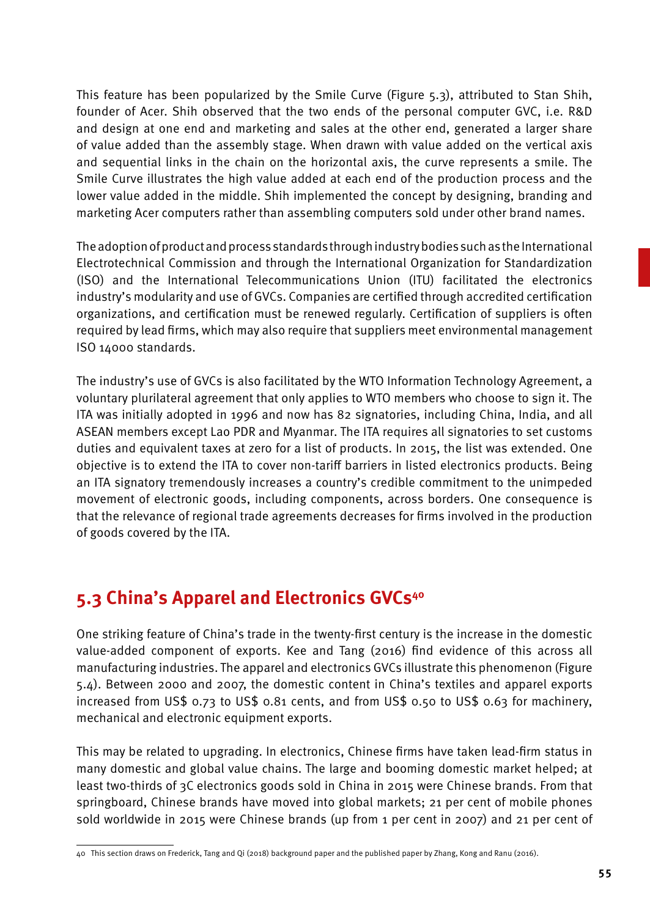This feature has been popularized by the Smile Curve (Figure 5.3), attributed to Stan Shih, founder of Acer. Shih observed that the two ends of the personal computer GVC, i.e. R&D and design at one end and marketing and sales at the other end, generated a larger share of value added than the assembly stage. When drawn with value added on the vertical axis and sequential links in the chain on the horizontal axis, the curve represents a smile. The Smile Curve illustrates the high value added at each end of the production process and the lower value added in the middle. Shih implemented the concept by designing, branding and marketing Acer computers rather than assembling computers sold under other brand names.

The adoption of product and process standards through industry bodies such as the International Electrotechnical Commission and through the International Organization for Standardization (ISO) and the International Telecommunications Union (ITU) facilitated the electronics industry's modularity and use of GVCs. Companies are certified through accredited certification organizations, and certification must be renewed regularly. Certification of suppliers is often required by lead firms, which may also require that suppliers meet environmental management ISO 14000 standards.

The industry's use of GVCs is also facilitated by the WTO Information Technology Agreement, a voluntary plurilateral agreement that only applies to WTO members who choose to sign it. The ITA was initially adopted in 1996 and now has 82 signatories, including China, India, and all ASEAN members except Lao PDR and Myanmar. The ITA requires all signatories to set customs duties and equivalent taxes at zero for a list of products. In 2015, the list was extended. One objective is to extend the ITA to cover non-tariff barriers in listed electronics products. Being an ITA signatory tremendously increases a country's credible commitment to the unimpeded movement of electronic goods, including components, across borders. One consequence is that the relevance of regional trade agreements decreases for firms involved in the production of goods covered by the ITA.

## **5.3 China's Apparel and Electronics GVCs40**

One striking feature of China's trade in the twenty-first century is the increase in the domestic value-added component of exports. Kee and Tang (2016) find evidence of this across all manufacturing industries. The apparel and electronics GVCs illustrate this phenomenon (Figure 5.4). Between 2000 and 2007, the domestic content in China's textiles and apparel exports increased from US\$ 0.73 to US\$ 0.81 cents, and from US\$ 0.50 to US\$ 0.63 for machinery, mechanical and electronic equipment exports.

This may be related to upgrading. In electronics, Chinese firms have taken lead-firm status in many domestic and global value chains. The large and booming domestic market helped; at least two-thirds of 3C electronics goods sold in China in 2015 were Chinese brands. From that springboard, Chinese brands have moved into global markets; 21 per cent of mobile phones sold worldwide in 2015 were Chinese brands (up from 1 per cent in 2007) and 21 per cent of

<sup>40</sup> This section draws on Frederick, Tang and Qi (2018) background paper and the published paper by Zhang, Kong and Ranu (2016).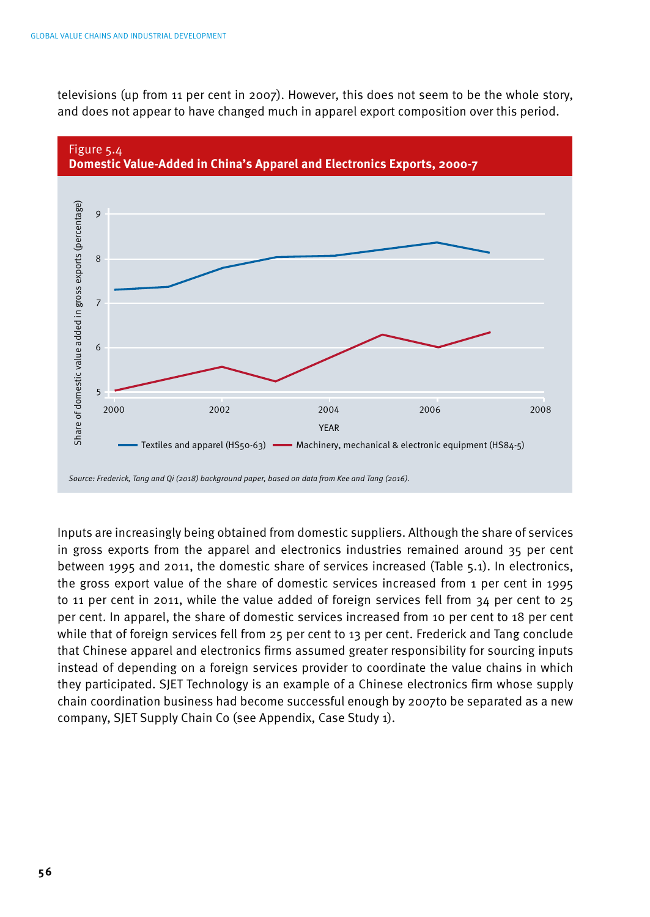televisions (up from 11 per cent in 2007). However, this does not seem to be the whole story, and does not appear to have changed much in apparel export composition over this period.



Inputs are increasingly being obtained from domestic suppliers. Although the share of services in gross exports from the apparel and electronics industries remained around 35 per cent between 1995 and 2011, the domestic share of services increased (Table 5.1). In electronics, the gross export value of the share of domestic services increased from 1 per cent in 1995 to 11 per cent in 2011, while the value added of foreign services fell from 34 per cent to 25 per cent. In apparel, the share of domestic services increased from 10 per cent to 18 per cent while that of foreign services fell from 25 per cent to 13 per cent. Frederick and Tang conclude that Chinese apparel and electronics firms assumed greater responsibility for sourcing inputs instead of depending on a foreign services provider to coordinate the value chains in which they participated. SJET Technology is an example of a Chinese electronics firm whose supply chain coordination business had become successful enough by 2007to be separated as a new company, SJET Supply Chain Co (see Appendix, Case Study 1).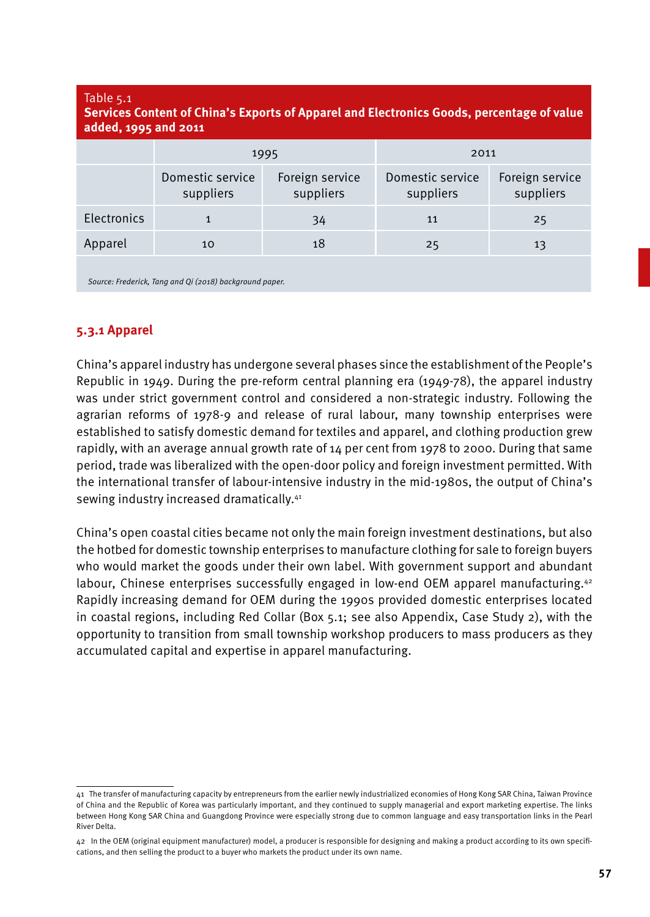#### Table 5.1

#### **Services Content of China's Exports of Apparel and Electronics Goods, percentage of value added, 1995 and 2011**

|             | 1995                          |                              | 2011                          |                              |
|-------------|-------------------------------|------------------------------|-------------------------------|------------------------------|
|             | Domestic service<br>suppliers | Foreign service<br>suppliers | Domestic service<br>suppliers | Foreign service<br>suppliers |
| Electronics |                               | 34                           | 11                            | 25                           |
| Apparel     | 10                            | 18                           | 25                            | 13                           |
|             |                               |                              |                               |                              |

*Source: Frederick, Tang and Qi (2018) background paper.*

### **5.3.1 Apparel**

China's apparel industry has undergone several phases since the establishment of the People's Republic in 1949. During the pre-reform central planning era (1949-78), the apparel industry was under strict government control and considered a non-strategic industry. Following the agrarian reforms of 1978-9 and release of rural labour, many township enterprises were established to satisfy domestic demand for textiles and apparel, and clothing production grew rapidly, with an average annual growth rate of  $14$  per cent from 1978 to 2000. During that same period, trade was liberalized with the open-door policy and foreign investment permitted. With the international transfer of labour-intensive industry in the mid-1980s, the output of China's sewing industry increased dramatically.<sup>41</sup>

China's open coastal cities became not only the main foreign investment destinations, but also the hotbed for domestic township enterprises to manufacture clothing for sale to foreign buyers who would market the goods under their own label. With government support and abundant labour, Chinese enterprises successfully engaged in low-end OEM apparel manufacturing.<sup>42</sup> Rapidly increasing demand for OEM during the 1990s provided domestic enterprises located in coastal regions, including Red Collar (Box 5.1; see also Appendix, Case Study 2), with the opportunity to transition from small township workshop producers to mass producers as they accumulated capital and expertise in apparel manufacturing.

<sup>41</sup> The transfer of manufacturing capacity by entrepreneurs from the earlier newly industrialized economies of Hong Kong SAR China, Taiwan Province of China and the Republic of Korea was particularly important, and they continued to supply managerial and export marketing expertise. The links between Hong Kong SAR China and Guangdong Province were especially strong due to common language and easy transportation links in the Pearl River Delta.

<sup>42</sup> In the OEM (original equipment manufacturer) model, a producer is responsible for designing and making a product according to its own specifications, and then selling the product to a buyer who markets the product under its own name.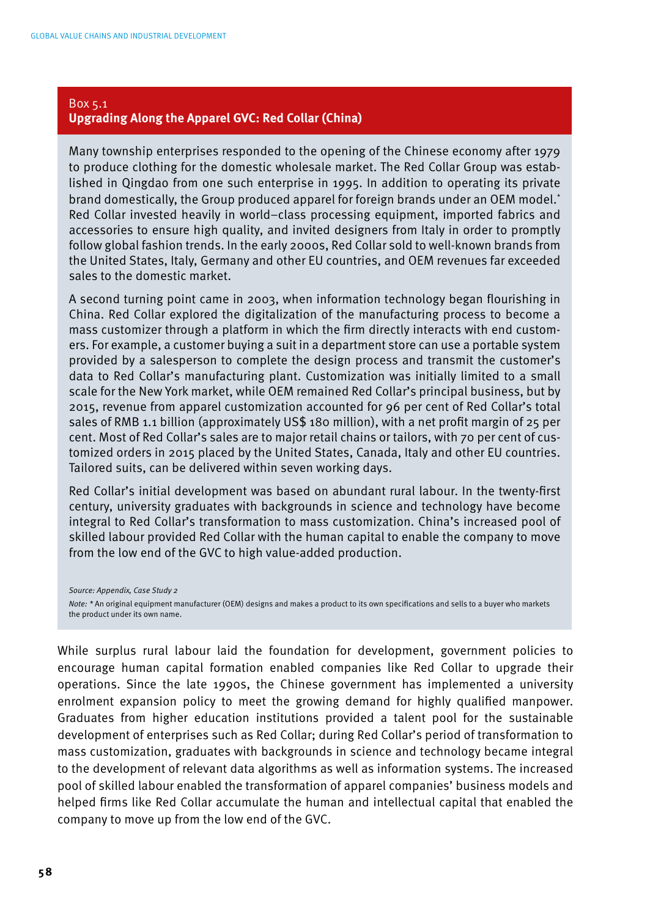#### Box 5.1 **Upgrading Along the Apparel GVC: Red Collar (China)**

Many township enterprises responded to the opening of the Chinese economy after 1979 to produce clothing for the domestic wholesale market. The Red Collar Group was established in Qingdao from one such enterprise in 1995. In addition to operating its private brand domestically, the Group produced apparel for foreign brands under an OEM model.\* Red Collar invested heavily in world–class processing equipment, imported fabrics and accessories to ensure high quality, and invited designers from Italy in order to promptly follow global fashion trends. In the early 2000s, Red Collar sold to well-known brands from the United States, Italy, Germany and other EU countries, and OEM revenues far exceeded sales to the domestic market.

A second turning point came in 2003, when information technology began flourishing in China. Red Collar explored the digitalization of the manufacturing process to become a mass customizer through a platform in which the firm directly interacts with end customers. For example, a customer buying a suit in a department store can use a portable system provided by a salesperson to complete the design process and transmit the customer's data to Red Collar's manufacturing plant. Customization was initially limited to a small scale for the New York market, while OEM remained Red Collar's principal business, but by 2015, revenue from apparel customization accounted for 96 per cent of Red Collar's total sales of RMB 1.1 billion (approximately US\$ 180 million), with a net profit margin of 25 per cent. Most of Red Collar's sales are to major retail chains or tailors, with 70 per cent of customized orders in 2015 placed by the United States, Canada, Italy and other EU countries. Tailored suits, can be delivered within seven working days.

Red Collar's initial development was based on abundant rural labour. In the twenty-first century, university graduates with backgrounds in science and technology have become integral to Red Collar's transformation to mass customization. China's increased pool of skilled labour provided Red Collar with the human capital to enable the company to move from the low end of the GVC to high value-added production.

*Source: Appendix, Case Study 2*

*Note: \** An original equipment manufacturer (OEM) designs and makes a product to its own specifications and sells to a buyer who markets the product under its own name.

While surplus rural labour laid the foundation for development, government policies to encourage human capital formation enabled companies like Red Collar to upgrade their operations. Since the late 1990s, the Chinese government has implemented a university enrolment expansion policy to meet the growing demand for highly qualified manpower. Graduates from higher education institutions provided a talent pool for the sustainable development of enterprises such as Red Collar; during Red Collar's period of transformation to mass customization, graduates with backgrounds in science and technology became integral to the development of relevant data algorithms as well as information systems. The increased pool of skilled labour enabled the transformation of apparel companies' business models and helped firms like Red Collar accumulate the human and intellectual capital that enabled the company to move up from the low end of the GVC.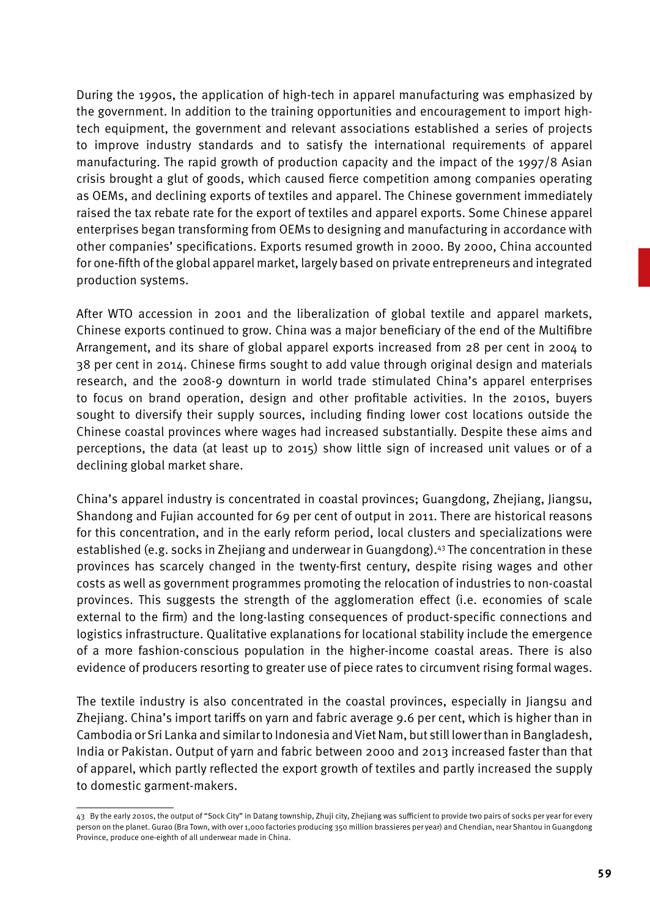During the 1990s, the application of high-tech in apparel manufacturing was emphasized by the government. In addition to the training opportunities and encouragement to import hightech equipment, the government and relevant associations established a series of projects to improve industry standards and to satisfy the international requirements of apparel manufacturing. The rapid growth of production capacity and the impact of the 1997/8 Asian crisis brought a glut of goods, which caused fierce competition among companies operating as OEMs, and declining exports of textiles and apparel. The Chinese government immediately raised the tax rebate rate for the export of textiles and apparel exports. Some Chinese apparel enterprises began transforming from OEMs to designing and manufacturing in accordance with other companies' specifications. Exports resumed growth in 2000. By 2000, China accounted for one-fifth of the global apparel market, largely based on private entrepreneurs and integrated production systems.

After WTO accession in 2001 and the liberalization of global textile and apparel markets, Chinese exports continued to grow. China was a major beneficiary of the end of the Multifibre Arrangement, and its share of global apparel exports increased from 28 per cent in 2004 to 38 per cent in 2014. Chinese firms sought to add value through original design and materials research, and the 2008-9 downturn in world trade stimulated China's apparel enterprises to focus on brand operation, design and other profitable activities. In the 2010s, buyers sought to diversify their supply sources, including finding lower cost locations outside the Chinese coastal provinces where wages had increased substantially. Despite these aims and perceptions, the data (at least up to 2015) show little sign of increased unit values or of a declining global market share.

China's apparel industry is concentrated in coastal provinces; Guangdong, Zhejiang, Jiangsu, Shandong and Fujian accounted for 69 per cent of output in 2011. There are historical reasons for this concentration, and in the early reform period, local clusters and specializations were established (e.g. socks in Zhejiang and underwear in Guangdong).43 The concentration in these provinces has scarcely changed in the twenty-first century, despite rising wages and other costs as well as government programmes promoting the relocation of industries to non-coastal provinces. This suggests the strength of the agglomeration effect (i.e. economies of scale external to the firm) and the long-lasting consequences of product-specific connections and logistics infrastructure. Qualitative explanations for locational stability include the emergence of a more fashion-conscious population in the higher-income coastal areas. There is also evidence of producers resorting to greater use of piece rates to circumvent rising formal wages.

The textile industry is also concentrated in the coastal provinces, especially in Jiangsu and Zhejiang. China's import tariffs on yarn and fabric average 9.6 per cent, which is higher than in Cambodia or Sri Lanka and similar to Indonesia and Viet Nam, but still lower than in Bangladesh, India or Pakistan. Output of yarn and fabric between 2000 and 2013 increased faster than that of apparel, which partly reflected the export growth of textiles and partly increased the supply to domestic garment-makers.

<sup>43</sup> By the early 2010s, the output of "Sock City" in Datang township, Zhuji city, Zhejiang was sufficient to provide two pairs of socks per year for every person on the planet. Gurao (Bra Town, with over 1,000 factories producing 350 million brassieres per year) and Chendian, near Shantou in Guangdong Province, produce one-eighth of all underwear made in China.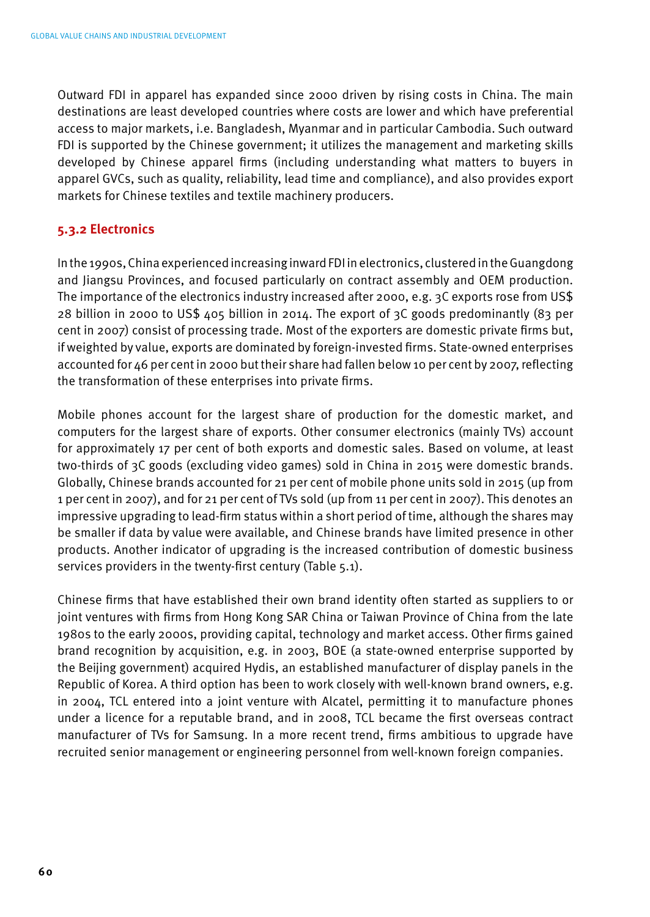Outward FDI in apparel has expanded since 2000 driven by rising costs in China. The main destinations are least developed countries where costs are lower and which have preferential access to major markets, i.e. Bangladesh, Myanmar and in particular Cambodia. Such outward FDI is supported by the Chinese government; it utilizes the management and marketing skills developed by Chinese apparel firms (including understanding what matters to buyers in apparel GVCs, such as quality, reliability, lead time and compliance), and also provides export markets for Chinese textiles and textile machinery producers.

### **5.3.2 Electronics**

In the 1990s, China experienced increasing inward FDI in electronics, clustered in the Guangdong and Jiangsu Provinces, and focused particularly on contract assembly and OEM production. The importance of the electronics industry increased after 2000, e.g. 3C exports rose from US\$ 28 billion in 2000 to US\$ 405 billion in 2014. The export of 3C goods predominantly (83 per cent in 2007) consist of processing trade. Most of the exporters are domestic private firms but, if weighted by value, exports are dominated by foreign-invested firms. State-owned enterprises accounted for 46 per cent in 2000 but their share had fallen below 10 per cent by 2007, reflecting the transformation of these enterprises into private firms.

Mobile phones account for the largest share of production for the domestic market, and computers for the largest share of exports. Other consumer electronics (mainly TVs) account for approximately 17 per cent of both exports and domestic sales. Based on volume, at least two-thirds of 3C goods (excluding video games) sold in China in 2015 were domestic brands. Globally, Chinese brands accounted for 21 per cent of mobile phone units sold in 2015 (up from 1 per cent in 2007), and for 21 per cent of TVs sold (up from 11 per cent in 2007). This denotes an impressive upgrading to lead-firm status within a short period of time, although the shares may be smaller if data by value were available, and Chinese brands have limited presence in other products. Another indicator of upgrading is the increased contribution of domestic business services providers in the twenty-first century (Table 5.1).

Chinese firms that have established their own brand identity often started as suppliers to or joint ventures with firms from Hong Kong SAR China or Taiwan Province of China from the late 1980s to the early 2000s, providing capital, technology and market access. Other firms gained brand recognition by acquisition, e.g. in 2003, BOE (a state-owned enterprise supported by the Beijing government) acquired Hydis, an established manufacturer of display panels in the Republic of Korea. A third option has been to work closely with well-known brand owners, e.g. in 2004, TCL entered into a joint venture with Alcatel, permitting it to manufacture phones under a licence for a reputable brand, and in 2008, TCL became the first overseas contract manufacturer of TVs for Samsung. In a more recent trend, firms ambitious to upgrade have recruited senior management or engineering personnel from well-known foreign companies.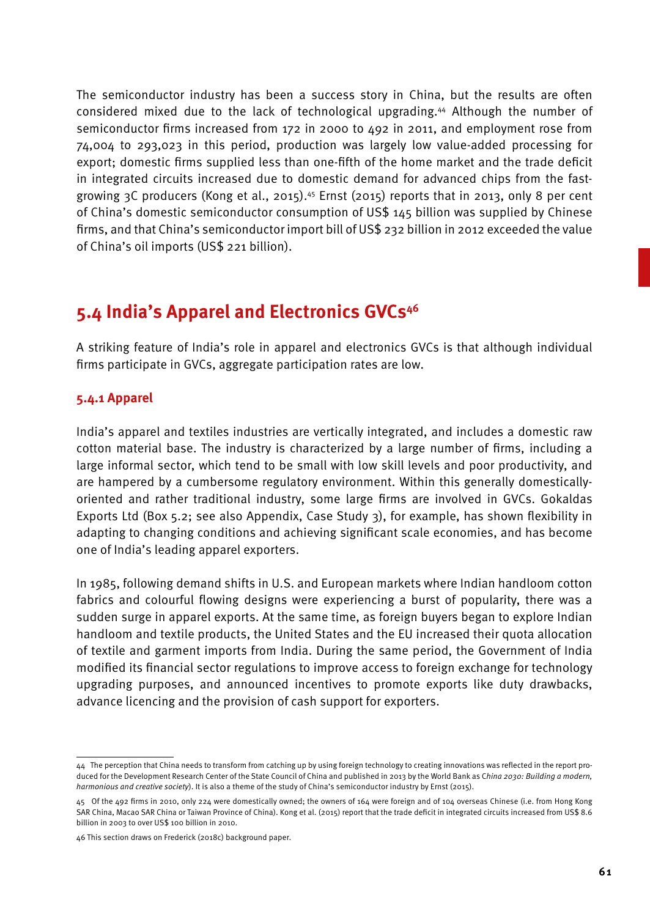The semiconductor industry has been a success story in China, but the results are often considered mixed due to the lack of technological upgrading.44 Although the number of semiconductor firms increased from 172 in 2000 to 492 in 2011, and employment rose from 74,004 to 293,023 in this period, production was largely low value-added processing for export; domestic firms supplied less than one-fifth of the home market and the trade deficit in integrated circuits increased due to domestic demand for advanced chips from the fastgrowing 3C producers (Kong et al., 2015).<sup>45</sup> Ernst (2015) reports that in 2013, only 8 per cent of China's domestic semiconductor consumption of US\$ 145 billion was supplied by Chinese firms, and that China's semiconductor import bill of US\$ 232 billion in 2012 exceeded the value of China's oil imports (US\$ 221 billion).

## **5.4 India's Apparel and Electronics GVCs46**

A striking feature of India's role in apparel and electronics GVCs is that although individual firms participate in GVCs, aggregate participation rates are low.

### **5.4.1 Apparel**

India's apparel and textiles industries are vertically integrated, and includes a domestic raw cotton material base. The industry is characterized by a large number of firms, including a large informal sector, which tend to be small with low skill levels and poor productivity, and are hampered by a cumbersome regulatory environment. Within this generally domesticallyoriented and rather traditional industry, some large firms are involved in GVCs. Gokaldas Exports Ltd (Box 5.2; see also Appendix, Case Study 3), for example, has shown flexibility in adapting to changing conditions and achieving significant scale economies, and has become one of India's leading apparel exporters.

In 1985, following demand shifts in U.S. and European markets where Indian handloom cotton fabrics and colourful flowing designs were experiencing a burst of popularity, there was a sudden surge in apparel exports. At the same time, as foreign buyers began to explore Indian handloom and textile products, the United States and the EU increased their quota allocation of textile and garment imports from India. During the same period, the Government of India modified its financial sector regulations to improve access to foreign exchange for technology upgrading purposes, and announced incentives to promote exports like duty drawbacks, advance licencing and the provision of cash support for exporters.

<sup>44</sup> The perception that China needs to transform from catching up by using foreign technology to creating innovations was reflected in the report produced for the Development Research Center of the State Council of China and published in 2013 by the World Bank as C*hina 2030: Building a modern, harmonious and creative society*). It is also a theme of the study of China's semiconductor industry by Ernst (2015).

<sup>45</sup> Of the 492 firms in 2010, only 224 were domestically owned; the owners of 164 were foreign and of 104 overseas Chinese (i.e. from Hong Kong SAR China, Macao SAR China or Taiwan Province of China). Kong et al. (2015) report that the trade deficit in integrated circuits increased from US\$ 8.6 billion in 2003 to over US\$ 100 billion in 2010.

<sup>46</sup> This section draws on Frederick (2018c) background paper.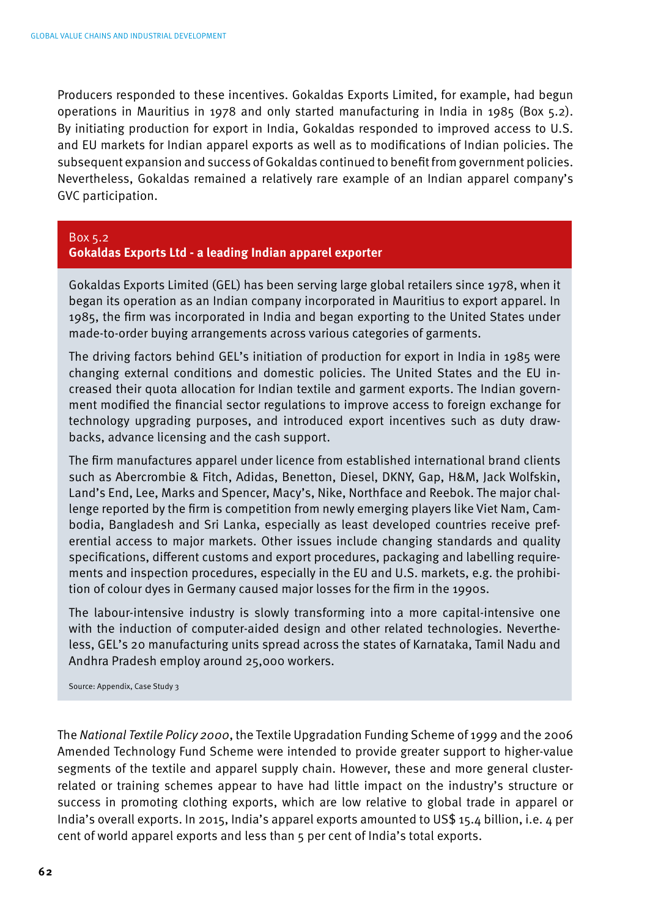Producers responded to these incentives. Gokaldas Exports Limited, for example, had begun operations in Mauritius in 1978 and only started manufacturing in India in 1985 (Box 5.2). By initiating production for export in India, Gokaldas responded to improved access to U.S. and EU markets for Indian apparel exports as well as to modifications of Indian policies. The subsequent expansion and success of Gokaldas continued to benefit from government policies. Nevertheless, Gokaldas remained a relatively rare example of an Indian apparel company's GVC participation.

Box 5.2 **Gokaldas Exports Ltd - a leading Indian apparel exporter**

Gokaldas Exports Limited (GEL) has been serving large global retailers since 1978, when it began its operation as an Indian company incorporated in Mauritius to export apparel. In 1985, the firm was incorporated in India and began exporting to the United States under made-to-order buying arrangements across various categories of garments.

The driving factors behind GEL's initiation of production for export in India in 1985 were changing external conditions and domestic policies. The United States and the EU increased their quota allocation for Indian textile and garment exports. The Indian government modified the financial sector regulations to improve access to foreign exchange for technology upgrading purposes, and introduced export incentives such as duty drawbacks, advance licensing and the cash support.

The firm manufactures apparel under licence from established international brand clients such as Abercrombie & Fitch, Adidas, Benetton, Diesel, DKNY, Gap, H&M, Jack Wolfskin, Land's End, Lee, Marks and Spencer, Macy's, Nike, Northface and Reebok. The major challenge reported by the firm is competition from newly emerging players like Viet Nam, Cambodia, Bangladesh and Sri Lanka, especially as least developed countries receive preferential access to major markets. Other issues include changing standards and quality specifications, different customs and export procedures, packaging and labelling requirements and inspection procedures, especially in the EU and U.S. markets, e.g. the prohibition of colour dyes in Germany caused major losses for the firm in the 1990s.

The labour-intensive industry is slowly transforming into a more capital-intensive one with the induction of computer-aided design and other related technologies. Nevertheless, GEL's 20 manufacturing units spread across the states of Karnataka, Tamil Nadu and Andhra Pradesh employ around 25,000 workers.

Source: Appendix, Case Study 3

The *National Textile Policy 2000*, the Textile Upgradation Funding Scheme of 1999 and the 2006 Amended Technology Fund Scheme were intended to provide greater support to higher-value segments of the textile and apparel supply chain. However, these and more general clusterrelated or training schemes appear to have had little impact on the industry's structure or success in promoting clothing exports, which are low relative to global trade in apparel or India's overall exports. In 2015, India's apparel exports amounted to US\$ 15.4 billion, i.e. 4 per cent of world apparel exports and less than 5 per cent of India's total exports.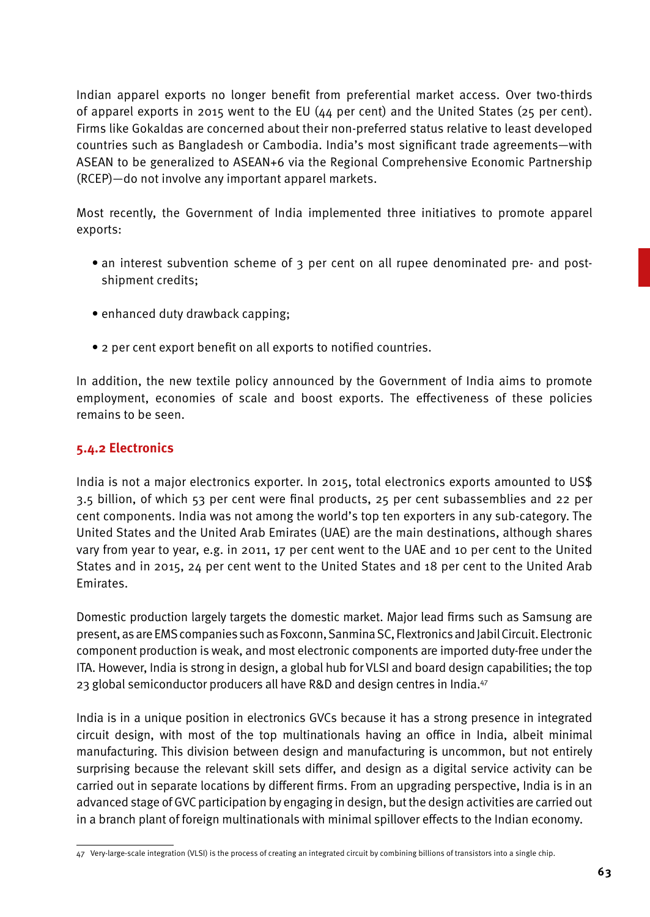Indian apparel exports no longer benefit from preferential market access. Over two-thirds of apparel exports in 2015 went to the EU (44 per cent) and the United States (25 per cent). Firms like Gokaldas are concerned about their non-preferred status relative to least developed countries such as Bangladesh or Cambodia. India's most significant trade agreements—with ASEAN to be generalized to ASEAN+6 via the Regional Comprehensive Economic Partnership (RCEP)—do not involve any important apparel markets.

Most recently, the Government of India implemented three initiatives to promote apparel exports:

- an interest subvention scheme of 3 per cent on all rupee denominated pre- and postshipment credits;
- enhanced duty drawback capping;
- 2 per cent export benefit on all exports to notified countries.

In addition, the new textile policy announced by the Government of India aims to promote employment, economies of scale and boost exports. The effectiveness of these policies remains to be seen.

## **5.4.2 Electronics**

India is not a major electronics exporter. In 2015, total electronics exports amounted to US\$ 3.5 billion, of which 53 per cent were final products, 25 per cent subassemblies and 22 per cent components. India was not among the world's top ten exporters in any sub-category. The United States and the United Arab Emirates (UAE) are the main destinations, although shares vary from year to year, e.g. in 2011, 17 per cent went to the UAE and 10 per cent to the United States and in 2015, 24 per cent went to the United States and 18 per cent to the United Arab Emirates.

Domestic production largely targets the domestic market. Major lead firms such as Samsung are present, as are EMS companies such as Foxconn, Sanmina SC, Flextronics and Jabil Circuit. Electronic component production is weak, and most electronic components are imported duty-free under the ITA. However, India is strong in design, a global hub for VLSI and board design capabilities; the top 23 global semiconductor producers all have R&D and design centres in India.<sup>47</sup>

India is in a unique position in electronics GVCs because it has a strong presence in integrated circuit design, with most of the top multinationals having an office in India, albeit minimal manufacturing. This division between design and manufacturing is uncommon, but not entirely surprising because the relevant skill sets differ, and design as a digital service activity can be carried out in separate locations by different firms. From an upgrading perspective, India is in an advanced stage of GVC participation by engaging in design, but the design activities are carried out in a branch plant of foreign multinationals with minimal spillover effects to the Indian economy.

<sup>47</sup> Very-large-scale integration (VLSI) is the process of creating an integrated circuit by combining billions of transistors into a single chip.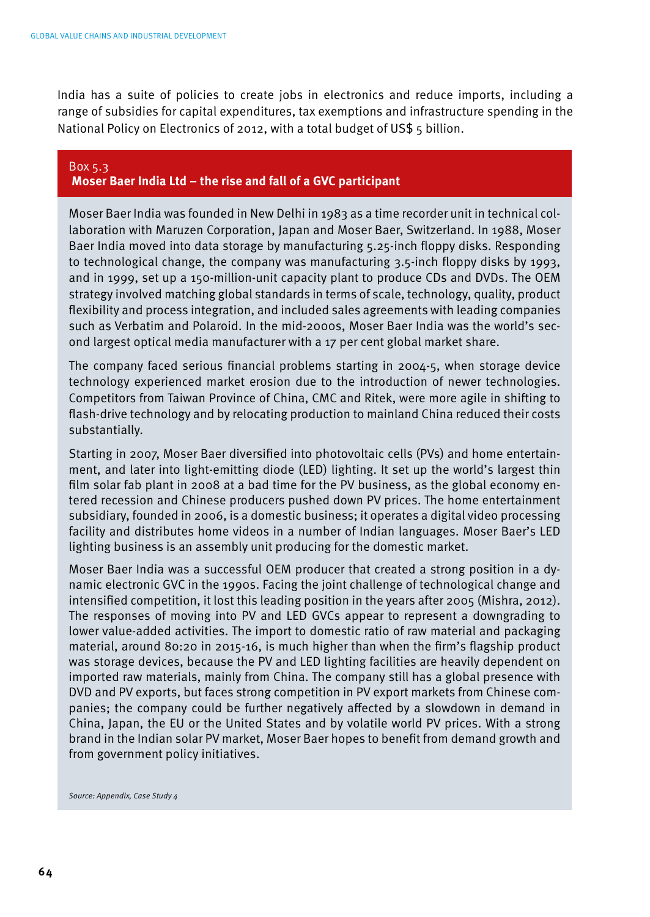India has a suite of policies to create jobs in electronics and reduce imports, including a range of subsidies for capital expenditures, tax exemptions and infrastructure spending in the National Policy on Electronics of 2012, with a total budget of US\$ 5 billion.

#### Box 5.3 **Moser Baer India Ltd – the rise and fall of a GVC participant**

Moser Baer India was founded in New Delhi in 1983 as a time recorder unit in technical collaboration with Maruzen Corporation, Japan and Moser Baer, Switzerland. In 1988, Moser Baer India moved into data storage by manufacturing 5.25-inch floppy disks. Responding to technological change, the company was manufacturing 3.5-inch floppy disks by 1993, and in 1999, set up a 150-million-unit capacity plant to produce CDs and DVDs. The OEM strategy involved matching global standards in terms of scale, technology, quality, product flexibility and process integration, and included sales agreements with leading companies such as Verbatim and Polaroid. In the mid-2000s, Moser Baer India was the world's second largest optical media manufacturer with a 17 per cent global market share.

The company faced serious financial problems starting in 2004-5, when storage device technology experienced market erosion due to the introduction of newer technologies. Competitors from Taiwan Province of China, CMC and Ritek, were more agile in shifting to flash-drive technology and by relocating production to mainland China reduced their costs substantially.

Starting in 2007, Moser Baer diversified into photovoltaic cells (PVs) and home entertainment, and later into light-emitting diode (LED) lighting. It set up the world's largest thin film solar fab plant in 2008 at a bad time for the PV business, as the global economy entered recession and Chinese producers pushed down PV prices. The home entertainment subsidiary, founded in 2006, is a domestic business; it operates a digital video processing facility and distributes home videos in a number of Indian languages. Moser Baer's LED lighting business is an assembly unit producing for the domestic market.

Moser Baer India was a successful OEM producer that created a strong position in a dynamic electronic GVC in the 1990s. Facing the joint challenge of technological change and intensified competition, it lost this leading position in the years after 2005 (Mishra, 2012). The responses of moving into PV and LED GVCs appear to represent a downgrading to lower value-added activities. The import to domestic ratio of raw material and packaging material, around 80:20 in 2015-16, is much higher than when the firm's flagship product was storage devices, because the PV and LED lighting facilities are heavily dependent on imported raw materials, mainly from China. The company still has a global presence with DVD and PV exports, but faces strong competition in PV export markets from Chinese companies; the company could be further negatively affected by a slowdown in demand in China, Japan, the EU or the United States and by volatile world PV prices. With a strong brand in the Indian solar PV market, Moser Baer hopes to benefit from demand growth and from government policy initiatives.

*Source: Appendix, Case Study 4*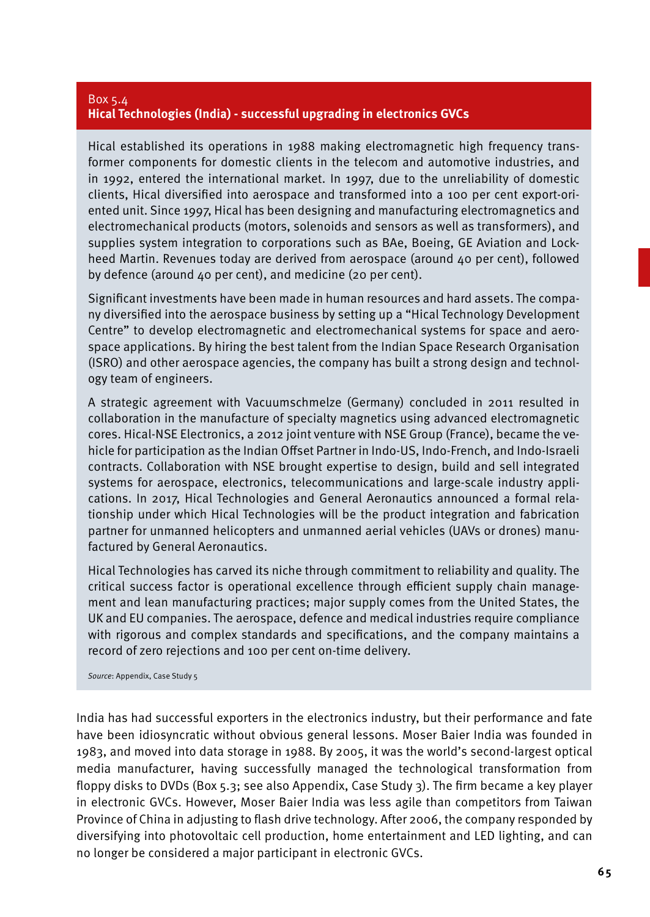### Box 5.4 **Hical Technologies (India) - successful upgrading in electronics GVCs**

Hical established its operations in 1988 making electromagnetic high frequency transformer components for domestic clients in the telecom and automotive industries, and in 1992, entered the international market. In 1997, due to the unreliability of domestic clients, Hical diversified into aerospace and transformed into a 100 per cent export-oriented unit. Since 1997, Hical has been designing and manufacturing electromagnetics and electromechanical products (motors, solenoids and sensors as well as transformers), and supplies system integration to corporations such as BAe, Boeing, GE Aviation and Lockheed Martin. Revenues today are derived from aerospace (around 40 per cent), followed by defence (around 40 per cent), and medicine (20 per cent).

Significant investments have been made in human resources and hard assets. The company diversified into the aerospace business by setting up a "Hical Technology Development Centre" to develop electromagnetic and electromechanical systems for space and aerospace applications. By hiring the best talent from the Indian Space Research Organisation (ISRO) and other aerospace agencies, the company has built a strong design and technology team of engineers.

A strategic agreement with Vacuumschmelze (Germany) concluded in 2011 resulted in collaboration in the manufacture of specialty magnetics using advanced electromagnetic cores. Hical-NSE Electronics, a 2012 joint venture with NSE Group (France), became the vehicle for participation as the Indian Offset Partner in Indo-US, Indo-French, and Indo-Israeli contracts. Collaboration with NSE brought expertise to design, build and sell integrated systems for aerospace, electronics, telecommunications and large-scale industry applications. In 2017, Hical Technologies and General Aeronautics announced a formal relationship under which Hical Technologies will be the product integration and fabrication partner for unmanned helicopters and unmanned aerial vehicles (UAVs or drones) manufactured by General Aeronautics.

Hical Technologies has carved its niche through commitment to reliability and quality. The critical success factor is operational excellence through efficient supply chain management and lean manufacturing practices; major supply comes from the United States, the UK and EU companies. The aerospace, defence and medical industries require compliance with rigorous and complex standards and specifications, and the company maintains a record of zero rejections and 100 per cent on-time delivery.

*Source*: Appendix, Case Study 5

India has had successful exporters in the electronics industry, but their performance and fate have been idiosyncratic without obvious general lessons. Moser Baier India was founded in 1983, and moved into data storage in 1988. By 2005, it was the world's second-largest optical media manufacturer, having successfully managed the technological transformation from floppy disks to DVDs (Box 5.3; see also Appendix, Case Study 3). The firm became a key player in electronic GVCs. However, Moser Baier India was less agile than competitors from Taiwan Province of China in adjusting to flash drive technology. After 2006, the company responded by diversifying into photovoltaic cell production, home entertainment and LED lighting, and can no longer be considered a major participant in electronic GVCs.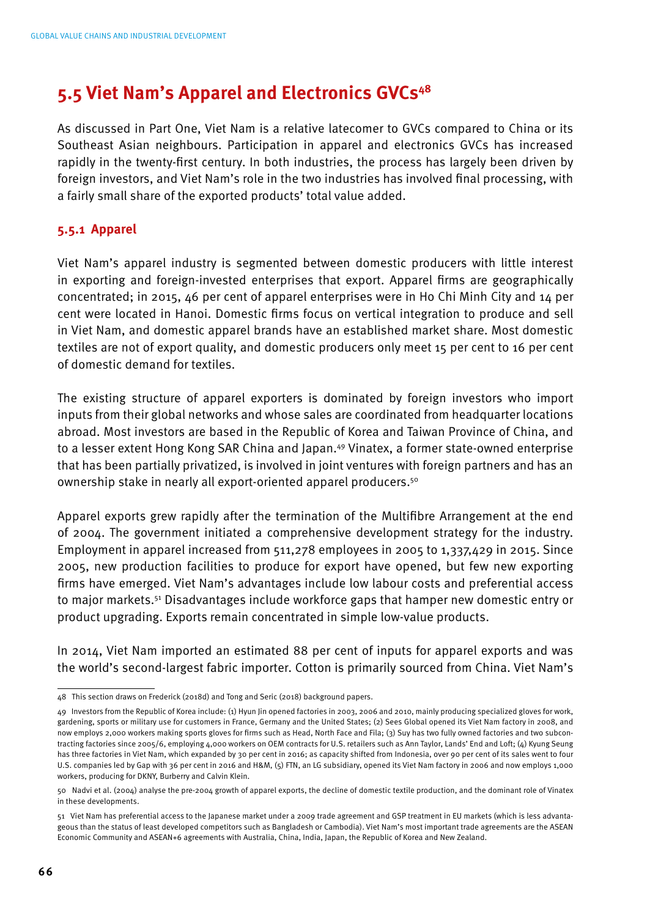## **5.5 Viet Nam's Apparel and Electronics GVCs48**

As discussed in Part One, Viet Nam is a relative latecomer to GVCs compared to China or its Southeast Asian neighbours. Participation in apparel and electronics GVCs has increased rapidly in the twenty-first century. In both industries, the process has largely been driven by foreign investors, and Viet Nam's role in the two industries has involved final processing, with a fairly small share of the exported products' total value added.

### **5.5.1 Apparel**

Viet Nam's apparel industry is segmented between domestic producers with little interest in exporting and foreign-invested enterprises that export. Apparel firms are geographically concentrated; in 2015, 46 per cent of apparel enterprises were in Ho Chi Minh City and 14 per cent were located in Hanoi. Domestic firms focus on vertical integration to produce and sell in Viet Nam, and domestic apparel brands have an established market share. Most domestic textiles are not of export quality, and domestic producers only meet 15 per cent to 16 per cent of domestic demand for textiles.

The existing structure of apparel exporters is dominated by foreign investors who import inputs from their global networks and whose sales are coordinated from headquarter locations abroad. Most investors are based in the Republic of Korea and Taiwan Province of China, and to a lesser extent Hong Kong SAR China and Japan.<sup>49</sup> Vinatex, a former state-owned enterprise that has been partially privatized, is involved in joint ventures with foreign partners and has an ownership stake in nearly all export-oriented apparel producers.50

Apparel exports grew rapidly after the termination of the Multifibre Arrangement at the end of 2004. The government initiated a comprehensive development strategy for the industry. Employment in apparel increased from 511,278 employees in 2005 to 1,337,429 in 2015. Since 2005, new production facilities to produce for export have opened, but few new exporting firms have emerged. Viet Nam's advantages include low labour costs and preferential access to major markets.51 Disadvantages include workforce gaps that hamper new domestic entry or product upgrading. Exports remain concentrated in simple low-value products.

In 2014, Viet Nam imported an estimated 88 per cent of inputs for apparel exports and was the world's second-largest fabric importer. Cotton is primarily sourced from China. Viet Nam's

<sup>48</sup> This section draws on Frederick (2018d) and Tong and Seric (2018) background papers.

<sup>49</sup> Investors from the Republic of Korea include: (1) Hyun Jin opened factories in 2003, 2006 and 2010, mainly producing specialized gloves for work, gardening, sports or military use for customers in France, Germany and the United States; (2) Sees Global opened its Viet Nam factory in 2008, and now employs 2,000 workers making sports gloves for firms such as Head, North Face and Fila; (3) Suy has two fully owned factories and two subcontracting factories since 2005/6, employing 4,000 workers on OEM contracts for U.S. retailers such as Ann Taylor, Lands' End and Loft; (4) Kyung Seung has three factories in Viet Nam, which expanded by 30 per cent in 2016; as capacity shifted from Indonesia, over 90 per cent of its sales went to four U.S. companies led by Gap with 36 per cent in 2016 and H&M, (5) FTN, an LG subsidiary, opened its Viet Nam factory in 2006 and now employs 1,000 workers, producing for DKNY, Burberry and Calvin Klein.

<sup>50</sup> Nadvi et al. (2004) analyse the pre-2004 growth of apparel exports, the decline of domestic textile production, and the dominant role of Vinatex in these developments.

<sup>51</sup> Viet Nam has preferential access to the Japanese market under a 2009 trade agreement and GSP treatment in EU markets (which is less advantageous than the status of least developed competitors such as Bangladesh or Cambodia). Viet Nam's most important trade agreements are the ASEAN Economic Community and ASEAN+6 agreements with Australia, China, India, Japan, the Republic of Korea and New Zealand.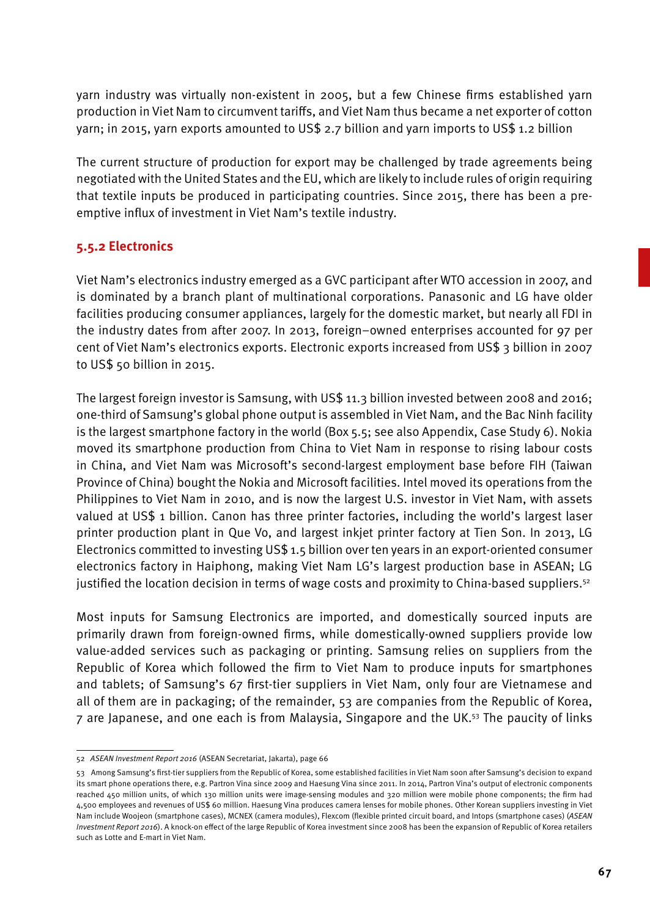yarn industry was virtually non-existent in 2005, but a few Chinese firms established yarn production in Viet Nam to circumvent tariffs, and Viet Nam thus became a net exporter of cotton yarn; in 2015, yarn exports amounted to US\$ 2.7 billion and yarn imports to US\$ 1.2 billion

The current structure of production for export may be challenged by trade agreements being negotiated with the United States and the EU, which are likely to include rules of origin requiring that textile inputs be produced in participating countries. Since 2015, there has been a preemptive influx of investment in Viet Nam's textile industry.

### **5.5.2 Electronics**

Viet Nam's electronics industry emerged as a GVC participant after WTO accession in 2007, and is dominated by a branch plant of multinational corporations. Panasonic and LG have older facilities producing consumer appliances, largely for the domestic market, but nearly all FDI in the industry dates from after 2007. In 2013, foreign–owned enterprises accounted for 97 per cent of Viet Nam's electronics exports. Electronic exports increased from US\$ 3 billion in 2007 to US\$ 50 billion in 2015.

The largest foreign investor is Samsung, with US\$ 11.3 billion invested between 2008 and 2016; one-third of Samsung's global phone output is assembled in Viet Nam, and the Bac Ninh facility is the largest smartphone factory in the world (Box 5.5; see also Appendix, Case Study 6). Nokia moved its smartphone production from China to Viet Nam in response to rising labour costs in China, and Viet Nam was Microsoft's second-largest employment base before FIH (Taiwan Province of China) bought the Nokia and Microsoft facilities. Intel moved its operations from the Philippines to Viet Nam in 2010, and is now the largest U.S. investor in Viet Nam, with assets valued at US\$ 1 billion. Canon has three printer factories, including the world's largest laser printer production plant in Que Vo, and largest inkjet printer factory at Tien Son. In 2013, LG Electronics committed to investing US\$ 1.5 billion over ten years in an export-oriented consumer electronics factory in Haiphong, making Viet Nam LG's largest production base in ASEAN; LG justified the location decision in terms of wage costs and proximity to China-based suppliers.<sup>52</sup>

Most inputs for Samsung Electronics are imported, and domestically sourced inputs are primarily drawn from foreign-owned firms, while domestically-owned suppliers provide low value-added services such as packaging or printing. Samsung relies on suppliers from the Republic of Korea which followed the firm to Viet Nam to produce inputs for smartphones and tablets; of Samsung's 67 first-tier suppliers in Viet Nam, only four are Vietnamese and all of them are in packaging; of the remainder, 53 are companies from the Republic of Korea, 7 are Japanese, and one each is from Malaysia, Singapore and the UK.53 The paucity of links

<sup>52</sup> *ASEAN Investment Report 2016* (ASEAN Secretariat, Jakarta), page 66

<sup>53</sup> Among Samsung's first-tier suppliers from the Republic of Korea, some established facilities in Viet Nam soon after Samsung's decision to expand its smart phone operations there, e.g. Partron Vina since 2009 and Haesung Vina since 2011. In 2014, Partron Vina's output of electronic components reached 450 million units, of which 130 million units were image-sensing modules and 320 million were mobile phone components; the firm had 4,500 employees and revenues of US\$ 60 million. Haesung Vina produces camera lenses for mobile phones. Other Korean suppliers investing in Viet Nam include Woojeon (smartphone cases), MCNEX (camera modules), Flexcom (flexible printed circuit board, and Intops (smartphone cases) (*ASEAN Investment Report 2016*). A knock-on effect of the large Republic of Korea investment since 2008 has been the expansion of Republic of Korea retailers such as Lotte and E-mart in Viet Nam.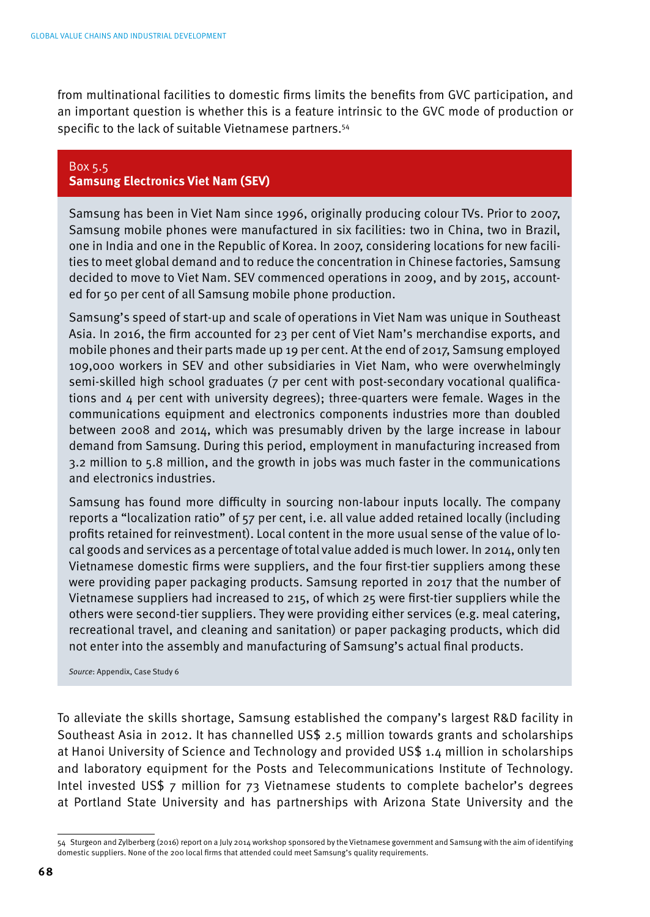from multinational facilities to domestic firms limits the benefits from GVC participation, and an important question is whether this is a feature intrinsic to the GVC mode of production or specific to the lack of suitable Vietnamese partners.<sup>54</sup>

#### Box 5.5 **Samsung Electronics Viet Nam (SEV)**

Samsung has been in Viet Nam since 1996, originally producing colour TVs. Prior to 2007, Samsung mobile phones were manufactured in six facilities: two in China, two in Brazil, one in India and one in the Republic of Korea. In 2007, considering locations for new facilities to meet global demand and to reduce the concentration in Chinese factories, Samsung decided to move to Viet Nam. SEV commenced operations in 2009, and by 2015, accounted for 50 per cent of all Samsung mobile phone production.

Samsung's speed of start-up and scale of operations in Viet Nam was unique in Southeast Asia. In 2016, the firm accounted for 23 per cent of Viet Nam's merchandise exports, and mobile phones and their parts made up 19 per cent. At the end of 2017, Samsung employed 109,000 workers in SEV and other subsidiaries in Viet Nam, who were overwhelmingly semi-skilled high school graduates (7 per cent with post-secondary vocational qualifications and 4 per cent with university degrees); three-quarters were female. Wages in the communications equipment and electronics components industries more than doubled between 2008 and 2014, which was presumably driven by the large increase in labour demand from Samsung. During this period, employment in manufacturing increased from 3.2 million to 5.8 million, and the growth in jobs was much faster in the communications and electronics industries.

Samsung has found more difficulty in sourcing non-labour inputs locally. The company reports a "localization ratio" of 57 per cent, i.e. all value added retained locally (including profits retained for reinvestment). Local content in the more usual sense of the value of local goods and services as a percentage of total value added is much lower. In 2014, only ten Vietnamese domestic firms were suppliers, and the four first-tier suppliers among these were providing paper packaging products. Samsung reported in 2017 that the number of Vietnamese suppliers had increased to 215, of which 25 were first-tier suppliers while the others were second-tier suppliers. They were providing either services (e.g. meal catering, recreational travel, and cleaning and sanitation) or paper packaging products, which did not enter into the assembly and manufacturing of Samsung's actual final products.

*Source*: Appendix, Case Study 6

To alleviate the skills shortage, Samsung established the company's largest R&D facility in Southeast Asia in 2012. It has channelled US\$ 2.5 million towards grants and scholarships at Hanoi University of Science and Technology and provided US\$ 1.4 million in scholarships and laboratory equipment for the Posts and Telecommunications Institute of Technology. Intel invested US\$ 7 million for 73 Vietnamese students to complete bachelor's degrees at Portland State University and has partnerships with Arizona State University and the

<sup>54</sup> Sturgeon and Zylberberg (2016) report on a July 2014 workshop sponsored by the Vietnamese government and Samsung with the aim of identifying domestic suppliers. None of the 200 local firms that attended could meet Samsung's quality requirements.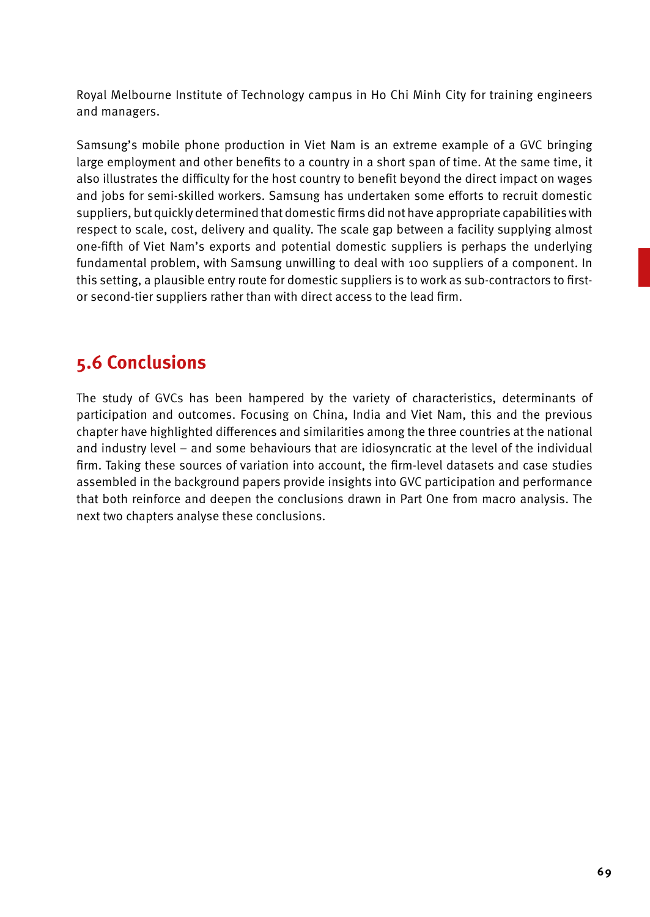Royal Melbourne Institute of Technology campus in Ho Chi Minh City for training engineers and managers.

Samsung's mobile phone production in Viet Nam is an extreme example of a GVC bringing large employment and other benefits to a country in a short span of time. At the same time, it also illustrates the difficulty for the host country to benefit beyond the direct impact on wages and jobs for semi-skilled workers. Samsung has undertaken some efforts to recruit domestic suppliers, but quickly determined that domestic firms did not have appropriate capabilities with respect to scale, cost, delivery and quality. The scale gap between a facility supplying almost one-fifth of Viet Nam's exports and potential domestic suppliers is perhaps the underlying fundamental problem, with Samsung unwilling to deal with 100 suppliers of a component. In this setting, a plausible entry route for domestic suppliers is to work as sub-contractors to firstor second-tier suppliers rather than with direct access to the lead firm.

## **5.6 Conclusions**

The study of GVCs has been hampered by the variety of characteristics, determinants of participation and outcomes. Focusing on China, India and Viet Nam, this and the previous chapter have highlighted differences and similarities among the three countries at the national and industry level – and some behaviours that are idiosyncratic at the level of the individual firm. Taking these sources of variation into account, the firm-level datasets and case studies assembled in the background papers provide insights into GVC participation and performance that both reinforce and deepen the conclusions drawn in Part One from macro analysis. The next two chapters analyse these conclusions.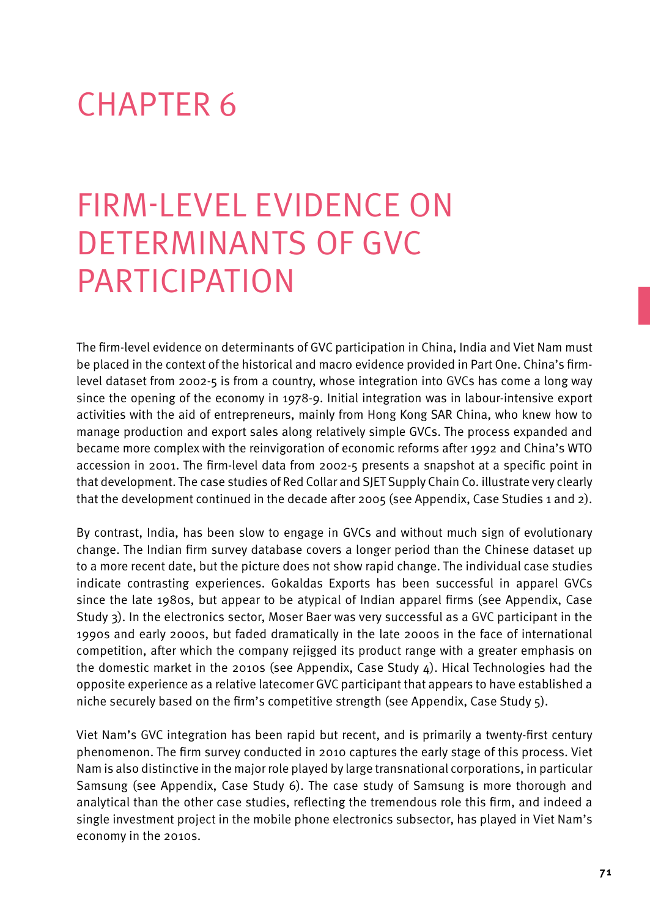# CHAPTER 6

# Firm-level Evidence on Determinants of GVC **PARTICIPATION**

The firm-level evidence on determinants of GVC participation in China, India and Viet Nam must be placed in the context of the historical and macro evidence provided in Part One. China's firmlevel dataset from 2002-5 is from a country, whose integration into GVCs has come a long way since the opening of the economy in 1978-9. Initial integration was in labour-intensive export activities with the aid of entrepreneurs, mainly from Hong Kong SAR China, who knew how to manage production and export sales along relatively simple GVCs. The process expanded and became more complex with the reinvigoration of economic reforms after 1992 and China's WTO accession in 2001. The firm-level data from 2002-5 presents a snapshot at a specific point in that development. The case studies of Red Collar and SJET Supply Chain Co. illustrate very clearly that the development continued in the decade after 2005 (see Appendix, Case Studies 1 and 2).

By contrast, India, has been slow to engage in GVCs and without much sign of evolutionary change. The Indian firm survey database covers a longer period than the Chinese dataset up to a more recent date, but the picture does not show rapid change. The individual case studies indicate contrasting experiences. Gokaldas Exports has been successful in apparel GVCs since the late 1980s, but appear to be atypical of Indian apparel firms (see Appendix, Case Study 3). In the electronics sector, Moser Baer was very successful as a GVC participant in the 1990s and early 2000s, but faded dramatically in the late 2000s in the face of international competition, after which the company rejigged its product range with a greater emphasis on the domestic market in the 2010s (see Appendix, Case Study 4). Hical Technologies had the opposite experience as a relative latecomer GVC participant that appears to have established a niche securely based on the firm's competitive strength (see Appendix, Case Study 5).

Viet Nam's GVC integration has been rapid but recent, and is primarily a twenty-first century phenomenon. The firm survey conducted in 2010 captures the early stage of this process. Viet Nam is also distinctive in the major role played by large transnational corporations, in particular Samsung (see Appendix, Case Study 6). The case study of Samsung is more thorough and analytical than the other case studies, reflecting the tremendous role this firm, and indeed a single investment project in the mobile phone electronics subsector, has played in Viet Nam's economy in the 2010s.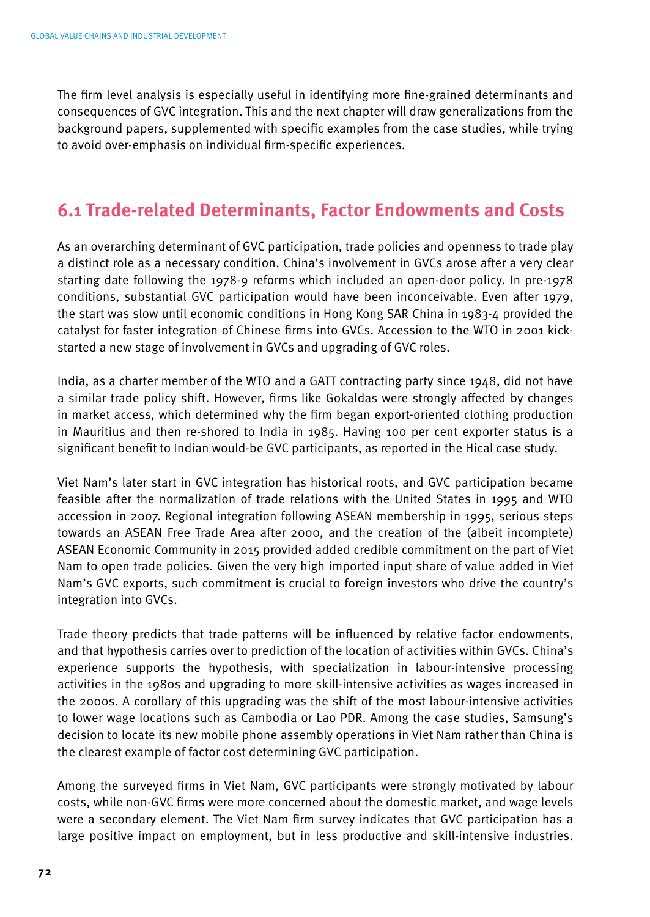The firm level analysis is especially useful in identifying more fine-grained determinants and consequences of GVC integration. This and the next chapter will draw generalizations from the background papers, supplemented with specific examples from the case studies, while trying to avoid over-emphasis on individual firm-specific experiences.

## **6.1 Trade-related Determinants, Factor Endowments and Costs**

As an overarching determinant of GVC participation, trade policies and openness to trade play a distinct role as a necessary condition. China's involvement in GVCs arose after a very clear starting date following the 1978-9 reforms which included an open-door policy. In pre-1978 conditions, substantial GVC participation would have been inconceivable. Even after 1979, the start was slow until economic conditions in Hong Kong SAR China in 1983-4 provided the catalyst for faster integration of Chinese firms into GVCs. Accession to the WTO in 2001 kickstarted a new stage of involvement in GVCs and upgrading of GVC roles.

India, as a charter member of the WTO and a GATT contracting party since 1948, did not have a similar trade policy shift. However, firms like Gokaldas were strongly affected by changes in market access, which determined why the firm began export-oriented clothing production in Mauritius and then re-shored to India in 1985. Having 100 per cent exporter status is a significant benefit to Indian would-be GVC participants, as reported in the Hical case study.

Viet Nam's later start in GVC integration has historical roots, and GVC participation became feasible after the normalization of trade relations with the United States in 1995 and WTO accession in 2007. Regional integration following ASEAN membership in 1995, serious steps towards an ASEAN Free Trade Area after 2000, and the creation of the (albeit incomplete) ASEAN Economic Community in 2015 provided added credible commitment on the part of Viet Nam to open trade policies. Given the very high imported input share of value added in Viet Nam's GVC exports, such commitment is crucial to foreign investors who drive the country's integration into GVCs.

Trade theory predicts that trade patterns will be influenced by relative factor endowments, and that hypothesis carries over to prediction of the location of activities within GVCs. China's experience supports the hypothesis, with specialization in labour-intensive processing activities in the 1980s and upgrading to more skill-intensive activities as wages increased in the 2000s. A corollary of this upgrading was the shift of the most labour-intensive activities to lower wage locations such as Cambodia or Lao PDR. Among the case studies, Samsung's decision to locate its new mobile phone assembly operations in Viet Nam rather than China is the clearest example of factor cost determining GVC participation.

Among the surveyed firms in Viet Nam, GVC participants were strongly motivated by labour costs, while non-GVC firms were more concerned about the domestic market, and wage levels were a secondary element. The Viet Nam firm survey indicates that GVC participation has a large positive impact on employment, but in less productive and skill-intensive industries.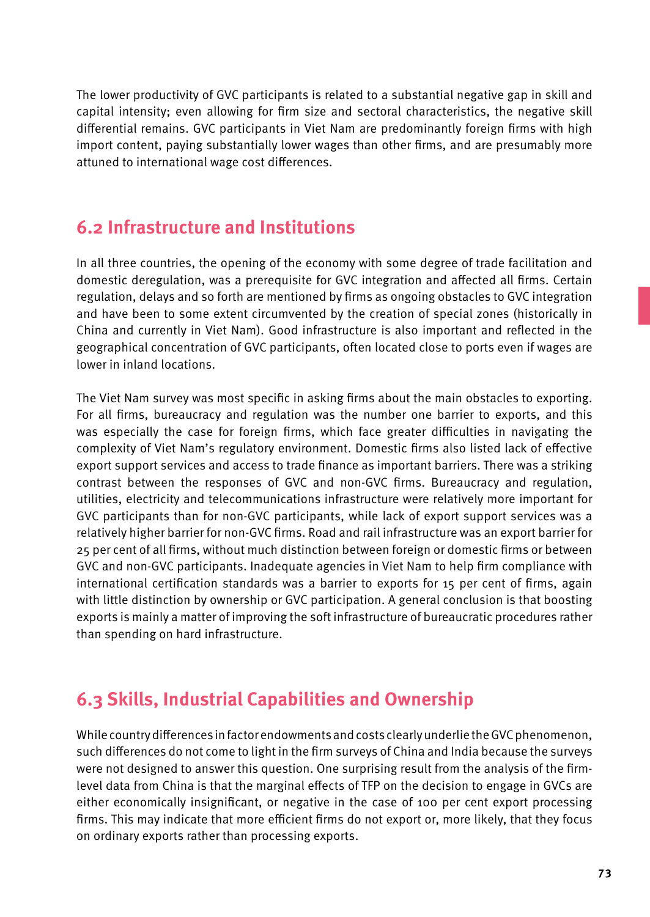The lower productivity of GVC participants is related to a substantial negative gap in skill and capital intensity; even allowing for firm size and sectoral characteristics, the negative skill differential remains. GVC participants in Viet Nam are predominantly foreign firms with high import content, paying substantially lower wages than other firms, and are presumably more attuned to international wage cost differences.

## **6.2 Infrastructure and Institutions**

In all three countries, the opening of the economy with some degree of trade facilitation and domestic deregulation, was a prerequisite for GVC integration and affected all firms. Certain regulation, delays and so forth are mentioned by firms as ongoing obstacles to GVC integration and have been to some extent circumvented by the creation of special zones (historically in China and currently in Viet Nam). Good infrastructure is also important and reflected in the geographical concentration of GVC participants, often located close to ports even if wages are lower in inland locations.

The Viet Nam survey was most specific in asking firms about the main obstacles to exporting. For all firms, bureaucracy and regulation was the number one barrier to exports, and this was especially the case for foreign firms, which face greater difficulties in navigating the complexity of Viet Nam's regulatory environment. Domestic firms also listed lack of effective export support services and access to trade finance as important barriers. There was a striking contrast between the responses of GVC and non-GVC firms. Bureaucracy and regulation, utilities, electricity and telecommunications infrastructure were relatively more important for GVC participants than for non-GVC participants, while lack of export support services was a relatively higher barrier for non-GVC firms. Road and rail infrastructure was an export barrier for 25 per cent of all firms, without much distinction between foreign or domestic firms or between GVC and non-GVC participants. Inadequate agencies in Viet Nam to help firm compliance with international certification standards was a barrier to exports for 15 per cent of firms, again with little distinction by ownership or GVC participation. A general conclusion is that boosting exports is mainly a matter of improving the soft infrastructure of bureaucratic procedures rather than spending on hard infrastructure.

# **6.3 Skills, Industrial Capabilities and Ownership**

While country differences in factor endowments and costs clearly underlie the GVC phenomenon, such differences do not come to light in the firm surveys of China and India because the surveys were not designed to answer this question. One surprising result from the analysis of the firmlevel data from China is that the marginal effects of TFP on the decision to engage in GVCs are either economically insignificant, or negative in the case of 100 per cent export processing firms. This may indicate that more efficient firms do not export or, more likely, that they focus on ordinary exports rather than processing exports.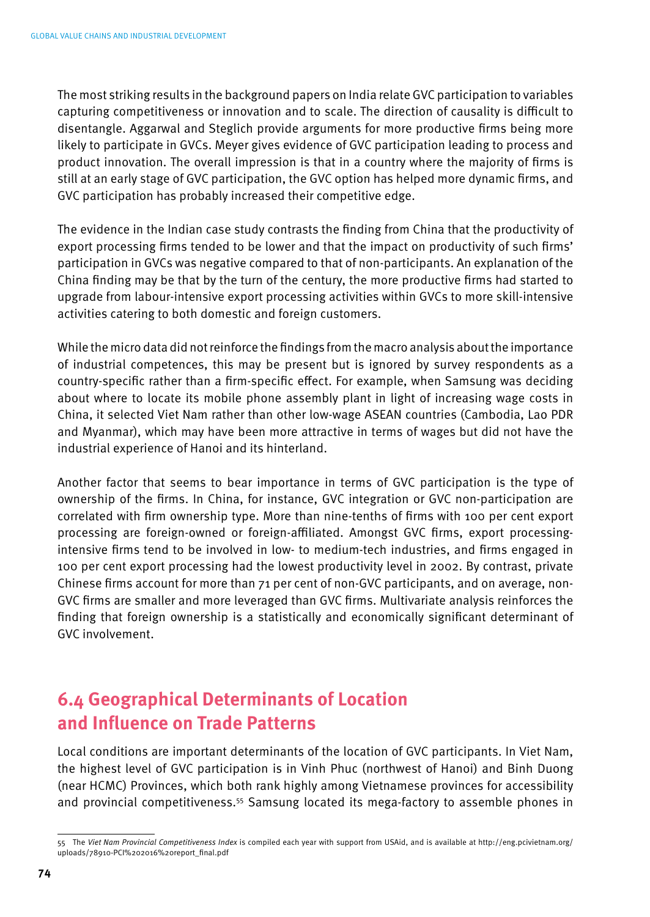The most striking results in the background papers on India relate GVC participation to variables capturing competitiveness or innovation and to scale. The direction of causality is difficult to disentangle. Aggarwal and Steglich provide arguments for more productive firms being more likely to participate in GVCs. Meyer gives evidence of GVC participation leading to process and product innovation. The overall impression is that in a country where the majority of firms is still at an early stage of GVC participation, the GVC option has helped more dynamic firms, and GVC participation has probably increased their competitive edge.

The evidence in the Indian case study contrasts the finding from China that the productivity of export processing firms tended to be lower and that the impact on productivity of such firms' participation in GVCs was negative compared to that of non-participants. An explanation of the China finding may be that by the turn of the century, the more productive firms had started to upgrade from labour-intensive export processing activities within GVCs to more skill-intensive activities catering to both domestic and foreign customers.

While the micro data did not reinforce the findings from the macro analysis about the importance of industrial competences, this may be present but is ignored by survey respondents as a country-specific rather than a firm-specific effect. For example, when Samsung was deciding about where to locate its mobile phone assembly plant in light of increasing wage costs in China, it selected Viet Nam rather than other low-wage ASEAN countries (Cambodia, Lao PDR and Myanmar), which may have been more attractive in terms of wages but did not have the industrial experience of Hanoi and its hinterland.

Another factor that seems to bear importance in terms of GVC participation is the type of ownership of the firms. In China, for instance, GVC integration or GVC non-participation are correlated with firm ownership type. More than nine-tenths of firms with 100 per cent export processing are foreign-owned or foreign-affiliated. Amongst GVC firms, export processingintensive firms tend to be involved in low- to medium-tech industries, and firms engaged in 100 per cent export processing had the lowest productivity level in 2002. By contrast, private Chinese firms account for more than 71 per cent of non-GVC participants, and on average, non-GVC firms are smaller and more leveraged than GVC firms. Multivariate analysis reinforces the finding that foreign ownership is a statistically and economically significant determinant of GVC involvement.

## **6.4 Geographical Determinants of Location and Influence on Trade Patterns**

Local conditions are important determinants of the location of GVC participants. In Viet Nam, the highest level of GVC participation is in Vinh Phuc (northwest of Hanoi) and Binh Duong (near HCMC) Provinces, which both rank highly among Vietnamese provinces for accessibility and provincial competitiveness.55 Samsung located its mega-factory to assemble phones in

<sup>55</sup> The *Viet Nam Provincial Competitiveness Index* is compiled each year with support from USAid, and is available at http://eng.pcivietnam.org/ uploads/78910-PCI%202016%20report\_final.pdf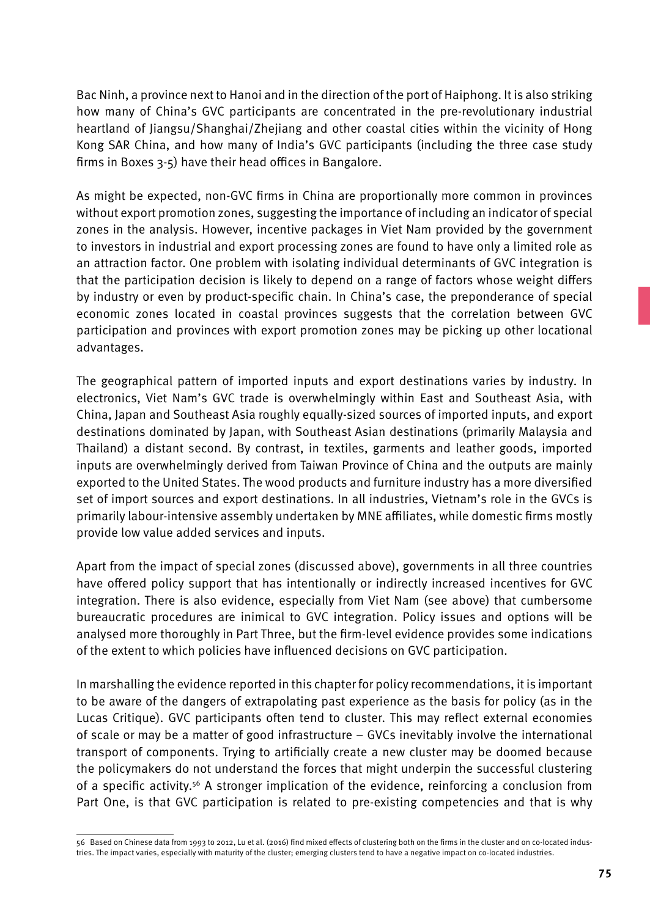Bac Ninh, a province next to Hanoi and in the direction of the port of Haiphong. It is also striking how many of China's GVC participants are concentrated in the pre-revolutionary industrial heartland of Jiangsu/Shanghai/Zhejiang and other coastal cities within the vicinity of Hong Kong SAR China, and how many of India's GVC participants (including the three case study firms in Boxes 3-5) have their head offices in Bangalore.

As might be expected, non-GVC firms in China are proportionally more common in provinces without export promotion zones, suggesting the importance of including an indicator of special zones in the analysis. However, incentive packages in Viet Nam provided by the government to investors in industrial and export processing zones are found to have only a limited role as an attraction factor. One problem with isolating individual determinants of GVC integration is that the participation decision is likely to depend on a range of factors whose weight differs by industry or even by product-specific chain. In China's case, the preponderance of special economic zones located in coastal provinces suggests that the correlation between GVC participation and provinces with export promotion zones may be picking up other locational advantages.

The geographical pattern of imported inputs and export destinations varies by industry. In electronics, Viet Nam's GVC trade is overwhelmingly within East and Southeast Asia, with China, Japan and Southeast Asia roughly equally-sized sources of imported inputs, and export destinations dominated by Japan, with Southeast Asian destinations (primarily Malaysia and Thailand) a distant second. By contrast, in textiles, garments and leather goods, imported inputs are overwhelmingly derived from Taiwan Province of China and the outputs are mainly exported to the United States. The wood products and furniture industry has a more diversified set of import sources and export destinations. In all industries, Vietnam's role in the GVCs is primarily labour-intensive assembly undertaken by MNE affiliates, while domestic firms mostly provide low value added services and inputs.

Apart from the impact of special zones (discussed above), governments in all three countries have offered policy support that has intentionally or indirectly increased incentives for GVC integration. There is also evidence, especially from Viet Nam (see above) that cumbersome bureaucratic procedures are inimical to GVC integration. Policy issues and options will be analysed more thoroughly in Part Three, but the firm-level evidence provides some indications of the extent to which policies have influenced decisions on GVC participation.

In marshalling the evidence reported in this chapter for policy recommendations, it is important to be aware of the dangers of extrapolating past experience as the basis for policy (as in the Lucas Critique). GVC participants often tend to cluster. This may reflect external economies of scale or may be a matter of good infrastructure – GVCs inevitably involve the international transport of components. Trying to artificially create a new cluster may be doomed because the policymakers do not understand the forces that might underpin the successful clustering of a specific activity.56 A stronger implication of the evidence, reinforcing a conclusion from Part One, is that GVC participation is related to pre-existing competencies and that is why

<sup>56</sup> Based on Chinese data from 1993 to 2012, Lu et al. (2016) find mixed effects of clustering both on the firms in the cluster and on co-located industries. The impact varies, especially with maturity of the cluster; emerging clusters tend to have a negative impact on co-located industries.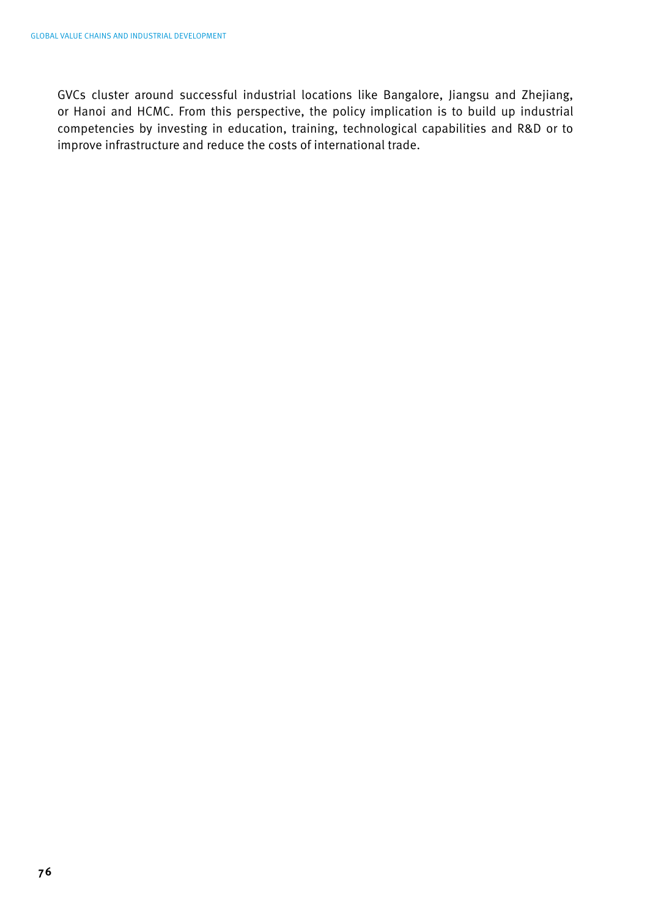GVCs cluster around successful industrial locations like Bangalore, Jiangsu and Zhejiang, or Hanoi and HCMC. From this perspective, the policy implication is to build up industrial competencies by investing in education, training, technological capabilities and R&D or to improve infrastructure and reduce the costs of international trade.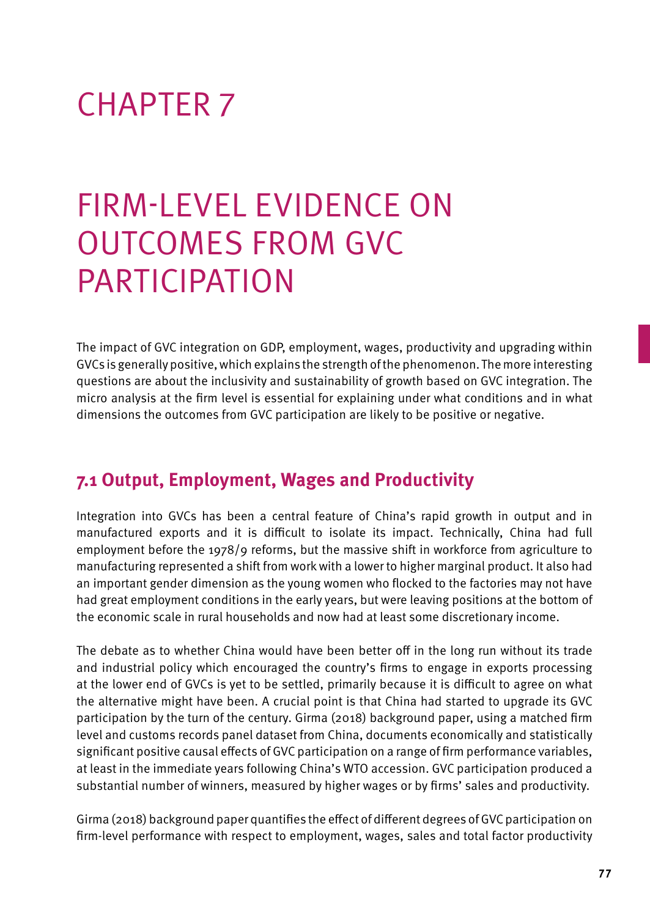# CHAPTER 7

# Firm-level Evidence on Outcomes from GVC **PARTICIPATION**

The impact of GVC integration on GDP, employment, wages, productivity and upgrading within GVCs is generally positive, which explains the strength of the phenomenon. The more interesting questions are about the inclusivity and sustainability of growth based on GVC integration. The micro analysis at the firm level is essential for explaining under what conditions and in what dimensions the outcomes from GVC participation are likely to be positive or negative.

## **7.1 Output, Employment, Wages and Productivity**

Integration into GVCs has been a central feature of China's rapid growth in output and in manufactured exports and it is difficult to isolate its impact. Technically, China had full employment before the 1978/9 reforms, but the massive shift in workforce from agriculture to manufacturing represented a shift from work with a lower to higher marginal product. It also had an important gender dimension as the young women who flocked to the factories may not have had great employment conditions in the early years, but were leaving positions at the bottom of the economic scale in rural households and now had at least some discretionary income.

The debate as to whether China would have been better off in the long run without its trade and industrial policy which encouraged the country's firms to engage in exports processing at the lower end of GVCs is yet to be settled, primarily because it is difficult to agree on what the alternative might have been. A crucial point is that China had started to upgrade its GVC participation by the turn of the century. Girma (2018) background paper, using a matched firm level and customs records panel dataset from China, documents economically and statistically significant positive causal effects of GVC participation on a range of firm performance variables, at least in the immediate years following China's WTO accession. GVC participation produced a substantial number of winners, measured by higher wages or by firms' sales and productivity.

Girma (2018) background paper quantifies the effect of different degrees of GVC participation on firm-level performance with respect to employment, wages, sales and total factor productivity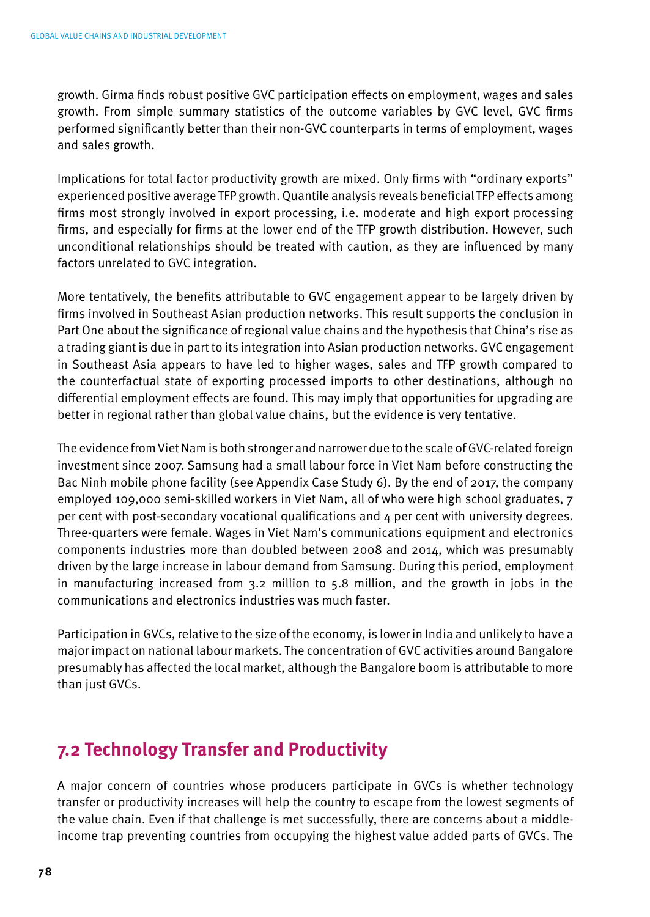growth. Girma finds robust positive GVC participation effects on employment, wages and sales growth. From simple summary statistics of the outcome variables by GVC level, GVC firms performed significantly better than their non-GVC counterparts in terms of employment, wages and sales growth.

Implications for total factor productivity growth are mixed. Only firms with "ordinary exports" experienced positive average TFP growth. Quantile analysis reveals beneficial TFP effects among firms most strongly involved in export processing, i.e. moderate and high export processing firms, and especially for firms at the lower end of the TFP growth distribution. However, such unconditional relationships should be treated with caution, as they are influenced by many factors unrelated to GVC integration.

More tentatively, the benefits attributable to GVC engagement appear to be largely driven by firms involved in Southeast Asian production networks. This result supports the conclusion in Part One about the significance of regional value chains and the hypothesis that China's rise as a trading giant is due in part to its integration into Asian production networks. GVC engagement in Southeast Asia appears to have led to higher wages, sales and TFP growth compared to the counterfactual state of exporting processed imports to other destinations, although no differential employment effects are found. This may imply that opportunities for upgrading are better in regional rather than global value chains, but the evidence is very tentative.

The evidence from Viet Nam is both stronger and narrower due to the scale of GVC-related foreign investment since 2007. Samsung had a small labour force in Viet Nam before constructing the Bac Ninh mobile phone facility (see Appendix Case Study 6). By the end of 2017, the company employed 109,000 semi-skilled workers in Viet Nam, all of who were high school graduates, 7 per cent with post-secondary vocational qualifications and 4 per cent with university degrees. Three-quarters were female. Wages in Viet Nam's communications equipment and electronics components industries more than doubled between 2008 and 2014, which was presumably driven by the large increase in labour demand from Samsung. During this period, employment in manufacturing increased from 3.2 million to 5.8 million, and the growth in jobs in the communications and electronics industries was much faster.

Participation in GVCs, relative to the size of the economy, is lower in India and unlikely to have a major impact on national labour markets. The concentration of GVC activities around Bangalore presumably has affected the local market, although the Bangalore boom is attributable to more than just GVCs.

## **7.2 Technology Transfer and Productivity**

A major concern of countries whose producers participate in GVCs is whether technology transfer or productivity increases will help the country to escape from the lowest segments of the value chain. Even if that challenge is met successfully, there are concerns about a middleincome trap preventing countries from occupying the highest value added parts of GVCs. The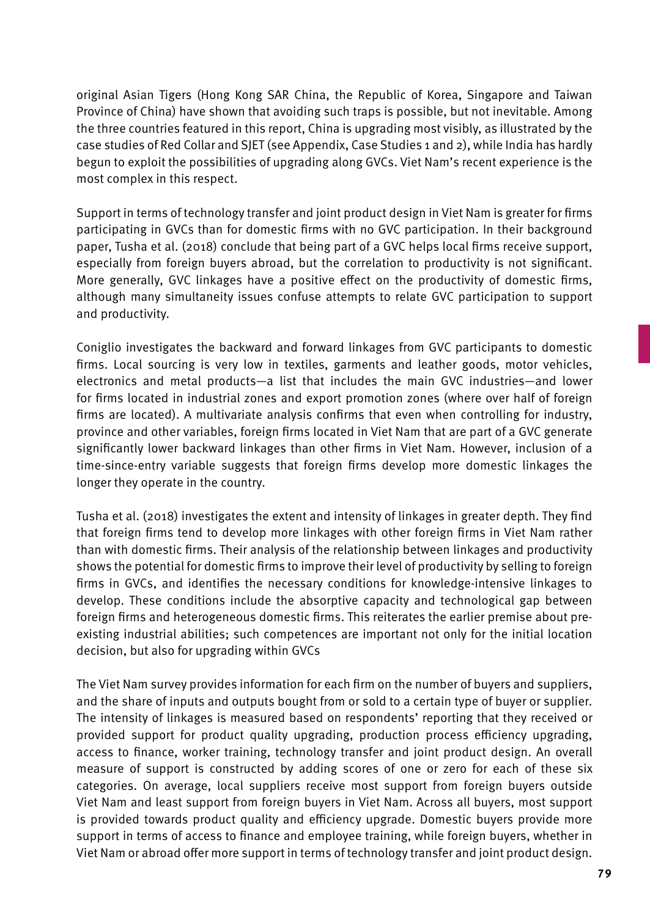original Asian Tigers (Hong Kong SAR China, the Republic of Korea, Singapore and Taiwan Province of China) have shown that avoiding such traps is possible, but not inevitable. Among the three countries featured in this report, China is upgrading most visibly, as illustrated by the case studies of Red Collar and SJET (see Appendix, Case Studies 1 and 2), while India has hardly begun to exploit the possibilities of upgrading along GVCs. Viet Nam's recent experience is the most complex in this respect.

Support in terms of technology transfer and joint product design in Viet Nam is greater for firms participating in GVCs than for domestic firms with no GVC participation. In their background paper, Tusha et al. (2018) conclude that being part of a GVC helps local firms receive support, especially from foreign buyers abroad, but the correlation to productivity is not significant. More generally, GVC linkages have a positive effect on the productivity of domestic firms, although many simultaneity issues confuse attempts to relate GVC participation to support and productivity.

Coniglio investigates the backward and forward linkages from GVC participants to domestic firms. Local sourcing is very low in textiles, garments and leather goods, motor vehicles, electronics and metal products—a list that includes the main GVC industries—and lower for firms located in industrial zones and export promotion zones (where over half of foreign firms are located). A multivariate analysis confirms that even when controlling for industry, province and other variables, foreign firms located in Viet Nam that are part of a GVC generate significantly lower backward linkages than other firms in Viet Nam. However, inclusion of a time-since-entry variable suggests that foreign firms develop more domestic linkages the longer they operate in the country.

Tusha et al. (2018) investigates the extent and intensity of linkages in greater depth. They find that foreign firms tend to develop more linkages with other foreign firms in Viet Nam rather than with domestic firms. Their analysis of the relationship between linkages and productivity shows the potential for domestic firms to improve their level of productivity by selling to foreign firms in GVCs, and identifies the necessary conditions for knowledge-intensive linkages to develop. These conditions include the absorptive capacity and technological gap between foreign firms and heterogeneous domestic firms. This reiterates the earlier premise about preexisting industrial abilities; such competences are important not only for the initial location decision, but also for upgrading within GVCs

The Viet Nam survey provides information for each firm on the number of buyers and suppliers, and the share of inputs and outputs bought from or sold to a certain type of buyer or supplier. The intensity of linkages is measured based on respondents' reporting that they received or provided support for product quality upgrading, production process efficiency upgrading, access to finance, worker training, technology transfer and joint product design. An overall measure of support is constructed by adding scores of one or zero for each of these six categories. On average, local suppliers receive most support from foreign buyers outside Viet Nam and least support from foreign buyers in Viet Nam. Across all buyers, most support is provided towards product quality and efficiency upgrade. Domestic buyers provide more support in terms of access to finance and employee training, while foreign buyers, whether in Viet Nam or abroad offer more support in terms of technology transfer and joint product design.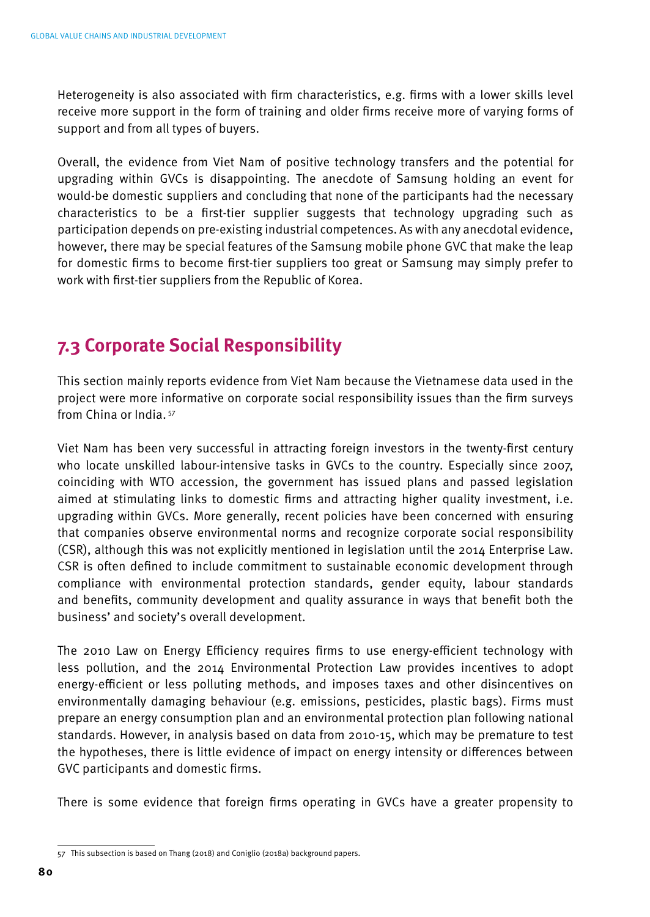Heterogeneity is also associated with firm characteristics, e.g. firms with a lower skills level receive more support in the form of training and older firms receive more of varying forms of support and from all types of buyers.

Overall, the evidence from Viet Nam of positive technology transfers and the potential for upgrading within GVCs is disappointing. The anecdote of Samsung holding an event for would-be domestic suppliers and concluding that none of the participants had the necessary characteristics to be a first-tier supplier suggests that technology upgrading such as participation depends on pre-existing industrial competences. As with any anecdotal evidence, however, there may be special features of the Samsung mobile phone GVC that make the leap for domestic firms to become first-tier suppliers too great or Samsung may simply prefer to work with first-tier suppliers from the Republic of Korea.

## **7.3 Corporate Social Responsibility**

This section mainly reports evidence from Viet Nam because the Vietnamese data used in the project were more informative on corporate social responsibility issues than the firm surveys from China or India. 57

Viet Nam has been very successful in attracting foreign investors in the twenty-first century who locate unskilled labour-intensive tasks in GVCs to the country. Especially since 2007, coinciding with WTO accession, the government has issued plans and passed legislation aimed at stimulating links to domestic firms and attracting higher quality investment, i.e. upgrading within GVCs. More generally, recent policies have been concerned with ensuring that companies observe environmental norms and recognize corporate social responsibility (CSR), although this was not explicitly mentioned in legislation until the 2014 Enterprise Law. CSR is often defined to include commitment to sustainable economic development through compliance with environmental protection standards, gender equity, labour standards and benefits, community development and quality assurance in ways that benefit both the business' and society's overall development.

The 2010 Law on Energy Efficiency requires firms to use energy-efficient technology with less pollution, and the 2014 Environmental Protection Law provides incentives to adopt energy-efficient or less polluting methods, and imposes taxes and other disincentives on environmentally damaging behaviour (e.g. emissions, pesticides, plastic bags). Firms must prepare an energy consumption plan and an environmental protection plan following national standards. However, in analysis based on data from 2010-15, which may be premature to test the hypotheses, there is little evidence of impact on energy intensity or differences between GVC participants and domestic firms.

There is some evidence that foreign firms operating in GVCs have a greater propensity to

<sup>57</sup> This subsection is based on Thang (2018) and Coniglio (2018a) background papers.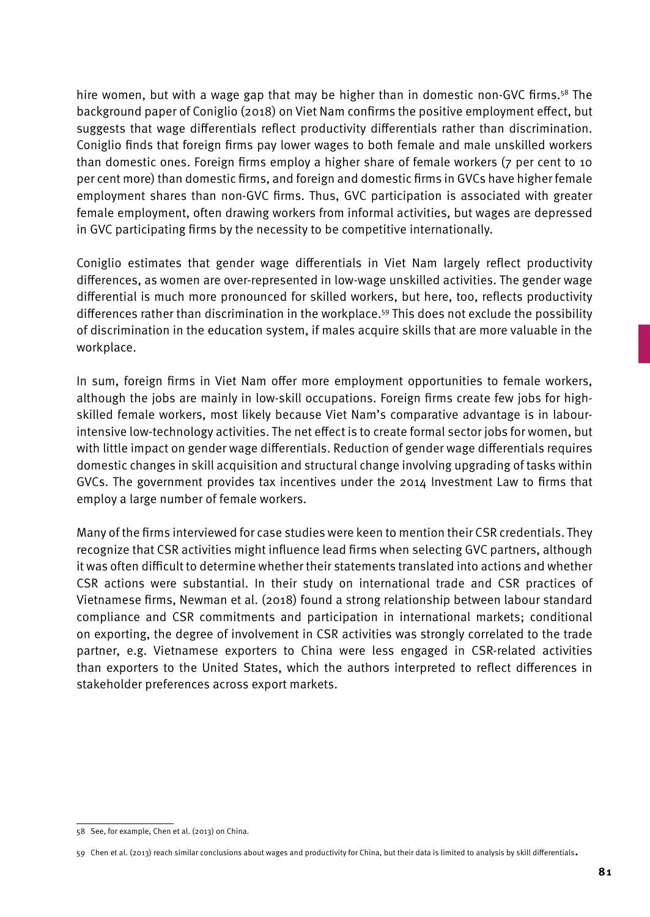hire women, but with a wage gap that may be higher than in domestic non-GVC firms.<sup>58</sup> The background paper of Coniglio (2018) on Viet Nam confirms the positive employment effect, but suggests that wage differentials reflect productivity differentials rather than discrimination. Coniglio finds that foreign firms pay lower wages to both female and male unskilled workers than domestic ones. Foreign firms employ a higher share of female workers (7 per cent to 10 per cent more) than domestic firms, and foreign and domestic firms in GVCs have higher female employment shares than non-GVC firms. Thus, GVC participation is associated with greater female employment, often drawing workers from informal activities, but wages are depressed in GVC participating firms by the necessity to be competitive internationally.

Coniglio estimates that gender wage differentials in Viet Nam largely reflect productivity differences, as women are over-represented in low-wage unskilled activities. The gender wage differential is much more pronounced for skilled workers, but here, too, reflects productivity differences rather than discrimination in the workplace.59 This does not exclude the possibility of discrimination in the education system, if males acquire skills that are more valuable in the workplace.

In sum, foreign firms in Viet Nam offer more employment opportunities to female workers, although the jobs are mainly in low-skill occupations. Foreign firms create few jobs for highskilled female workers, most likely because Viet Nam's comparative advantage is in labourintensive low-technology activities. The net effect is to create formal sector jobs for women, but with little impact on gender wage differentials. Reduction of gender wage differentials requires domestic changes in skill acquisition and structural change involving upgrading of tasks within GVCs. The government provides tax incentives under the 2014 Investment Law to firms that employ a large number of female workers.

Many of the firms interviewed for case studies were keen to mention their CSR credentials. They recognize that CSR activities might influence lead firms when selecting GVC partners, although it was often difficult to determine whether their statements translated into actions and whether CSR actions were substantial. In their study on international trade and CSR practices of Vietnamese firms, Newman et al. (2018) found a strong relationship between labour standard compliance and CSR commitments and participation in international markets; conditional on exporting, the degree of involvement in CSR activities was strongly correlated to the trade partner, e.g. Vietnamese exporters to China were less engaged in CSR-related activities than exporters to the United States, which the authors interpreted to reflect differences in stakeholder preferences across export markets.

<sup>58</sup> See, for example, Chen et al. (2013) on China.

<sup>59</sup> Chen et al. (2013) reach similar conclusions about wages and productivity for China, but their data is limited to analysis by skill differentials.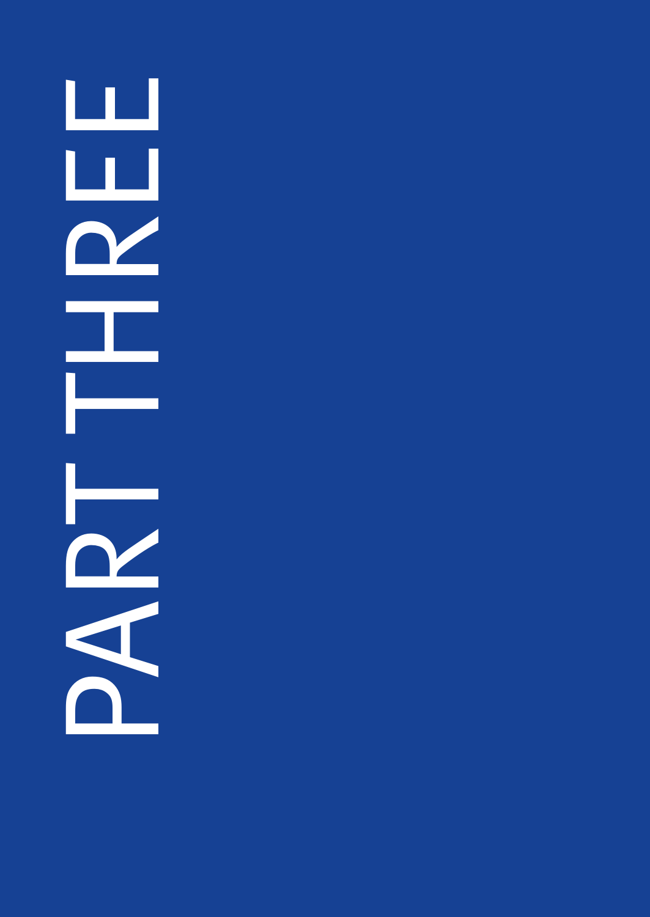ப PART THREE<br>PART TERMS<br>PART TERMS ப  $\mathbf{\Omega}$ I.  $\mathbf{\Omega}$  $\blacktriangleleft$  $\mathbf{L}$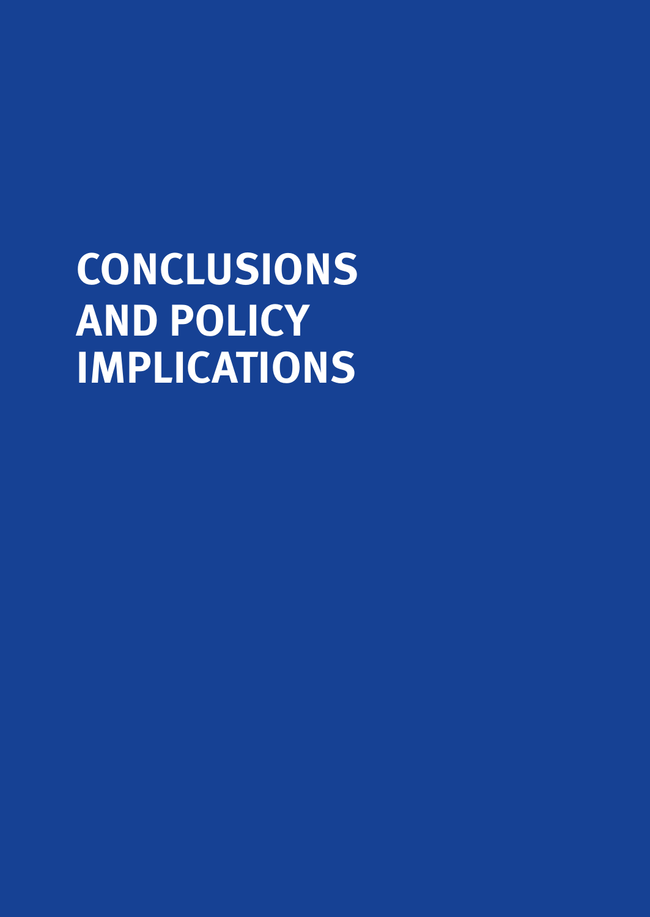**CONCLUSIONS AND POLICY IMPLICATIONS**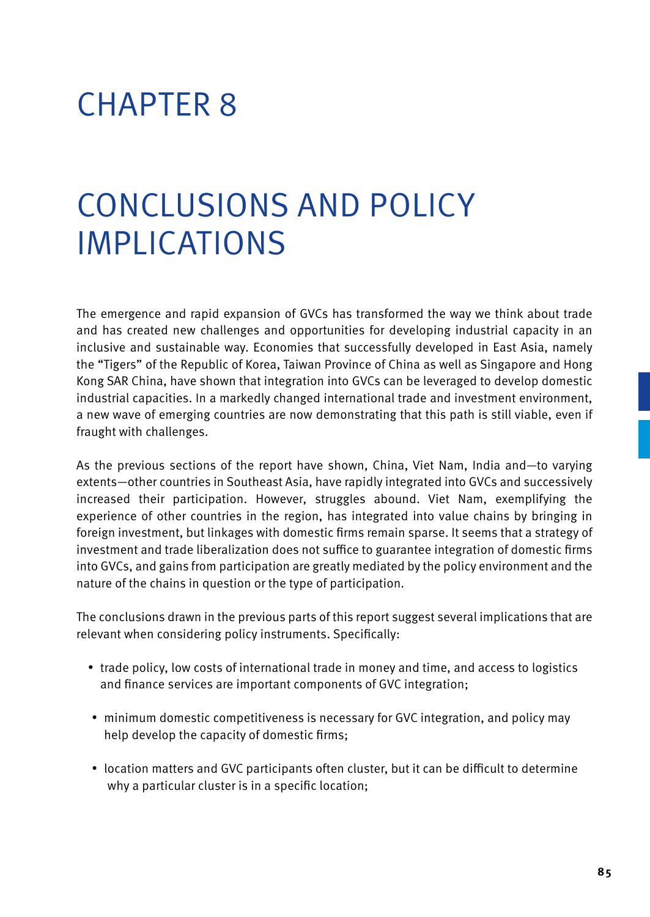# CHAPTER 8

# Conclusions and Policy Implications

The emergence and rapid expansion of GVCs has transformed the way we think about trade and has created new challenges and opportunities for developing industrial capacity in an inclusive and sustainable way. Economies that successfully developed in East Asia, namely the "Tigers" of the Republic of Korea, Taiwan Province of China as well as Singapore and Hong Kong SAR China, have shown that integration into GVCs can be leveraged to develop domestic industrial capacities. In a markedly changed international trade and investment environment, a new wave of emerging countries are now demonstrating that this path is still viable, even if fraught with challenges.

As the previous sections of the report have shown, China, Viet Nam, India and—to varying extents—other countries in Southeast Asia, have rapidly integrated into GVCs and successively increased their participation. However, struggles abound. Viet Nam, exemplifying the experience of other countries in the region, has integrated into value chains by bringing in foreign investment, but linkages with domestic firms remain sparse. It seems that a strategy of investment and trade liberalization does not suffice to guarantee integration of domestic firms into GVCs, and gains from participation are greatly mediated by the policy environment and the nature of the chains in question or the type of participation.

The conclusions drawn in the previous parts of this report suggest several implications that are relevant when considering policy instruments. Specifically:

- trade policy, low costs of international trade in money and time, and access to logistics and finance services are important components of GVC integration;
- minimum domestic competitiveness is necessary for GVC integration, and policy may help develop the capacity of domestic firms;
- location matters and GVC participants often cluster, but it can be difficult to determine why a particular cluster is in a specific location;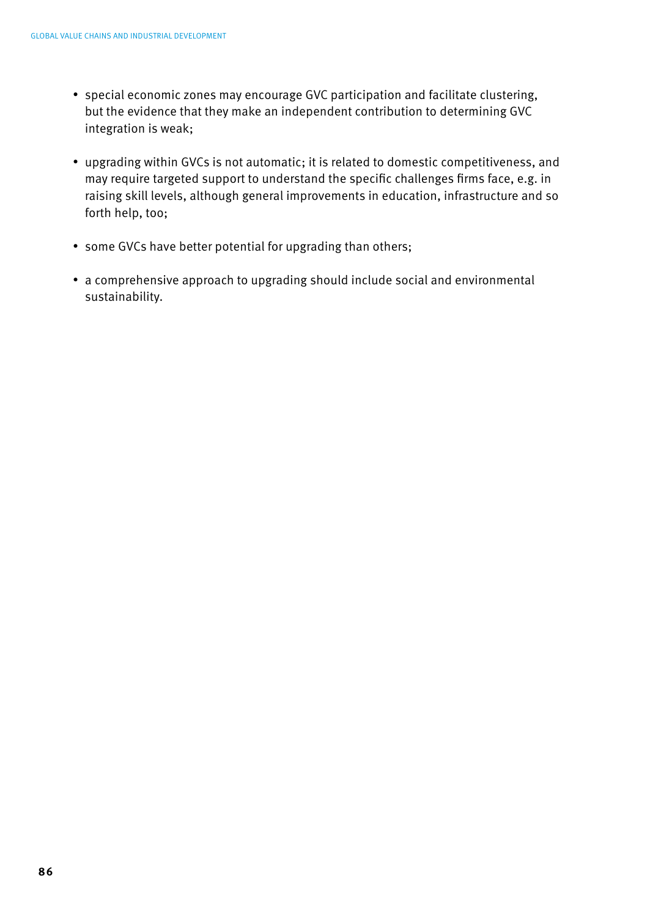- special economic zones may encourage GVC participation and facilitate clustering, but the evidence that they make an independent contribution to determining GVC integration is weak;
- upgrading within GVCs is not automatic; it is related to domestic competitiveness, and may require targeted support to understand the specific challenges firms face, e.g. in raising skill levels, although general improvements in education, infrastructure and so forth help, too;
- some GVCs have better potential for upgrading than others;
- a comprehensive approach to upgrading should include social and environmental sustainability.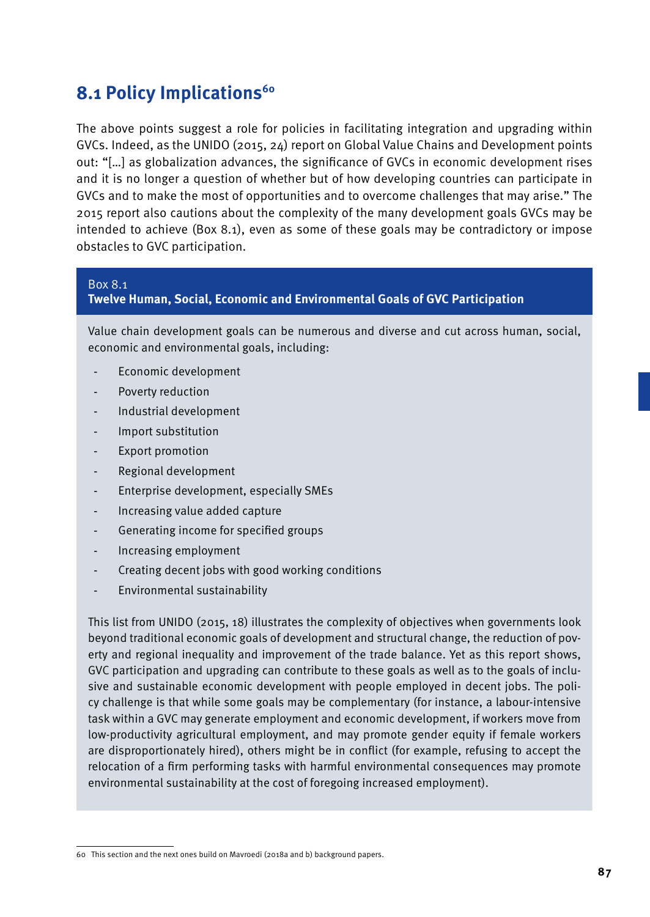### **8.1 Policy Implications<sup>60</sup>**

The above points suggest a role for policies in facilitating integration and upgrading within GVCs. Indeed, as the UNIDO (2015, 24) report on Global Value Chains and Development points out: "[…] as globalization advances, the significance of GVCs in economic development rises and it is no longer a question of whether but of how developing countries can participate in GVCs and to make the most of opportunities and to overcome challenges that may arise." The 2015 report also cautions about the complexity of the many development goals GVCs may be intended to achieve (Box 8.1), even as some of these goals may be contradictory or impose obstacles to GVC participation.

### Box 8.1

### **Twelve Human, Social, Economic and Environmental Goals of GVC Participation**

Value chain development goals can be numerous and diverse and cut across human, social, economic and environmental goals, including:

- Economic development
- Poverty reduction
- Industrial development
- Import substitution
- Export promotion
- Regional development
- Enterprise development, especially SMEs
- Increasing value added capture
- Generating income for specified groups
- Increasing employment
- Creating decent jobs with good working conditions
- Environmental sustainability

This list from UNIDO (2015, 18) illustrates the complexity of objectives when governments look beyond traditional economic goals of development and structural change, the reduction of poverty and regional inequality and improvement of the trade balance. Yet as this report shows, GVC participation and upgrading can contribute to these goals as well as to the goals of inclusive and sustainable economic development with people employed in decent jobs. The policy challenge is that while some goals may be complementary (for instance, a labour-intensive task within a GVC may generate employment and economic development, if workers move from low-productivity agricultural employment, and may promote gender equity if female workers are disproportionately hired), others might be in conflict (for example, refusing to accept the relocation of a firm performing tasks with harmful environmental consequences may promote environmental sustainability at the cost of foregoing increased employment).

<sup>60</sup> This section and the next ones build on Mavroedi (2018a and b) background papers.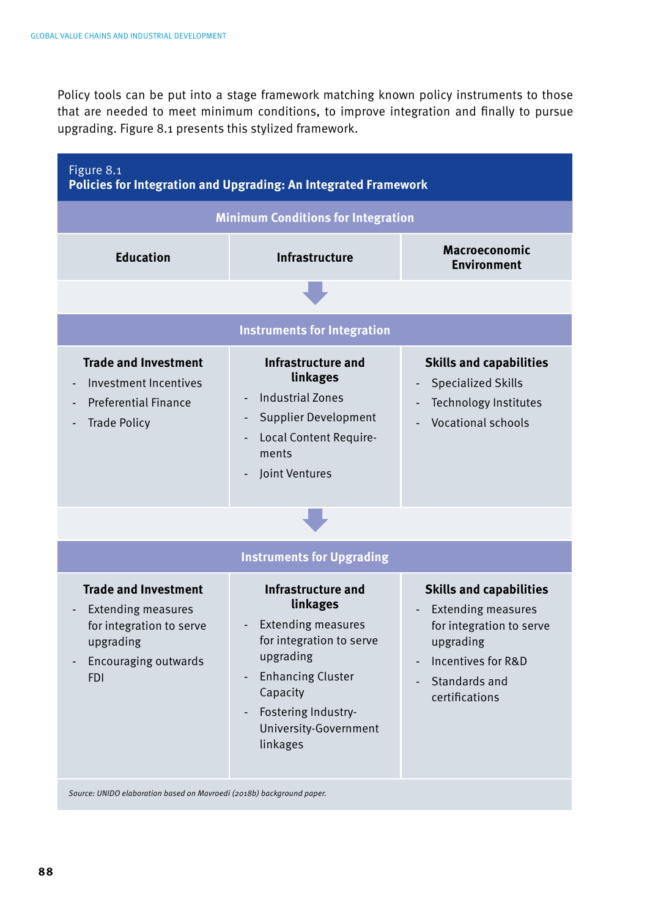Policy tools can be put into a stage framework matching known policy instruments to those that are needed to meet minimum conditions, to improve integration and finally to pursue upgrading. Figure 8.1 presents this stylized framework.



*Source: UNIDO elaboration based on Mavroedi (2018b) background paper.*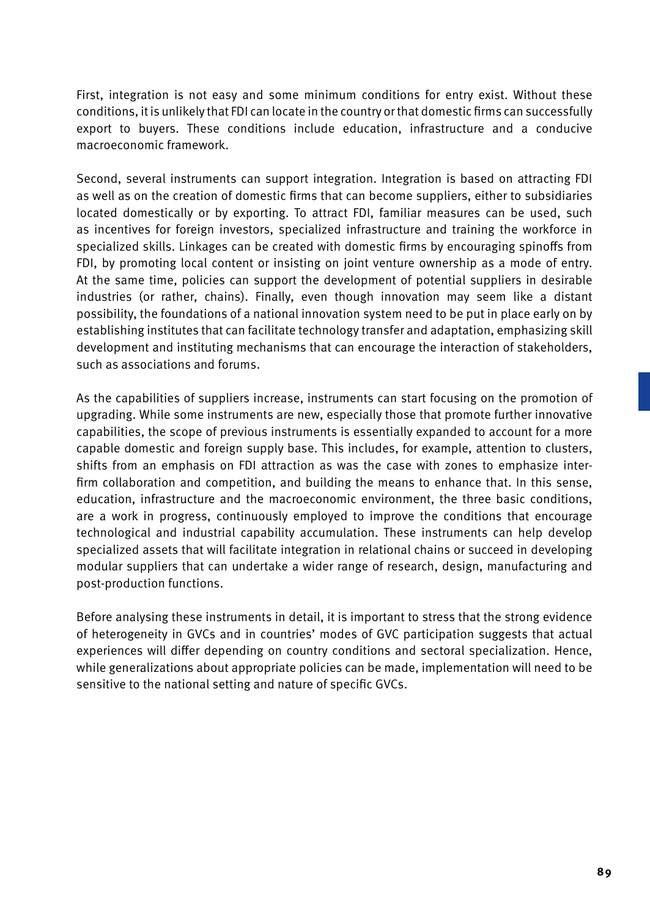First, integration is not easy and some minimum conditions for entry exist. Without these conditions, it is unlikely that FDI can locate in the country or that domestic firms can successfully export to buyers. These conditions include education, infrastructure and a conducive macroeconomic framework.

Second, several instruments can support integration. Integration is based on attracting FDI as well as on the creation of domestic firms that can become suppliers, either to subsidiaries located domestically or by exporting. To attract FDI, familiar measures can be used, such as incentives for foreign investors, specialized infrastructure and training the workforce in specialized skills. Linkages can be created with domestic firms by encouraging spinoffs from FDI, by promoting local content or insisting on joint venture ownership as a mode of entry. At the same time, policies can support the development of potential suppliers in desirable industries (or rather, chains). Finally, even though innovation may seem like a distant possibility, the foundations of a national innovation system need to be put in place early on by establishing institutes that can facilitate technology transfer and adaptation, emphasizing skill development and instituting mechanisms that can encourage the interaction of stakeholders, such as associations and forums.

As the capabilities of suppliers increase, instruments can start focusing on the promotion of upgrading. While some instruments are new, especially those that promote further innovative capabilities, the scope of previous instruments is essentially expanded to account for a more capable domestic and foreign supply base. This includes, for example, attention to clusters, shifts from an emphasis on FDI attraction as was the case with zones to emphasize interfirm collaboration and competition, and building the means to enhance that. In this sense, education, infrastructure and the macroeconomic environment, the three basic conditions, are a work in progress, continuously employed to improve the conditions that encourage technological and industrial capability accumulation. These instruments can help develop specialized assets that will facilitate integration in relational chains or succeed in developing modular suppliers that can undertake a wider range of research, design, manufacturing and post-production functions.

Before analysing these instruments in detail, it is important to stress that the strong evidence of heterogeneity in GVCs and in countries' modes of GVC participation suggests that actual experiences will differ depending on country conditions and sectoral specialization. Hence, while generalizations about appropriate policies can be made, implementation will need to be sensitive to the national setting and nature of specific GVCs.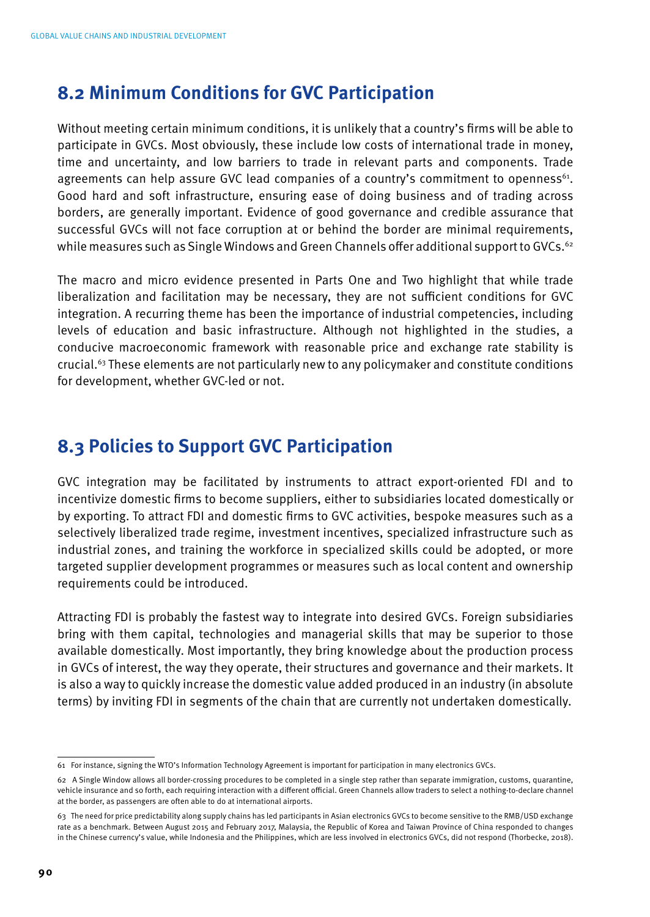### **8.2 Minimum Conditions for GVC Participation**

Without meeting certain minimum conditions, it is unlikely that a country's firms will be able to participate in GVCs. Most obviously, these include low costs of international trade in money, time and uncertainty, and low barriers to trade in relevant parts and components. Trade agreements can help assure GVC lead companies of a country's commitment to openness<sup>61</sup>. Good hard and soft infrastructure, ensuring ease of doing business and of trading across borders, are generally important. Evidence of good governance and credible assurance that successful GVCs will not face corruption at or behind the border are minimal requirements, while measures such as Single Windows and Green Channels offer additional support to GVCs.<sup>62</sup>

The macro and micro evidence presented in Parts One and Two highlight that while trade liberalization and facilitation may be necessary, they are not sufficient conditions for GVC integration. A recurring theme has been the importance of industrial competencies, including levels of education and basic infrastructure. Although not highlighted in the studies, a conducive macroeconomic framework with reasonable price and exchange rate stability is crucial.63 These elements are not particularly new to any policymaker and constitute conditions for development, whether GVC-led or not.

### **8.3 Policies to Support GVC Participation**

GVC integration may be facilitated by instruments to attract export-oriented FDI and to incentivize domestic firms to become suppliers, either to subsidiaries located domestically or by exporting. To attract FDI and domestic firms to GVC activities, bespoke measures such as a selectively liberalized trade regime, investment incentives, specialized infrastructure such as industrial zones, and training the workforce in specialized skills could be adopted, or more targeted supplier development programmes or measures such as local content and ownership requirements could be introduced.

Attracting FDI is probably the fastest way to integrate into desired GVCs. Foreign subsidiaries bring with them capital, technologies and managerial skills that may be superior to those available domestically. Most importantly, they bring knowledge about the production process in GVCs of interest, the way they operate, their structures and governance and their markets. It is also a way to quickly increase the domestic value added produced in an industry (in absolute terms) by inviting FDI in segments of the chain that are currently not undertaken domestically.

<sup>61</sup> For instance, signing the WTO's Information Technology Agreement is important for participation in many electronics GVCs.

<sup>62</sup> A Single Window allows all border-crossing procedures to be completed in a single step rather than separate immigration, customs, quarantine, vehicle insurance and so forth, each requiring interaction with a different official. Green Channels allow traders to select a nothing-to-declare channel at the border, as passengers are often able to do at international airports.

<sup>63</sup> The need for price predictability along supply chains has led participants in Asian electronics GVCs to become sensitive to the RMB/USD exchange rate as a benchmark. Between August 2015 and February 2017, Malaysia, the Republic of Korea and Taiwan Province of China responded to changes in the Chinese currency's value, while Indonesia and the Philippines, which are less involved in electronics GVCs, did not respond (Thorbecke, 2018).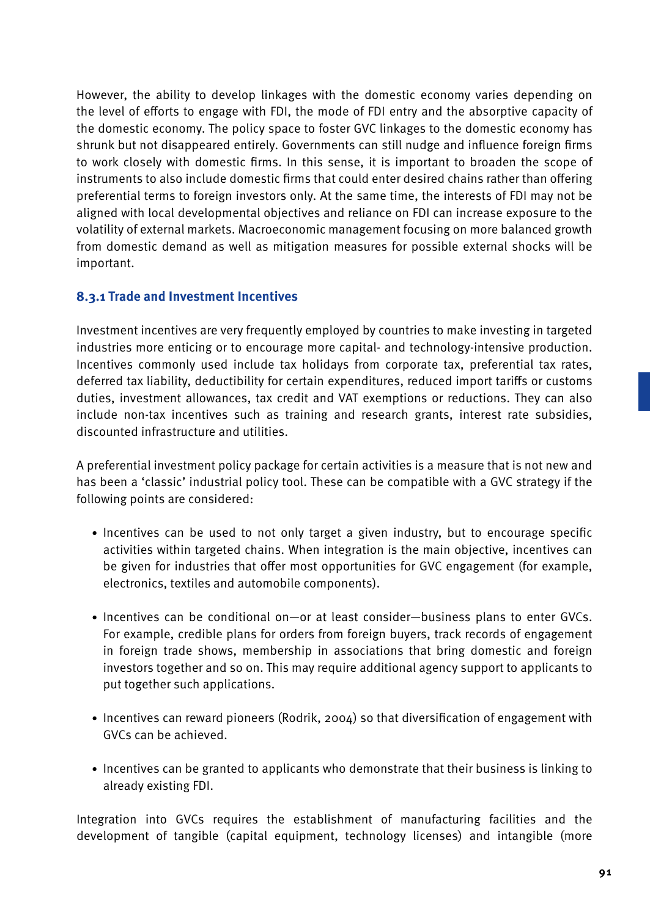However, the ability to develop linkages with the domestic economy varies depending on the level of efforts to engage with FDI, the mode of FDI entry and the absorptive capacity of the domestic economy. The policy space to foster GVC linkages to the domestic economy has shrunk but not disappeared entirely. Governments can still nudge and influence foreign firms to work closely with domestic firms. In this sense, it is important to broaden the scope of instruments to also include domestic firms that could enter desired chains rather than offering preferential terms to foreign investors only. At the same time, the interests of FDI may not be aligned with local developmental objectives and reliance on FDI can increase exposure to the volatility of external markets. Macroeconomic management focusing on more balanced growth from domestic demand as well as mitigation measures for possible external shocks will be important.

### **8.3.1 Trade and Investment Incentives**

Investment incentives are very frequently employed by countries to make investing in targeted industries more enticing or to encourage more capital- and technology-intensive production. Incentives commonly used include tax holidays from corporate tax, preferential tax rates, deferred tax liability, deductibility for certain expenditures, reduced import tariffs or customs duties, investment allowances, tax credit and VAT exemptions or reductions. They can also include non-tax incentives such as training and research grants, interest rate subsidies, discounted infrastructure and utilities.

A preferential investment policy package for certain activities is a measure that is not new and has been a 'classic' industrial policy tool. These can be compatible with a GVC strategy if the following points are considered:

- Incentives can be used to not only target a given industry, but to encourage specific activities within targeted chains. When integration is the main objective, incentives can be given for industries that offer most opportunities for GVC engagement (for example, electronics, textiles and automobile components).
- Incentives can be conditional on—or at least consider—business plans to enter GVCs. For example, credible plans for orders from foreign buyers, track records of engagement in foreign trade shows, membership in associations that bring domestic and foreign investors together and so on. This may require additional agency support to applicants to put together such applications.
- Incentives can reward pioneers (Rodrik, 2004) so that diversification of engagement with GVCs can be achieved.
- Incentives can be granted to applicants who demonstrate that their business is linking to already existing FDI.

Integration into GVCs requires the establishment of manufacturing facilities and the development of tangible (capital equipment, technology licenses) and intangible (more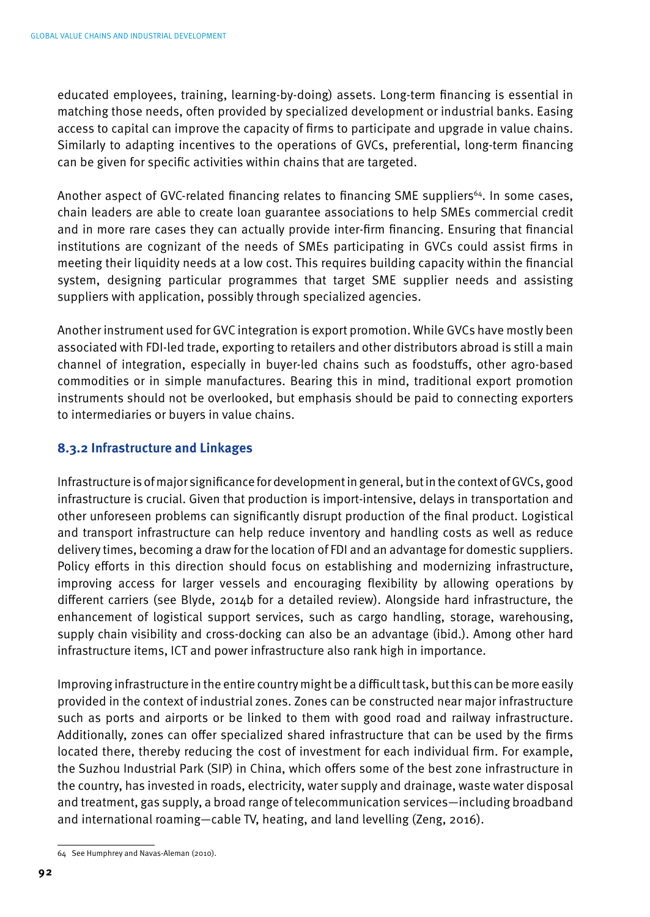educated employees, training, learning-by-doing) assets. Long-term financing is essential in matching those needs, often provided by specialized development or industrial banks. Easing access to capital can improve the capacity of firms to participate and upgrade in value chains. Similarly to adapting incentives to the operations of GVCs, preferential, long-term financing can be given for specific activities within chains that are targeted.

Another aspect of GVC-related financing relates to financing SME suppliers<sup>64</sup>. In some cases, chain leaders are able to create loan guarantee associations to help SMEs commercial credit and in more rare cases they can actually provide inter-firm financing. Ensuring that financial institutions are cognizant of the needs of SMEs participating in GVCs could assist firms in meeting their liquidity needs at a low cost. This requires building capacity within the financial system, designing particular programmes that target SME supplier needs and assisting suppliers with application, possibly through specialized agencies.

Another instrument used for GVC integration is export promotion. While GVCs have mostly been associated with FDI-led trade, exporting to retailers and other distributors abroad is still a main channel of integration, especially in buyer-led chains such as foodstuffs, other agro-based commodities or in simple manufactures. Bearing this in mind, traditional export promotion instruments should not be overlooked, but emphasis should be paid to connecting exporters to intermediaries or buyers in value chains.

### **8.3.2 Infrastructure and Linkages**

Infrastructure is of major significance for development in general, but in the context of GVCs, good infrastructure is crucial. Given that production is import-intensive, delays in transportation and other unforeseen problems can significantly disrupt production of the final product. Logistical and transport infrastructure can help reduce inventory and handling costs as well as reduce delivery times, becoming a draw for the location of FDI and an advantage for domestic suppliers. Policy efforts in this direction should focus on establishing and modernizing infrastructure, improving access for larger vessels and encouraging flexibility by allowing operations by different carriers (see Blyde, 2014b for a detailed review). Alongside hard infrastructure, the enhancement of logistical support services, such as cargo handling, storage, warehousing, supply chain visibility and cross-docking can also be an advantage (ibid.). Among other hard infrastructure items, ICT and power infrastructure also rank high in importance.

Improving infrastructure in the entire country might be a difficult task, but this can be more easily provided in the context of industrial zones. Zones can be constructed near major infrastructure such as ports and airports or be linked to them with good road and railway infrastructure. Additionally, zones can offer specialized shared infrastructure that can be used by the firms located there, thereby reducing the cost of investment for each individual firm. For example, the Suzhou Industrial Park (SIP) in China, which offers some of the best zone infrastructure in the country, has invested in roads, electricity, water supply and drainage, waste water disposal and treatment, gas supply, a broad range of telecommunication services—including broadband and international roaming—cable TV, heating, and land levelling (Zeng, 2016).

<sup>64</sup> See Humphrey and Navas-Aleman (2010).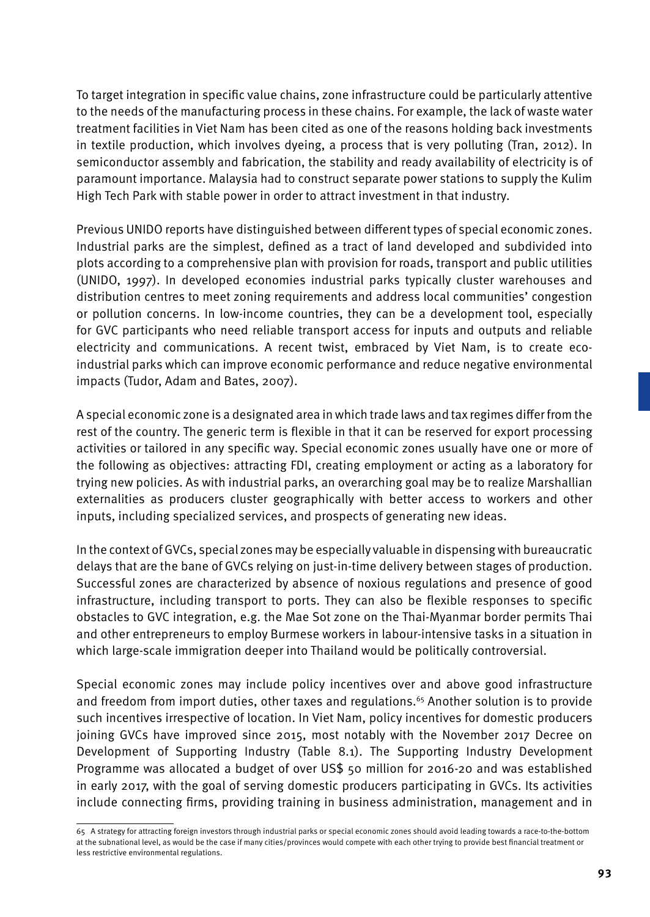To target integration in specific value chains, zone infrastructure could be particularly attentive to the needs of the manufacturing process in these chains. For example, the lack of waste water treatment facilities in Viet Nam has been cited as one of the reasons holding back investments in textile production, which involves dyeing, a process that is very polluting (Tran, 2012). In semiconductor assembly and fabrication, the stability and ready availability of electricity is of paramount importance. Malaysia had to construct separate power stations to supply the Kulim High Tech Park with stable power in order to attract investment in that industry.

Previous UNIDO reports have distinguished between different types of special economic zones. Industrial parks are the simplest, defined as a tract of land developed and subdivided into plots according to a comprehensive plan with provision for roads, transport and public utilities (UNIDO, 1997). In developed economies industrial parks typically cluster warehouses and distribution centres to meet zoning requirements and address local communities' congestion or pollution concerns. In low-income countries, they can be a development tool, especially for GVC participants who need reliable transport access for inputs and outputs and reliable electricity and communications. A recent twist, embraced by Viet Nam, is to create ecoindustrial parks which can improve economic performance and reduce negative environmental impacts (Tudor, Adam and Bates, 2007).

A special economic zone is a designated area in which trade laws and tax regimes differ from the rest of the country. The generic term is flexible in that it can be reserved for export processing activities or tailored in any specific way. Special economic zones usually have one or more of the following as objectives: attracting FDI, creating employment or acting as a laboratory for trying new policies. As with industrial parks, an overarching goal may be to realize Marshallian externalities as producers cluster geographically with better access to workers and other inputs, including specialized services, and prospects of generating new ideas.

In the context of GVCs, special zones may be especially valuable in dispensing with bureaucratic delays that are the bane of GVCs relying on just-in-time delivery between stages of production. Successful zones are characterized by absence of noxious regulations and presence of good infrastructure, including transport to ports. They can also be flexible responses to specific obstacles to GVC integration, e.g. the Mae Sot zone on the Thai-Myanmar border permits Thai and other entrepreneurs to employ Burmese workers in labour-intensive tasks in a situation in which large-scale immigration deeper into Thailand would be politically controversial.

Special economic zones may include policy incentives over and above good infrastructure and freedom from import duties, other taxes and regulations.<sup>65</sup> Another solution is to provide such incentives irrespective of location. In Viet Nam, policy incentives for domestic producers joining GVCs have improved since 2015, most notably with the November 2017 Decree on Development of Supporting Industry (Table 8.1). The Supporting Industry Development Programme was allocated a budget of over US\$ 50 million for 2016-20 and was established in early 2017, with the goal of serving domestic producers participating in GVCs. Its activities include connecting firms, providing training in business administration, management and in

<sup>65</sup> A strategy for attracting foreign investors through industrial parks or special economic zones should avoid leading towards a race-to-the-bottom at the subnational level, as would be the case if many cities/provinces would compete with each other trying to provide best financial treatment or less restrictive environmental regulations.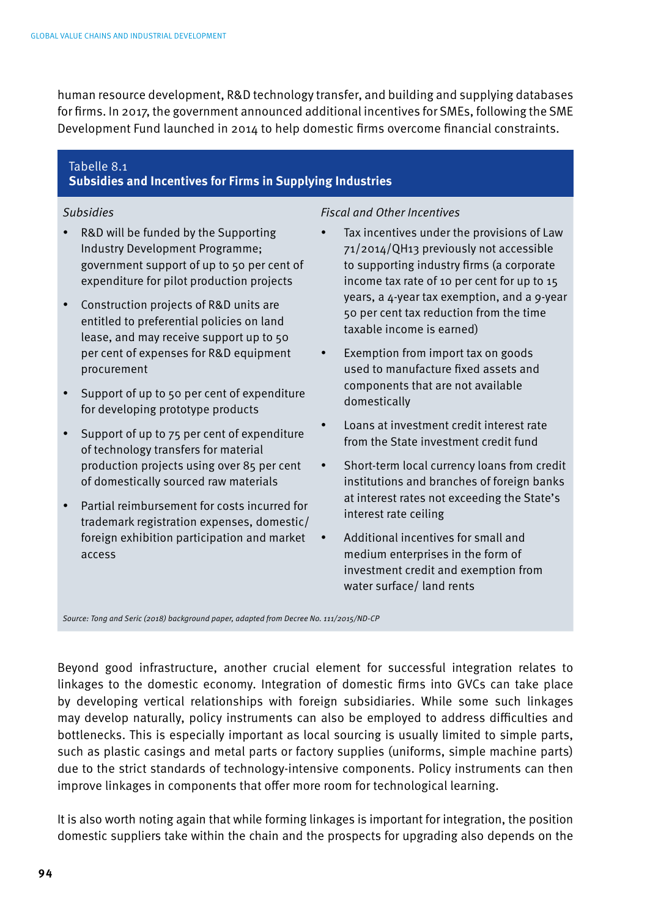human resource development, R&D technology transfer, and building and supplying databases for firms. In 2017, the government announced additional incentives for SMEs, following the SME Development Fund launched in 2014 to help domestic firms overcome financial constraints.

### Tabelle 8.1

### **Subsidies and Incentives for Firms in Supplying Industries**

- R&D will be funded by the Supporting Industry Development Programme; government support of up to 50 per cent of expenditure for pilot production projects
- Construction projects of R&D units are entitled to preferential policies on land lease, and may receive support up to 50 per cent of expenses for R&D equipment procurement
- Support of up to 50 per cent of expenditure for developing prototype products
- Support of up to 75 per cent of expenditure of technology transfers for material production projects using over 85 per cent of domestically sourced raw materials
- Partial reimbursement for costs incurred for trademark registration expenses, domestic/ foreign exhibition participation and market access

### *Subsidies Fiscal and Other Incentives*

- Tax incentives under the provisions of Law 71/2014/QH13 previously not accessible to supporting industry firms (a corporate income tax rate of 10 per cent for up to 15 years, a 4-year tax exemption, and a 9-year 50 per cent tax reduction from the time taxable income is earned)
- Exemption from import tax on goods used to manufacture fixed assets and components that are not available domestically
- Loans at investment credit interest rate from the State investment credit fund
- Short-term local currency loans from credit institutions and branches of foreign banks at interest rates not exceeding the State's interest rate ceiling
- Additional incentives for small and medium enterprises in the form of investment credit and exemption from water surface/ land rents

*Source: Tong and Seric (2018) background paper, adapted from Decree No. 111/2015/ND-CP*

Beyond good infrastructure, another crucial element for successful integration relates to linkages to the domestic economy. Integration of domestic firms into GVCs can take place by developing vertical relationships with foreign subsidiaries. While some such linkages may develop naturally, policy instruments can also be employed to address difficulties and bottlenecks. This is especially important as local sourcing is usually limited to simple parts, such as plastic casings and metal parts or factory supplies (uniforms, simple machine parts) due to the strict standards of technology-intensive components. Policy instruments can then improve linkages in components that offer more room for technological learning.

It is also worth noting again that while forming linkages is important for integration, the position domestic suppliers take within the chain and the prospects for upgrading also depends on the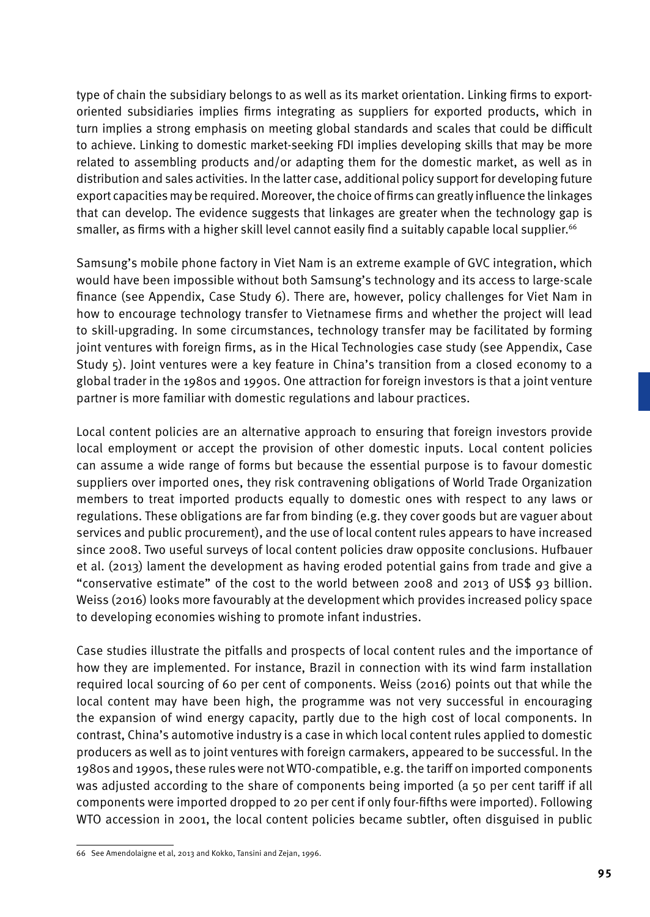type of chain the subsidiary belongs to as well as its market orientation. Linking firms to exportoriented subsidiaries implies firms integrating as suppliers for exported products, which in turn implies a strong emphasis on meeting global standards and scales that could be difficult to achieve. Linking to domestic market-seeking FDI implies developing skills that may be more related to assembling products and/or adapting them for the domestic market, as well as in distribution and sales activities. In the latter case, additional policy support for developing future export capacities may be required. Moreover, the choice of firms can greatly influence the linkages that can develop. The evidence suggests that linkages are greater when the technology gap is smaller, as firms with a higher skill level cannot easily find a suitably capable local supplier.<sup>66</sup>

Samsung's mobile phone factory in Viet Nam is an extreme example of GVC integration, which would have been impossible without both Samsung's technology and its access to large-scale finance (see Appendix, Case Study 6). There are, however, policy challenges for Viet Nam in how to encourage technology transfer to Vietnamese firms and whether the project will lead to skill-upgrading. In some circumstances, technology transfer may be facilitated by forming joint ventures with foreign firms, as in the Hical Technologies case study (see Appendix, Case Study 5). Joint ventures were a key feature in China's transition from a closed economy to a global trader in the 1980s and 1990s. One attraction for foreign investors is that a joint venture partner is more familiar with domestic regulations and labour practices.

Local content policies are an alternative approach to ensuring that foreign investors provide local employment or accept the provision of other domestic inputs. Local content policies can assume a wide range of forms but because the essential purpose is to favour domestic suppliers over imported ones, they risk contravening obligations of World Trade Organization members to treat imported products equally to domestic ones with respect to any laws or regulations. These obligations are far from binding (e.g. they cover goods but are vaguer about services and public procurement), and the use of local content rules appears to have increased since 2008. Two useful surveys of local content policies draw opposite conclusions. Hufbauer et al. (2013) lament the development as having eroded potential gains from trade and give a "conservative estimate" of the cost to the world between 2008 and 2013 of US\$ 93 billion. Weiss (2016) looks more favourably at the development which provides increased policy space to developing economies wishing to promote infant industries.

Case studies illustrate the pitfalls and prospects of local content rules and the importance of how they are implemented. For instance, Brazil in connection with its wind farm installation required local sourcing of 60 per cent of components. Weiss (2016) points out that while the local content may have been high, the programme was not very successful in encouraging the expansion of wind energy capacity, partly due to the high cost of local components. In contrast, China's automotive industry is a case in which local content rules applied to domestic producers as well as to joint ventures with foreign carmakers, appeared to be successful. In the 1980s and 1990s, these rules were not WTO-compatible, e.g. the tariff on imported components was adjusted according to the share of components being imported (a 50 per cent tariff if all components were imported dropped to 20 per cent if only four-fifths were imported). Following WTO accession in 2001, the local content policies became subtler, often disguised in public

<sup>66</sup> See Amendolaigne et al, 2013 and Kokko, Tansini and Zejan, 1996.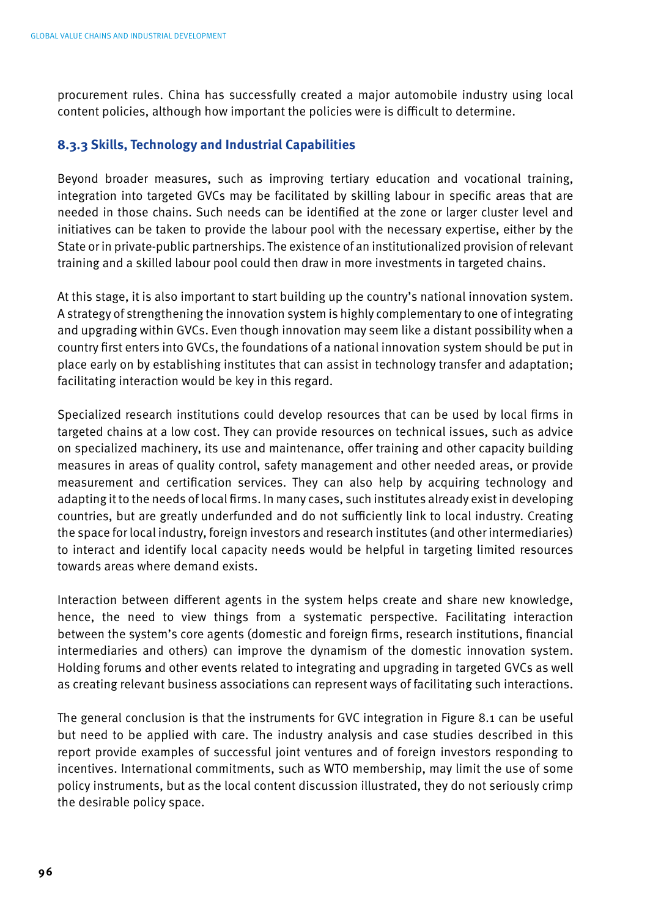procurement rules. China has successfully created a major automobile industry using local content policies, although how important the policies were is difficult to determine.

### **8.3.3 Skills, Technology and Industrial Capabilities**

Beyond broader measures, such as improving tertiary education and vocational training, integration into targeted GVCs may be facilitated by skilling labour in specific areas that are needed in those chains. Such needs can be identified at the zone or larger cluster level and initiatives can be taken to provide the labour pool with the necessary expertise, either by the State or in private-public partnerships. The existence of an institutionalized provision of relevant training and a skilled labour pool could then draw in more investments in targeted chains.

At this stage, it is also important to start building up the country's national innovation system. A strategy of strengthening the innovation system is highly complementary to one of integrating and upgrading within GVCs. Even though innovation may seem like a distant possibility when a country first enters into GVCs, the foundations of a national innovation system should be put in place early on by establishing institutes that can assist in technology transfer and adaptation; facilitating interaction would be key in this regard.

Specialized research institutions could develop resources that can be used by local firms in targeted chains at a low cost. They can provide resources on technical issues, such as advice on specialized machinery, its use and maintenance, offer training and other capacity building measures in areas of quality control, safety management and other needed areas, or provide measurement and certification services. They can also help by acquiring technology and adapting it to the needs of local firms. In many cases, such institutes already exist in developing countries, but are greatly underfunded and do not sufficiently link to local industry. Creating the space for local industry, foreign investors and research institutes (and other intermediaries) to interact and identify local capacity needs would be helpful in targeting limited resources towards areas where demand exists.

Interaction between different agents in the system helps create and share new knowledge, hence, the need to view things from a systematic perspective. Facilitating interaction between the system's core agents (domestic and foreign firms, research institutions, financial intermediaries and others) can improve the dynamism of the domestic innovation system. Holding forums and other events related to integrating and upgrading in targeted GVCs as well as creating relevant business associations can represent ways of facilitating such interactions.

The general conclusion is that the instruments for GVC integration in Figure 8.1 can be useful but need to be applied with care. The industry analysis and case studies described in this report provide examples of successful joint ventures and of foreign investors responding to incentives. International commitments, such as WTO membership, may limit the use of some policy instruments, but as the local content discussion illustrated, they do not seriously crimp the desirable policy space.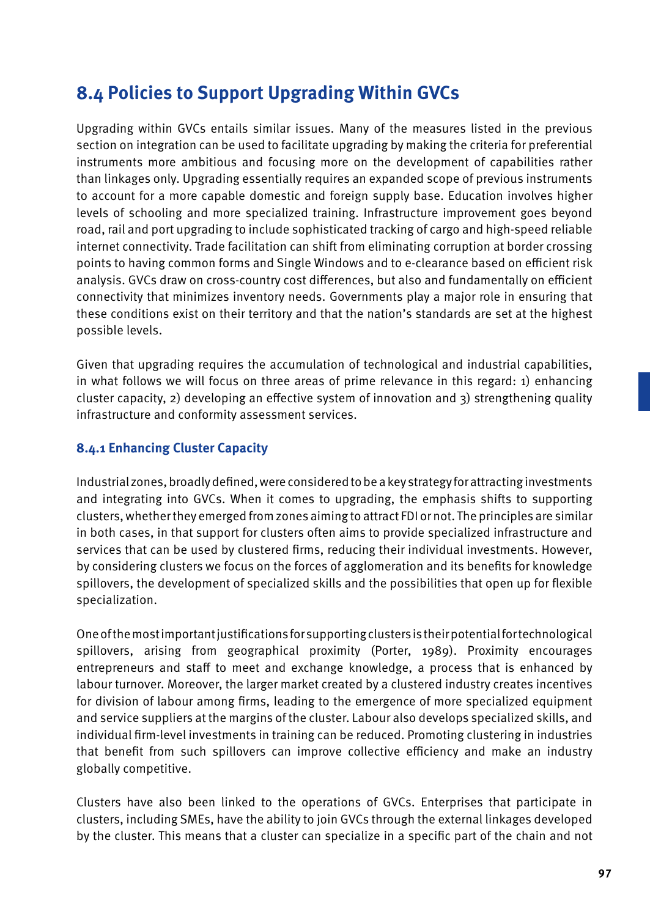### **8.4 Policies to Support Upgrading Within GVCs**

Upgrading within GVCs entails similar issues. Many of the measures listed in the previous section on integration can be used to facilitate upgrading by making the criteria for preferential instruments more ambitious and focusing more on the development of capabilities rather than linkages only. Upgrading essentially requires an expanded scope of previous instruments to account for a more capable domestic and foreign supply base. Education involves higher levels of schooling and more specialized training. Infrastructure improvement goes beyond road, rail and port upgrading to include sophisticated tracking of cargo and high-speed reliable internet connectivity. Trade facilitation can shift from eliminating corruption at border crossing points to having common forms and Single Windows and to e-clearance based on efficient risk analysis. GVCs draw on cross-country cost differences, but also and fundamentally on efficient connectivity that minimizes inventory needs. Governments play a major role in ensuring that these conditions exist on their territory and that the nation's standards are set at the highest possible levels.

Given that upgrading requires the accumulation of technological and industrial capabilities, in what follows we will focus on three areas of prime relevance in this regard: 1) enhancing cluster capacity, 2) developing an effective system of innovation and 3) strengthening quality infrastructure and conformity assessment services.

### **8.4.1 Enhancing Cluster Capacity**

Industrial zones, broadly defined, were considered to be a key strategy for attracting investments and integrating into GVCs. When it comes to upgrading, the emphasis shifts to supporting clusters, whether they emerged from zones aiming to attract FDI or not. The principles are similar in both cases, in that support for clusters often aims to provide specialized infrastructure and services that can be used by clustered firms, reducing their individual investments. However, by considering clusters we focus on the forces of agglomeration and its benefits for knowledge spillovers, the development of specialized skills and the possibilities that open up for flexible specialization.

One of the most important justifications for supporting clusters is their potential for technological spillovers, arising from geographical proximity (Porter, 1989). Proximity encourages entrepreneurs and staff to meet and exchange knowledge, a process that is enhanced by labour turnover. Moreover, the larger market created by a clustered industry creates incentives for division of labour among firms, leading to the emergence of more specialized equipment and service suppliers at the margins of the cluster. Labour also develops specialized skills, and individual firm-level investments in training can be reduced. Promoting clustering in industries that benefit from such spillovers can improve collective efficiency and make an industry globally competitive.

Clusters have also been linked to the operations of GVCs. Enterprises that participate in clusters, including SMEs, have the ability to join GVCs through the external linkages developed by the cluster. This means that a cluster can specialize in a specific part of the chain and not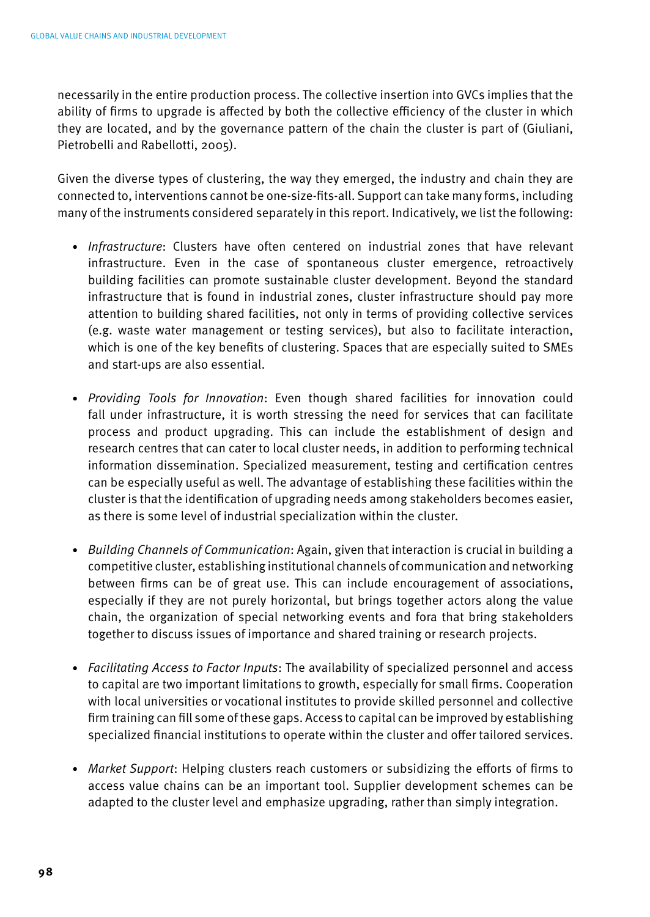necessarily in the entire production process. The collective insertion into GVCs implies that the ability of firms to upgrade is affected by both the collective efficiency of the cluster in which they are located, and by the governance pattern of the chain the cluster is part of (Giuliani, Pietrobelli and Rabellotti, 2005).

Given the diverse types of clustering, the way they emerged, the industry and chain they are connected to, interventions cannot be one-size-fits-all. Support can take many forms, including many of the instruments considered separately in this report. Indicatively, we list the following:

- *Infrastructure*: Clusters have often centered on industrial zones that have relevant infrastructure. Even in the case of spontaneous cluster emergence, retroactively building facilities can promote sustainable cluster development. Beyond the standard infrastructure that is found in industrial zones, cluster infrastructure should pay more attention to building shared facilities, not only in terms of providing collective services (e.g. waste water management or testing services), but also to facilitate interaction, which is one of the key benefits of clustering. Spaces that are especially suited to SMEs and start-ups are also essential.
- *Providing Tools for Innovation*: Even though shared facilities for innovation could fall under infrastructure, it is worth stressing the need for services that can facilitate process and product upgrading. This can include the establishment of design and research centres that can cater to local cluster needs, in addition to performing technical information dissemination. Specialized measurement, testing and certification centres can be especially useful as well. The advantage of establishing these facilities within the cluster is that the identification of upgrading needs among stakeholders becomes easier, as there is some level of industrial specialization within the cluster.
- *Building Channels of Communication*: Again, given that interaction is crucial in building a competitive cluster, establishing institutional channels of communication and networking between firms can be of great use. This can include encouragement of associations, especially if they are not purely horizontal, but brings together actors along the value chain, the organization of special networking events and fora that bring stakeholders together to discuss issues of importance and shared training or research projects.
- *Facilitating Access to Factor Inputs*: The availability of specialized personnel and access to capital are two important limitations to growth, especially for small firms. Cooperation with local universities or vocational institutes to provide skilled personnel and collective firm training can fill some of these gaps. Access to capital can be improved by establishing specialized financial institutions to operate within the cluster and offer tailored services.
- *Market Support*: Helping clusters reach customers or subsidizing the efforts of firms to access value chains can be an important tool. Supplier development schemes can be adapted to the cluster level and emphasize upgrading, rather than simply integration.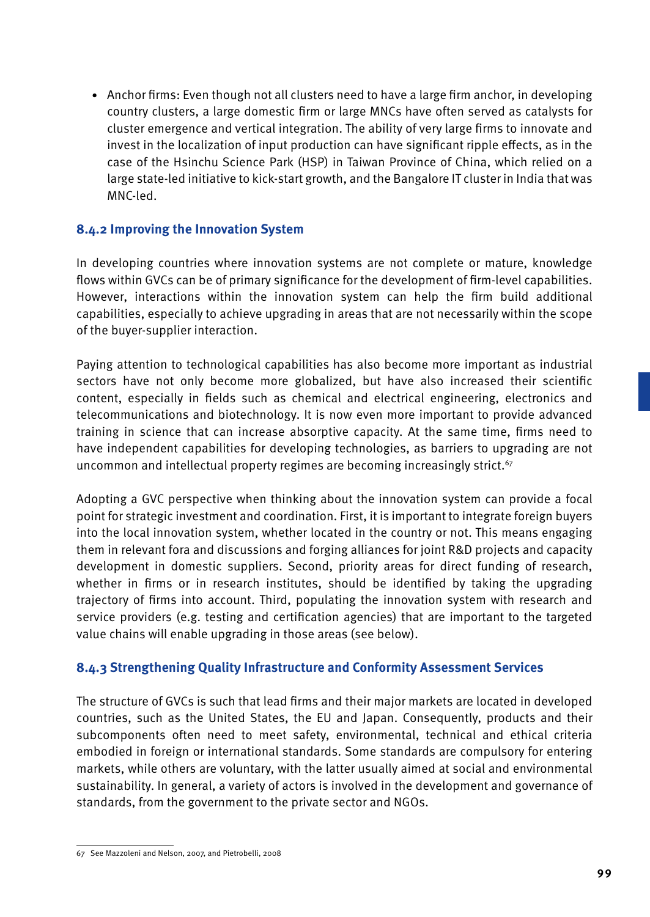• Anchor firms: Even though not all clusters need to have a large firm anchor, in developing country clusters, a large domestic firm or large MNCs have often served as catalysts for cluster emergence and vertical integration. The ability of very large firms to innovate and invest in the localization of input production can have significant ripple effects, as in the case of the Hsinchu Science Park (HSP) in Taiwan Province of China, which relied on a large state-led initiative to kick-start growth, and the Bangalore IT cluster in India that was MNC-led.

### **8.4.2 Improving the Innovation System**

In developing countries where innovation systems are not complete or mature, knowledge flows within GVCs can be of primary significance for the development of firm-level capabilities. However, interactions within the innovation system can help the firm build additional capabilities, especially to achieve upgrading in areas that are not necessarily within the scope of the buyer-supplier interaction.

Paying attention to technological capabilities has also become more important as industrial sectors have not only become more globalized, but have also increased their scientific content, especially in fields such as chemical and electrical engineering, electronics and telecommunications and biotechnology. It is now even more important to provide advanced training in science that can increase absorptive capacity. At the same time, firms need to have independent capabilities for developing technologies, as barriers to upgrading are not uncommon and intellectual property regimes are becoming increasingly strict.<sup>67</sup>

Adopting a GVC perspective when thinking about the innovation system can provide a focal point for strategic investment and coordination. First, it is important to integrate foreign buyers into the local innovation system, whether located in the country or not. This means engaging them in relevant fora and discussions and forging alliances for joint R&D projects and capacity development in domestic suppliers. Second, priority areas for direct funding of research, whether in firms or in research institutes, should be identified by taking the upgrading trajectory of firms into account. Third, populating the innovation system with research and service providers (e.g. testing and certification agencies) that are important to the targeted value chains will enable upgrading in those areas (see below).

### **8.4.3 Strengthening Quality Infrastructure and Conformity Assessment Services**

The structure of GVCs is such that lead firms and their major markets are located in developed countries, such as the United States, the EU and Japan. Consequently, products and their subcomponents often need to meet safety, environmental, technical and ethical criteria embodied in foreign or international standards. Some standards are compulsory for entering markets, while others are voluntary, with the latter usually aimed at social and environmental sustainability. In general, a variety of actors is involved in the development and governance of standards, from the government to the private sector and NGOs.

<sup>67</sup> See Mazzoleni and Nelson, 2007, and Pietrobelli, 2008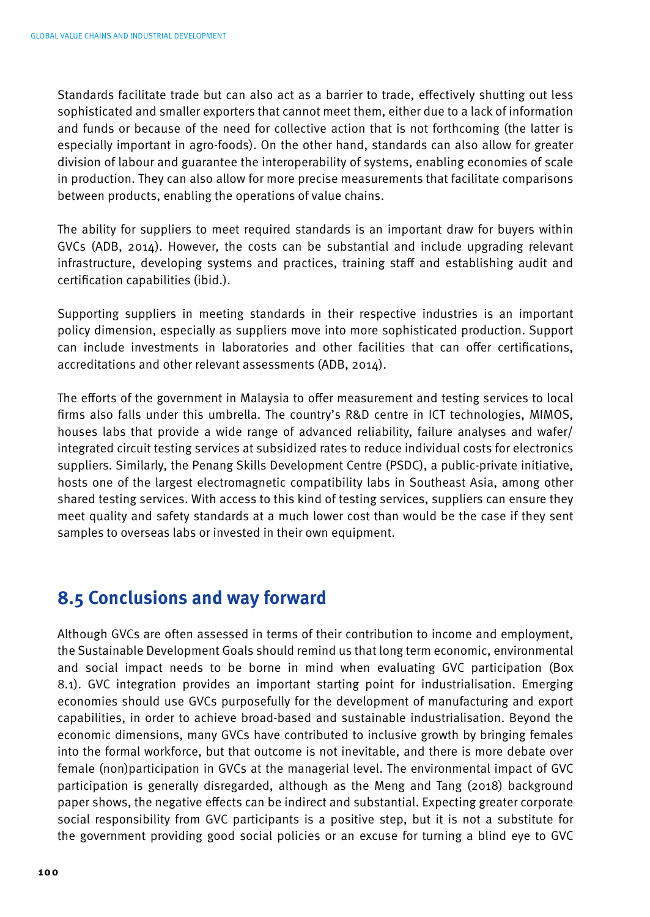Standards facilitate trade but can also act as a barrier to trade, effectively shutting out less sophisticated and smaller exporters that cannot meet them, either due to a lack of information and funds or because of the need for collective action that is not forthcoming (the latter is especially important in agro-foods). On the other hand, standards can also allow for greater division of labour and guarantee the interoperability of systems, enabling economies of scale in production. They can also allow for more precise measurements that facilitate comparisons between products, enabling the operations of value chains.

The ability for suppliers to meet required standards is an important draw for buyers within GVCs (ADB, 2014). However, the costs can be substantial and include upgrading relevant infrastructure, developing systems and practices, training staff and establishing audit and certification capabilities (ibid.).

Supporting suppliers in meeting standards in their respective industries is an important policy dimension, especially as suppliers move into more sophisticated production. Support can include investments in laboratories and other facilities that can offer certifications, accreditations and other relevant assessments (ADB, 2014).

The efforts of the government in Malaysia to offer measurement and testing services to local firms also falls under this umbrella. The country's R&D centre in ICT technologies, MIMOS, houses labs that provide a wide range of advanced reliability, failure analyses and wafer/ integrated circuit testing services at subsidized rates to reduce individual costs for electronics suppliers. Similarly, the Penang Skills Development Centre (PSDC), a public-private initiative, hosts one of the largest electromagnetic compatibility labs in Southeast Asia, among other shared testing services. With access to this kind of testing services, suppliers can ensure they meet quality and safety standards at a much lower cost than would be the case if they sent samples to overseas labs or invested in their own equipment.

### **8.5 Conclusions and way forward**

Although GVCs are often assessed in terms of their contribution to income and employment, the Sustainable Development Goals should remind us that long term economic, environmental and social impact needs to be borne in mind when evaluating GVC participation (Box 8.1). GVC integration provides an important starting point for industrialisation. Emerging economies should use GVCs purposefully for the development of manufacturing and export capabilities, in order to achieve broad-based and sustainable industrialisation. Beyond the economic dimensions, many GVCs have contributed to inclusive growth by bringing females into the formal workforce, but that outcome is not inevitable, and there is more debate over female (non)participation in GVCs at the managerial level. The environmental impact of GVC participation is generally disregarded, although as the Meng and Tang (2018) background paper shows, the negative effects can be indirect and substantial. Expecting greater corporate social responsibility from GVC participants is a positive step, but it is not a substitute for the government providing good social policies or an excuse for turning a blind eye to GVC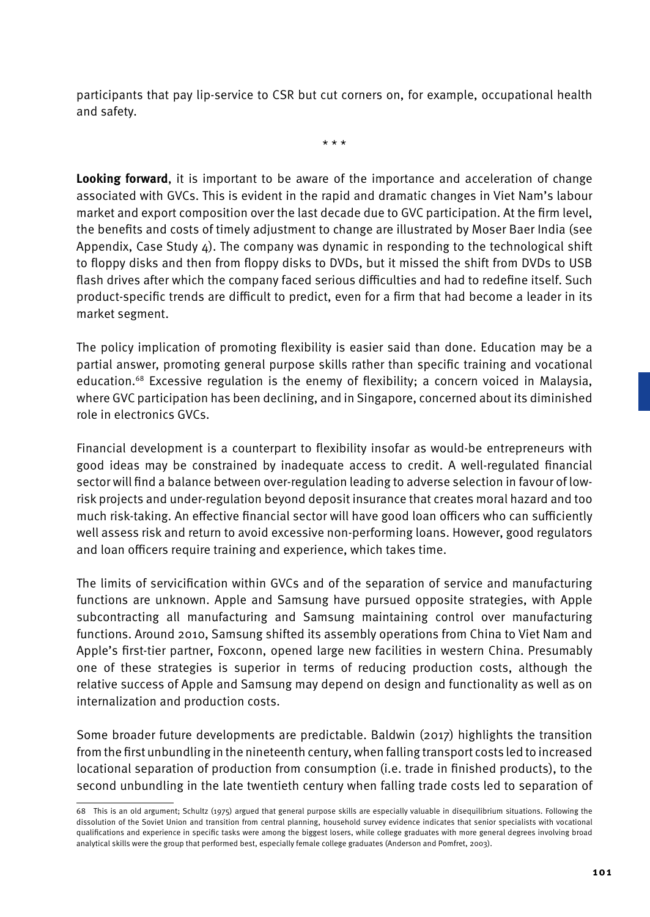participants that pay lip-service to CSR but cut corners on, for example, occupational health and safety.

\* \* \*

**Looking forward**, it is important to be aware of the importance and acceleration of change associated with GVCs. This is evident in the rapid and dramatic changes in Viet Nam's labour market and export composition over the last decade due to GVC participation. At the firm level, the benefits and costs of timely adjustment to change are illustrated by Moser Baer India (see Appendix, Case Study  $\Delta$ ). The company was dynamic in responding to the technological shift to floppy disks and then from floppy disks to DVDs, but it missed the shift from DVDs to USB flash drives after which the company faced serious difficulties and had to redefine itself. Such product-specific trends are difficult to predict, even for a firm that had become a leader in its market segment.

The policy implication of promoting flexibility is easier said than done. Education may be a partial answer, promoting general purpose skills rather than specific training and vocational education.68 Excessive regulation is the enemy of flexibility; a concern voiced in Malaysia, where GVC participation has been declining, and in Singapore, concerned about its diminished role in electronics GVCs.

Financial development is a counterpart to flexibility insofar as would-be entrepreneurs with good ideas may be constrained by inadequate access to credit. A well-regulated financial sector will find a balance between over-regulation leading to adverse selection in favour of lowrisk projects and under-regulation beyond deposit insurance that creates moral hazard and too much risk-taking. An effective financial sector will have good loan officers who can sufficiently well assess risk and return to avoid excessive non-performing loans. However, good regulators and loan officers require training and experience, which takes time.

The limits of servicification within GVCs and of the separation of service and manufacturing functions are unknown. Apple and Samsung have pursued opposite strategies, with Apple subcontracting all manufacturing and Samsung maintaining control over manufacturing functions. Around 2010, Samsung shifted its assembly operations from China to Viet Nam and Apple's first-tier partner, Foxconn, opened large new facilities in western China. Presumably one of these strategies is superior in terms of reducing production costs, although the relative success of Apple and Samsung may depend on design and functionality as well as on internalization and production costs.

Some broader future developments are predictable. Baldwin (2017) highlights the transition from the first unbundling in the nineteenth century, when falling transport costs led to increased locational separation of production from consumption (i.e. trade in finished products), to the second unbundling in the late twentieth century when falling trade costs led to separation of

<sup>68</sup> This is an old argument; Schultz (1975) argued that general purpose skills are especially valuable in disequilibrium situations. Following the dissolution of the Soviet Union and transition from central planning, household survey evidence indicates that senior specialists with vocational qualifications and experience in specific tasks were among the biggest losers, while college graduates with more general degrees involving broad analytical skills were the group that performed best, especially female college graduates (Anderson and Pomfret, 2003).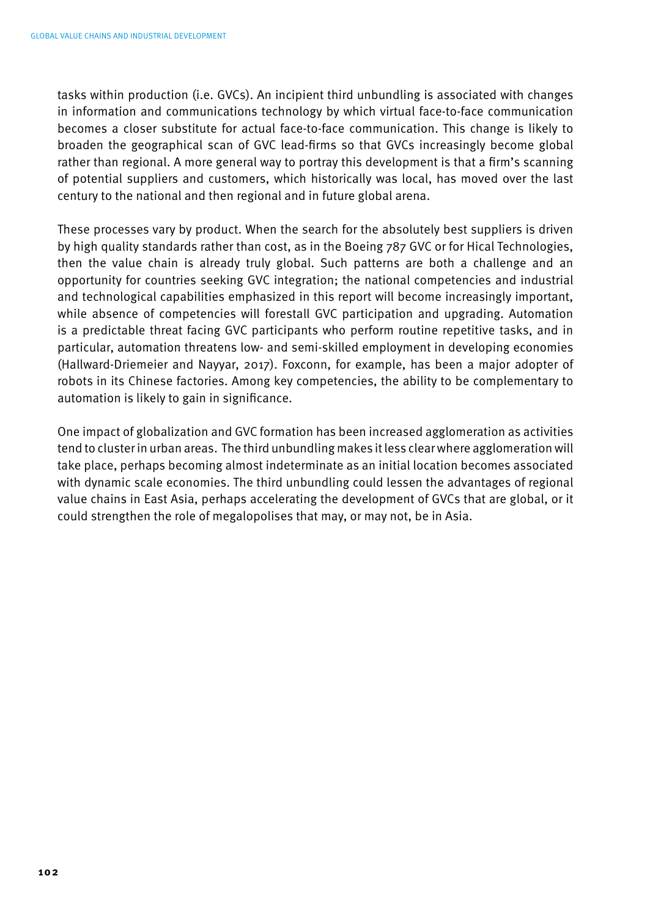tasks within production (i.e. GVCs). An incipient third unbundling is associated with changes in information and communications technology by which virtual face-to-face communication becomes a closer substitute for actual face-to-face communication. This change is likely to broaden the geographical scan of GVC lead-firms so that GVCs increasingly become global rather than regional. A more general way to portray this development is that a firm's scanning of potential suppliers and customers, which historically was local, has moved over the last century to the national and then regional and in future global arena.

These processes vary by product. When the search for the absolutely best suppliers is driven by high quality standards rather than cost, as in the Boeing 787 GVC or for Hical Technologies, then the value chain is already truly global. Such patterns are both a challenge and an opportunity for countries seeking GVC integration; the national competencies and industrial and technological capabilities emphasized in this report will become increasingly important, while absence of competencies will forestall GVC participation and upgrading. Automation is a predictable threat facing GVC participants who perform routine repetitive tasks, and in particular, automation threatens low- and semi-skilled employment in developing economies (Hallward-Driemeier and Nayyar, 2017). Foxconn, for example, has been a major adopter of robots in its Chinese factories. Among key competencies, the ability to be complementary to automation is likely to gain in significance.

One impact of globalization and GVC formation has been increased agglomeration as activities tend to cluster in urban areas. The third unbundling makes it less clear where agglomeration will take place, perhaps becoming almost indeterminate as an initial location becomes associated with dynamic scale economies. The third unbundling could lessen the advantages of regional value chains in East Asia, perhaps accelerating the development of GVCs that are global, or it could strengthen the role of megalopolises that may, or may not, be in Asia.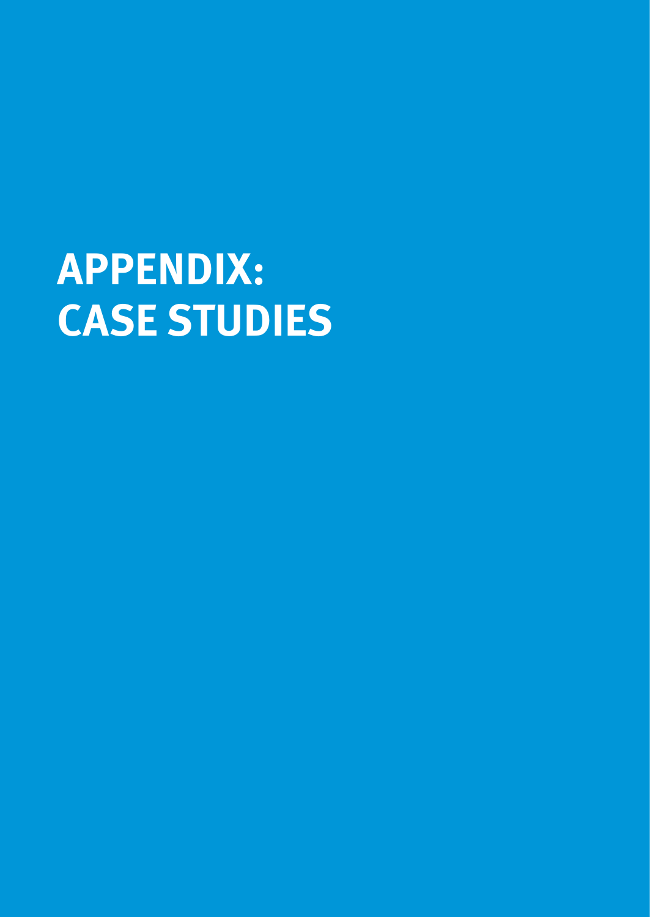# **APPENDIX: CASE STUDIES**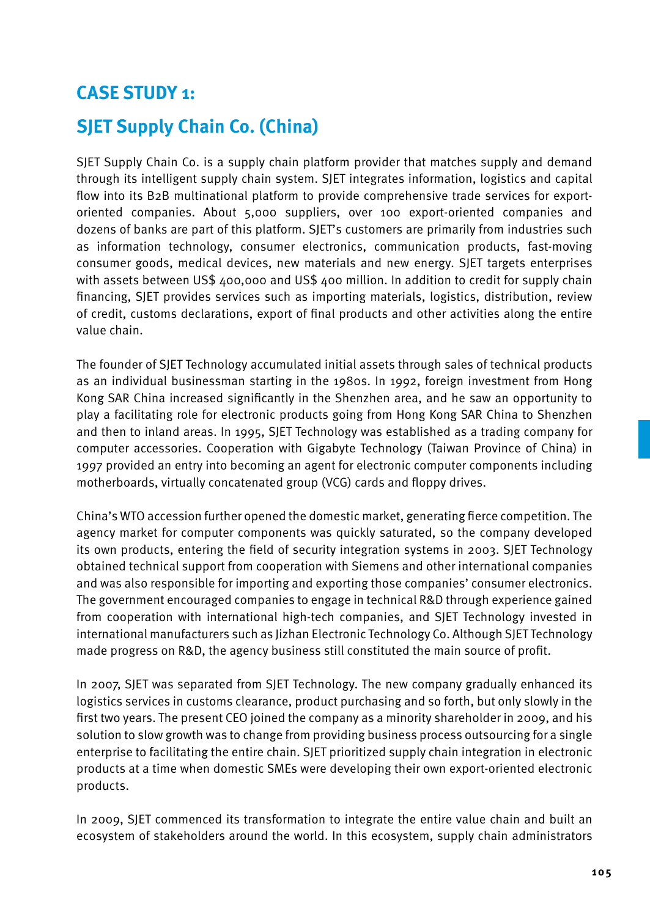### **CASE STUDY 1:**

### **SJET Supply Chain Co. (China)**

SJET Supply Chain Co. is a supply chain platform provider that matches supply and demand through its intelligent supply chain system. SJET integrates information, logistics and capital flow into its B2B multinational platform to provide comprehensive trade services for exportoriented companies. About 5,000 suppliers, over 100 export-oriented companies and dozens of banks are part of this platform. SJET's customers are primarily from industries such as information technology, consumer electronics, communication products, fast-moving consumer goods, medical devices, new materials and new energy. SJET targets enterprises with assets between US\$ 400,000 and US\$ 400 million. In addition to credit for supply chain financing, SJET provides services such as importing materials, logistics, distribution, review of credit, customs declarations, export of final products and other activities along the entire value chain.

The founder of SJET Technology accumulated initial assets through sales of technical products as an individual businessman starting in the 1980s. In 1992, foreign investment from Hong Kong SAR China increased significantly in the Shenzhen area, and he saw an opportunity to play a facilitating role for electronic products going from Hong Kong SAR China to Shenzhen and then to inland areas. In 1995, SJET Technology was established as a trading company for computer accessories. Cooperation with Gigabyte Technology (Taiwan Province of China) in 1997 provided an entry into becoming an agent for electronic computer components including motherboards, virtually concatenated group (VCG) cards and floppy drives.

China's WTO accession further opened the domestic market, generating fierce competition. The agency market for computer components was quickly saturated, so the company developed its own products, entering the field of security integration systems in 2003. SJET Technology obtained technical support from cooperation with Siemens and other international companies and was also responsible for importing and exporting those companies' consumer electronics. The government encouraged companies to engage in technical R&D through experience gained from cooperation with international high-tech companies, and SJET Technology invested in international manufacturers such as Jizhan Electronic Technology Co. Although SJET Technology made progress on R&D, the agency business still constituted the main source of profit.

In 2007, SJET was separated from SJET Technology. The new company gradually enhanced its logistics services in customs clearance, product purchasing and so forth, but only slowly in the first two years. The present CEO joined the company as a minority shareholder in 2009, and his solution to slow growth was to change from providing business process outsourcing for a single enterprise to facilitating the entire chain. SJET prioritized supply chain integration in electronic products at a time when domestic SMEs were developing their own export-oriented electronic products.

In 2009, SJET commenced its transformation to integrate the entire value chain and built an ecosystem of stakeholders around the world. In this ecosystem, supply chain administrators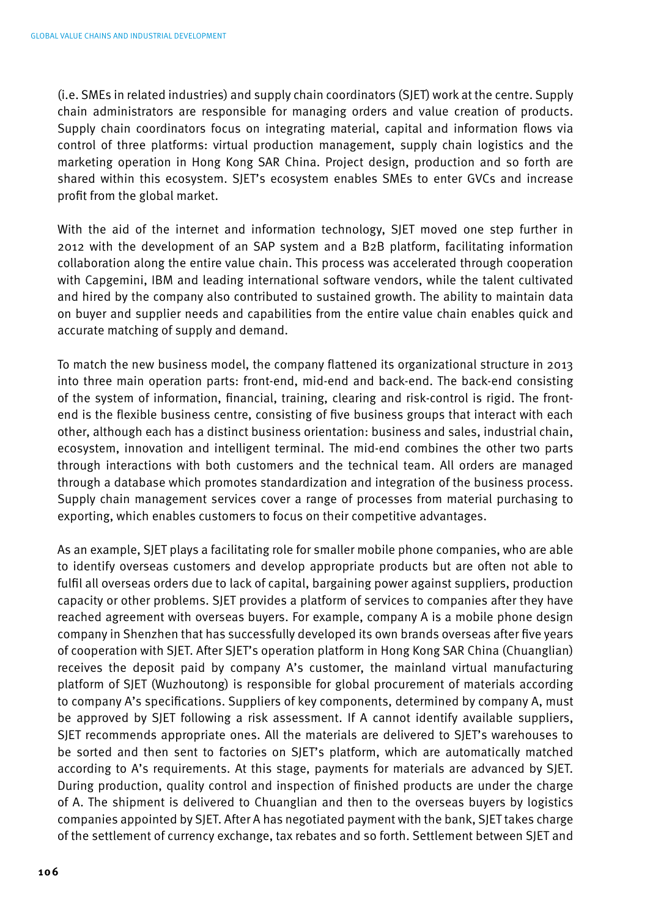(i.e. SMEs in related industries) and supply chain coordinators (SJET) work at the centre. Supply chain administrators are responsible for managing orders and value creation of products. Supply chain coordinators focus on integrating material, capital and information flows via control of three platforms: virtual production management, supply chain logistics and the marketing operation in Hong Kong SAR China. Project design, production and so forth are shared within this ecosystem. SJET's ecosystem enables SMEs to enter GVCs and increase profit from the global market.

With the aid of the internet and information technology, SJET moved one step further in 2012 with the development of an SAP system and a B2B platform, facilitating information collaboration along the entire value chain. This process was accelerated through cooperation with Capgemini, IBM and leading international software vendors, while the talent cultivated and hired by the company also contributed to sustained growth. The ability to maintain data on buyer and supplier needs and capabilities from the entire value chain enables quick and accurate matching of supply and demand.

To match the new business model, the company flattened its organizational structure in 2013 into three main operation parts: front-end, mid-end and back-end. The back-end consisting of the system of information, financial, training, clearing and risk-control is rigid. The frontend is the flexible business centre, consisting of five business groups that interact with each other, although each has a distinct business orientation: business and sales, industrial chain, ecosystem, innovation and intelligent terminal. The mid-end combines the other two parts through interactions with both customers and the technical team. All orders are managed through a database which promotes standardization and integration of the business process. Supply chain management services cover a range of processes from material purchasing to exporting, which enables customers to focus on their competitive advantages.

As an example, SJET plays a facilitating role for smaller mobile phone companies, who are able to identify overseas customers and develop appropriate products but are often not able to fulfil all overseas orders due to lack of capital, bargaining power against suppliers, production capacity or other problems. SJET provides a platform of services to companies after they have reached agreement with overseas buyers. For example, company A is a mobile phone design company in Shenzhen that has successfully developed its own brands overseas after five years of cooperation with SJET. After SJET's operation platform in Hong Kong SAR China (Chuanglian) receives the deposit paid by company A's customer, the mainland virtual manufacturing platform of SJET (Wuzhoutong) is responsible for global procurement of materials according to company A's specifications. Suppliers of key components, determined by company A, must be approved by SJET following a risk assessment. If A cannot identify available suppliers, SJET recommends appropriate ones. All the materials are delivered to SJET's warehouses to be sorted and then sent to factories on SJET's platform, which are automatically matched according to A's requirements. At this stage, payments for materials are advanced by SJET. During production, quality control and inspection of finished products are under the charge of A. The shipment is delivered to Chuanglian and then to the overseas buyers by logistics companies appointed by SJET. After A has negotiated payment with the bank, SJET takes charge of the settlement of currency exchange, tax rebates and so forth. Settlement between SJET and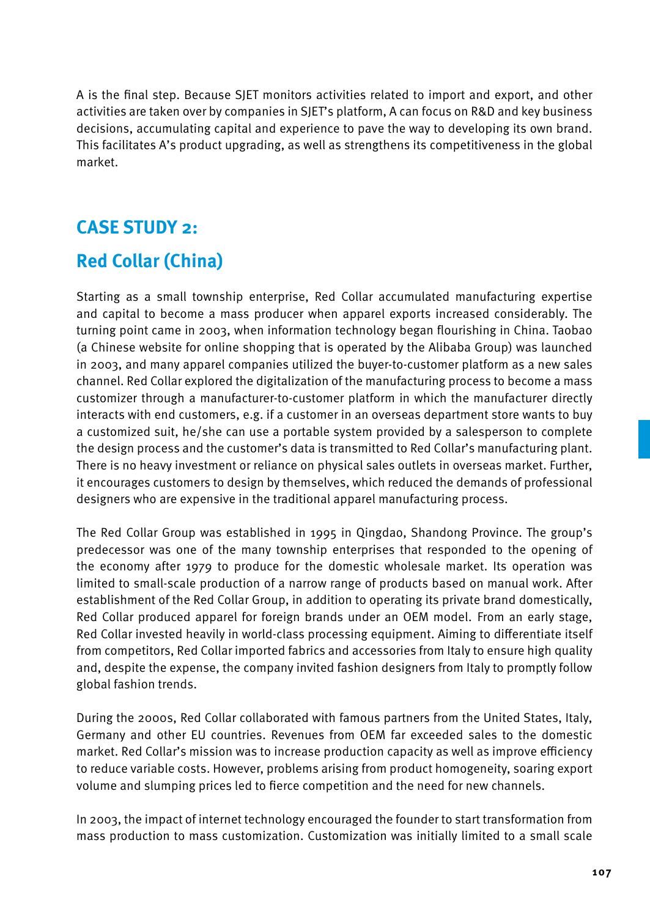A is the final step. Because SJET monitors activities related to import and export, and other activities are taken over by companies in SJET's platform, A can focus on R&D and key business decisions, accumulating capital and experience to pave the way to developing its own brand. This facilitates A's product upgrading, as well as strengthens its competitiveness in the global market.

### **CASE STUDY 2:**

### **Red Collar (China)**

Starting as a small township enterprise, Red Collar accumulated manufacturing expertise and capital to become a mass producer when apparel exports increased considerably. The turning point came in 2003, when information technology began flourishing in China. Taobao (a Chinese website for online shopping that is operated by the Alibaba Group) was launched in 2003, and many apparel companies utilized the buyer-to-customer platform as a new sales channel. Red Collar explored the digitalization of the manufacturing process to become a mass customizer through a manufacturer-to-customer platform in which the manufacturer directly interacts with end customers, e.g. if a customer in an overseas department store wants to buy a customized suit, he/she can use a portable system provided by a salesperson to complete the design process and the customer's data is transmitted to Red Collar's manufacturing plant. There is no heavy investment or reliance on physical sales outlets in overseas market. Further, it encourages customers to design by themselves, which reduced the demands of professional designers who are expensive in the traditional apparel manufacturing process.

The Red Collar Group was established in 1995 in Qingdao, Shandong Province. The group's predecessor was one of the many township enterprises that responded to the opening of the economy after 1979 to produce for the domestic wholesale market. Its operation was limited to small-scale production of a narrow range of products based on manual work. After establishment of the Red Collar Group, in addition to operating its private brand domestically, Red Collar produced apparel for foreign brands under an OEM model. From an early stage, Red Collar invested heavily in world-class processing equipment. Aiming to differentiate itself from competitors, Red Collar imported fabrics and accessories from Italy to ensure high quality and, despite the expense, the company invited fashion designers from Italy to promptly follow global fashion trends.

During the 2000s, Red Collar collaborated with famous partners from the United States, Italy, Germany and other EU countries. Revenues from OEM far exceeded sales to the domestic market. Red Collar's mission was to increase production capacity as well as improve efficiency to reduce variable costs. However, problems arising from product homogeneity, soaring export volume and slumping prices led to fierce competition and the need for new channels.

In 2003, the impact of internet technology encouraged the founder to start transformation from mass production to mass customization. Customization was initially limited to a small scale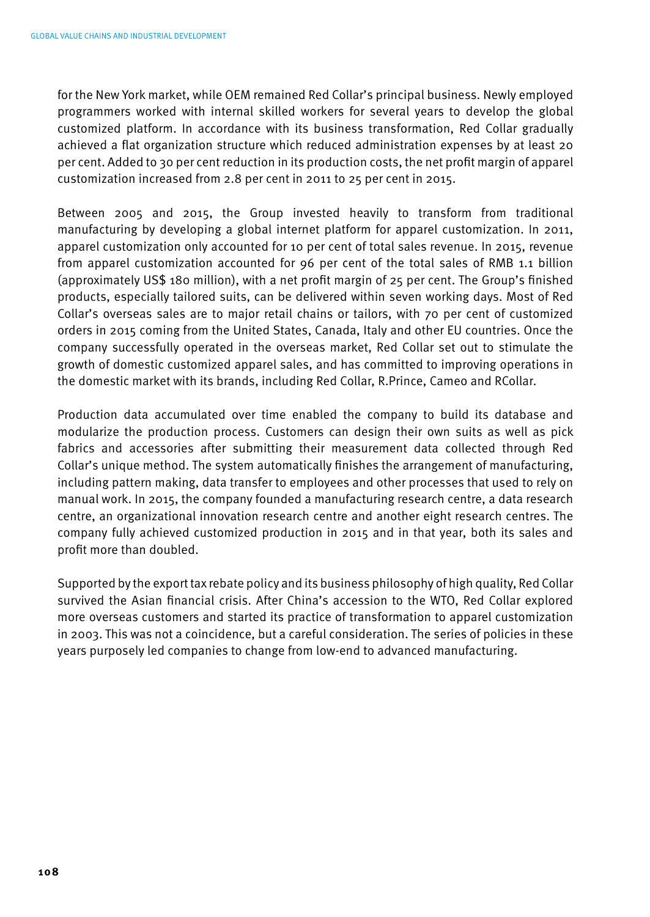for the New York market, while OEM remained Red Collar's principal business. Newly employed programmers worked with internal skilled workers for several years to develop the global customized platform. In accordance with its business transformation, Red Collar gradually achieved a flat organization structure which reduced administration expenses by at least 20 per cent. Added to 30 per cent reduction in its production costs, the net profit margin of apparel customization increased from 2.8 per cent in 2011 to 25 per cent in 2015.

Between 2005 and 2015, the Group invested heavily to transform from traditional manufacturing by developing a global internet platform for apparel customization. In 2011, apparel customization only accounted for 10 per cent of total sales revenue. In 2015, revenue from apparel customization accounted for 96 per cent of the total sales of RMB 1.1 billion (approximately US\$ 180 million), with a net profit margin of 25 per cent. The Group's finished products, especially tailored suits, can be delivered within seven working days. Most of Red Collar's overseas sales are to major retail chains or tailors, with 70 per cent of customized orders in 2015 coming from the United States, Canada, Italy and other EU countries. Once the company successfully operated in the overseas market, Red Collar set out to stimulate the growth of domestic customized apparel sales, and has committed to improving operations in the domestic market with its brands, including Red Collar, R.Prince, Cameo and RCollar.

Production data accumulated over time enabled the company to build its database and modularize the production process. Customers can design their own suits as well as pick fabrics and accessories after submitting their measurement data collected through Red Collar's unique method. The system automatically finishes the arrangement of manufacturing, including pattern making, data transfer to employees and other processes that used to rely on manual work. In 2015, the company founded a manufacturing research centre, a data research centre, an organizational innovation research centre and another eight research centres. The company fully achieved customized production in 2015 and in that year, both its sales and profit more than doubled.

Supported by the export tax rebate policy and its business philosophy of high quality, Red Collar survived the Asian financial crisis. After China's accession to the WTO, Red Collar explored more overseas customers and started its practice of transformation to apparel customization in 2003. This was not a coincidence, but a careful consideration. The series of policies in these years purposely led companies to change from low-end to advanced manufacturing.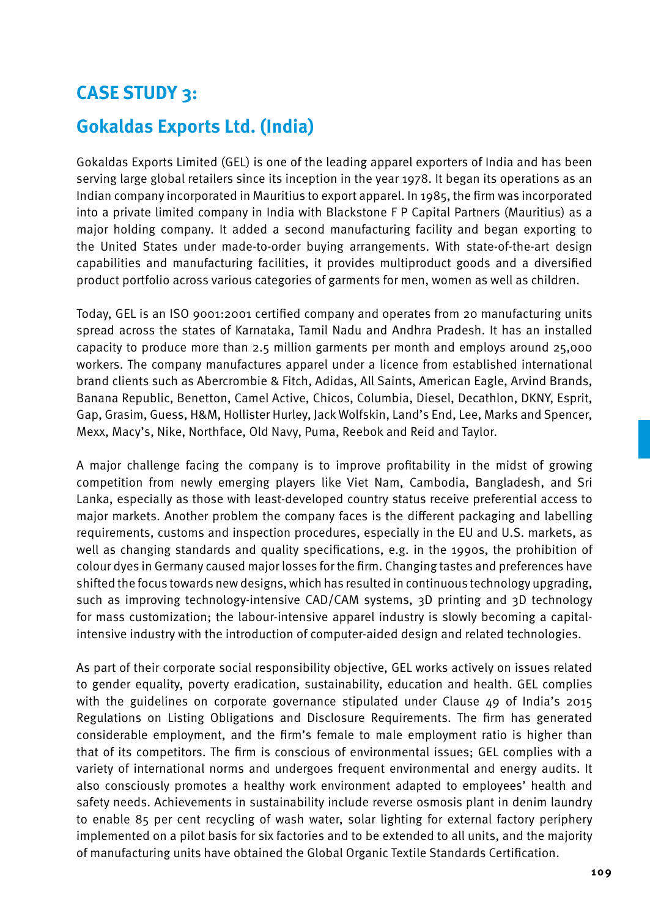### **CASE STUDY 3:**

### **Gokaldas Exports Ltd. (India)**

Gokaldas Exports Limited (GEL) is one of the leading apparel exporters of India and has been serving large global retailers since its inception in the year 1978. It began its operations as an Indian company incorporated in Mauritius to export apparel. In 1985, the firm was incorporated into a private limited company in India with Blackstone F P Capital Partners (Mauritius) as a major holding company. It added a second manufacturing facility and began exporting to the United States under made-to-order buying arrangements. With state-of-the-art design capabilities and manufacturing facilities, it provides multiproduct goods and a diversified product portfolio across various categories of garments for men, women as well as children.

Today, GEL is an ISO 9001:2001 certified company and operates from 20 manufacturing units spread across the states of Karnataka, Tamil Nadu and Andhra Pradesh. It has an installed capacity to produce more than 2.5 million garments per month and employs around 25,000 workers. The company manufactures apparel under a licence from established international brand clients such as Abercrombie & Fitch, Adidas, All Saints, American Eagle, Arvind Brands, Banana Republic, Benetton, Camel Active, Chicos, Columbia, Diesel, Decathlon, DKNY, Esprit, Gap, Grasim, Guess, H&M, Hollister Hurley, Jack Wolfskin, Land's End, Lee, Marks and Spencer, Mexx, Macy's, Nike, Northface, Old Navy, Puma, Reebok and Reid and Taylor.

A major challenge facing the company is to improve profitability in the midst of growing competition from newly emerging players like Viet Nam, Cambodia, Bangladesh, and Sri Lanka, especially as those with least-developed country status receive preferential access to major markets. Another problem the company faces is the different packaging and labelling requirements, customs and inspection procedures, especially in the EU and U.S. markets, as well as changing standards and quality specifications, e.g. in the 1990s, the prohibition of colour dyes in Germany caused major losses for the firm. Changing tastes and preferences have shifted the focus towards new designs, which has resulted in continuous technology upgrading, such as improving technology-intensive CAD/CAM systems, 3D printing and 3D technology for mass customization; the labour-intensive apparel industry is slowly becoming a capitalintensive industry with the introduction of computer-aided design and related technologies.

As part of their corporate social responsibility objective, GEL works actively on issues related to gender equality, poverty eradication, sustainability, education and health. GEL complies with the guidelines on corporate governance stipulated under Clause 49 of India's 2015 Regulations on Listing Obligations and Disclosure Requirements. The firm has generated considerable employment, and the firm's female to male employment ratio is higher than that of its competitors. The firm is conscious of environmental issues; GEL complies with a variety of international norms and undergoes frequent environmental and energy audits. It also consciously promotes a healthy work environment adapted to employees' health and safety needs. Achievements in sustainability include reverse osmosis plant in denim laundry to enable 85 per cent recycling of wash water, solar lighting for external factory periphery implemented on a pilot basis for six factories and to be extended to all units, and the majority of manufacturing units have obtained the Global Organic Textile Standards Certification.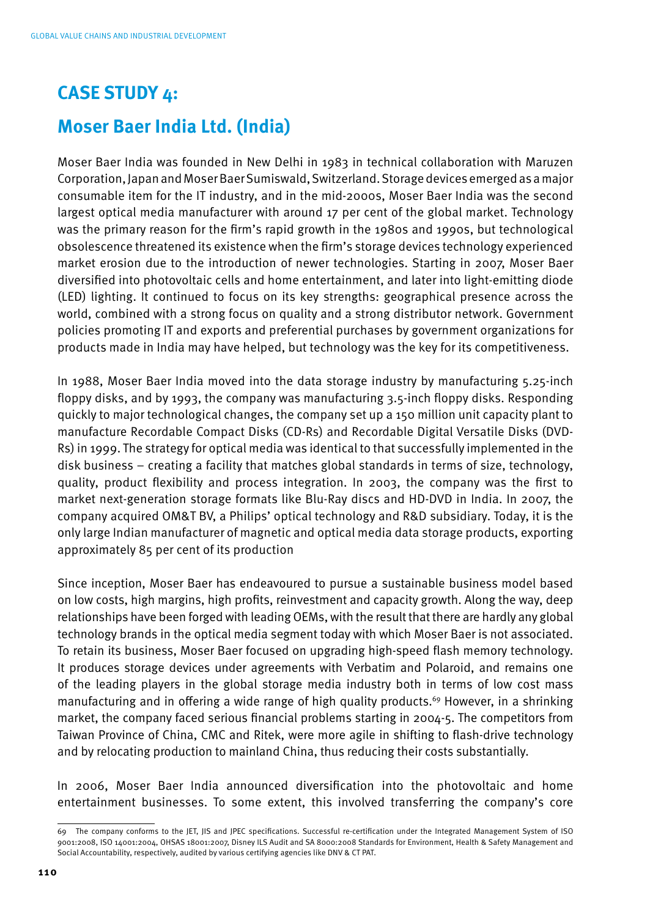### **CASE STUDY 4:**

### **Moser Baer India Ltd. (India)**

Moser Baer India was founded in New Delhi in 1983 in technical collaboration with Maruzen Corporation, Japan and Moser Baer Sumiswald, Switzerland. Storage devices emerged as a major consumable item for the IT industry, and in the mid-2000s, Moser Baer India was the second largest optical media manufacturer with around 17 per cent of the global market. Technology was the primary reason for the firm's rapid growth in the 1980s and 1990s, but technological obsolescence threatened its existence when the firm's storage devices technology experienced market erosion due to the introduction of newer technologies. Starting in 2007, Moser Baer diversified into photovoltaic cells and home entertainment, and later into light-emitting diode (LED) lighting. It continued to focus on its key strengths: geographical presence across the world, combined with a strong focus on quality and a strong distributor network. Government policies promoting IT and exports and preferential purchases by government organizations for products made in India may have helped, but technology was the key for its competitiveness.

In 1988, Moser Baer India moved into the data storage industry by manufacturing 5.25-inch floppy disks, and by 1993, the company was manufacturing 3.5-inch floppy disks. Responding quickly to major technological changes, the company set up a 150 million unit capacity plant to manufacture Recordable Compact Disks (CD-Rs) and Recordable Digital Versatile Disks (DVD-Rs) in 1999. The strategy for optical media was identical to that successfully implemented in the disk business – creating a facility that matches global standards in terms of size, technology, quality, product flexibility and process integration. In 2003, the company was the first to market next-generation storage formats like Blu-Ray discs and HD-DVD in India. In 2007, the company acquired OM&T BV, a Philips' optical technology and R&D subsidiary. Today, it is the only large Indian manufacturer of magnetic and optical media data storage products, exporting approximately 85 per cent of its production

Since inception, Moser Baer has endeavoured to pursue a sustainable business model based on low costs, high margins, high profits, reinvestment and capacity growth. Along the way, deep relationships have been forged with leading OEMs, with the result that there are hardly any global technology brands in the optical media segment today with which Moser Baer is not associated. To retain its business, Moser Baer focused on upgrading high-speed flash memory technology. It produces storage devices under agreements with Verbatim and Polaroid, and remains one of the leading players in the global storage media industry both in terms of low cost mass manufacturing and in offering a wide range of high quality products.<sup>69</sup> However, in a shrinking market, the company faced serious financial problems starting in 2004-5. The competitors from Taiwan Province of China, CMC and Ritek, were more agile in shifting to flash-drive technology and by relocating production to mainland China, thus reducing their costs substantially.

In 2006, Moser Baer India announced diversification into the photovoltaic and home entertainment businesses. To some extent, this involved transferring the company's core

<sup>69</sup> The company conforms to the JET, JIS and JPEC specifications. Successful re-certification under the Integrated Management System of ISO 9001:2008, ISO 14001:2004, OHSAS 18001:2007, Disney ILS Audit and SA 8000:2008 Standards for Environment, Health & Safety Management and Social Accountability, respectively, audited by various certifying agencies like DNV & CT PAT.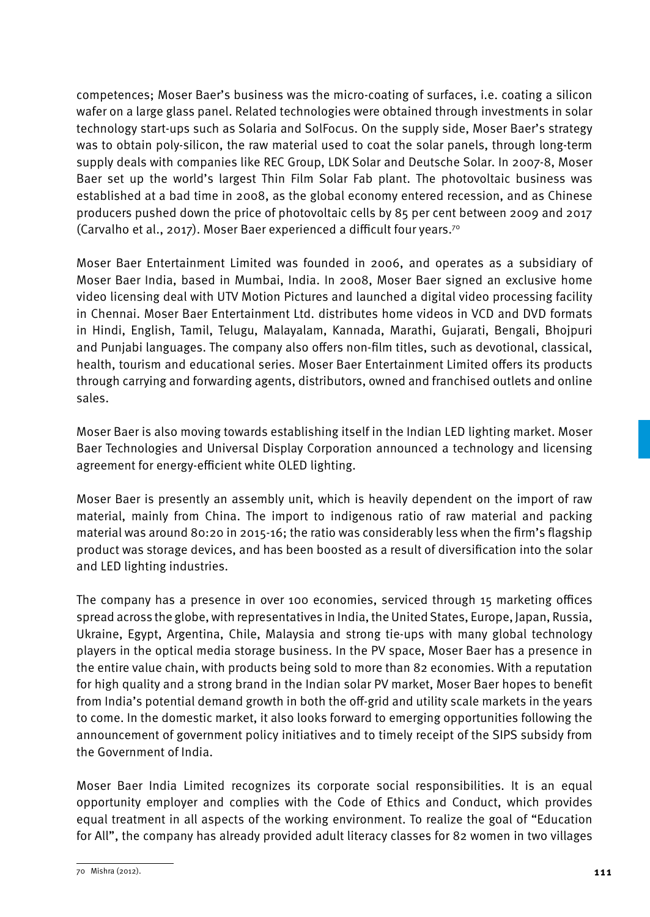competences; Moser Baer's business was the micro-coating of surfaces, i.e. coating a silicon wafer on a large glass panel. Related technologies were obtained through investments in solar technology start-ups such as Solaria and SolFocus. On the supply side, Moser Baer's strategy was to obtain poly-silicon, the raw material used to coat the solar panels, through long-term supply deals with companies like REC Group, LDK Solar and Deutsche Solar. In 2007-8, Moser Baer set up the world's largest Thin Film Solar Fab plant. The photovoltaic business was established at a bad time in 2008, as the global economy entered recession, and as Chinese producers pushed down the price of photovoltaic cells by 85 per cent between 2009 and 2017 (Carvalho et al., 2017). Moser Baer experienced a difficult four years.70

Moser Baer Entertainment Limited was founded in 2006, and operates as a subsidiary of Moser Baer India, based in Mumbai, India. In 2008, Moser Baer signed an exclusive home video licensing deal with UTV Motion Pictures and launched a digital video processing facility in Chennai. Moser Baer Entertainment Ltd. distributes home videos in VCD and DVD formats in Hindi, English, Tamil, Telugu, Malayalam, Kannada, Marathi, Gujarati, Bengali, Bhojpuri and Punjabi languages. The company also offers non-film titles, such as devotional, classical, health, tourism and educational series. Moser Baer Entertainment Limited offers its products through carrying and forwarding agents, distributors, owned and franchised outlets and online sales.

Moser Baer is also moving towards establishing itself in the Indian LED lighting market. Moser Baer Technologies and Universal Display Corporation announced a technology and licensing agreement for energy-efficient white OLED lighting.

Moser Baer is presently an assembly unit, which is heavily dependent on the import of raw material, mainly from China. The import to indigenous ratio of raw material and packing material was around 80:20 in 2015-16; the ratio was considerably less when the firm's flagship product was storage devices, and has been boosted as a result of diversification into the solar and LED lighting industries.

The company has a presence in over 100 economies, serviced through 15 marketing offices spread across the globe, with representatives in India, the United States, Europe, Japan, Russia, Ukraine, Egypt, Argentina, Chile, Malaysia and strong tie-ups with many global technology players in the optical media storage business. In the PV space, Moser Baer has a presence in the entire value chain, with products being sold to more than 82 economies. With a reputation for high quality and a strong brand in the Indian solar PV market, Moser Baer hopes to benefit from India's potential demand growth in both the off-grid and utility scale markets in the years to come. In the domestic market, it also looks forward to emerging opportunities following the announcement of government policy initiatives and to timely receipt of the SIPS subsidy from the Government of India.

Moser Baer India Limited recognizes its corporate social responsibilities. It is an equal opportunity employer and complies with the Code of Ethics and Conduct, which provides equal treatment in all aspects of the working environment. To realize the goal of "Education for All", the company has already provided adult literacy classes for 82 women in two villages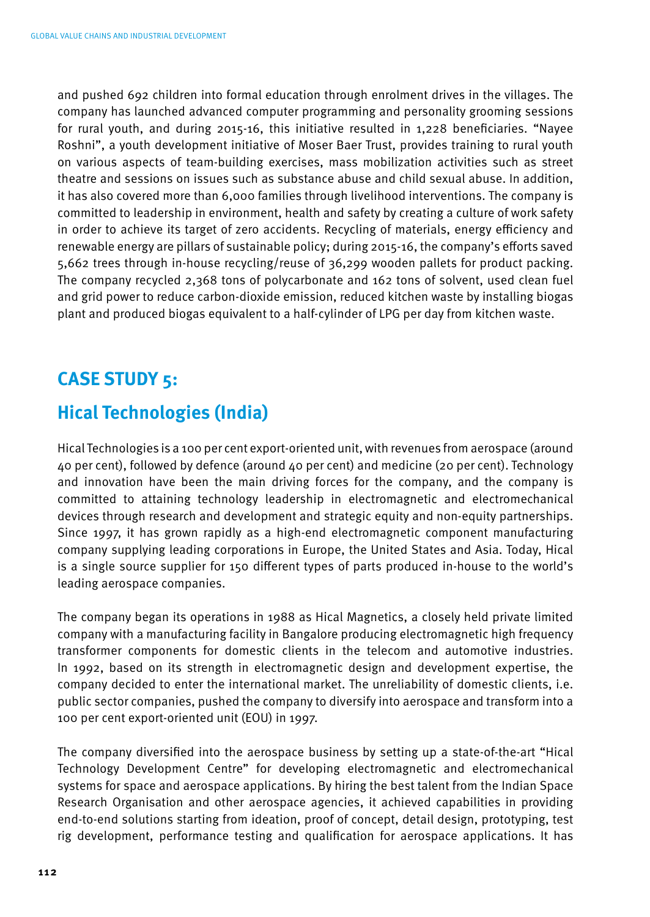and pushed 692 children into formal education through enrolment drives in the villages. The company has launched advanced computer programming and personality grooming sessions for rural youth, and during 2015-16, this initiative resulted in 1,228 beneficiaries. "Nayee Roshni", a youth development initiative of Moser Baer Trust, provides training to rural youth on various aspects of team-building exercises, mass mobilization activities such as street theatre and sessions on issues such as substance abuse and child sexual abuse. In addition, it has also covered more than 6,000 families through livelihood interventions. The company is committed to leadership in environment, health and safety by creating a culture of work safety in order to achieve its target of zero accidents. Recycling of materials, energy efficiency and renewable energy are pillars of sustainable policy; during 2015-16, the company's efforts saved 5,662 trees through in-house recycling/reuse of 36,299 wooden pallets for product packing. The company recycled 2,368 tons of polycarbonate and 162 tons of solvent, used clean fuel and grid power to reduce carbon-dioxide emission, reduced kitchen waste by installing biogas plant and produced biogas equivalent to a half-cylinder of LPG per day from kitchen waste.

### **CASE STUDY 5:**

### **Hical Technologies (India)**

Hical Technologies is a 100 per cent export-oriented unit, with revenues from aerospace (around 40 per cent), followed by defence (around 40 per cent) and medicine (20 per cent). Technology and innovation have been the main driving forces for the company, and the company is committed to attaining technology leadership in electromagnetic and electromechanical devices through research and development and strategic equity and non-equity partnerships. Since 1997, it has grown rapidly as a high-end electromagnetic component manufacturing company supplying leading corporations in Europe, the United States and Asia. Today, Hical is a single source supplier for 150 different types of parts produced in-house to the world's leading aerospace companies.

The company began its operations in 1988 as Hical Magnetics, a closely held private limited company with a manufacturing facility in Bangalore producing electromagnetic high frequency transformer components for domestic clients in the telecom and automotive industries. In 1992, based on its strength in electromagnetic design and development expertise, the company decided to enter the international market. The unreliability of domestic clients, i.e. public sector companies, pushed the company to diversify into aerospace and transform into a 100 per cent export-oriented unit (EOU) in 1997.

The company diversified into the aerospace business by setting up a state-of-the-art "Hical Technology Development Centre" for developing electromagnetic and electromechanical systems for space and aerospace applications. By hiring the best talent from the Indian Space Research Organisation and other aerospace agencies, it achieved capabilities in providing end-to-end solutions starting from ideation, proof of concept, detail design, prototyping, test rig development, performance testing and qualification for aerospace applications. It has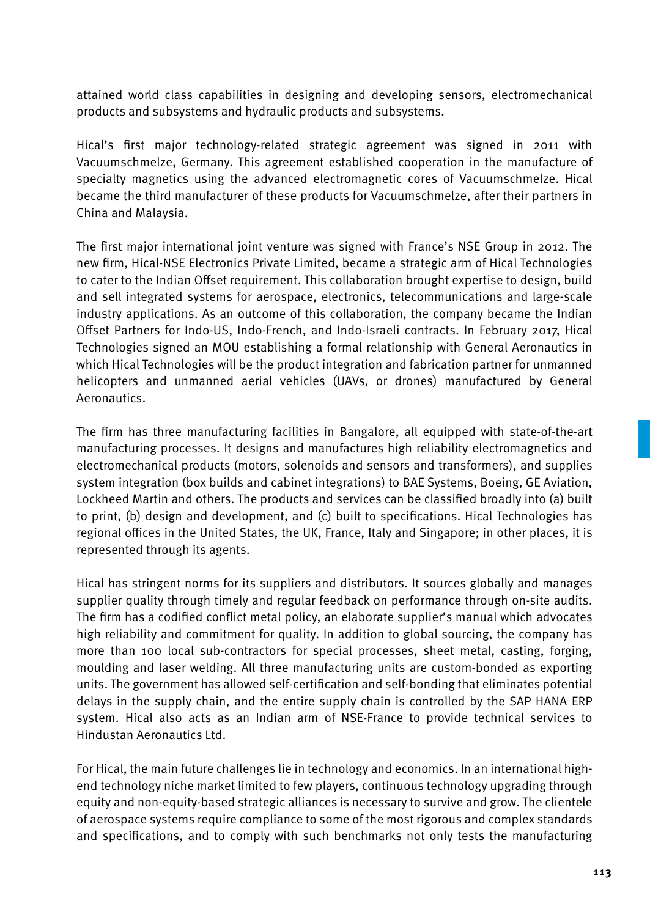attained world class capabilities in designing and developing sensors, electromechanical products and subsystems and hydraulic products and subsystems.

Hical's first major technology-related strategic agreement was signed in 2011 with Vacuumschmelze, Germany. This agreement established cooperation in the manufacture of specialty magnetics using the advanced electromagnetic cores of Vacuumschmelze. Hical became the third manufacturer of these products for Vacuumschmelze, after their partners in China and Malaysia.

The first major international joint venture was signed with France's NSE Group in 2012. The new firm, Hical-NSE Electronics Private Limited, became a strategic arm of Hical Technologies to cater to the Indian Offset requirement. This collaboration brought expertise to design, build and sell integrated systems for aerospace, electronics, telecommunications and large-scale industry applications. As an outcome of this collaboration, the company became the Indian Offset Partners for Indo-US, Indo-French, and Indo-Israeli contracts. In February 2017, Hical Technologies signed an MOU establishing a formal relationship with General Aeronautics in which Hical Technologies will be the product integration and fabrication partner for unmanned helicopters and unmanned aerial vehicles (UAVs, or drones) manufactured by General Aeronautics.

The firm has three manufacturing facilities in Bangalore, all equipped with state-of-the-art manufacturing processes. It designs and manufactures high reliability electromagnetics and electromechanical products (motors, solenoids and sensors and transformers), and supplies system integration (box builds and cabinet integrations) to BAE Systems, Boeing, GE Aviation, Lockheed Martin and others. The products and services can be classified broadly into (a) built to print, (b) design and development, and (c) built to specifications. Hical Technologies has regional offices in the United States, the UK, France, Italy and Singapore; in other places, it is represented through its agents.

Hical has stringent norms for its suppliers and distributors. It sources globally and manages supplier quality through timely and regular feedback on performance through on-site audits. The firm has a codified conflict metal policy, an elaborate supplier's manual which advocates high reliability and commitment for quality. In addition to global sourcing, the company has more than 100 local sub-contractors for special processes, sheet metal, casting, forging, moulding and laser welding. All three manufacturing units are custom-bonded as exporting units. The government has allowed self-certification and self-bonding that eliminates potential delays in the supply chain, and the entire supply chain is controlled by the SAP HANA ERP system. Hical also acts as an Indian arm of NSE-France to provide technical services to Hindustan Aeronautics Ltd.

For Hical, the main future challenges lie in technology and economics. In an international highend technology niche market limited to few players, continuous technology upgrading through equity and non-equity-based strategic alliances is necessary to survive and grow. The clientele of aerospace systems require compliance to some of the most rigorous and complex standards and specifications, and to comply with such benchmarks not only tests the manufacturing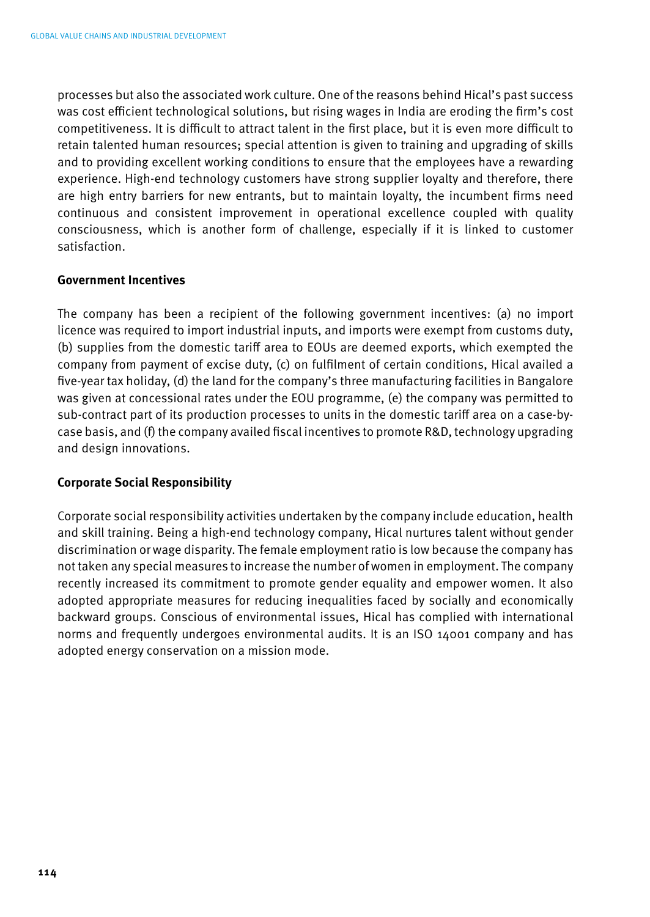processes but also the associated work culture. One of the reasons behind Hical's past success was cost efficient technological solutions, but rising wages in India are eroding the firm's cost competitiveness. It is difficult to attract talent in the first place, but it is even more difficult to retain talented human resources; special attention is given to training and upgrading of skills and to providing excellent working conditions to ensure that the employees have a rewarding experience. High-end technology customers have strong supplier loyalty and therefore, there are high entry barriers for new entrants, but to maintain loyalty, the incumbent firms need continuous and consistent improvement in operational excellence coupled with quality consciousness, which is another form of challenge, especially if it is linked to customer satisfaction.

### **Government Incentives**

The company has been a recipient of the following government incentives: (a) no import licence was required to import industrial inputs, and imports were exempt from customs duty, (b) supplies from the domestic tariff area to EOUs are deemed exports, which exempted the company from payment of excise duty, (c) on fulfilment of certain conditions, Hical availed a five-year tax holiday, (d) the land for the company's three manufacturing facilities in Bangalore was given at concessional rates under the EOU programme, (e) the company was permitted to sub-contract part of its production processes to units in the domestic tariff area on a case-bycase basis, and (f) the company availed fiscal incentives to promote R&D, technology upgrading and design innovations.

### **Corporate Social Responsibility**

Corporate social responsibility activities undertaken by the company include education, health and skill training. Being a high-end technology company, Hical nurtures talent without gender discrimination or wage disparity. The female employment ratio is low because the company has not taken any special measures to increase the number of women in employment. The company recently increased its commitment to promote gender equality and empower women. It also adopted appropriate measures for reducing inequalities faced by socially and economically backward groups. Conscious of environmental issues, Hical has complied with international norms and frequently undergoes environmental audits. It is an ISO 14001 company and has adopted energy conservation on a mission mode.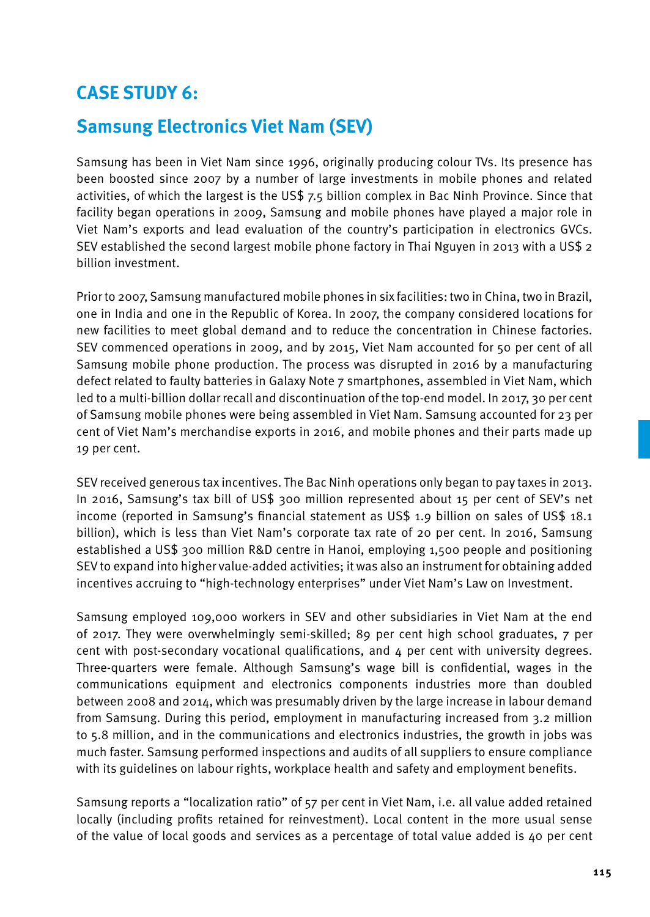### **CASE STUDY 6:**

### **Samsung Electronics Viet Nam (SEV)**

Samsung has been in Viet Nam since 1996, originally producing colour TVs. Its presence has been boosted since 2007 by a number of large investments in mobile phones and related activities, of which the largest is the US\$ 7.5 billion complex in Bac Ninh Province. Since that facility began operations in 2009, Samsung and mobile phones have played a major role in Viet Nam's exports and lead evaluation of the country's participation in electronics GVCs. SEV established the second largest mobile phone factory in Thai Nguyen in 2013 with a US\$ 2 billion investment.

Prior to 2007, Samsung manufactured mobile phones in six facilities: two in China, two in Brazil, one in India and one in the Republic of Korea. In 2007, the company considered locations for new facilities to meet global demand and to reduce the concentration in Chinese factories. SEV commenced operations in 2009, and by 2015, Viet Nam accounted for 50 per cent of all Samsung mobile phone production. The process was disrupted in 2016 by a manufacturing defect related to faulty batteries in Galaxy Note 7 smartphones, assembled in Viet Nam, which led to a multi-billion dollar recall and discontinuation of the top-end model. In 2017, 30 per cent of Samsung mobile phones were being assembled in Viet Nam. Samsung accounted for 23 per cent of Viet Nam's merchandise exports in 2016, and mobile phones and their parts made up 19 per cent.

SEV received generous tax incentives. The Bac Ninh operations only began to pay taxes in 2013. In 2016, Samsung's tax bill of US\$ 300 million represented about 15 per cent of SEV's net income (reported in Samsung's financial statement as US\$ 1.9 billion on sales of US\$ 18.1 billion), which is less than Viet Nam's corporate tax rate of 20 per cent. In 2016, Samsung established a US\$ 300 million R&D centre in Hanoi, employing 1,500 people and positioning SEV to expand into higher value-added activities; it was also an instrument for obtaining added incentives accruing to "high-technology enterprises" under Viet Nam's Law on Investment.

Samsung employed 109,000 workers in SEV and other subsidiaries in Viet Nam at the end of 2017. They were overwhelmingly semi-skilled; 89 per cent high school graduates, 7 per cent with post-secondary vocational qualifications, and  $4$  per cent with university degrees. Three-quarters were female. Although Samsung's wage bill is confidential, wages in the communications equipment and electronics components industries more than doubled between 2008 and 2014, which was presumably driven by the large increase in labour demand from Samsung. During this period, employment in manufacturing increased from 3.2 million to 5.8 million, and in the communications and electronics industries, the growth in jobs was much faster. Samsung performed inspections and audits of all suppliers to ensure compliance with its guidelines on labour rights, workplace health and safety and employment benefits.

Samsung reports a "localization ratio" of 57 per cent in Viet Nam, i.e. all value added retained locally (including profits retained for reinvestment). Local content in the more usual sense of the value of local goods and services as a percentage of total value added is 40 per cent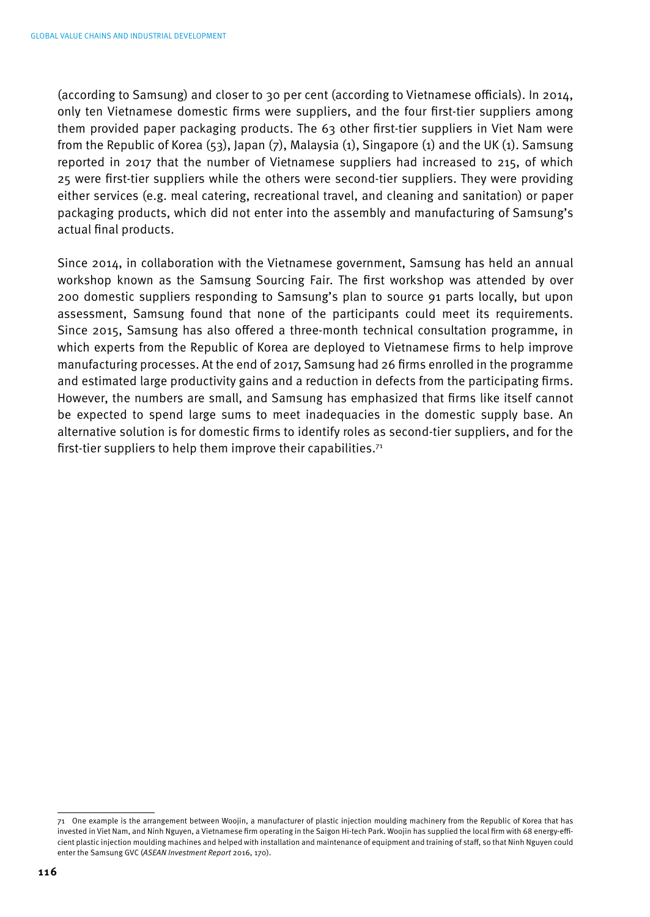(according to Samsung) and closer to 30 per cent (according to Vietnamese officials). In 2014, only ten Vietnamese domestic firms were suppliers, and the four first-tier suppliers among them provided paper packaging products. The 63 other first-tier suppliers in Viet Nam were from the Republic of Korea (53), Japan (7), Malaysia (1), Singapore (1) and the UK (1). Samsung reported in 2017 that the number of Vietnamese suppliers had increased to 215, of which 25 were first-tier suppliers while the others were second-tier suppliers. They were providing either services (e.g. meal catering, recreational travel, and cleaning and sanitation) or paper packaging products, which did not enter into the assembly and manufacturing of Samsung's actual final products.

Since 2014, in collaboration with the Vietnamese government, Samsung has held an annual workshop known as the Samsung Sourcing Fair. The first workshop was attended by over 200 domestic suppliers responding to Samsung's plan to source 91 parts locally, but upon assessment, Samsung found that none of the participants could meet its requirements. Since 2015, Samsung has also offered a three-month technical consultation programme, in which experts from the Republic of Korea are deployed to Vietnamese firms to help improve manufacturing processes. At the end of 2017, Samsung had 26 firms enrolled in the programme and estimated large productivity gains and a reduction in defects from the participating firms. However, the numbers are small, and Samsung has emphasized that firms like itself cannot be expected to spend large sums to meet inadequacies in the domestic supply base. An alternative solution is for domestic firms to identify roles as second-tier suppliers, and for the first-tier suppliers to help them improve their capabilities.<sup>71</sup>

<sup>71</sup> One example is the arrangement between Woojin, a manufacturer of plastic injection moulding machinery from the Republic of Korea that has invested in Viet Nam, and Ninh Nguyen, a Vietnamese firm operating in the Saigon Hi-tech Park. Woojin has supplied the local firm with 68 energy-efficient plastic injection moulding machines and helped with installation and maintenance of equipment and training of staff, so that Ninh Nguyen could enter the Samsung GVC (*ASEAN Investment Report* 2016, 170).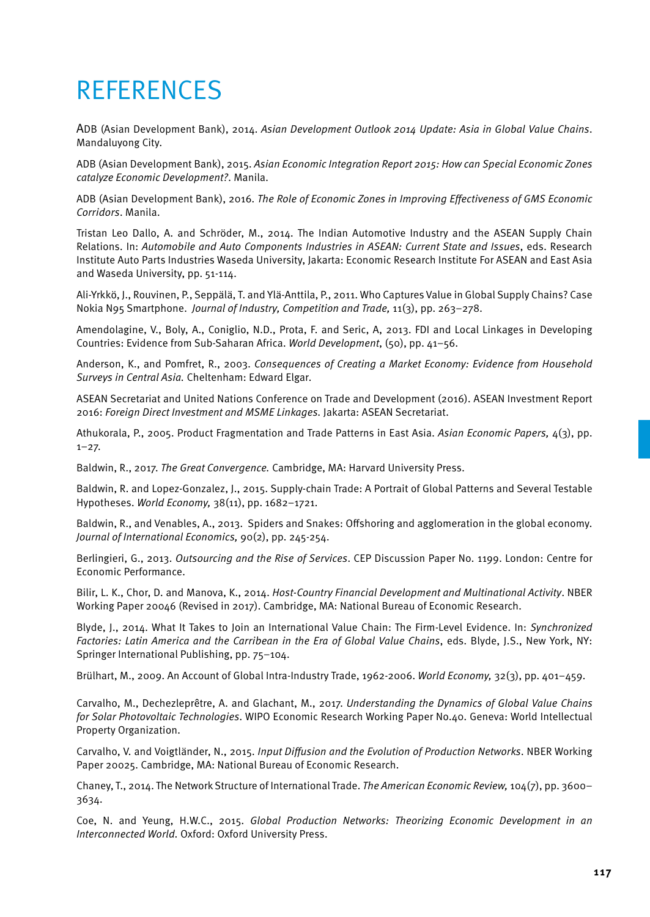## **REFERENCES**

ADB (Asian Development Bank), 2014. *Asian Development Outlook 2014 Update: Asia in Global Value Chains*. Mandaluyong City.

ADB (Asian Development Bank), 2015. *Asian Economic Integration Report 2015: How can Special Economic Zones catalyze Economic Development?*. Manila.

ADB (Asian Development Bank), 2016. *The Role of Economic Zones in Improving Effectiveness of GMS Economic Corridors*. Manila.

Tristan Leo Dallo, A. and Schröder, M., 2014. The Indian Automotive Industry and the ASEAN Supply Chain Relations. In: *Automobile and Auto Components Industries in ASEAN: Current State and Issues*, eds. Research Institute Auto Parts Industries Waseda University, Jakarta: Economic Research Institute For ASEAN and East Asia and Waseda University, pp. 51-114.

Ali-Yrkkö, J., Rouvinen, P., Seppälä, T. and Ylä-Anttila, P., 2011. Who Captures Value in Global Supply Chains? Case Nokia N95 Smartphone. *Journal of Industry, Competition and Trade,* 11(3), pp. 263–278.

Amendolagine, V., Boly, A., Coniglio, N.D., Prota, F. and Seric, A, 2013. FDI and Local Linkages in Developing Countries: Evidence from Sub-Saharan Africa. *World Development*, (50), pp. 41–56.

Anderson, K., and Pomfret, R., 2003. *Consequences of Creating a Market Economy: Evidence from Household Surveys in Central Asia.* Cheltenham: Edward Elgar.

ASEAN Secretariat and United Nations Conference on Trade and Development (2016). ASEAN Investment Report 2016: *Foreign Direct Investment and MSME Linkages.* Jakarta: ASEAN Secretariat.

Athukorala, P., 2005. Product Fragmentation and Trade Patterns in East Asia. *Asian Economic Papers,* 4(3), pp.  $1 - 27.$ 

Baldwin, R., 2017. *The Great Convergence.* Cambridge, MA: Harvard University Press.

Baldwin, R. and Lopez-Gonzalez, J., 2015. Supply-chain Trade: A Portrait of Global Patterns and Several Testable Hypotheses. *World Economy,* 38(11), pp. 1682–1721.

Baldwin, R., and Venables, A., 2013. Spiders and Snakes: Offshoring and agglomeration in the global economy. *Journal of International Economics,* 90(2), pp. 245-254.

Berlingieri, G., 2013. *Outsourcing and the Rise of Services*. CEP Discussion Paper No. 1199. London: Centre for Economic Performance.

Bilir, L. K., Chor, D. and Manova, K., 2014. *Host-Country Financial Development and Multinational Activity*. NBER Working Paper 20046 (Revised in 2017). Cambridge, MA: National Bureau of Economic Research.

Blyde, J., 2014. What It Takes to Join an International Value Chain: The Firm-Level Evidence. In: *Synchronized Factories: Latin America and the Carribean in the Era of Global Value Chains*, eds. Blyde, J.S., New York, NY: Springer International Publishing, pp. 75–104.

Brülhart, M., 2009. An Account of Global Intra-Industry Trade, 1962-2006. *World Economy,* 32(3), pp. 401–459.

Carvalho, M., Dechezleprêtre, A. and Glachant, M., 2017. *Understanding the Dynamics of Global Value Chains for Solar Photovoltaic Technologies*. WIPO Economic Research Working Paper No.40. Geneva: World Intellectual Property Organization.

Carvalho, V. and Voigtländer, N., 2015. *Input Diffusion and the Evolution of Production Networks*. NBER Working Paper 20025. Cambridge, MA: National Bureau of Economic Research.

Chaney, T., 2014. The Network Structure of International Trade. *The American Economic Review,* 104(7), pp. 3600– 3634.

Coe, N. and Yeung, H.W.C., 2015. *Global Production Networks: Theorizing Economic Development in an Interconnected World.* Oxford: Oxford University Press.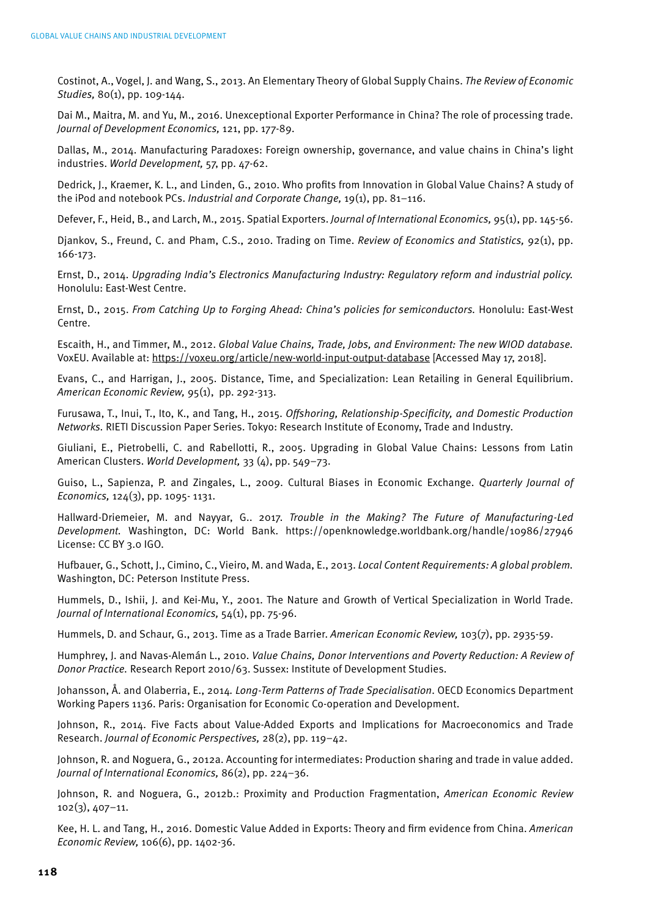Costinot, A., Vogel, J. and Wang, S., 2013. An Elementary Theory of Global Supply Chains. *The Review of Economic Studies,* 80(1), pp. 109-144.

Dai M., Maitra, M. and Yu, M., 2016. Unexceptional Exporter Performance in China? The role of processing trade. *Journal of Development Economics,* 121, pp. 177-89.

Dallas, M., 2014. Manufacturing Paradoxes: Foreign ownership, governance, and value chains in China's light industries. *World Development,* 57, pp. 47-62.

Dedrick, J., Kraemer, K. L., and Linden, G., 2010. Who profits from Innovation in Global Value Chains? A study of the iPod and notebook PCs. *Industrial and Corporate Change,* 19(1), pp. 81–116.

Defever, F., Heid, B., and Larch, M., 2015. Spatial Exporters. *Journal of International Economics,* 95(1), pp. 145-56.

Djankov, S., Freund, C. and Pham, C.S., 2010. Trading on Time. *Review of Economics and Statistics,* 92(1), pp. 166-173.

Ernst, D., 2014. *Upgrading India's Electronics Manufacturing Industry: Regulatory reform and industrial policy.* Honolulu: East-West Centre.

Ernst, D., 2015. *From Catching Up to Forging Ahead: China's policies for semiconductors.* Honolulu: East-West Centre.

Escaith, H., and Timmer, M., 2012. *Global Value Chains, Trade, Jobs, and Environment: The new WIOD database.* VoxEU. Available at: https://voxeu.org/article/new-world-input-output-database [Accessed May 17, 2018].

Evans, C., and Harrigan, J., 2005. Distance, Time, and Specialization: Lean Retailing in General Equilibrium. *American Economic Review,* 95(1), pp. 292-313.

Furusawa, T., Inui, T., Ito, K., and Tang, H., 2015. *Offshoring, Relationship-Specificity, and Domestic Production Networks.* RIETI Discussion Paper Series. Tokyo: Research Institute of Economy, Trade and Industry.

Giuliani, E., Pietrobelli, C. and Rabellotti, R., 2005. Upgrading in Global Value Chains: Lessons from Latin American Clusters. *World Development,* 33 (4), pp. 549–73.

Guiso, L., Sapienza, P. and Zingales, L., 2009. Cultural Biases in Economic Exchange. *Quarterly Journal of Economics,* 124(3), pp. 1095- 1131.

Hallward-Driemeier, M. and Nayyar, G.. 2017. *Trouble in the Making? The Future of Manufacturing-Led Development.* Washington, DC: World Bank. https://openknowledge.worldbank.org/handle/10986/27946 License: CC BY 3.0 IGO.

Hufbauer, G., Schott, J., Cimino, C., Vieiro, M. and Wada, E., 2013. *Local Content Requirements: A global problem.* Washington, DC: Peterson Institute Press.

Hummels, D., Ishii, J. and Kei-Mu, Y., 2001. The Nature and Growth of Vertical Specialization in World Trade. *Journal of International Economics,* 54(1), pp. 75-96.

Hummels, D. and Schaur, G., 2013. Time as a Trade Barrier. *American Economic Review,* 103(7), pp. 2935-59.

Humphrey, J. and Navas-Alemán L., 2010. *Value Chains, Donor Interventions and Poverty Reduction: A Review of Donor Practice.* Research Report 2010/63. Sussex: Institute of Development Studies.

Johansson, Å. and Olaberria, E., 2014*. Long-Term Patterns of Trade Specialisation*. OECD Economics Department Working Papers 1136. Paris: Organisation for Economic Co-operation and Development.

Johnson, R., 2014. Five Facts about Value-Added Exports and Implications for Macroeconomics and Trade Research. *Journal of Economic Perspectives,* 28(2), pp. 119–42.

Johnson, R. and Noguera, G., 2012a. Accounting for intermediates: Production sharing and trade in value added. *Journal of International Economics,* 86(2), pp. 224–36.

Johnson, R. and Noguera, G., 2012b.: Proximity and Production Fragmentation, *American Economic Review* 102(3), 407–11.

Kee, H. L. and Tang, H., 2016. Domestic Value Added in Exports: Theory and firm evidence from China. *American Economic Review,* 106(6), pp. 1402-36.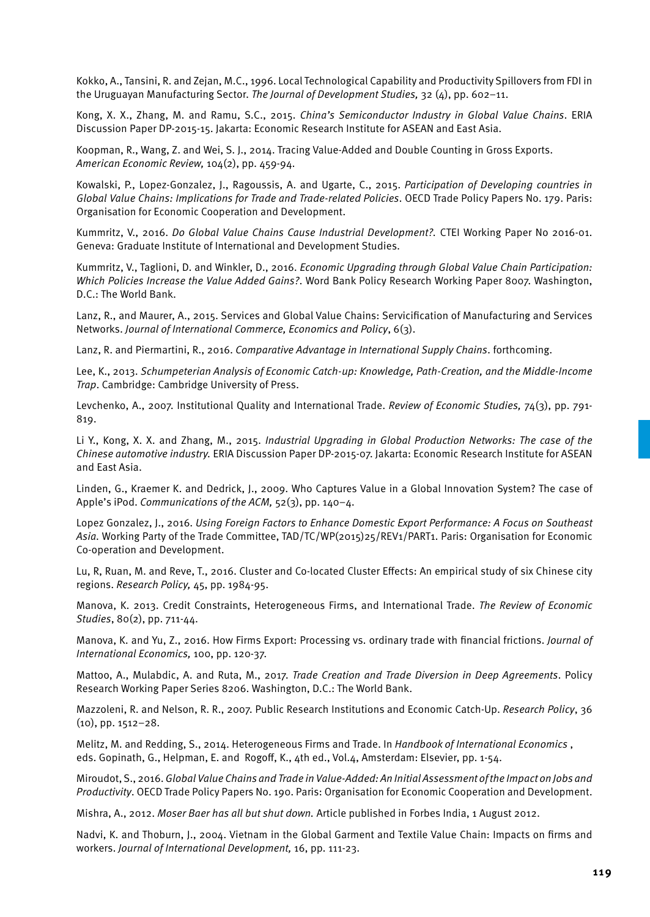Kokko, A., Tansini, R. and Zejan, M.C., 1996. Local Technological Capability and Productivity Spillovers from FDI in the Uruguayan Manufacturing Sector. *The Journal of Development Studies,* 32 (4), pp. 602–11.

Kong, X. X., Zhang, M. and Ramu, S.C., 2015. *China's Semiconductor Industry in Global Value Chains*. ERIA Discussion Paper DP-2015-15. Jakarta: Economic Research Institute for ASEAN and East Asia.

Koopman, R., Wang, Z. and Wei, S. J., 2014. Tracing Value-Added and Double Counting in Gross Exports. *American Economic Review,* 104(2), pp. 459-94.

Kowalski, P., Lopez-Gonzalez, J., Ragoussis, A. and Ugarte, C., 2015. *Participation of Developing countries in Global Value Chains: Implications for Trade and Trade-related Policies*. OECD Trade Policy Papers No. 179. Paris: Organisation for Economic Cooperation and Development.

Kummritz, V., 2016. *Do Global Value Chains Cause Industrial Development?.* CTEI Working Paper No 2016-01. Geneva: Graduate Institute of International and Development Studies.

Kummritz, V., Taglioni, D. and Winkler, D., 2016. *Economic Upgrading through Global Value Chain Participation: Which Policies Increase the Value Added Gains?*. Word Bank Policy Research Working Paper 8007. Washington, D.C.: The World Bank.

Lanz, R., and Maurer, A., 2015. Services and Global Value Chains: Servicification of Manufacturing and Services Networks. *Journal of International Commerce, Economics and Policy*, 6(3).

Lanz, R. and Piermartini, R., 2016. *Comparative Advantage in International Supply Chains*. forthcoming.

Lee, K., 2013. *Schumpeterian Analysis of Economic Catch-up: Knowledge, Path-Creation, and the Middle-Income Trap*. Cambridge: Cambridge University of Press.

Levchenko, A., 2007. Institutional Quality and International Trade. *Review of Economic Studies,* 74(3), pp. 791- 819.

Li Y., Kong, X. X. and Zhang, M., 2015. *Industrial Upgrading in Global Production Networks: The case of the Chinese automotive industry.* ERIA Discussion Paper DP-2015-07. Jakarta: Economic Research Institute for ASEAN and East Asia.

Linden, G., Kraemer K. and Dedrick, J., 2009. Who Captures Value in a Global Innovation System? The case of Apple's iPod. *Communications of the ACM,* 52(3), pp. 140–4.

Lopez Gonzalez, J., 2016. *Using Foreign Factors to Enhance Domestic Export Performance: A Focus on Southeast*  Asia. Working Party of the Trade Committee, TAD/TC/WP(2015)25/REV1/PART1. Paris: Organisation for Economic Co-operation and Development.

Lu, R, Ruan, M. and Reve, T., 2016. Cluster and Co-located Cluster Effects: An empirical study of six Chinese city regions. *Research Policy,* 45, pp. 1984-95.

Manova, K. 2013. Credit Constraints, Heterogeneous Firms, and International Trade. *The Review of Economic Studies*, 80(2), pp. 711-44.

Manova, K. and Yu, Z., 2016. How Firms Export: Processing vs. ordinary trade with financial frictions. *Journal of International Economics,* 100, pp. 120-37.

Mattoo, A., Mulabdic, A. and Ruta, M., 2017. *Trade Creation and Trade Diversion in Deep Agreements*. Policy Research Working Paper Series 8206. Washington, D.C.: The World Bank.

Mazzoleni, R. and Nelson, R. R., 2007. Public Research Institutions and Economic Catch-Up. *Research Policy*, 36 (10), pp. 1512–28.

Melitz, M. and Redding, S., 2014. Heterogeneous Firms and Trade. In *Handbook of International Economics* , eds. Gopinath, G., Helpman, E. and Rogoff, K., 4th ed., Vol.4, Amsterdam: Elsevier, pp. 1-54.

Miroudot, S., 2016. *Global Value Chains and Trade in Value-Added: An Initial Assessment of the Impact on Jobs and Productivity*. OECD Trade Policy Papers No. 190. Paris: Organisation for Economic Cooperation and Development.

Mishra, A., 2012. *Moser Baer has all but shut down.* Article published in Forbes India, 1 August 2012.

Nadvi, K. and Thoburn, J., 2004. Vietnam in the Global Garment and Textile Value Chain: Impacts on firms and workers. *Journal of International Development,* 16, pp. 111-23.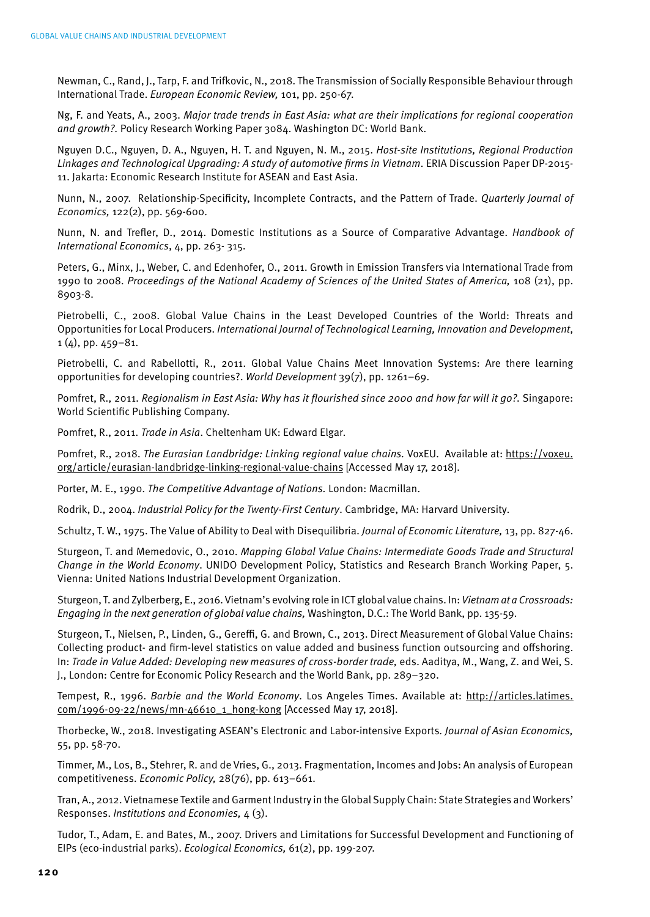Newman, C., Rand, J., Tarp, F. and Trifkovic, N., 2018. The Transmission of Socially Responsible Behaviour through International Trade. *European Economic Review,* 101, pp. 250-67.

Ng, F. and Yeats, A., 2003. *Major trade trends in East Asia: what are their implications for regional cooperation and growth?.* Policy Research Working Paper 3084. Washington DC: World Bank.

Nguyen D.C., Nguyen, D. A., Nguyen, H. T. and Nguyen, N. M., 2015. *Host-site Institutions, Regional Production Linkages and Technological Upgrading: A study of automotive firms in Vietnam*. ERIA Discussion Paper DP-2015- 11. Jakarta: Economic Research Institute for ASEAN and East Asia.

Nunn, N., 2007. Relationship-Specificity, Incomplete Contracts, and the Pattern of Trade. *Quarterly Journal of Economics,* 122(2), pp. 569-600.

Nunn, N. and Trefler, D., 2014. Domestic Institutions as a Source of Comparative Advantage. *Handbook of International Economics*, 4, pp. 263- 315.

Peters, G., Minx, J., Weber, C. and Edenhofer, O., 2011. Growth in Emission Transfers via International Trade from 1990 to 2008. *Proceedings of the National Academy of Sciences of the United States of America,* 108 (21), pp. 8903-8.

Pietrobelli, C., 2008. Global Value Chains in the Least Developed Countries of the World: Threats and Opportunities for Local Producers. *International Journal of Technological Learning, Innovation and Development*,  $1 (4)$ , pp. 459-81.

Pietrobelli, C. and Rabellotti, R., 2011. Global Value Chains Meet Innovation Systems: Are there learning opportunities for developing countries?. *World Development* 39(7), pp. 1261–69.

Pomfret, R., 2011. *Regionalism in East Asia: Why has it flourished since 2000 and how far will it go?.* Singapore: World Scientific Publishing Company.

Pomfret, R., 2011. *Trade in Asia*. Cheltenham UK: Edward Elgar.

Pomfret, R., 2018. *The Eurasian Landbridge: Linking regional value chains.* VoxEU. Available at: https://voxeu. org/article/eurasian-landbridge-linking-regional-value-chains [Accessed May 17, 2018].

Porter, M. E., 1990. *The Competitive Advantage of Nations.* London: Macmillan.

Rodrik, D., 2004. *Industrial Policy for the Twenty-First Century*. Cambridge, MA: Harvard University.

Schultz, T. W., 1975. The Value of Ability to Deal with Disequilibria. *Journal of Economic Literature,* 13, pp. 827-46.

Sturgeon, T. and Memedovic, O., 2010. *Mapping Global Value Chains: Intermediate Goods Trade and Structural Change in the World Economy*. UNIDO Development Policy, Statistics and Research Branch Working Paper, 5. Vienna: United Nations Industrial Development Organization.

Sturgeon, T. and Zylberberg, E., 2016. Vietnam's evolving role in ICT global value chains. In: *Vietnam at a Crossroads: Engaging in the next generation of global value chains,* Washington, D.C.: The World Bank, pp. 135-59.

Sturgeon, T., Nielsen, P., Linden, G., Gereffi, G. and Brown, C., 2013. Direct Measurement of Global Value Chains: Collecting product- and firm-level statistics on value added and business function outsourcing and offshoring. In: *Trade in Value Added: Developing new measures of cross-border trade,* eds. Aaditya, M., Wang, Z. and Wei, S. J., London: Centre for Economic Policy Research and the World Bank, pp. 289–320.

Tempest, R., 1996. *Barbie and the World Economy*. Los Angeles Times. Available at: http://articles.latimes. com/1996-09-22/news/mn-46610\_1\_hong-kong [Accessed May 17, 2018].

Thorbecke, W., 2018. Investigating ASEAN's Electronic and Labor-intensive Exports*. Journal of Asian Economics,*  55, pp. 58-70.

Timmer, M., Los, B., Stehrer, R. and de Vries, G., 2013. Fragmentation, Incomes and Jobs: An analysis of European competitiveness. *Economic Policy,* 28(76), pp. 613–661.

Tran, A., 2012. Vietnamese Textile and Garment Industry in the Global Supply Chain: State Strategies and Workers' Responses. *Institutions and Economies,* 4 (3).

Tudor, T., Adam, E. and Bates, M., 2007. Drivers and Limitations for Successful Development and Functioning of EIPs (eco-industrial parks). *Ecological Economics,* 61(2), pp. 199-207.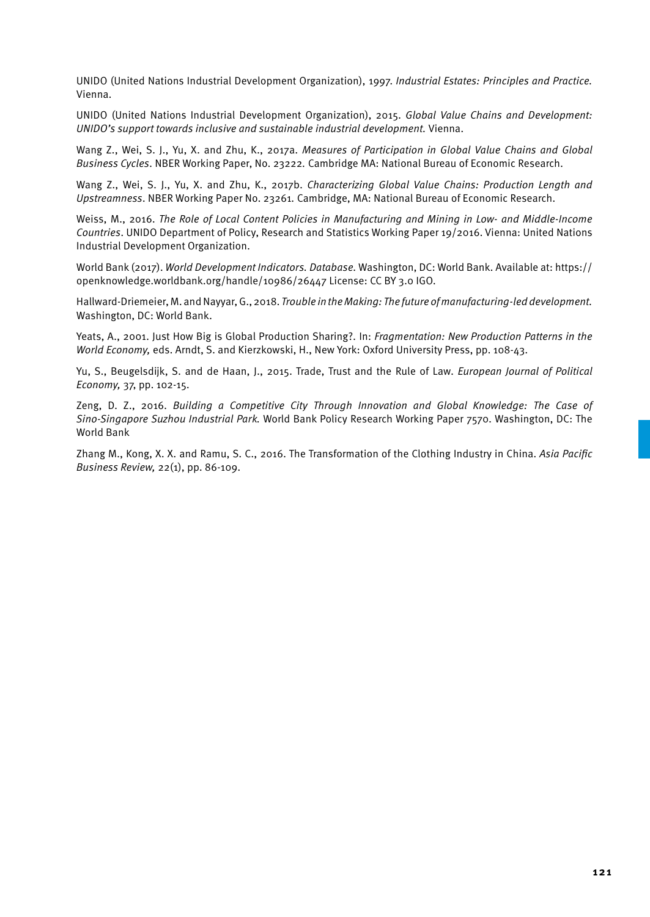UNIDO (United Nations Industrial Development Organization), 1997. *Industrial Estates: Principles and Practice.* Vienna.

UNIDO (United Nations Industrial Development Organization), 2015. *Global Value Chains and Development: UNIDO's support towards inclusive and sustainable industrial development.* Vienna.

Wang Z., Wei, S. J., Yu, X. and Zhu, K., 2017a. *Measures of Participation in Global Value Chains and Global Business Cycles*. NBER Working Paper, No. 23222*.* Cambridge MA: National Bureau of Economic Research.

Wang Z., Wei, S. J., Yu, X. and Zhu, K., 2017b. *Characterizing Global Value Chains: Production Length and Upstreamness*. NBER Working Paper No. 23261*.* Cambridge, MA: National Bureau of Economic Research.

Weiss, M., 2016. *The Role of Local Content Policies in Manufacturing and Mining in Low- and Middle-Income Countries*. UNIDO Department of Policy, Research and Statistics Working Paper 19/2016. Vienna: United Nations Industrial Development Organization.

World Bank (2017). *World Development Indicators. Database.* Washington, DC: World Bank. Available at: https:// openknowledge.worldbank.org/handle/10986/26447 License: CC BY 3.0 IGO.

Hallward-Driemeier, M. and Nayyar, G., 2018. *Trouble in the Making: The future of manufacturing-led development.*  Washington, DC: World Bank.

Yeats, A., 2001. Just How Big is Global Production Sharing?. In: *Fragmentation: New Production Patterns in the World Economy,* eds. Arndt, S. and Kierzkowski, H., New York: Oxford University Press, pp. 108-43.

Yu, S., Beugelsdijk, S. and de Haan, J., 2015. Trade, Trust and the Rule of Law. *European Journal of Political Economy,* 37, pp. 102-15.

Zeng, D. Z., 2016. *Building a Competitive City Through Innovation and Global Knowledge: The Case of Sino-Singapore Suzhou Industrial Park.* World Bank Policy Research Working Paper 7570. Washington, DC: The World Bank

Zhang M., Kong, X. X. and Ramu, S. C., 2016. The Transformation of the Clothing Industry in China. *Asia Pacific Business Review,* 22(1), pp. 86-109.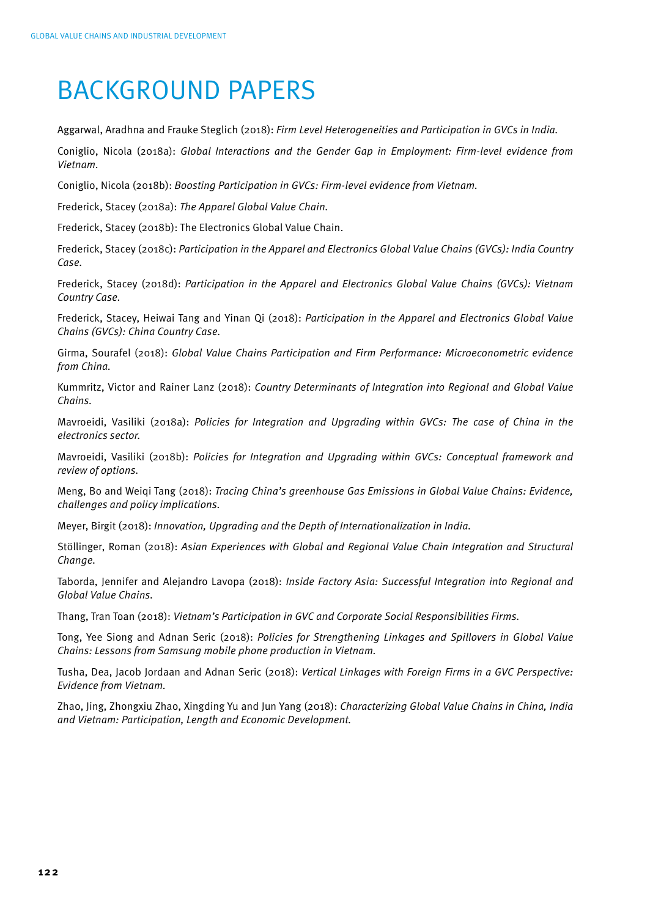## BACKGROUND PAPERS

Aggarwal, Aradhna and Frauke Steglich (2018): *Firm Level Heterogeneities and Participation in GVCs in India.*

Coniglio, Nicola (2018a): *Global Interactions and the Gender Gap in Employment: Firm-level evidence from Vietnam.*

Coniglio, Nicola (2018b): *Boosting Participation in GVCs: Firm-level evidence from Vietnam.*

Frederick, Stacey (2018a): *The Apparel Global Value Chain.*

Frederick, Stacey (2018b): The Electronics Global Value Chain.

Frederick, Stacey (2018c): *Participation in the Apparel and Electronics Global Value Chains (GVCs): India Country Case.*

Frederick, Stacey (2018d): *Participation in the Apparel and Electronics Global Value Chains (GVCs): Vietnam Country Case.*

Frederick, Stacey, Heiwai Tang and Yinan Qi (2018): *Participation in the Apparel and Electronics Global Value Chains (GVCs): China Country Case.*

Girma, Sourafel (2018): *Global Value Chains Participation and Firm Performance: Microeconometric evidence from China.*

Kummritz, Victor and Rainer Lanz (2018): *Country Determinants of Integration into Regional and Global Value Chains.*

Mavroeidi, Vasiliki (2018a): *Policies for Integration and Upgrading within GVCs: The case of China in the electronics sector.*

Mavroeidi, Vasiliki (2018b): *Policies for Integration and Upgrading within GVCs: Conceptual framework and review of options.*

Meng, Bo and Weiqi Tang (2018): *Tracing China's greenhouse Gas Emissions in Global Value Chains: Evidence, challenges and policy implications.*

Meyer, Birgit (2018): *Innovation, Upgrading and the Depth of Internationalization in India.*

Stöllinger, Roman (2018): *Asian Experiences with Global and Regional Value Chain Integration and Structural Change.*

Taborda, Jennifer and Alejandro Lavopa (2018): *Inside Factory Asia: Successful Integration into Regional and Global Value Chains.*

Thang, Tran Toan (2018): *Vietnam's Participation in GVC and Corporate Social Responsibilities Firms.*

Tong, Yee Siong and Adnan Seric (2018): *Policies for Strengthening Linkages and Spillovers in Global Value Chains: Lessons from Samsung mobile phone production in Vietnam.*

Tusha, Dea, Jacob Jordaan and Adnan Seric (2018): *Vertical Linkages with Foreign Firms in a GVC Perspective: Evidence from Vietnam.*

Zhao, Jing, Zhongxiu Zhao, Xingding Yu and Jun Yang (2018): *Characterizing Global Value Chains in China, India and Vietnam: Participation, Length and Economic Development.*